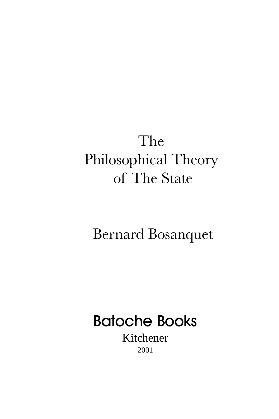# The Philosophical Theory of The State

# Bernard Bosanquet

# Batoche Books

Kitchener 2001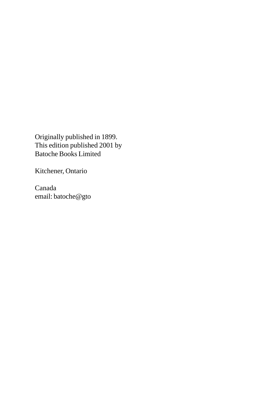Originally published in 1899. This edition published 2001 by Batoche Books Limited

Kitchener, Ontario

Canada email: batoche@gto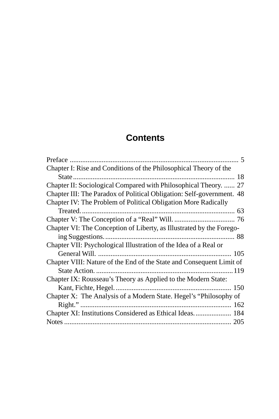## **Contents**

| Chapter I: Rise and Conditions of the Philosophical Theory of the     |
|-----------------------------------------------------------------------|
|                                                                       |
| Chapter II: Sociological Compared with Philosophical Theory.  27      |
| Chapter III: The Paradox of Political Obligation: Self-government. 48 |
| Chapter IV: The Problem of Political Obligation More Radically        |
|                                                                       |
|                                                                       |
| Chapter VI: The Conception of Liberty, as Illustrated by the Forego-  |
|                                                                       |
| Chapter VII: Psychological Illustration of the Idea of a Real or      |
|                                                                       |
| Chapter VIII: Nature of the End of the State and Consequent Limit of  |
|                                                                       |
| Chapter IX: Rousseau's Theory as Applied to the Modern State:         |
|                                                                       |
| Chapter X: The Analysis of a Modern State. Hegel's "Philosophy of     |
|                                                                       |
| Chapter XI: Institutions Considered as Ethical Ideas 184              |
|                                                                       |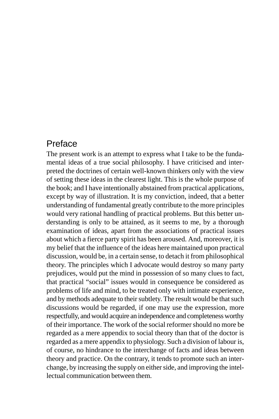### <span id="page-4-0"></span>Preface

The present work is an attempt to express what I take to be the fundamental ideas of a true social philosophy. I have criticised and interpreted the doctrines of certain well-known thinkers only with the view of setting these ideas in the clearest light. This is the whole purpose of the book; and I have intentionally abstained from practical applications, except by way of illustration. It is my conviction, indeed, that a better understanding of fundamental greatly contribute to the more principles would very rational handling of practical problems. But this better understanding is only to be attained, as it seems to me, by a thorough examination of ideas, apart from the associations of practical issues about which a fierce party spirit has been aroused. And, moreover, it is my belief that the influence of the ideas here maintained upon practical discussion, would be, in a certain sense, to detach it from philosophical theory. The principles which I advocate would destroy so many party prejudices, would put the mind in possession of so many clues to fact, that practical "social" issues would in consequence be considered as problems of life and mind, to be treated only with intimate experience, and by methods adequate to their subtlety. The result would be that such discussions would be regarded, if one may use the expression, more respectfully, and would acquire an independence and completeness worthy of their importance. The work of the social reformer should no more be regarded as a mere appendix to social theory than that of the doctor is regarded as a mere appendix to physiology. Such a division of labour is, of course, no hindrance to the interchange of facts and ideas between theory and practice. On the contrary, it tends to promote such an interchange, by increasing the supply on either side, and improving the intellectual communication between them.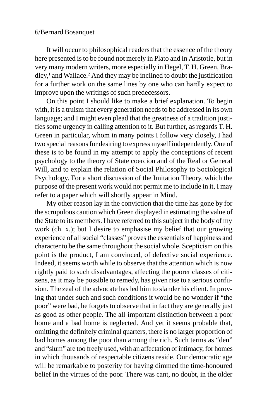It will occur to philosophical readers that the essence of the theory here presented is to be found not merely in Plato and in Aristotle, but in very many modern writers, more especially in Hegel, T. H. Green, Bradley,<sup>1</sup> and Wallace.<sup>2</sup> And they may be inclined to doubt the justification for a further work on the same lines by one who can hardly expect to improve upon the writings of such predecessors.

On this point I should like to make a brief explanation. To begin with, it is a truism that every generation needs to be addressed in its own language; and I might even plead that the greatness of a tradition justifies some urgency in calling attention to it. But further, as regards T. H. Green in particular, whom in many points I follow very closely, I had two special reasons for desiring to express myself independently. One of these is to be found in my attempt to apply the conceptions of recent psychology to the theory of State coercion and of the Real or General Will, and to explain the relation of Social Philosophy to Sociological Psychology. For a short discussion of the Imitation Theory, which the purpose of the present work would not permit me to include in it, I may refer to a paper which will shortly appear in Mind.

My other reason lay in the conviction that the time has gone by for the scrupulous caution which Green displayed in estimating the value of the State to its members. I have referred to this subject in the body of my work (ch. x.); but I desire to emphasise my belief that our growing experience of all social "classes" proves the essentials of happiness and character to be the same throughout the social whole. Scepticism on this point is the product, I am convinced, of defective social experience. Indeed, it seems worth while to observe that the attention which is now rightly paid to such disadvantages, affecting the poorer classes of citizens, as it may be possible to remedy, has given rise to a serious confusion. The zeal of the advocate has led him to slander his client. In proving that under such and such conditions it would be no wonder if "the poor" were bad, he forgets to observe that in fact they are generally just as good as other people. The all-important distinction between a poor home and a bad home is neglected. And yet it seems probable that, omitting the definitely criminal quarters, there is no larger proportion of bad homes among the poor than among the rich. Such terms as "den" and "slum" are too freely used, with an affectation of intimacy, for homes in which thousands of respectable citizens reside. Our democratic age will be remarkable to posterity for having dimmed the time-honoured belief in the virtues of the poor. There was cant, no doubt, in the older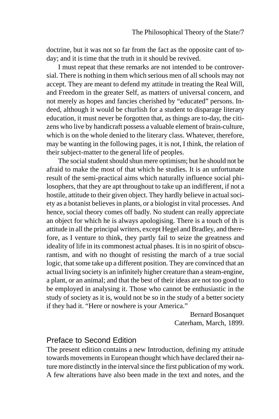doctrine, but it was not so far from the fact as the opposite cant of today; and it is time that the truth in it should be revived.

I must repeat that these remarks are not intended to be controversial. There is nothing in them which serious men of all schools may not accept. They are meant to defend my attitude in treating the Real Will, and Freedom in the greater Self, as matters of universal concern, and not merely as hopes and fancies cherished by "educated" persons. Indeed, although it would be churlish for a student to disparage literary education, it must never be forgotten that, as things are to-day, the citizens who live by handicraft possess a valuable element of brain-culture, which is on the whole denied to the literary class. Whatever, therefore, may be wanting in the following pages, it is not, I think, the relation of their subject-matter to the general life of peoples.

The social student should shun mere optimism; but he should not be afraid to make the most of that which he studies. It is an unfortunate result of the semi-practical aims which naturally influence social philosophers, that they are apt throughout to take up an indifferent, if not a hostile, attitude to their given object. They hardly believe in actual society as a botanist believes in plants, or a biologist in vital processes. And hence, social theory comes off badly. No student can really appreciate an object for which he is always apologising. There is a touch of th is attitude in all the principal writers, except Hegel and Bradley, and therefore, as I venture to think, they partly fail to seize the greatness and ideality of life in its commonest actual phases. It is in no spirit of obscurantism, and with no thought of resisting the march of a true social logic, that some take up a different position. They are convinced that an actual living society is an infinitely higher creature than a steam-engine, a plant, or an animal; and that the best of their ideas are not too good to be employed in analysing it. Those who cannot be enthusiastic in the study of society as it is, would not be so in the study of a better society if they had it. "Here or nowhere is your America."

> Bernard Bosanquet Caterham, March, 1899.

### Preface to Second Edition

The present edition contains a new Introduction, defining my attitude towards movements in European thought which have declared their nature more distinctly in the interval since the first publication of my work. A few alterations have also been made in the text and notes, and the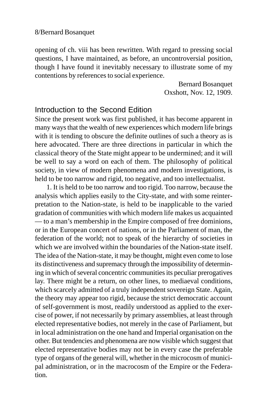opening of ch. viii has been rewritten. With regard to pressing social questions, I have maintained, as before, an uncontroversial position, though I have found it inevitably necessary to illustrate some of my contentions by references to social experience.

> Bernard Bosanquet Oxshott, Nov. 12, 1909.

### Introduction to the Second Edition

Since the present work was first published, it has become apparent in many ways that the wealth of new experiences which modern life brings with it is tending to obscure the definite outlines of such a theory as is here advocated. There are three directions in particular in which the classical theory of the State might appear to be undermined; and it will be well to say a word on each of them. The philosophy of political society, in view of modern phenomena and modern investigations, is held to be too narrow and rigid, too negative, and too intellectualist.

1. It is held to be too narrow and too rigid. Too narrow, because the analysis which applies easily to the City-state, and with some reinterpretation to the Nation-state, is held to be inapplicable to the varied gradation of communities with which modern life makes us acquainted — to a man's membership in the Empire composed of free dominions, or in the European concert of nations, or in the Parliament of man, the federation of the world; not to speak of the hierarchy of societies in which we are involved within the boundaries of the Nation-state itself. The idea of the Nation-state, it may be thought, might even come to lose its distinctiveness and supremacy through the impossibility of determining in which of several concentric communities its peculiar prerogatives lay. There might be a return, on other lines, to mediaeval conditions, which scarcely admitted of a truly independent sovereign State. Again, the theory may appear too rigid, because the strict democratic account of self-government is most, readily understood as applied to the exercise of power, if not necessarily by primary assemblies, at least through elected representative bodies, not merely in the case of Parliament, but in local administration on the one hand and Imperial organisation on the other. But tendencies and phenomena are now visible which suggest that elected representative bodies may not be in every case the preferable type of organs of the general will, whether in the microcosm of municipal administration, or in the macrocosm of the Empire or the Federation.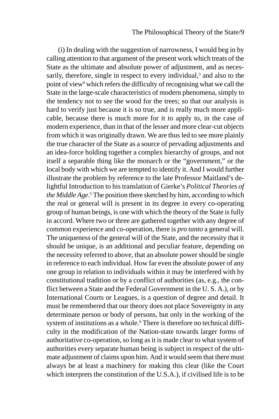(i) In dealing with the suggestion of narrowness, I would beg in by calling attention to that argument of the present work which treats of the State as the ultimate and absolute power of adjustment, and as necessarily, therefore, single in respect to every individual,<sup>3</sup> and also to the point of view<sup>4</sup> which refers the difficulty of recognising what we call the State in the large-scale characteristics of modern phenomena, simply to the tendency not to see the wood for the trees; so that our analysis is hard to verify just because it is so true, and is really much more applicable, because there is much more for it to apply to, in the case of modern experience, than in that of the lesser and more clear-cut objects from which it was originally drawn. We are thus led to see more plainly the true character of the State as a source of pervading adjustments and an idea-force holding together a complex hierarchy of groups, and not itself a separable thing like the monarch or the "government," or the local body with which we are tempted to identify it. And I would further illustrate the problem by reference to the late Professor Maitland's delightful Introduction to his translation of Gierke's *Political Theories of* the Middle Age.<sup>5</sup> The position there sketched by him, according to which the real or general will is present in its degree in every co-operating group of human beings, is one with which the theory of the State is fully in accord. Where two or three are gathered together with any degree of common experience and co-operation, there is *pro tanto* a general will. The uniqueness of the general will of the State, and the necessity that it should be unique, is an additional and peculiar feature, depending on the necessity referred to above, that an absolute power should be single in reference to each individual. How far even the absolute power of any one group in relation to individuals within it may be interfered with by constitutional tradition or by a conflict of authorities (as, e.g., the conflict between a State and the Federal Government in the U. S. A.), or by International Courts or Leagues, is a question of degree and detail. It must be remembered that our theory does not place Sovereignty in any determinate person or body of persons, but only in the working of the system of institutions as a whole.<sup>6</sup> There is therefore no technical difficulty in the modification of the Nation-state towards larger forms of authoritative co-operation, so long as it is made clear to what system of authorities every separate human being is subject in respect of the ultimate adjustment of claims upon him. And it would seem that there must always be at least a machinery for making this clear (like the Court which interprets the constitution of the U.S.A.), if civilised life is to be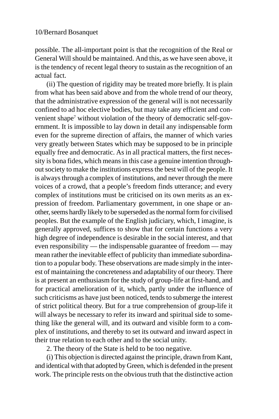possible. The all-important point is that the recognition of the Real or General Will should be maintained. And this, as we have seen above, it is the tendency of recent legal theory to sustain as the recognition of an actual fact.

(ii) The question of rigidity may be treated more briefly. It is plain from what has been said above and from the whole trend of our theory, that the administrative expression of the general will is not necessarily confined to ad hoc elective bodies, but may take any efficient and convenient shape<sup>7</sup> without violation of the theory of democratic self-government. It is impossible to lay down in detail any indispensable form even for the supreme direction of affairs, the manner of which varies very greatly between States which may be supposed to be in principle equally free and democratic. As in all practical matters, the first necessity is bona fides, which means in this case a genuine intention throughout society to make the institutions express the best will of the people. It is always through a complex of institutions, and never through the mere voices of a crowd, that a people's freedom finds utterance; and every complex of institutions must be criticised on its own merits as an expression of freedom. Parliamentary government, in one shape or another, seems hardly likely to be superseded as the normal form for civilised peoples. But the example of the English judiciary, which, I imagine, is generally approved, suffices to show that for certain functions a very high degree of independence is desirable in the social interest, and that even responsibility — the indispensable guarantee of freedom — may mean rather the inevitable effect of publicity than immediate subordination to a popular body. These observations are made simply in the interest of maintaining the concreteness and adaptability of our theory. There is at present an enthusiasm for the study of group-life at first-hand, and for practical amelioration of it, which, partly under the influence of such criticisms as have just been noticed, tends to submerge the interest of strict political theory. But for a true comprehension of group-life it will always be necessary to refer its inward and spiritual side to something like the general will, and its outward and visible form to a complex of institutions, and thereby to set its outward and inward aspect in their true relation to each other and to the social unity.

2. The theory of the State is held to be too negative.

(i) This objection is directed against the principle, drawn from Kant, and identical with that adopted by Green, which is defended in the present work. The principle rests on the obvious truth that the distinctive action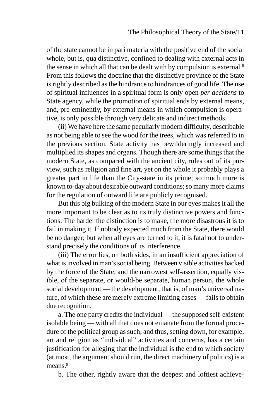of the state cannot be in pari materia with the positive end of the social whole, but is, qua distinctive, confined to dealing with external acts in the sense in which all that can be dealt with by compulsion is external.<sup>8</sup> From this follows the doctrine that the distinctive province of the State is rightly described as the hindrance to hindrances of good life. The use of spiritual influences in a spiritual form is only open *per accidens* to State agency, while the promotion of spiritual ends by external means, and, pre-eminently, by external means in which compulsion is operative, is only possible through very delicate and indirect methods.

(ii) We have here the same peculiarly modern difficulty, describable as not being able to see the wood for the trees, which was referred to in the previous section. State activity has bewilderingly increased and multiplied its shapes and organs. Though there are some things that the modern State, as compared with the ancient city, rules out of its purview, such as religion and fine art, yet on the whole it probably plays a greater part in life than the City-state in its prime; so much more is known to-day about desirable outward conditions; so many more claims for the regulation of outward life are publicly recognised.

But this big bulking of the modern State in our eyes makes it all the more important to be clear as to its truly distinctive powers and functions. The harder the distinction is to make, the more disastrous it is to fail in making it. If nobody expected much from the State, there would be no danger; but when all eyes are turned to it, it is fatal not to understand precisely the conditions of its interference.

(iii) The error lies, on both sides, in an insufficient appreciation of what is involved in man's social being. Between visible activities backed by the force of the State, and the narrowest self-assertion, equally visible, of the separate, or would-be separate, human person, the whole social development — the development, that is, of man's universal nature, of which these are merely extreme limiting cases — fails to obtain due recognition.

a. The one party credits the individual — the supposed self-existent isolable being — with all that does not emanate from the formal procedure of the political group as such; and thus, setting down, for example, art and religion as "individual" activities and concerns, has a certain justification for alleging that the individual is the end to which society (at most, the argument should run, the direct machinery of politics) is a means.<sup>9</sup>

b. The other, rightly aware that the deepest and loftiest achieve-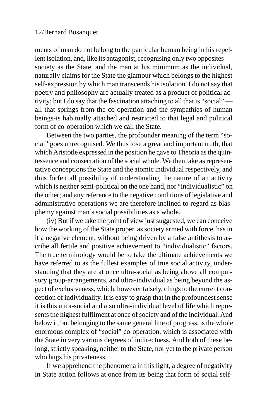ments of man do not belong to the particular human being in his repellent isolation, and, like its antagonist, recognising only two opposites society as the State, and the man at his minimum as the individual, naturally claims for the State the glamour which belongs to the highest self-expression by which man transcends his isolation. I do not say that poetry and philosophy are actually treated as a product of political activity; but I do say that the fascination attaching to all that is "social" all that springs from the co-operation and the sympathies of human beings-is habitually attached and restricted to that legal and political form of co-operation which we call the State.

Between the two parties, the profounder meaning of the term "social" goes unrecognised. We thus lose a great and important truth, that which Aristotle expressed in the position he gave to Theoria as the quintessence and consecration of the social whole. We then take as representative conceptions the State and the atomic individual respectively, and thus forfeit all possibility of understanding the nature of an activity which is neither semi-political on the one hand, nor "individualistic" on the other; and any reference to the negative conditions of legislative and administrative operations we are therefore inclined to regard as blasphemy against man's social possibilities as a whole.

(iv) But if we take the point of view just suggested, we can conceive how the working of the State proper, as society armed with force, has in it a negative element, without being driven by a false antithesis to ascribe all fertile and positive achievement to "individualistic" factors. The true terminology would be to take the ultimate achievements we have referred to as the fullest examples of true social activity, understanding that they are at once ultra-social as being above all compulsory group-arrangements, and ultra-individual as being beyond the aspect of exclusiveness, which, however falsely, clings to the current conception of individuality. It is easy to grasp that in the profoundest sense it is this ultra-social and also ultra-individual level of life which represents the highest fulfilment at once of society and of the individual. And below it, but belonging to the same general line of progress, is the whole enormous complex of "social" co-operation, which is associated with the State in very various degrees of indirectness. And both of these belong, strictly speaking, neither to the State, nor yet to the private person who hugs his privateness.

If we apprehend the phenomena in this light, a degree of negativity in State action follows at once from its being that form of social self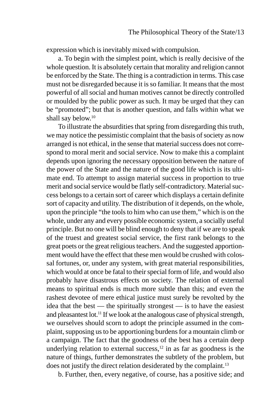expression which is inevitably mixed with compulsion.

a. To begin with the simplest point, which is really decisive of the whole question. It is absolutely certain that morality and religion cannot be enforced by the State. The thing is a contradiction in terms. This case must not be disregarded because it is so familiar. It means that the most powerful of all social and human motives cannot be directly controlled or moulded by the public power as such. It may be urged that they can be "promoted"; but that is another question, and falls within what we shall say below.<sup>10</sup>

To illustrate the absurdities that spring from disregarding this truth, we may notice the pessimistic complaint that the basis of society as now arranged is not ethical, in the sense that material success does not correspond to moral merit and social service. Now to make this a complaint depends upon ignoring the necessary opposition between the nature of the power of the State and the nature of the good life which is its ultimate end. To attempt to assign material success in proportion to true merit and social service would be flatly self-contradictory. Material success belongs to a certain sort of career which displays a certain definite sort of capacity and utility. The distribution of it depends, on the whole, upon the principle "the tools to him who can use them," which is on the whole, under any and every possible economic system, a socially useful principle. But no one will be blind enough to deny that if we are to speak of the truest and greatest social service, the first rank belongs to the great poets or the great religious teachers. And the suggested apportionment would have the effect that these men would be crushed with colossal fortunes, or, under any system, with great material responsibilities, which would at once be fatal to their special form of life, and would also probably have disastrous effects on society. The relation of external means to spiritual ends is much more subtle than this; and even the rashest devotee of mere ethical justice must surely be revolted by the idea that the best — the spiritually strongest — is to have the easiest and pleasantest lot.<sup>11</sup> If we look at the analogous case of physical strength, we ourselves should scorn to adopt the principle assumed in the complaint, supposing us to be apportioning burdens for a mountain climb or a campaign. The fact that the goodness of the best has a certain deep underlying relation to external success, $12$  in as far as goodness is the nature of things, further demonstrates the subtlety of the problem, but does not justify the direct relation desiderated by the complaint.<sup>13</sup>

b. Further, then, every negative, of course, has a positive side; and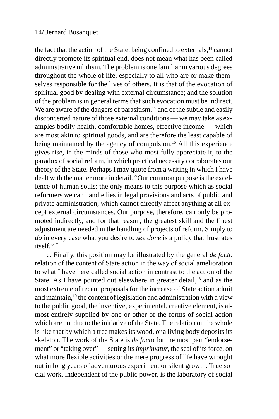the fact that the action of the State, being confined to externals,<sup>14</sup> cannot directly promote its spiritual end, does not mean what has been called administrative nihilism. The problem is one familiar in various degrees throughout the whole of life, especially to all who are or make themselves responsible for the lives of others. It is that of the evocation of spiritual good by dealing with external circumstance; and the solution of the problem is in general terms that such evocation must be indirect. We are aware of the dangers of parasitism,<sup>15</sup> and of the subtle and easily disconcerted nature of those external conditions — we may take as examples bodily health, comfortable homes, effective income — which are most akin to spiritual goods, and are therefore the least capable of being maintained by the agency of compulsion.<sup>16</sup> All this experience gives rise, in the minds of those who most fully appreciate it, to the paradox of social reform, in which practical necessity corroborates our theory of the State. Perhaps I may quote from a writing in which I have dealt with the matter more in detail. "Our common purpose is the excellence of human souls: the only means to this purpose which as social reformers we can handle lies in legal provisions and acts of public and private administration, which cannot directly affect anything at all except external circumstances. Our purpose, therefore, can only be promoted indirectly, and for that reason, the greatest skill and the finest adjustment are needed in the handling of projects of reform. Simply to *do* in every case what you desire to *see done* is a policy that frustrates itself<sup>"17</sup>

c. Finally, this position may be illustrated by the general *de facto* relation of the content of State action in the way of social amelioration to what I have here called social action in contrast to the action of the State. As I have pointed out elsewhere in greater detail,<sup>18</sup> and as the most extreme of recent proposals for the increase of State action admit and maintain,19 the content of legislation and administration with a view to the public good, the inventive, experimental, creative element, is almost entirely supplied by one or other of the forms of social action which are not due to the initiative of the State. The relation on the whole is like that by which a tree makes its wood, or a living body deposits its skeleton. The work of the State is *de facto* for the most part "endorsement" or "taking over" — setting its *imprimatur*, the seal of its force, on what more flexible activities or the mere progress of life have wrought out in long years of adventurous experiment or silent growth. True social work, independent of the public power, is the laboratory of social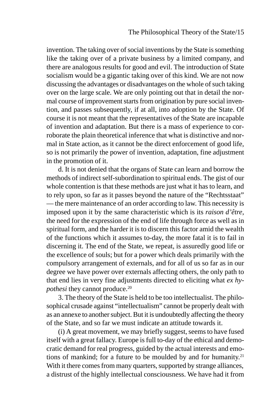invention. The taking over of social inventions by the State is something like the taking over of a private business by a limited company, and there are analogous results for good and evil. The introduction of State socialism would be a gigantic taking over of this kind. We are not now discussing the advantages or disadvantages on the whole of such taking over on the large scale. We are only pointing out that in detail the normal course of improvement starts from origination by pure social invention, and passes subsequently, if at all, into adoption by the State. Of course it is not meant that the representatives of the State are incapable of invention and adaptation. But there is a mass of experience to corroborate the plain theoretical inference that what is distinctive and normal in State action, as it cannot be the direct enforcement of good life, so is not primarily the power of invention, adaptation, fine adjustment in the promotion of it.

d. It is not denied that the organs of State can learn and borrow the methods of indirect self-subordination to spiritual ends. The gist of our whole contention is that these methods are just what it has to learn, and to rely upon, so far as it passes beyond the nature of the "Rechtsstaat" — the mere maintenance of an order according to law. This necessity is imposed upon it by the same characteristic which is its *raison d'être*, the need for the expression of the end of life through force as well as in spiritual form, and the harder it is to discern this factor amid the wealth of the functions which it assumes to-day, the more fatal it is to fail in discerning it. The end of the State, we repeat, is assuredly good life or the excellence of souls; but for a power which deals primarily with the compulsory arrangement of externals, and for all of us so far as in our degree we have power over externals affecting others, the only path to that end lies in very fine adjustments directed to eliciting what *ex hypothesi* they cannot produce.<sup>20</sup>

3. The theory of the State is held to be too intellectualist. The philosophical crusade against "intellectualism" cannot be properly dealt with as an annexe to another subject. But it is undoubtedly affecting the theory of the State, and so far we must indicate an attitude towards it.

(i) A great movement, we may briefly suggest, seems to have fused itself with a great fallacy. Europe is full to-day of the ethical and democratic demand for real progress, guided by the actual interests and emotions of mankind; for a future to be moulded by and for humanity. $21$ With it there comes from many quarters, supported by strange alliances, a distrust of the highly intellectual consciousness. We have had it from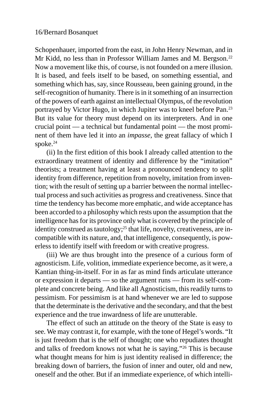Schopenhauer, imported from the east, in John Henry Newman, and in Mr Kidd, no less than in Professor William James and M. Bergson.<sup>22</sup> Now a movement like this, of course, is not founded on a mere illusion. It is based, and feels itself to be based, on something essential, and something which has, say, since Rousseau, been gaining ground, in the self-recognition of humanity. There is in it something of an insurrection of the powers of earth against an intellectual Olympus, of the revolution portrayed by Victor Hugo, in which Jupiter was to kneel before Pan.23 But its value for theory must depend on its interpreters. And in one crucial point — a technical but fundamental point — the most prominent of them have led it into an *impasse*, the great fallacy of which I spoke. $24$ 

(ii) In the first edition of this book I already called attention to the extraordinary treatment of identity and difference by the "imitation" theorists; a treatment having at least a pronounced tendency to split identity from difference, repetition from novelty, imitation from invention; with the result of setting up a barrier between the normal intellectual process and such activities as progress and creativeness. Since that time the tendency has become more emphatic, and wide acceptance has been accorded to a philosophy which rests upon the assumption that the intelligence has for its province only what is covered by the principle of identity construed as tautology;<sup>25</sup> that life, novelty, creativeness, are incompatible with its nature, and, that intelligence, consequently, is powerless to identify itself with freedom or with creative progress.

(iii) We are thus brought into the presence of a curious form of agnosticism. Life, volition, immediate experience become, as it were, a Kantian thing-in-itself. For in as far as mind finds articulate utterance or expression it departs — so the argument runs — from its self-complete and concrete being. And like all Agnosticism, this readily turns to pessimism. For pessimism is at hand whenever we are led to suppose that the determinate is the derivative and the secondary, and that the best experience and the true inwardness of life are unutterable.

The effect of such an attitude on the theory of the State is easy to see. We may contrast it, for example, with the tone of Hegel's words. "It is just freedom that is the self of thought; one who repudiates thought and talks of freedom knows not what he is saying."26 This is because what thought means for him is just identity realised in difference; the breaking down of barriers, the fusion of inner and outer, old and new, oneself and the other. But if an immediate experience, of which intelli-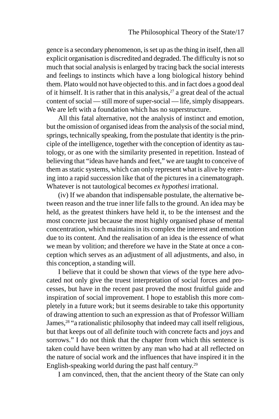gence is a secondary phenomenon, is set up as the thing in itself, then all explicit organisation is discredited and degraded. The difficulty is not so much that social analysis is enlarged by tracing back the social interests and feelings to instincts which have a long biological history behind them. Plato would not have objected to this. and in fact does a good deal of it himself. It is rather that in this analysis, $27$  a great deal of the actual content of social — still more of super-social — life, simply disappears. We are left with a foundation which has no superstructure.

All this fatal alternative, not the analysis of instinct and emotion, but the omission of organised ideas from the analysis of the social mind, springs, technically speaking, from the postulate that identity is the principle of the intelligence, together with the conception of identity as tautology, or as one with the similarity presented in repetition. Instead of believing that "ideas have hands and feet," we are taught to conceive of them as static systems, which can only represent what is alive by entering into a rapid succession like that of the pictures in a cinematograph. Whatever is not tautological becomes *ex hypothesi* irrational.

(iv) If we abandon that indispensable postulate, the alternative between reason and the true inner life falls to the ground. An idea may be held, as the greatest thinkers have held it, to be the intensest and the most concrete just because the most highly organised phase of mental concentration, which maintains in its complex the interest and emotion due to its content. And the realisation of an idea is the essence of what we mean by volition; and therefore we have in the State at once a conception which serves as an adjustment of all adjustments, and also, in this conception, a standing will.

I believe that it could be shown that views of the type here advocated not only give the truest interpretation of social forces and processes, but have in the recent past proved the most fruitful guide and inspiration of social improvement. I hope to establish this more completely in a future work; but it seems desirable to take this opportunity of drawing attention to such an expression as that of Professor William James,<sup>28</sup> "a rationalistic philosophy that indeed may call itself religious, but that keeps out of all definite touch with concrete facts and joys and sorrows." I do not think that the chapter from which this sentence is taken could have been written by any man who had at all reflected on the nature of social work and the influences that have inspired it in the English-speaking world during the past half century.<sup>29</sup>

I am convinced, then, that the ancient theory of the State can only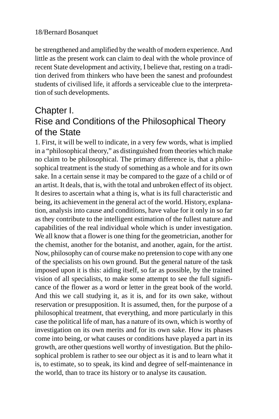<span id="page-17-0"></span>be strengthened and amplified by the wealth of modern experience. And little as the present work can claim to deal with the whole province of recent State development and activity, I believe that, resting on a tradition derived from thinkers who have been the sanest and profoundest students of civilised life, it affords a serviceable clue to the interpretation of such developments.

## Chapter I. Rise and Conditions of the Philosophical Theory of the State

1. First, it will be well to indicate, in a very few words, what is implied in a "philosophical theory," as distinguished from theories which make no claim to be philosophical. The primary difference is, that a philosophical treatment is the study of something as a whole and for its own sake. In a certain sense it may be compared to the gaze of a child or of an artist. It deals, that is, with the total and unbroken effect of its object. It desires to ascertain what a thing is, what is its full characteristic and being, its achievement in the general act of the world. History, explanation, analysis into cause and conditions, have value for it only in so far as they contribute to the intelligent estimation of the fullest nature and capabilities of the real individual whole which is under investigation. We all know that a flower is one thing for the geometrician, another for the chemist, another for the botanist, and another, again, for the artist. Now, philosophy can of course make no pretension to cope with any one of the specialists on his own ground. But the general nature of the task imposed upon it is this: aiding itself, so far as possible, by the trained vision of all specialists, to make some attempt to see the full significance of the flower as a word or letter in the great book of the world. And this we call studying it, as it is, and for its own sake, without reservation or presupposition. It is assumed, then, for the purpose of a philosophical treatment, that everything, and more particularly in this case the political life of man, has a nature of its own, which is worthy of investigation on its own merits and for its own sake. How its phases come into being, or what causes or conditions have played a part in its growth, are other questions well worthy of investigation. But the philosophical problem is rather to see our object as it is and to learn what it is, to estimate, so to speak, its kind and degree of self-maintenance in the world, than to trace its history or to analyse its causation.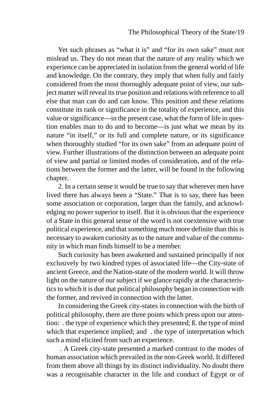Yet such phrases as "what it is" and "for its own sake" must not mislead us. They do not mean that the nature of any reality which we experience can be appreciated in isolation from the general world of life and knowledge. On the contrary, they imply that when fully and fairly considered from the most thoroughly adequate point of view, our subject matter will reveal its true position and relations with reference to all else that man can do and can know. This position and these relations constitute its rank or significance in the totality of experience, and this value or significance—in the present case, what the form of life in question enables man to do and to become—is just what we mean by its nature "in itself," or its full and complete nature, or its significance when thoroughly studied "for its own sake" from an adequate point of view. Further illustrations of the distinction between an adequate point of view and partial or limited modes of consideration, and of the relations between the former and the latter, will be found in the following chapter.

2. In a certain sense it would be true to say that wherever men have lived there has always been a "State." That is to say, there has been some association or corporation, larger than the family, and acknowledging no power superior to itself. But it is obvious that the experience of a State in this general sense of the word is not coextensive with true political experience, and that something much more definite than this is necessary to awaken curiosity as to the nature and value of the community in which man finds himself to be a member.

Such curiosity has been awakened and sustained principally if not exclusively by two kindred types of associated life—the City-state of ancient Greece, and the Nation-state of the modern world. It will throw light on the nature of our subject if we glance rapidly at the characteristics to which it is due that political philosophy began in connection with the former, and revived in connection with the latter.

In considering the Greek city-states in connection with the birth of political philosophy, there are three points which press upon our attention: . the type of experience which they presented; ß. the type of mind which that experience implied; and . the type of interpretation which such a mind elicited from such an experience.

 . A Greek city-state presented a marked contrast to the modes of human association which prevailed in the non-Greek world. It differed from them above all things by its distinct individuality. No doubt there was a recognisable character in the life and conduct of Egypt or of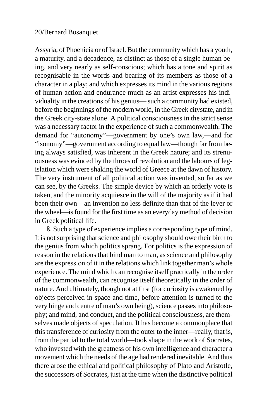Assyria, of Phoenicia or of Israel. But the community which has a youth, a maturity, and a decadence, as distinct as those of a single human being, and very nearly as self-conscious; which has a tone and spirit as recognisable in the words and bearing of its members as those of a character in a play; and which expresses its mind in the various regions of human action and endurance much as an artist expresses his individuality in the creations of his genius— such a community had existed, before the beginnings of the modern world, in the Greek citystate, and in the Greek city-state alone. A political consciousness in the strict sense was a necessary factor in the experience of such a commonwealth. The demand for "autonomy"—government by one's own law,—and for "isonomy"—government according to equal law—though far from being always satisfied, was inherent in the Greek nature; and its strenuousness was evinced by the throes of revolution and the labours of legislation which were shaking the world of Greece at the dawn of history. The very instrument of all political action was invented, so far as we can see, by the Greeks. The simple device by which an orderly vote is taken, and the minority acquiesce in the will of the majority as if it had been their own—an invention no less definite than that of the lever or the wheel—is found for the first time as an everyday method of decision in Greek political life.

ß. Such a type of experience implies a corresponding type of mind. It is not surprising that science and philosophy should owe their birth to the genius from which politics sprang. For politics is the expression of reason in the relations that bind man to man, as science and philosophy are the expression of it in the relations which link together man's whole experience. The mind which can recognise itself practically in the order of the commonwealth, can recognise itself theoretically in the order of nature. And ultimately, though not at first (for curiosity is awakened by objects perceived in space and time, before attention is turned to the very hinge and centre of man's own being), science passes into philosophy; and mind, and conduct, and the political consciousness, are themselves made objects of speculation. It has become a commonplace that this transference of curiosity from the outer to the inner—really, that is, from the partial to the total world—took shape in the work of Socrates, who invested with the greatness of his own intelligence and character a movement which the needs of the age had rendered inevitable. And thus there arose the ethical and political philosophy of Plato and Aristotle, the successors of Socrates, just at the time when the distinctive political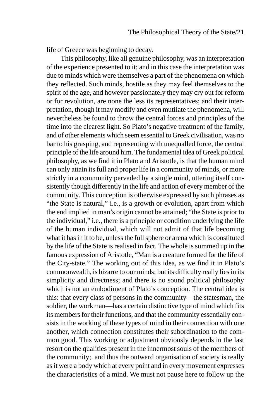life of Greece was beginning to decay.

 This philosophy, like all genuine philosophy, was an interpretation of the experience presented to it; and in this case the interpretation was due to minds which were themselves a part of the phenomena on which they reflected. Such minds, hostile as they may feel themselves to the spirit of the age, and however passionately they may cry out for reform or for revolution, are none the less its representatives; and their interpretation, though it may modify and even mutilate the phenomena, will nevertheless be found to throw the central forces and principles of the time into the clearest light. So Plato's negative treatment of the family, and of other elements which seem essential to Greek civilisation, was no bar to his grasping, and representing with unequalled force, the central principle of the life around him. The fundamental idea of Greek political philosophy, as we find it in Plato and Aristotle, is that the human mind can only attain its full and proper life in a community of minds, or more strictly in a community pervaded by a single mind, uttering itself consistently though differently in the life and action of every member of the community. This conception is otherwise expressed by such phrases as "the State is natural," i.e., is a growth or evolution, apart from which the end implied in man's origin cannot be attained; "the State is prior to the individual," i.e., there is a principle or condition underlying the life of the human individual, which will not admit of that life becoming what it has in it to be, unless the full sphere or arena which is constituted by the life of the State is realised in fact. The whole is summed up in the famous expression of Aristotle, "Man is a creature formed for the life of the City-state." The working out of this idea, as we find it in Plato's commonwealth, is bizarre to our minds; but its difficulty really lies in its simplicity and directness; and there is no sound political philosophy which is not an embodiment of Plato's conception. The central idea is this: that every class of persons in the community—the statesman, the soldier, the workman—has a certain distinctive type of mind which fits its members for their functions, and that the community essentially consists in the working of these types of mind in their connection with one another, which connection constitutes their subordination to the common good. This working or adjustment obviously depends in the last resort on the qualities present in the innermost souls of the members of the community;. and thus the outward organisation of society is really as it were a body which at every point and in every movement expresses the characteristics of a mind. We must not pause here to follow up the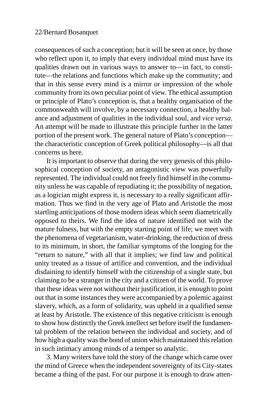consequences of such a conception; but it will be seen at once, by those who reflect upon it, to imply that every individual mind must have its qualities drawn out in various ways to answer to—in fact, to constitute—the relations and functions which make up the community; and that in this sense every mind is a mirror or impression of the whole community from its own peculiar point of view. The ethical assumption or principle of Plato's conception is, that a healthy organisation of the commonwealth will involve, by a necessary connection, a healthy balance and adjustment of qualities in the individual soul, and *vice versa*. An attempt will be made to illustrate this principle further in the latter portion of the present work. The general nature of Plato's conception the characteristic conception of Greek political philosophy—is all that concerns us here.

It is important to observe that during the very genesis of this philosophical conception of society, an antagonistic view was powerfully represented. The individual could not freely find himself in the community unless he was capable of repudiating it; the possibility of negation, as a logician might express it, is necessary to a really significant affirmation. Thus we find in the very age of Plato and Aristotle the most startling anticipations of those modern ideas which seem diametrically opposed to theirs. We find the idea of nature identified not with the mature fulness, but with the empty starting point of life; we meet with the phenomena of vegetarianism, water-drinking, the reduction of dress to its minimum, in short, the familiar symptoms of the longing for the "return to nature," with all that it implies; we find law and political unity treated as a tissue of artifice and convention, and the individual disdaining to identify himself with the citizenship of a single state, but claiming to be a stranger in the city and a citizen of the world. To prove that these ideas were not without their justification, it is enough to point out that in some instances they were accompanied by a polemic against slavery, which, as a form of solidarity, was upheld in a qualified sense at least by Aristotle. The existence of this negative criticism is enough to show how distinctly the Greek intellect set before itself the fundamental problem of the relation between the individual and society, and of how high a quality was the bond of union which maintained this relation in such intimacy among minds of a temper so analytic.

3. Many writers have told the story of the change which came over the mind of Greece when the independent sovereignty of its City-states became a thing of the past. For our purpose it is enough to draw atten-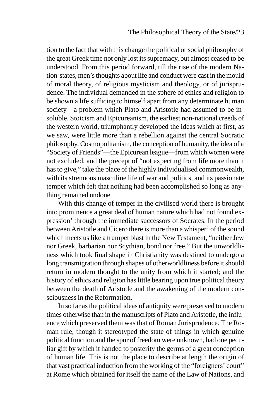tion to the fact that with this change the political or social philosophy of the great Greek time not only lost its supremacy, but almost ceased to be understood. From this period forward, till the rise of the modern Nation-states, men's thoughts about life and conduct were cast in the mould of moral theory, of religious mysticism and theology, or of jurisprudence. The individual demanded in the sphere of ethics and religion to be shown a life sufficing to himself apart from any determinate human society—a problem which Plato and Aristotle had assumed to be insoluble. Stoicism and Epicureanism, the earliest non-national creeds of the western world, triumphantly developed the ideas which at first, as we saw, were little more than a rebellion against the central Socratic philosophy. Cosmopolitanism, the conception of humanity, the idea of a "Society of Friends"—the Epicurean league—from which women were not excluded, and the precept of "not expecting from life more than it has to give," take the place of the highly individualised commonwealth, with its strenuous masculine life of war and politics, and its passionate temper which felt that nothing had been accomplished so long as anything remained undone.

With this change of temper in the civilised world there is brought into prominence a great deal of human nature which had not found expression' through the immediate successors of Socrates. In the period between Aristotle and Cicero there is more than a whisper' of the sound which meets us like a trumpet blast in the New Testament, "neither Jew nor Greek, barbarian nor Scythian, bond nor free." But the unworldliness which took final shape in Christianity was destined to undergo a long transmigration through shapes of otherworldliness before it should return in modern thought to the unity from which it started; and the history of ethics and religion has little bearing upon true political theory between the death of Aristotle and the awakening of the modern consciousness in the Reformation.

In so far as the political ideas of antiquity were preserved to modern times otherwise than in the manuscripts of Plato and Aristotle, the influence which preserved them was that of Roman Jurisprudence. The Roman rule, though it stereotyped the state of things in which genuine political function and the spur of freedom were unknown, had one peculiar gift by which it handed to posterity the germs of a great conception of human life. This is not the place to describe at length the origin of that vast practical induction from the working of the "foreigners' court" at Rome which obtained for itself the name of the Law of Nations, and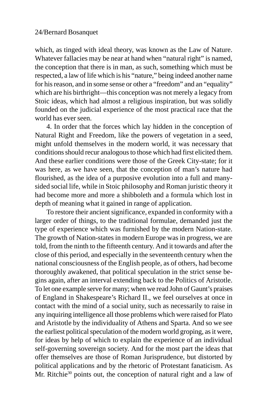which, as tinged with ideal theory, was known as the Law of Nature. Whatever fallacies may be near at hand when "natural right" is named, the conception that there is in man, as such, something which must be respected, a law of life which is his "nature," being indeed another name for his reason, and in some sense or other a "freedom" and an "equality" which are his birthright—this conception was not merely a legacy from Stoic ideas, which had almost a religious inspiration, but was solidly founded on the judicial experience of the most practical race that the world has ever seen.

4. In order that the forces which lay hidden in the conception of Natural Right and Freedom, like the powers of vegetation in a seed, might unfold themselves in the modern world, it was necessary that conditions should recur analogous to those which had first elicited them. And these earlier conditions were those of the Greek City-state; for it was here, as we have seen, that the conception of man's nature had flourished, as the idea of a purposive evolution into a full and manysided social life, while in Stoic philosophy and Roman juristic theory it had become more and more a shibboleth and a formula which lost in depth of meaning what it gained in range of application.

To restore their ancient significance, expanded in conformity with a larger order of things, to the traditional formulae, demanded just the type of experience which was furnished by the modern Nation-state. The growth of Nation-states in modern Europe was in progress, we are told, from the ninth to the fifteenth century. And it towards and after the close of this period, and especially in the seventeenth century when the national consciousness of the English people, as of others, had become thoroughly awakened, that political speculation in the strict sense begins again, after an interval extending back to the Politics of Aristotle. To let one example serve for many; when we read John of Gaunt's praises of England in Shakespeare's Richard II., we feel ourselves at once in contact with the mind of a social unity, such as necessarily to raise in any inquiring intelligence all those problems which were raised for Plato and Aristotle by the individuality of Athens and Sparta. And so we see the earliest political speculation of the modern world groping, as it were, for ideas by help of which to explain the experience of an individual self-governing sovereign society. And for the most part the ideas that offer themselves are those of Roman Jurisprudence, but distorted by political applications and by the rhetoric of Protestant fanaticism. As Mr. Ritchie<sup>30</sup> points out, the conception of natural right and a law of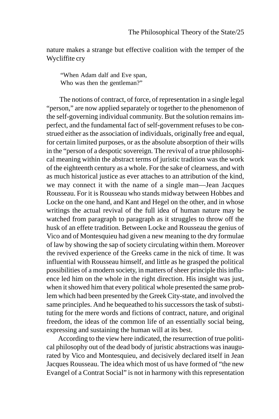nature makes a strange but effective coalition with the temper of the Wycliffite cry

"When Adam dalf and Eve span, Who was then the gentleman?"

 The notions of contract, of force, of representation in a single legal "person," are now applied separately or together to the phenomenon of the self-governing individual community. But the solution remains imperfect, and the fundamental fact of self-government refuses to be construed either as the association of individuals, originally free and equal, for certain limited purposes, or as the absolute absorption of their wills in the "person of a despotic sovereign. The revival of a true philosophical meaning within the abstract terms of juristic tradition was the work of the eighteenth century as a whole. For the sake of clearness, and with as much historical justice as ever attaches to an attribution of the kind, we may connect it with the name of a single man—Jean Jacques Rousseau. For it is Rousseau who stands midway between Hobbes and Locke on the one hand, and Kant and Hegel on the other, and in whose writings the actual revival of the full idea of human nature may be watched from paragraph to paragraph as it struggles to throw off the husk of an effete tradition. Between Locke and Rousseau the genius of Vico and of Montesquieu had given a new meaning to the dry formulae of law by showing the sap of society circulating within them. Moreover the revived experience of the Greeks came in the nick of time. It was influential with Rousseau himself, and little as he grasped the political possibilities of a modern society, in matters of sheer principle this influence led him on the whole in the right direction. His insight was just, when it showed him that every political whole presented the same problem which had been presented by the Greek City-state, and involved the same principles. And he bequeathed to his successors the task of substituting for the mere words and fictions of contract, nature, and original freedom, the ideas of the common life of an essentially social being, expressing and sustaining the human will at its best.

According to the view here indicated, the resurrection of true political philosophy out of the dead body of juristic abstractions was inaugurated by Vico and Montesquieu, and decisively declared itself in Jean Jacques Rousseau. The idea which most of us have formed of "the new Evangel of a Contrat Social" is not in harmony with this representation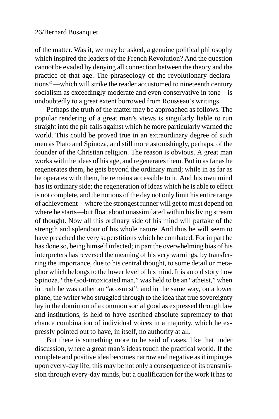of the matter. Was it, we may be asked, a genuine political philosophy which inspired the leaders of the French Revolution? And the question cannot be evaded by denying all connection between the theory and the practice of that age. The phraseology of the revolutionary declarations<sup>31</sup>—which will strike the reader accustomed to nineteenth century socialism as exceedingly moderate and even conservative in tone—is undoubtedly to a great extent borrowed from Rousseau's writings.

Perhaps the truth of the matter may be approached as follows. The popular rendering of a great man's views is singularly liable to run straight into the pit-falls against which he more particularly warned the world. This could be proved true in an extraordinary degree of such men as Plato and Spinoza, and still more astonishingly, perhaps, of the founder of the Christian religion. The reason is obvious. A great man works with the ideas of his age, and regenerates them. But in as far as he regenerates them, he gets beyond the ordinary mind; while in as far as he operates with them, he remains accessible to it. And his own mind has its ordinary side; the regeneration of ideas which he is able to effect is not complete, and the notions of the day not only limit his entire range of achievement—where the strongest runner will get to must depend on where he starts—but float about unassimilated within his living stream of thought. Now all this ordinary side of his mind will partake of the strength and splendour of his whole nature. And thus he will seem to have preached the very superstitions which he combated. For in part he has done so, being himself infected; in part the overwhelming bias of his interpreters has reversed the meaning of his very warnings, by transferring the importance, due to his central thought, to some detail or metaphor which belongs to the lower level of his mind. It is an old story how Spinoza, "the God-intoxicated man," was held to be an "atheist," when in truth he was rather an "acosmist"; and in the same way, on a lower plane, the writer who struggled through to the idea that true sovereignty lay in the dominion of a common social good as expressed through law and institutions, is held to have ascribed absolute supremacy to that chance combination of individual voices in a majority, which he expressly pointed out to have, in itself, no authority at all.

But there is something more to be said of cases, like that under discussion, where a great man's ideas touch the practical world. If the complete and positive idea becomes narrow and negative as it impinges upon every-day life, this may be not only a consequence of its transmission through every-day minds, but a qualification for the work it has to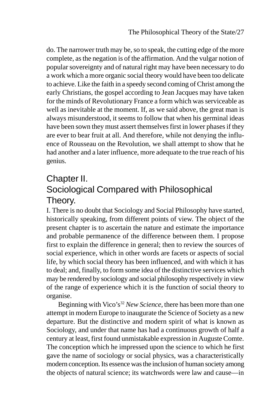<span id="page-26-0"></span>do. The narrower truth may be, so to speak, the cutting edge of the more complete, as the negation is of the affirmation. And the vulgar notion of popular sovereignty and of natural right may have been necessary to do a work which a more organic social theory would have been too delicate to achieve. Like the faith in a speedy second coming of Christ among the early Christians, the gospel according to Jean Jacques may have taken for the minds of Revolutionary France a form which was serviceable as well as inevitable at the moment. If, as we said above, the great man is always misunderstood, it seems to follow that when his germinal ideas have been sown they must assert themselves first in lower phases if they are ever to bear fruit at all. And therefore, while not denying the influence of Rousseau on the Revolution, we shall attempt to show that he had another and a later influence, more adequate to the true reach of his genius.

## Chapter II. Sociological Compared with Philosophical Theory.

I. There is no doubt that Sociology and Social Philosophy have started, historically speaking, from different points of view. The object of the present chapter is to ascertain the nature and estimate the importance and probable permanence of the difference between them. I propose first to explain the difference in general; then to review the sources of social experience, which in other words are facets or aspects of social life, by which social theory has been influenced, and with which it has to deal; and, finally, to form some idea of the distinctive services which may be rendered by sociology and social philosophy respectively in view of the range of experience which it is the function of social theory to organise.

Beginning with Vico's<sup>32</sup> *New Science*, there has been more than one attempt in modern Europe to inaugurate the Science of Society as a new departure. But the distinctive and modern spirit of what is known as Sociology, and under that name has had a continuous growth of half a century at least, first found unmistakable expression in Auguste Comte. The conception which he impressed upon the science to which he first gave the name of sociology or social physics, was a characteristically modern conception. Its essence was the inclusion of human society among the objects of natural science; its watchwords were law and cause—in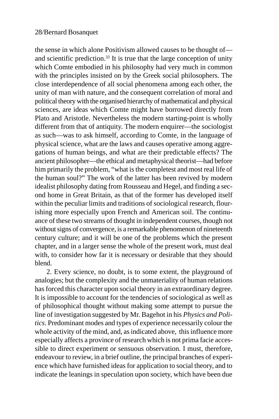the sense in which alone Positivism allowed causes to be thought of and scientific prediction.33 It is true that the large conception of unity which Comte embodied in his philosophy had very much in common with the principles insisted on by the Greek social philosophers. The close interdependence of all social phenomena among each other, the unity of man with nature, and the consequent correlation of moral and political theory with the organised hierarchy of mathematical and physical sciences, are ideas which Comte might have borrowed directly from Plato and Aristotle. Nevertheless the modern starting-point is wholly different from that of antiquity. The modern enquirer—the sociologist as such—was to ask himself, according to Comte, in the language of physical science, what are the laws and causes operative among aggregations of human beings, and what are their predictable effects? The ancient philosopher—the ethical and metaphysical theorist—had before him primarily the problem, "what is the completest and most real life of the human soul?" The work of the latter has been revived by modern idealist philosophy dating from Rousseau and Hegel, and finding a second home in Great Britain, as that of the former has developed itself within the peculiar limits and traditions of sociological research, flourishing more especially upon French and American soil. The continuance of these two streams of thought in independent courses, though not without signs of convergence, is a remarkable phenomenon of nineteenth century culture; and it will be one of the problems which the present chapter, and in a larger sense the whole of the present work, must deal with, to consider how far it is necessary or desirable that they should blend.

2. Every science, no doubt, is to some extent, the playground of analogies; but the complexity and the unmateriality of human relations has forced this character upon social theory in an extraordinary degree. It is impossible to account for the tendencies of sociological as well as of philosophical thought without making some attempt to pursue the line of investigation suggested by Mr. Bagehot in his *Physics and Politics*. Predominant modes and types of experience necessarily colour the whole activity of the mind, and, as indicated above, this influence more especially affects a province of research which is not prima facie accessible to direct experiment or sensuous observation. I must, therefore, endeavour to review, in a brief outline, the principal branches of experience which have furnished ideas for application to social theory, and to indicate the leanings in speculation upon society, which have been due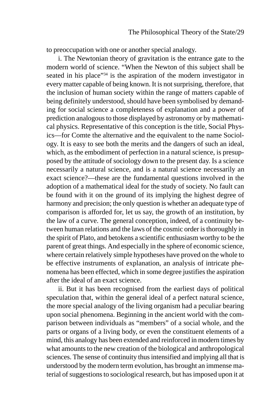to preoccupation with one or another special analogy.

i. The Newtonian theory of gravitation is the entrance gate to the modern world of science. "When the Newton of this subject shall be seated in his place"<sup>34</sup> is the aspiration of the modern investigator in every matter capable of being known. It is not surprising, therefore, that the inclusion of human society within the range of matters capable of being definitely understood, should have been symbolised by demanding for social science a completeness of explanation and a power of prediction analogous to those displayed by astronomy or by mathematical physics. Representative of this conception is the title, Social Physics—for Comte the alternative and the equivalent to the name Sociology. It is easy to see both the merits and the dangers of such an ideal, which, as the embodiment of perfection in a natural science, is presupposed by the attitude of sociology down to the present day. Is a science necessarily a natural science, and is a natural science necessarily an exact science?—these are the fundamental questions involved in the adoption of a mathematical ideal for the study of society. No fault can be found with it on the ground of its implying the highest degree of harmony and precision; the only question is whether an adequate type of comparison is afforded for, let us say, the growth of an institution, by the law of a curve. The general conception, indeed, of a continuity between human relations and the laws of the cosmic order is thoroughly in the spirit of Plato, and betokens a scientific enthusiasm worthy to be the parent of great things. And especially in the sphere of economic science, where certain relatively simple hypotheses have proved on the whole to be effective instruments of explanation, an analysis of intricate phenomena has been effected, which in some degree justifies the aspiration after the ideal of an exact science.

ii. But it has been recognised from the earliest days of political speculation that, within the general ideal of a perfect natural science, the more special analogy of the living organism had a peculiar bearing upon social phenomena. Beginning in the ancient world with the comparison between individuals as "members" of a social whole, and the parts or organs of a living body, or even the constituent elements of a mind, this analogy has been extended and reinforced in modern times by what amounts to the new creation of the biological and anthropological sciences. The sense of continuity thus intensified and implying all that is understood by the modern term evolution, has brought an immense material of suggestions to sociological research, but has imposed upon it at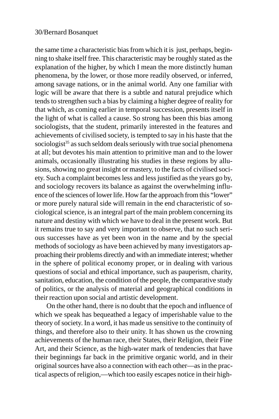the same time a characteristic bias from which it is just, perhaps, beginning to shake itself free. This characteristic may be roughly stated as the explanation of the higher, by which I mean the more distinctly human phenomena, by the lower, or those more readily observed, or inferred, among savage nations, or in the animal world. Any one familiar with logic will be aware that there is a subtle and natural prejudice which tends to strengthen such a bias by claiming a higher degree of reality for that which, as coming earlier in temporal succession, presents itself in the light of what is called a cause. So strong has been this bias among sociologists, that the student, primarily interested in the features and achievements of civilised society, is tempted to say in his haste that the sociologist<sup>35</sup> as such seldom deals seriously with true social phenomena at all; but devotes his main attention to primitive man and to the lower animals, occasionally illustrating his studies in these regions by allusions, showing no great insight or mastery, to the facts of civilised society. Such a complaint becomes less and less justified as the years go by, and sociology recovers its balance as against the overwhelming influence of the sciences of lower life. How far the approach from this "lower" or more purely natural side will remain in the end characteristic of sociological science, is an integral part of the main problem concerning its nature and destiny with which we have to deal in the present work. But it remains true to say and very important to observe, that no such serious successes have as yet been won in the name and by the special methods of sociology as have been achieved by many investigators approaching their problems directly and with an immediate interest; whether in the sphere of political economy proper, or in dealing with various questions of social and ethical importance, such as pauperism, charity, sanitation, education, the condition of the people, the comparative study of politics, or the analysis of material and geographical conditions in their reaction upon social and artistic development.

On the other hand, there is no doubt that the epoch and influence of which we speak has bequeathed a legacy of imperishable value to the theory of society. In a word, it has made us sensitive to the continuity of things, and therefore also to their unity. It has shown us the crowning achievements of the human race, their States, their Religion, their Fine Art, and their Science, as the high-water mark of tendencies that have their beginnings far back in the primitive organic world, and in their original sources have also a connection with each other—as in the practical aspects of religion,—which too easily escapes notice in their high-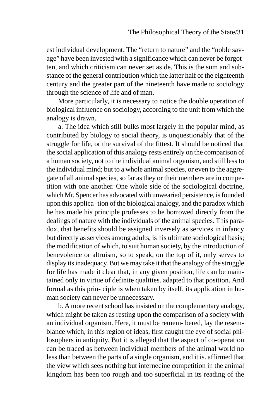est individual development. The "return to nature" and the "noble savage" have been invested with a significance which can never be forgotten, and which criticism can never set aside. This is the sum and substance of the general contribution which the latter half of the eighteenth century and the greater part of the nineteenth have made to sociology through the science of life and of man.

More particularly, it is necessary to notice the double operation of biological influence on sociology, according to the unit from which the analogy is drawn.

a. The idea which still bulks most largely in the popular mind, as contributed by biology to social theory, is unquestionably that of the struggle for life, or the survival of the fittest. It should be noticed that the social application of this analogy rests entirely on the comparison of a human society, not to the individual animal organism, and still less to the individual mind; but to a whole animal species, or even to the aggregate of all animal species, so far as they or their members are in competition with one another. One whole side of the sociological doctrine, which Mr. Spencer has advocated with unwearied persistence, is founded upon this applica- tion of the biological analogy, and the paradox which he has made his principle professes to be borrowed directly from the dealings of nature with the individuals of the animal species. This paradox, that benefits should be assigned inversely as services in infancy but directly as services among adults, is his ultimate sociological basis; the modification of which, to suit human society, by the introduction of benevolence or altruism, so to speak, on the top of it, only serves to display its inadequacy. But we may take it that the analogy of the struggle for life has made it clear that, in any given position, life can be maintained only in virtue of definite qualities. adapted to that position. And formal as this prin- ciple is when taken by itself, its application in human society can never be unnecessary.

b. A more recent school has insisted on the complementary analogy, which might be taken as resting upon the comparison of a society with an individual organism. Here, it must be remem- bered, lay the resemblance which, in this region of ideas, first caught the eye of social philosophers in antiquity. But it is alleged that the aspect of co-operation can be traced as between individual members of the animal world no less than between the parts of a single organism, and it is. affirmed that the view which sees nothing but internecine competition in the animal kingdom has been too rough and too superficial in its reading of the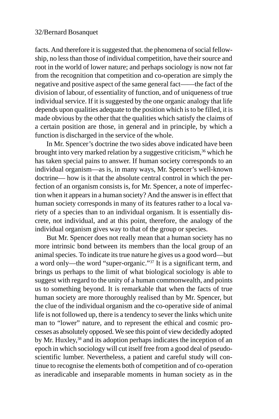facts. And therefore it is suggested that. the phenomena of social fellowship, no less than those of individual competition, have their source and root in the world of lower nature; and perhaps sociology is now not far from the recognition that competition and co-operation are simply the negative and positive aspect of the same general fact——the fact of the division of labour, of essentiality of function, and of uniqueness of true individual service. If it is suggested by the one organic analogy that life depends upon qualities adequate to the position which is to be filled, it is made obvious by the other that the qualities which satisfy the claims of a certain position are those, in general and in principle, by which a function is discharged in the service of the whole.

In Mr. Spencer's doctrine the two sides above indicated have been brought into very marked relation by a suggestive criticism,<sup>36</sup> which he has taken special pains to answer. If human society corresponds to an individual organism—as is, in many ways, Mr. Spencer's well-known doctrine— how is it that the absolute central control in which the perfection of an organism consists is, for Mr. Spencer, a note of imperfection when it appears in a human society? And the answer is in effect that human society corresponds in many of its features rather to a local variety of a species than to an individual organism. It is essentially discrete, not individual, and at this point, therefore, the analogy of the individual organism gives way to that of the group or species.

But Mr. Spencer does not really mean that a human society has no more intrinsic bond between its members than the local group of an animal species. To indicate its true nature he gives us a good word—but a word only—the word "super-organic."37 It is a significant term, and brings us perhaps to the limit of what biological sociology is able to suggest with regard to the unity of a human commonwealth, and points us to something beyond. It is remarkable that when the facts of true human society are more thoroughly realised than by Mr. Spencer, but the clue of the individual organism and the co-operative side of animal life is not followed up, there is a tendency to sever the links which unite man to "lower" nature, and to represent the ethical and cosmic processes as absolutely opposed. We see this point of view decidedly adopted by Mr. Huxley,<sup>38</sup> and its adoption perhaps indicates the inception of an epoch in which sociology will cut itself free from a good deal of pseudoscientific lumber. Nevertheless, a patient and careful study will continue to recognise the elements both of competition and of co-operation as ineradicable and inseparable moments in human society as in the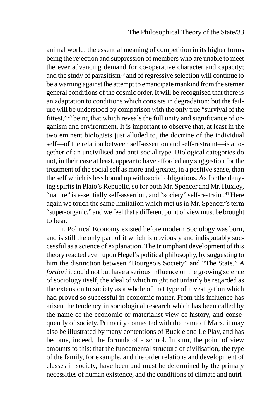animal world; the essential meaning of competition in its higher forms being the rejection and suppression of members who are unable to meet the ever advancing demand for co-operative character and capacity; and the study of parasitism<sup>39</sup> and of regressive selection will continue to be a warning against the attempt to emancipate mankind from the sterner general conditions of the cosmic order. It will be recognised that there is an adaptation to conditions which consists in degradation; but the failure will be understood by comparison with the only true "survival of the fittest,"40 being that which reveals the full unity and significance of organism and environment. It is important to observe that, at least in the two eminent biologists just alluded to, the doctrine of the individual self—of the relation between self-assertion and self-restraint—is altogether of an uncivilised and anti-social type. Biological categories do not, in their case at least, appear to have afforded any suggestion for the treatment of the social self as more and greater, in a positive sense, than the self which is less bound up with social obligations. As for the denying spirits in Plato's Republic, so for both Mr. Spencer and Mr. Huxley, "nature" is essentially self-assertion, and "society" self-restraint.<sup>41</sup> Here again we touch the same limitation which met us in Mr. Spencer's term "super-organic," and we feel that a different point of view must be brought to bear.

iii. Political Economy existed before modern Sociology was born, and is still the only part of it which is obviously and indisputably successful as a science of explanation. The triumphant development of this theory reacted even upon Hegel's political philosophy, by suggesting to him the distinction between "Bourgeois Society" and "The State." *A fortiori* it could not but have a serious influence on the growing science of sociology itself, the ideal of which might not unfairly be regarded as the extension to society as a whole of that type of investigation which had proved so successful in economic matter. From this influence has arisen the tendency in sociological research which has been called by the name of the economic or materialist view of history, and consequently of society. Primarily connected with the name of Marx, it may also be illustrated by many contentions of Buckle and Le Play, and has become, indeed, the formula of a school. In sum, the point of view amounts to this: that the fundamental structure of civilisation, the type of the family, for example, and the order relations and development of classes in society, have been and must be determined by the primary necessities of human existence, and the conditions of climate and nutri-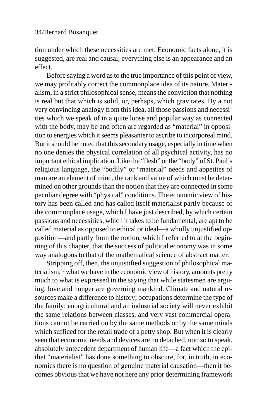tion under which these necessities are met. Economic facts alone, it is suggested, are real and causal; everything else is an appearance and an effect.

Before saying a word as to the true importance of this point of view, we may profitably correct the commonplace idea of its nature. Materialism, in a strict philosophical sense, means the conviction that nothing is real but that which is solid, or, perhaps, which gravitates. By a not very convincing analogy from this idea, all those passions and necessities which we speak of in a quite loose and popular way as connected with the body, may be and often are regarded as "material" in opposition to energies which it seems pleasanter to ascribe to incorporeal mind. But it should be noted that this secondary usage, especially in time when no one denies the physical correlation of all psychical activity, has no important ethical implication. Like the "flesh" or the "body" of St. Paul's religious language, the "bodily" or "material" needs and appetites of man are an element of mind, the rank and value of which must be determined on other grounds than the notion that they are connected in some peculiar degree with "physical" conditions. The economic view of history has been called and has called itself materialist partly because of the commonplace usage, which I have just described, by which certain passions and necessities, which it takes to be fundamental, are apt to be called material as opposed to ethical or ideal—a wholly unjustified opposition—and partly from the notion, which I referred to at the beginning of this chapter, that the success of political economy was in some way analogous to that of the mathematical science of abstract matter.

Stripping off, then, the unjustified suggestion of philosophical materialism,42 what we have in the economic view of history, amounts pretty much to what is expressed in the saying that while statesmen are arguing, love and hunger are governing mankind. Climate and natural resources make a difference to history; occupations determine the type of the family; an agricultural and an industrial society will never exhibit the same relations between classes, and very vast commercial operations cannot be carried on by the same methods or by the same minds which sufficed for the retail trade of a petty shop. But when it is clearly seen that economic needs and devices are no detached, nor, so to speak, absolutely antecedent department of human life—a fact which the epithet "materialist" has done something to obscure, for, in truth, in economics there is no question of genuine material causation—then it becomes obvious that we have not here any prior determining framework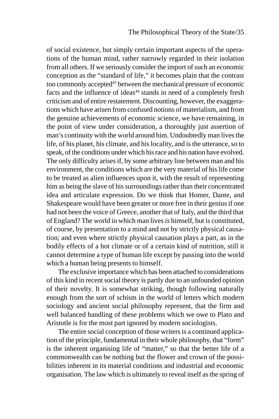of social existence, but simply certain important aspects of the operations of the human mind, rather narrowly regarded in their isolation from all others. If we seriously consider the import of such an economic conception as the "standard of life," it becomes plain that the contrast too commonly accepted<sup>43</sup> between the mechanical pressure of economic facts and the influence of ideas<sup>44</sup> stands in need of a completely fresh criticism and of entire restatement. Discounting, however, the exaggerations which have arisen from confused notions of materialism, and from the genuine achievements of economic science, we have remaining, in the point of view under consideration, a thoroughly just assertion of man's continuity with the world around him. Undoubtedly man lives the life, of his planet, his climate, and his locality, and is the utterance, so to speak, of the conditions under which his race and his nation have evolved. The only difficulty arises if, by some arbitrary line between man and his environment, the conditions which are the very material of his life come to be treated as alien influences upon it, with the result of representing him as being the slave of his surroundings rather than their concentrated idea and articulate expression. Do we think that Homer, Dante, and Shakespeare would have been greater or more free in their genius if one had not been the voice of Greece, another that of Italy, and the third that of England? The world in which man lives *is* himself, but is constituted, of course, by presentation to a mind and not by strictly physical causation; and even where strictly physical causation plays a part, as in the bodily effects of a hot climate or of a certain kind of nutrition, still it cannot determine a type of human life except by passing into the world which a human being presents to himself.

The exclusive importance which has been attached to considerations of this kind in recent social theory is partly due to an unfounded opinion of their novelty. It is somewhat striking, though following naturally enough from the sort of schism in the world of letters which modern sociology and ancient social philosophy represent, that the firm and well balanced handling of these problems which we owe to Plato and Aristotle is for the most part ignored by modern sociologists.

The entire social conception of those writers is a continued application of the principle, fundamental in their whole philosophy, that "form" is the inherent organising life of "matter," so that the better life of a commonwealth can be nothing but the flower and crown of the possibilities inherent in its material conditions and industrial and economic organisation. The law which is ultimately to reveal itself as the spring of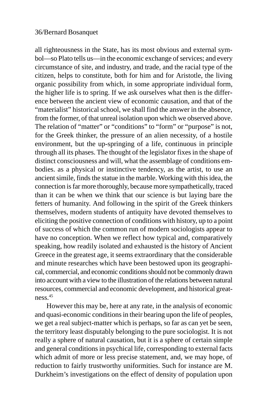all righteousness in the State, has its most obvious and external symbol—so Plato tells us—in the economic exchange of services; and every circumstance of site, and industry, and trade, and the racial type of the citizen, helps to constitute, both for him and for Aristotle, the living organic possibility from which, in some appropriate individual form, the higher life is to spring. If we ask ourselves what then is the difference between the ancient view of economic causation, and that of the "materialist" historical school, we shall find the answer in the absence, from the former, of that unreal isolation upon which we observed above. The relation of "matter" or "conditions" to "form" or "purpose" is not, for the Greek thinker, the pressure of an alien necessity, of a hostile environment, but the up-springing of a life, continuous in principle through all its phases. The thought of the legislator fixes in the shape of distinct consciousness and will, what the assemblage of conditions embodies. as a physical or instinctive tendency, as the artist, to use an ancient simile, finds the statue in the marble. Working with this idea, the connection is far more thoroughly, because more sympathetically, traced than it can be when we think that our science is but laying bare the fetters of humanity. And following in the spirit of the Greek thinkers themselves, modern students of antiquity have devoted themselves to eliciting the positive connection of conditions with history, up to a point of success of which the common run of modern sociologists appear to have no conception. When we reflect how typical and, comparatively speaking, how readily isolated and exhausted is the history of Ancient Greece in the greatest age, it seems extraordinary that the considerable and minute researches which have been bestowed upon its geographical, commercial, and economic conditions should not be commonly drawn into account with a view to the illustration of the relations between natural resources, commercial and economic development, and historical greatness.45

However this may be, here at any rate, in the analysis of economic and quasi-economic conditions in their bearing upon the life of peoples, we get a real subject-matter which is perhaps, so far as can yet be seen, the territory least disputably belonging to the pure sociologist. It is not really a sphere of natural causation, but it is a sphere of certain simple and general conditions in psychical life, corresponding to external facts which admit of more or less precise statement, and, we may hope, of reduction to fairly trustworthy uniformities. Such for instance are M. Durkheim's investigations on the effect of density of population upon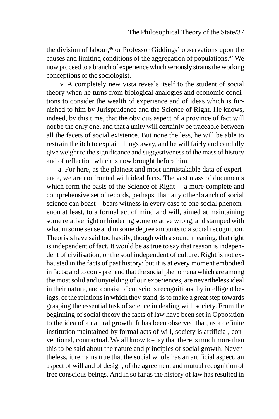the division of labour,<sup>46</sup> or Professor Giddings' observations upon the causes and limiting conditions of the aggregation of populations.<sup>47</sup> We now proceed to a branch of experience which seriously strains the working conceptions of the sociologist.

iv. A completely new vista reveals itself to the student of social theory when he turns from biological analogies and economic conditions to consider the wealth of experience and of ideas which is furnished to him by Jurisprudence and the Science of Right. He knows, indeed, by this time, that the obvious aspect of a province of fact will not be the only one, and that a unity will certainly be traceable between all the facets of social existence. But none the less, he will be able to restrain the itch to explain things away, and he will fairly and candidly give weight to the significance and suggestiveness of the mass of history and of reflection which is now brought before him.

a. For here, as the plainest and most unmistakable data of experience, we are confronted with ideal facts. The vast mass of documents which form the basis of the Science of Right— a more complete and comprehensive set of records, perhaps, than any other branch of social science can boast—bears witness in every case to one social phenomenon at least, to a formal act of mind and will, aimed at maintaining some relative right or hindering some relative wrong, and stamped with what in some sense and in some degree amounts to a social recognition. Theorists have said too hastily, though with a sound meaning, that right is independent of fact. It would be as true to say that reason is independent of civilisation, or the soul independent of culture. Right is not exhausted in the facts of past history; but it is at every moment embodied in facts; and to com- prehend that the social phenomena which are among the most solid and unyielding of our experiences, are nevertheless ideal in their nature, and consist of conscious recognitions, by intelligent beings, of the relations in which they stand, is to make a great step towards grasping the essential task of science in dealing with society. From the beginning of social theory the facts of law have been set in Opposition to the idea of a natural growth. It has been observed that, as a definite institution maintained by formal acts of will, society is artificial, conventional, contractual. We all know to-day that there is much more than this to be said about the nature and principles of social growth. Nevertheless, it remains true that the social whole has an artificial aspect, an aspect of will and of design, of the agreement and mutual recognition of free conscious beings. And in so far as the history of law has resulted in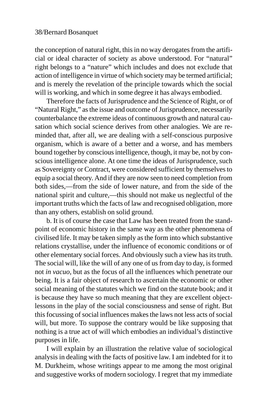the conception of natural right, this in no way derogates from the artificial or ideal character of society as above understood. For "natural" right belongs to a "nature" which includes and does not exclude that action of intelligence in virtue of which society may be termed artificial; and is merely the revelation of the principle towards which the social will is working, and which in some degree it has always embodied.

Therefore the facts of Jurisprudence and the Science of Right, or of "Natural Right," as the issue and outcome of Jurisprudence, necessarily counterbalance the extreme ideas of continuous growth and natural causation which social science derives from other analogies. We are reminded that, after all, we are dealing with a self-conscious purposive organism, which is aware of a better and a worse, and has members bound together by conscious intelligence, though, it may be, not by conscious intelligence alone. At one time the ideas of Jurisprudence, such as Sovereignty or Contract, were considered sufficient by themselves to equip a social theory. And if they are now seen to need completion from both sides,—from the side of lower nature, and from the side of the national spirit and culture,—this should not make us neglectful of the important truths which the facts of law and recognised obligation, more than any others, establish on solid ground.

b. It is of course the case that Law has been treated from the standpoint of economic history in the same way as the other phenomena of civilised life. It may be taken simply as the form into which substantive relations crystallise, under the influence of economic conditions or of other elementary social forces. And obviously such a view has its truth. The social will, like the will of any one of us from day to day, is formed not *in vacuo*, but as the focus of all the influences which penetrate our being. It is a fair object of research to ascertain the economic or other social meaning of the statutes which we find on the statute book; and it is because they have so much meaning that they are excellent objectlessons in the play of the social consciousness and sense of right. But this focussing of social influences makes the laws not less acts of social will, but more. To suppose the contrary would be like supposing that nothing is a true act of will which embodies an individual's distinctive purposes in life.

I will explain by an illustration the relative value of sociological analysis in dealing with the facts of positive law. I am indebted for it to M. Durkheim, whose writings appear to me among the most original and suggestive works of modern sociology. I regret that my immediate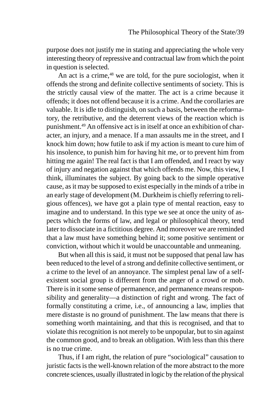purpose does not justify me in stating and appreciating the whole very interesting theory of repressive and contractual law from which the point in question is selected.

An act is a crime,<sup>48</sup> we are told, for the pure sociologist, when it offends the strong and definite collective sentiments of society. This is the strictly causal view of the matter. The act is a crime because it offends; it does not offend because it is a crime. And the corollaries are valuable. It is idle to distinguish, on such a basis, between the reformatory, the retributive, and the deterrent views of the reaction which is punishment.49 An offensive act is in itself at once an exhibition of character, an injury, and a menace. If a man assaults me in the street, and I knock him down; how futile to ask if my action is meant to cure him of his insolence, to punish him for having hit me, or to prevent him from hitting me again! The real fact is that I am offended, and I react by way of injury and negation against that which offends me. Now, this view, I think, illuminates the subject. By going back to the simple operative cause, as it may be supposed to exist especially in the minds of a tribe in an early stage of development (M. Durkheim is chiefly referring to religious offences), we have got a plain type of mental reaction, easy to imagine and to understand. In this type we see at once the unity of aspects which the forms of law, and legal or philosophical theory, tend later to dissociate in a fictitious degree. And moreover we are reminded that a law must have something behind it; some positive sentiment or conviction, without which it would be unaccountable and unmeaning.

But when all this is said, it must not be supposed that penal law has been reduced to the level of a strong and definite collective sentiment, or a crime to the level of an annoyance. The simplest penal law of a selfexistent social group is different from the anger of a crowd or mob. There is in it some sense of permanence, and permanence means responsibility and generality—a distinction of right and wrong. The fact of formally constituting a crime, i.e., of announcing a law, implies that mere distaste is no ground of punishment. The law means that there is something worth maintaining, and that this is recognised, and that to violate this recognition is not merely to be unpopular, but to sin against the common good, and to break an obligation. With less than this there is no true crime.

Thus, if I am right, the relation of pure "sociological" causation to juristic facts is the well-known relation of the more abstract to the more concrete sciences, usually illustrated in logic by the relation of the physical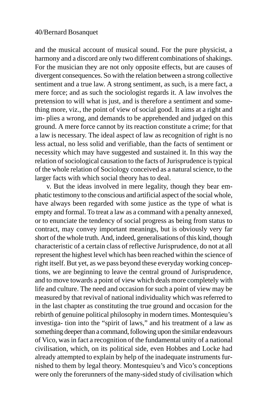and the musical account of musical sound. For the pure physicist, a harmony and a discord are only two different combinations of shakings. For the musician they are not only opposite effects, but are causes of divergent consequences. So with the relation between a strong collective sentiment and a true law. A strong sentiment, as such, is a mere fact, a mere force; and as such the sociologist regards it. A law involves the pretension to will what is just, and is therefore a sentiment and something more, viz., the point of view of social good. It aims at a right and im- plies a wrong, and demands to be apprehended and judged on this ground. A mere force cannot by its reaction constitute a crime; for that a law is necessary. The ideal aspect of law as recognition of right is no less actual, no less solid and verifiable, than the facts of sentiment or necessity which may have suggested and sustained it. In this way the relation of sociological causation to the facts of Jurisprudence is typical of the whole relation of Sociology conceived as a natural science, to the larger facts with which social theory has to deal.

v. But the ideas involved in mere legality, though they bear emphatic testimony to the conscious and artificial aspect of the social whole, have always been regarded with some justice as the type of what is empty and formal. To treat a law as a command with a penalty annexed, or to enunciate the tendency of social progress as being from status to contract, may convey important meanings, but is obviously very far short of the whole truth. And, indeed, generalisations of this kind, though characteristic of a certain class of reflective Jurisprudence, do not at all represent the highest level which has been reached within the science of right itself. But yet, as we pass beyond these everyday working conceptions, we are beginning to leave the central ground of Jurisprudence, and to move towards a point of view which deals more completely with life and culture. The need and occasion for such a point of view may be measured by that revival of national individuality which was referred to in the last chapter as constituting the true ground and occasion for the rebirth of genuine political philosophy in modern times. Montesquieu's investiga- tion into the "spirit of laws," and his treatment of a law as something deeper than a command, following upon the similar endeavours of Vico, was in fact a recognition of the fundamental unity of a national civilisation, which, on its political side, even Hobbes and Locke had already attempted to explain by help of the inadequate instruments furnished to them by legal theory. Montesquieu's and Vico's conceptions were only the forerunners of the many-sided study of civilisation which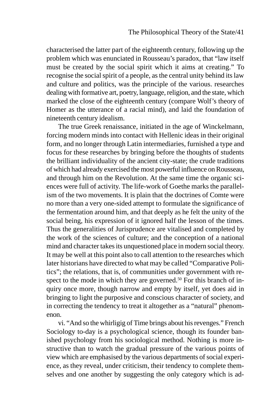characterised the latter part of the eighteenth century, following up the problem which was enunciated in Rousseau's paradox, that "law itself must be created by the social spirit which it aims at creating." To recognise the social spirit of a people, as the central unity behind its law and culture and politics, was the principle of the various. researches dealing with formative art, poetry, language, religion, and the state, which marked the close of the eighteenth century (compare Wolf's theory of Homer as the utterance of a racial mind), and laid the foundation of nineteenth century idealism.

The true Greek renaissance, initiated in the age of Winckelmann, forcing modern minds into contact with Hellenic ideas in their original form, and no longer through Latin intermediaries, furnished a type and focus for these researches by bringing before the thoughts of students the brilliant individuality of the ancient city-state; the crude traditions of which had already exercised the most powerful influence on Rousseau, and through him on the Revolution. At the same time the organic sciences were full of activity. The life-work of Goethe marks the parallelism of the two movements. It is plain that the doctrines of Comte were no more than a very one-sided attempt to formulate the significance of the fermentation around him, and that deeply as he felt the unity of the social being, his expression of it ignored half the lesson of the times. Thus the generalities of Jurisprudence are vitalised and completed by the work of the sciences of culture; and the conception of a national mind and character takes its unquestioned place in modern social theory. It may be well at this point also to call attention to the researches which later historians have directed to what may be called "Comparative Politics"; the relations, that is, of communities under government with respect to the mode in which they are governed.<sup>50</sup> For this branch of inquiry once more, though narrow and empty by itself, yet does aid in bringing to light the purposive and conscious character of society, and in correcting the tendency to treat it altogether as a "natural" phenomenon.

vi. "And so the whirligig of Time brings about his revenges." French Sociology to-day is a psychological science, though its founder banished psychology from his sociological method. Nothing is more instructive than to watch the gradual pressure of the various points of view which are emphasised by the various departments of social experience, as they reveal, under criticism, their tendency to complete themselves and one another by suggesting the only category which is ad-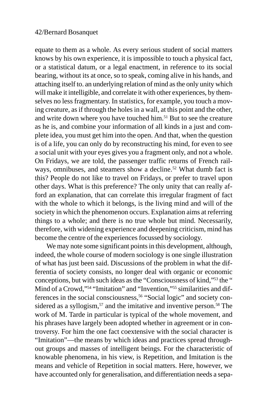equate to them as a whole. As every serious student of social matters knows by his own experience, it is impossible to touch a physical fact, or a statistical datum, or a legal enactment, in reference to its social bearing, without its at once, so to speak, coming alive in his hands, and attaching itself to. an underlying relation of mind as the only unity which will make it intelligible, and correlate it with other experiences, by themselves no less fragmentary. In statistics, for example, you touch a moving creature, as if through the holes in a wall, at this point and the other, and write down where you have touched him.51 But to see the creature as he is, and combine your information of all kinds in a just and complete idea, you must get him into the open. And that, when the question is of a life, you can only do by reconstructing his mind, for even to see a social unit with your eyes gives you a fragment only, and not a whole. On Fridays, we are told, the passenger traffic returns of French railways, omnibuses, and steamers show a decline.<sup>52</sup> What dumb fact is this? People do not like to travel on Fridays, or prefer to travel upon other days. What is this preference? The only unity that can really afford an explanation, that can correlate this irregular fragment of fact with the whole to which it belongs, is the living mind and will of the society in which the phenomenon occurs. Explanation aims at referring things to a whole; and there is no true whole but mind. Necessarily, therefore, with widening experience and deepening criticism, mind has become the centre of the experiences focussed by sociology.

We may note some significant points in this development, although, indeed, the whole course of modern sociology is one single illustration of what has just been said. Discussions of the problem in what the differentia of society consists, no longer deal with organic or economic conceptions, but with such ideas as the "Consciousness of kind,"53 the " Mind of a Crowd,"54 "Imitation" and "Invention,"55 similarities and differences in the social consciousness,<sup>56</sup> "Social logic" and society considered as a syllogism,<sup>57</sup> and the imitative and inventive person.<sup>58</sup> The work of M. Tarde in particular is typical of the whole movement, and his phrases have largely been adopted whether in agreement or in controversy. For him the one fact coextensive with the social character is "Imitation"—the means by which ideas and practices spread throughout groups and masses of intelligent beings. For the characteristic of knowable phenomena, in his view, is Repetition, and Imitation is the means and vehicle of Repetition in social matters. Here, however, we have accounted only for generalisation, and differentiation needs a sepa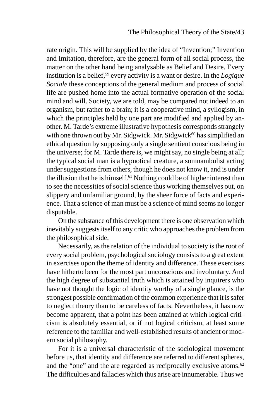rate origin. This will be supplied by the idea of "Invention;" Invention and Imitation, therefore, are the general form of all social process, the matter on the other hand being analysable as Belief and Desire. Every institution is a belief,<sup>59</sup> every activity is a want or desire. In the *Logique Sociale* these conceptions of the general medium and process of social life are pushed home into the actual formative operation of the social mind and will. Society, we are told, may be compared not indeed to an organism, but rather to a brain; it is a cooperative mind, a syllogism, in which the principles held by one part are modified and applied by another. M. Tarde's extreme illustrative hypothesis corresponds strangely with one thrown out by Mr. Sidgwick. Mr. Sidgwick<sup>60</sup> has simplified an ethical question by supposing only a single sentient conscious being in the universe; for M. Tarde there is, we might say, no single being at all; the typical social man is a hypnotical creature, a somnambulist acting under suggestions from others, though he does not know it, and is under the illusion that he is himself.<sup>61</sup> Nothing could be of higher interest than to see the necessities of social science thus working themselves out, on slippery and unfamiliar ground, by the sheer force of facts and experience. That a science of man must be a science of mind seems no longer disputable.

On the substance of this development there is one observation which inevitably suggests itself to any critic who approaches the problem from the philosophical side.

Necessarily, as the relation of the individual to society is the root of every social problem, psychological sociology consists to a great extent in exercises upon the theme of identity and difference. These exercises have hitherto been for the most part unconscious and involuntary. And the high degree of substantial truth which is attained by inquirers who have not thought the logic of identity worthy of a single glance, is the strongest possible confirmation of the common experience that it is safer to neglect theory than to be careless of facts. Nevertheless, it has now become apparent, that a point has been attained at which logical criticism is absolutely essential, or if not logical criticism, at least some reference to the familiar and well-established results of ancient or modern social philosophy.

For it is a universal characteristic of the sociological movement before us, that identity and difference are referred to different spheres, and the "one" and the are regarded as reciprocally exclusive atoms.<sup>62</sup> The difficulties and fallacies which thus arise are innumerable. Thus we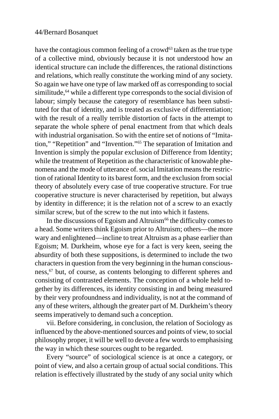have the contagious common feeling of a crowd<sup>63</sup> taken as the true type of a collective mind, obviously because it is not understood how an identical structure can include the differences, the rational distinctions and relations, which really constitute the working mind of any society. So again we have one type of law marked off as corresponding to social similitude,<sup>64</sup> while a different type corresponds to the social division of labour; simply because the category of resemblance has been substituted for that of identity, and is treated as exclusive of differentiation; with the result of a really terrible distortion of facts in the attempt to separate the whole sphere of penal enactment from that which deals with industrial organisation. So with the entire set of notions of "Imitation," "Repetition" and "Invention."65 The separation of Imitation and Invention is simply the popular exclusion of Difference from Identity; while the treatment of Repetition as the characteristic of knowable phenomena and the mode of utterance of. social Imitation means the restriction of rational Identity to its barest form, and the exclusion from social theory of absolutely every case of true cooperative structure. For true cooperative structure is never characterised by repetition, but always by identity in difference; it is the relation not of a screw to an exactly similar screw, but of the screw to the nut into which it fastens.

In the discussions of Egoism and Altruism<sup> $66$ </sup> the difficulty comes to a head. Some writers think Egoism prior to Altruism; others—the more wary and enlightened—incline to treat Altruism as a phase earlier than Egoism; M. Durkheim, whose eye for a fact is very keen, seeing the absurdity of both these suppositions, is determined to include the two characters in question from the very beginning in the human consciousness,67 but, of course, as contents belonging to different spheres and consisting of contrasted elements. The conception of a whole held together by its differences, its identity consisting in and being measured by their very profoundness and individuality, is not at the command of any of these writers, although the greater part of M. Durkheim's theory seems imperatively to demand such a conception.

vii. Before considering, in conclusion, the relation of Sociology as influenced by the above-mentioned sources and points of view, to social philosophy proper, it will be well to devote a few words to emphasising the way in which these sources ought to be regarded.

Every "source" of sociological science is at once a category, or point of view, and also a certain group of actual social conditions. This relation is effectively illustrated by the study of any social unity which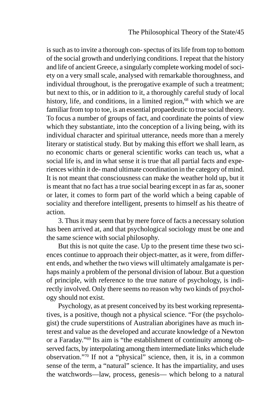is such as to invite a thorough con- spectus of its life from top to bottom of the social growth and underlying conditions. I repeat that the history and life of ancient Greece, a singularly complete working model of society on a very small scale, analysed with remarkable thoroughness, and individual throughout, is the prerogative example of such a treatment; but next to this, or in addition to it, a thoroughly careful study of local history, life, and conditions, in a limited region, $68$  with which we are familiar from top to toe, is an essential propaedeutic to true social theory. To focus a number of groups of fact, and coordinate the points of view which they substantiate, into the conception of a living being, with its individual character and spiritual utterance, needs more than a merely literary or statistical study. But by making this effort we shall learn, as no economic charts or general scientific works can teach us, what a social life is, and in what sense it is true that all partial facts and experiences within it de- mand ultimate coordination in the category of mind. It is not meant that consciousness can make the weather hold up, but it is meant that no fact has a true social bearing except in as far as, sooner or later, it comes to form part of the world which a being capable of sociality and therefore intelligent, presents to himself as his theatre of action.

3. Thus it may seem that by mere force of facts a necessary solution has been arrived at, and that psychological sociology must be one and the same science with social philosophy.

But this is not quite the case. Up to the present time these two sciences continue to approach their object-matter, as it were, from different ends, and whether the two views will ultimately amalgamate is perhaps mainly a problem of the personal division of labour. But a question of principle, with reference to the true nature of psychology, is indirectly involved. Only there seems no reason why two kinds of psychology should not exist.

Psychology, as at present conceived by its best working representatives, is a positive, though not a physical science. "For (the psychologist) the crude superstitions of Australian aborigines have as much interest and value as the developed and accurate knowledge of a Newton or a Faraday."69 Its aim is "the establishment of continuity among observed facts, by interpolating among them intermediate links which elude observation."70 If not a "physical" science, then, it is, in a common sense of the term, a "natural" science. It has the impartiality, and uses the watchwords—law, process, genesis— which belong to a natural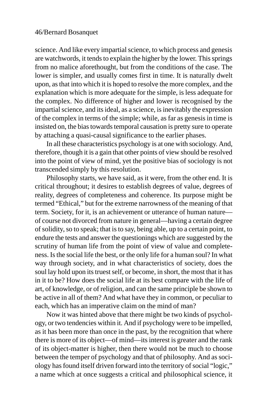science. And like every impartial science, to which process and genesis are watchwords, it tends to explain the higher by the lower. This springs from no malice aforethought, but from the conditions of the case. The lower is simpler, and usually comes first in time. It is naturally dwelt upon, as that into which it is hoped to resolve the more complex, and the explanation which is more adequate for the simple, is less adequate for the complex. No difference of higher and lower is recognised by the impartial science, and its ideal, as a science, is inevitably the expression of the complex in terms of the simple; while, as far as genesis in time is insisted on, the bias towards temporal causation is pretty sure to operate by attaching a quasi-causal significance to the earlier phases.

In all these characteristics psychology is at one with sociology. And, therefore, though it is a gain that other points of view should be resolved into the point of view of mind, yet the positive bias of sociology is not transcended simply by this resolution.

Philosophy starts, we have said, as it were, from the other end. It is critical throughout; it desires to establish degrees of value, degrees of reality, degrees of completeness and coherence. Its purpose might be termed "Ethical," but for the extreme narrowness of the meaning of that term. Society, for it, is an achievement or utterance of human nature of course not divorced from nature in general—having a certain degree of solidity, so to speak; that is to say, being able, up to a certain point, to endure the tests and answer the questionings which are suggested by the scrutiny of human life from the point of view of value and completeness. Is the social life the best, or the only life for a human soul? In what way through society, and in what characteristics of society, does the soul lay hold upon its truest self, or become, in short, the most that it has in it to be? How does the social life at its best compare with the life of art, of knowledge, or of religion, and can the same principle be shown to be active in all of them? And what have they in common, or peculiar to each, which has an imperative claim on the mind of man?

Now it was hinted above that there might be two kinds of psychology, or two tendencies within it. And if psychology were to be impelled, as it has been more than once in the past, by the recognition that where there is more of its object—of mind—its interest is greater and the rank of its object-matter is higher, then there would not be much to choose between the temper of psychology and that of philosophy. And as sociology has found itself driven forward into the territory of social "logic," a name which at once suggests a critical and philosophical science, it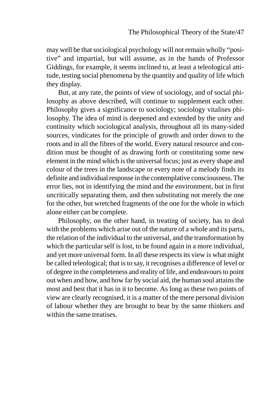may well be that sociological psychology will not remain wholly "positive" and impartial, but will assume, as in the hands of Professor Giddings, for example, it seems inclined to, at least a teleological attitude, testing social phenomena by the quantity and quality of life which they display.

But, at any rate, the points of view of sociology, and of social philosophy as above described, will continue to supplement each other. Philosophy gives a significance to sociology; sociology vitalises philosophy. The idea of mind is deepened and extended by the unity and continuity which sociological analysis, throughout all its many-sided sources, vindicates for the principle of growth and order down to the roots and in all the fibres of the world. Every natural resource and condition must be thought of as drawing forth or constituting some new element in the mind which is the universal focus; just as every shape and colour of the trees in the landscape or every note of a melody finds its definite and individual response in the contemplative consciousness. The error lies, not in identifying the mind and the environment, but in first uncritically separating them, and then substituting not merely the one for the other, but wretched fragments of the one for the whole in which alone either can be complete.

Philosophy, on the other hand, in treating of society, has to deal with the problems which arise out of the nature of a whole and its parts, the relation of the individual to the universal, and the transformation by which the particular self is lost, to be found again in a more individual, and yet more universal form. In all these respects its view is what might be called teleological; that is to say, it recognises a difference of level or of degree in the completeness and reality of life, and endeavours to point out when and how, and how far by social aid, the human soul attains the most and best that it has in it to become. As long as these two points of view are clearly recognised, it is a matter of the mere personal division of labour whether they are brought to bear by the same thinkers and within the same treatises.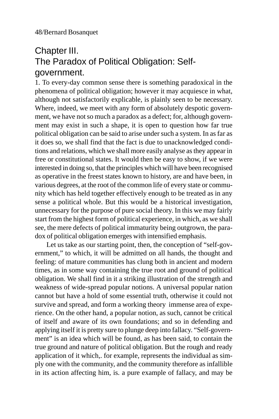# Chapter III. The Paradox of Political Obligation: Selfgovernment.

1. To every-day common sense there is something paradoxical in the phenomena of political obligation; however it may acquiesce in what, although not satisfactorily explicable, is plainly seen to be necessary. Where, indeed, we meet with any form of absolutely despotic government, we have not so much a paradox as a defect; for, although government may exist in such a shape, it is open to question how far true political obligation can be said to arise under such a system. In as far as it does so, we shall find that the fact is due to unacknowledged conditions and relations, which we shall more easily analyse as they appear in free or constitutional states. It would then be easy to show, if we were interested in doing so, that the principles which will have been recognised as operative in the freest states known to history, are and have been, in various degrees, at the root of the common life of every state or community which has held together effectively enough to be treated as in any sense a political whole. But this would be a historical investigation, unnecessary for the purpose of pure social theory. In this we may fairly start from the highest form of political experience, in which, as we shall see, the mere defects of political immaturity being outgrown, the paradox of political obligation emerges with intensified emphasis.

Let us take as our starting point, then, the conception of "self-government," to which, it will be admitted on all hands, the thought and feeling: of mature communities has clung both in ancient and modern times, as in some way containing the true root and ground of political obligation. We shall find in it a striking illustration of the strength and weakness of wide-spread popular notions. A universal popular nation cannot but have a hold of some essential truth, otherwise it could not survive and spread, and form a working theory immense area of experience. On the other hand, a popular notion, as such, cannot be critical of itself and aware of its own foundations; and so in defending and applying itself it is pretty sure to plunge deep into fallacy. "Self-government" is an idea which will be found, as has been said, to contain the true ground and nature of political obligation. But the rough and ready application of it which,. for example, represents the individual as simply one with the community, and the community therefore as infallible in its action affecting him, is. a pure example of fallacy, and may be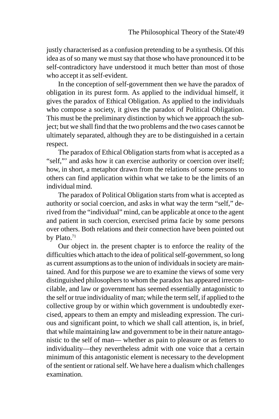justly characterised as a confusion pretending to be a synthesis. Of this idea as of so many we must say that those who have pronounced it to be self-contradictory have understood it much better than most of those who accept it as self-evident.

In the conception of self-government then we have the paradox of obligation in its purest form. As applied to the individual himself, it gives the paradox of Ethical Obligation. As applied to the individuals who compose a society, it gives the paradox of Political Obligation. This must be the preliminary distinction by which we approach the subject; but we shall find that the two problems and the two cases cannot be ultimately separated, although they are to be distinguished in a certain respect.

The paradox of Ethical Obligation starts from what is accepted as a "self," and asks how it can exercise authority or coercion over itself; how, in short, a metaphor drawn from the relations of some persons to others can find application within what we take to be the limits of an individual mind.

The paradox of Political Obligation starts from what is accepted as authority or social coercion, and asks in what way the term "self," derived from the "individual" mind, can be applicable at once to the agent and patient in such coercion, exercised prima facie by some persons over others. Both relations and their connection have been pointed out by Plato. $71$ 

Our object in. the present chapter is to enforce the reality of the difficulties which attach to the idea of political self-government, so long as current assumptions as to the union of individuals in society are maintained. And for this purpose we are to examine the views of some very distinguished philosophers to whom the paradox has appeared irreconcilable, and law or government has seemed essentially antagonistic to the self or true individuality of man; while the term self, if applied to the collective group by or within which government is undoubtedly exercised, appears to them an empty and misleading expression. The curious and significant point, to which we shall call attention, is, in brief, that while maintaining law and government to be in their nature antagonistic to the self of man— whether as pain to pleasure or as fetters to individuality—they nevertheless admit with one voice that a certain minimum of this antagonistic element is necessary to the development of the sentient or rational self. We have here a dualism which challenges examination.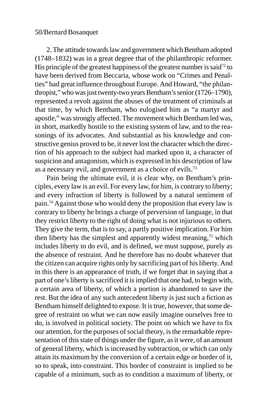2. The attitude towards law and government which Bentham adopted (1748–1832) was in a great degree that of the philanthropic reformer. His principle of the greatest happiness of the greatest number is said<sup>72</sup> to have been derived from Beccaria, whose work on "Crimes and Penalties" had great influence throughout Europe. And Howard, "the philanthropist," who was just twenty-two years Bentham's senior (1726–1790), represented a revolt against the abuses of the treatment of criminals at that time, by which Bentham, who eulogised him as "a martyr and apostle," was strongly affected. The movement which Bentham led was, in short, markedly hostile to the existing system of law, and to the reasonings of its advocates. And substantial as his knowledge and constructive genius proved to be, it never lost the character which the direction of his approach to the subject had marked upon it, a character of suspicion and antagonism, which is expressed in his description of law as a necessary evil, and government as a choice of evils.73

Pain being the ultimate evil, it is clear why, on Bentham's principles, every law is an evil. For every law, for him, is contrary to liberty; and every infraction of liberty is followed by a natural sentiment of pain.74 Against those who would deny the proposition that every law is contrary to liberty he brings a charge of perversion of language, in that they restrict liberty to the right of doing what is not injurious to others. They give the term, that is to say, a partly positive implication. For him then liberty has the simplest and apparently widest meaning, $7<sup>5</sup>$  which includes liberty to do evil, and is defined, we must suppose, purely as the absence of restraint. And he therefore has no doubt whatever that the citizen can acquire rights only by sacrificing part of his liberty. And in this there is an appearance of truth, if we forget that in saying that a part of one's liberty is sacrificed it is implied that one had, to begin with, a certain area of liberty, of which a portion is abandoned to save the rest. But the idea of any such antecedent liberty is just such a fiction as Bentham himself delighted to expose. It is true, however, that some degree of restraint on what we can now easily imagine ourselves free to do, is involved in political society. The point on which we have to fix our attention, for the purposes of social theory, is the remarkable representation of this state of things under the figure, as it were, of an amount of general liberty, which is increased by subtraction, or which can only attain its maximum by the conversion of a certain edge or border of it, so to speak, into constraint. This border of constraint is implied to be capable of a minimum, such as to condition a maximum of liberty, or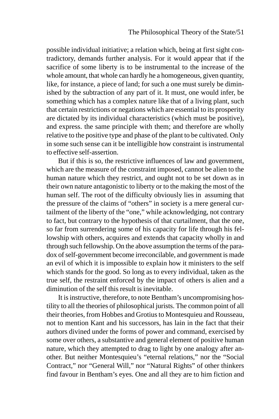possible individual initiative; a relation which, being at first sight contradictory, demands further analysis. For it would appear that if the sacrifice of some liberty is to be instrumental to the increase of the whole amount, that whole can hardly he a homogeneous, given quantity, like, for instance, a piece of land; for such a one must surely be diminished by the subtraction of any part of it. It must, one would infer, be something which has a complex nature like that of a living plant, such that certain restrictions or negations which are essential to its prosperity are dictated by its individual characteristics (which must be positive), and express. the same principle with them; and therefore are wholly relative to the positive type and phase of the plant to be cultivated. Only in some such sense can it be intelligible how constraint is instrumental to effective self-assertion.

But if this is so, the restrictive influences of law and government, which are the measure of the constraint imposed, cannot be alien to the human nature which they restrict, and ought not to be set down as in their own nature antagonistic to liberty or to the making the most of the human self. The root of the difficulty obviously lies in assuming that the pressure of the claims of "others" in society is a mere general curtailment of the liberty of the "one," while acknowledging, not contrary to fact, but contrary to the hypothesis of that curtailment, that the one, so far from surrendering some of his capacity for life through his fellowship with others, acquires and extends that capacity wholly in and through such fellowship. On the above assumption the terms of the paradox of self-government become irreconcilable, and government is made an evil of which it is impossible to explain how it ministers to the self which stands for the good. So long as to every individual, taken as the true self, the restraint enforced by the impact of others is alien and a diminution of the self this result is inevitable.

It is instructive, therefore, to note Bentham's uncompromising hostility to all the theories of philosophical jurists. The common point of all their theories, from Hobbes and Grotius to Montesquieu and Rousseau, not to mention Kant and his successors, has lain in the fact that their authors divined under the forms of power and command, exercised by some over others, a substantive and general element of positive human nature, which they attempted to drag to light by one analogy after another. But neither Montesquieu's "eternal relations," nor the "Social Contract," nor "General Will," nor "Natural Rights" of other thinkers find favour in Bentham's eyes. One and all they are to him fiction and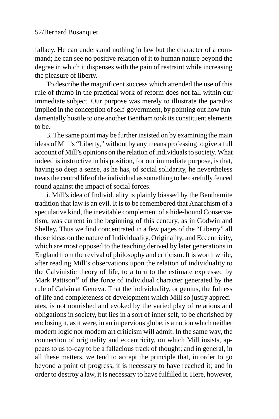fallacy. He can understand nothing in law but the character of a command; he can see no positive relation of it to human nature beyond the degree in which it dispenses with the pain of restraint while increasing the pleasure of liberty.

To describe the magnificent success which attended the use of this rule of thumb in the practical work of reform does not fall within our immediate subject. Our purpose was merely to illustrate the paradox implied in the conception of self-government, by pointing out how fundamentally hostile to one another Bentham took its constituent elements to be.

3. The same point may be further insisted on by examining the main ideas of Mill's "Liberty," without by any means professing to give a full account of Mill's opinions on the relation of individuals to society. What indeed is instructive in his position, for our immediate purpose, is that, having so deep a sense, as he has, of social solidarity, he nevertheless treats the central life of the individual as something to be carefully fenced round against the impact of social forces.

i. Mill's idea of Individuality is plainly biassed by the Benthamite tradition that law is an evil. It is to be remembered that Anarchism of a speculative kind, the inevitable complement of a hide-bound Conservatism, was current in the beginning of this century, as in Godwin and Shelley. Thus we find concentrated in a few pages of the "Liberty" all those ideas on the nature of Individuality, Originality, and Eccentricity, which are most opposed to the teaching derived by later generations in England from the revival of philosophy and criticism. It is worth while, after reading Mill's observations upon the relation of individuality to the Calvinistic theory of life, to a turn to the estimate expressed by Mark Pattison<sup>76</sup> of the force of individual character generated by the rule of Calvin at Geneva. That the individuality, or genius, the fulness of life and completeness of development which Mill so justly appreciates, is not nourished and evoked by the varied play of relations and obligations in society, but lies in a sort of inner self, to be cherished by enclosing it, as it were, in an impervious globe, is a notion which neither modern logic nor modern art criticism will admit. In the same way, the connection of originality and eccentricity, on which Mill insists, appears to us to-day to be a fallacious track of thought; and in general, in all these matters, we tend to accept the principle that, in order to go beyond a point of progress, it is necessary to have reached it; and in order to destroy a law, it is necessary to have fulfilled it. Here, however,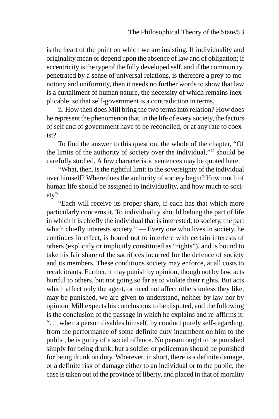is the heart of the point on which we are insisting. If individuality and originality mean or depend upon the absence of law and of obligation; if eccentricity is the type of the fully developed self, and if the community, penetrated by a sense of universal relations, is therefore a prey to monotony and uniformity, then it needs no further words to show that law is a curtailment of human nature, the necessity of which remains inexplicable, so that self-government is a contradiction in terms.

ii. How then does Mill bring the two terms into relation? How does he represent the phenomenon that, in the life of every society, the factors of self and of government have to be reconciled, or at any rate to coexist?

To find the answer to this question, the whole of the chapter, "Of the limits of the authority of society over the individual,"77 should be carefully studied. A few characteristic sentences may be quoted here.

"What, then, is the rightful limit to the sovereignty of the individual over himself? Where does the authority of society begin? How much of human life should be assigned to individuality, and how much to society?

"Each will receive its proper share, if each has that which more particularly concerns it. To individuality should belong the part of life in which it is chiefly the individual that is interested; to society, the part which chiefly interests society." — Every one who lives in society, he continues in effect, is bound not to interfere with certain interests of others (explicitly or implicitly constituted as "rights"), and is bound to take his fair share of the sacrifices incurred for the defence of society and its members. These conditions society may enforce, at all costs to recalcitrants. Further, it may punish by opinion, though not by law, acts hurtful to others, but not going so far as to violate their rights. But acts which affect only the agent, or need not affect others unless they like, may be punished, we are given to understand, neither by law nor by opinion. Mill expects his conclusions to be disputed, and the following is the conclusion of the passage in which he explains and re-affirms it: ". . . when a person disables himself, by conduct purely self-regarding, from the performance of some definite duty incumbent on him to the public, he is guilty of a social offence. No person ought to be punished simply for being drunk; but a soldier or policeman should be punished for being drunk on duty. Wherever, in short, there is a definite damage, or a definite risk of damage either to an individual or to the public, the case is taken out of the province of liberty, and placed in that of morality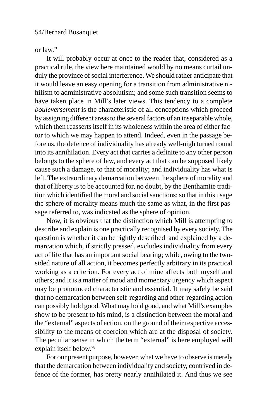or law."

It will probably occur at once to the reader that, considered as a practical rule, the view here maintained would by no means curtail unduly the province of social interference. We should rather anticipate that it would leave an easy opening for a transition from administrative nihilism to administrative absolutism; and some such transition seems to have taken place in Mill's later views. This tendency to a complete *bouleversement* is the characteristic of all conceptions which proceed by assigning different areas to the several factors of an inseparable whole, which then reasserts itself in its wholeness within the area of either factor to which we may happen to attend. Indeed, even in the passage before us, the defence of individuality has already well-nigh turned round into its annihilation. Every act that carries a definite to any other person belongs to the sphere of law, and every act that can be supposed likely cause such a damage, to that of morality; and individuality has what is left. The extraordinary demarcation between the sphere of morality and that of liberty is to be accounted for, no doubt, by the Benthamite tradition which identified the moral and social sanctions; so that in this usage the sphere of morality means much the same as what, in the first passage referred to, was indicated as the sphere of opinion.

Now, it is obvious that the distinction which Mill is attempting to describe and explain is one practically recognised by every society. The question is whether it can be rightly described and explained by a demarcation which, if strictly pressed, excludes individuality from every act of life that has an important social bearing; while, owing to the twosided nature of all action, it becomes perfectly arbitrary in its practical working as a criterion. For every act of mine affects both myself and others; and it is a matter of mood and momentary urgency which aspect may be pronounced characteristic and essential. It may safely be said that no demarcation between self-regarding and other-regarding action can possibly hold good. What may hold good, and what Mill's examples show to be present to his mind, is a distinction between the moral and the "external" aspects of action, on the ground of their respective accessibility to the means of coercion which are at the disposal of society. The peculiar sense in which the term "external" is here employed will explain itself below.78

For our present purpose, however, what we have to observe is merely that the demarcation between individuality and society, contrived in defence of the former, has pretty nearly annihilated it. And thus we see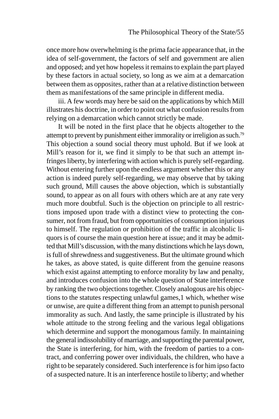once more how overwhelming is the prima facie appearance that, in the idea of self-government, the factors of self and government are alien and opposed; and yet how hopeless it remains to explain the part played by these factors in actual society, so long as we aim at a demarcation between them as opposites, rather than at a relative distinction between them as manifestations of the same principle in different media.

iii. A few words may here be said on the applications by which Mill illustrates his doctrine, in order to point out what confusion results from relying on a demarcation which cannot strictly be made.

It will be noted in the first place that he objects altogether to the attempt to prevent by punishment either immorality or irreligion as such.79 This objection a sound social theory must uphold. But if we look at Mill's reason for it, we find it simply to be that such an attempt infringes liberty, by interfering with action which is purely self-regarding. Without entering further upon the endless argument whether this or any action is indeed purely self-regarding, we may observe that by taking such ground, Mill causes the above objection, which is substantially sound, to appear as on all fours with others which are at any rate very much more doubtful. Such is the objection on principle to all restrictions imposed upon trade with a distinct view to protecting the consumer, not from fraud, but from opportunities of consumption injurious to himself. The regulation or prohibition of the traffic in alcoholic liquors is of course the main question here at issue; and it may be admitted that Mill's discussion, with the many distinctions which he lays down, is full of shrewdness and suggestiveness. But the ultimate ground which he takes, as above stated, is quite different from the genuine reasons which exist against attempting to enforce morality by law and penalty, and introduces confusion into the whole question of State interference by ranking the two objections together. Closely analogous are his objections to the statutes respecting unlawful games,1 which, whether wise or unwise, are quite a different thing from an attempt to punish personal immorality as such. And lastly, the same principle is illustrated by his whole attitude to the strong feeling and the various legal obligations which determine and support the monogamous family. In maintaining the general indissolubility of marriage, and supporting the parental power, the State is interfering, for him, with the freedom of parties to a contract, and conferring power over individuals, the children, who have a right to be separately considered. Such interference is for him ipso facto of a suspected nature. It is an interference hostile to liberty; and whether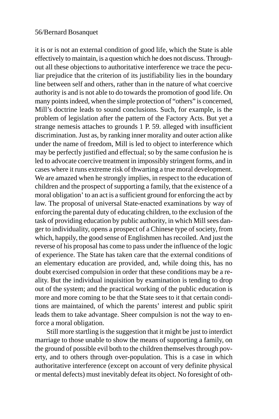it is or is not an external condition of good life, which the State is able effectively to maintain, is a question which he does not discuss. Throughout all these objections to authoritative interference we trace the peculiar prejudice that the criterion of its justifiability lies in the boundary line between self and others, rather than in the nature of what coercive authority is and is not able to do towards the promotion of good life. On many points indeed, when the simple protection of "others" is concerned, Mill's doctrine leads to sound conclusions. Such, for example, is the problem of legislation after the pattern of the Factory Acts. But yet a strange nemesis attaches to grounds 1 P. 59. alleged with insufficient discrimination. Just as, by ranking inner morality and outer action alike under the name of freedom, Mill is led to object to interference which may be perfectly justified and effectual; so by the same confusion he is led to advocate coercive treatment in impossibly stringent forms, and in cases where it runs extreme risk of thwarting a true moral development. We are amazed when he strongly implies, in respect to the education of children and the prospect of supporting a family, that the existence of a moral obligation' to an act is a sufficient ground for enforcing the act by law. The proposal of universal State-enacted examinations by way of enforcing the parental duty of educating children, to the exclusion of the task of providing education by public authority, in which Mill sees danger to individuality, opens a prospect of a Chinese type of society, from which, happily, the good sense of Englishmen has recoiled. And just the reverse of his proposal has come to pass under the influence of the logic of experience. The State has taken care that the external conditions of an elementary education are provided, and, while doing this, has no doubt exercised compulsion in order that these conditions may be a reality. But the individual inquisition by examination is tending to drop out of the system; and the practical working of the public education is more and more coming to be that the State sees to it that certain conditions are maintained, of which the parents' interest and public spirit leads them to take advantage. Sheer compulsion is not the way to enforce a moral obligation.

Still more startling is the suggestion that it might be just to interdict marriage to those unable to show the means of supporting a family, on the ground of possible evil both to the children themselves through poverty, and to others through over-population. This is a case in which authoritative interference (except on account of very definite physical or mental defects) must inevitably defeat its object. No foresight of oth-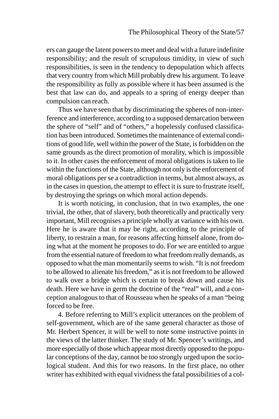ers can gauge the latent powers to meet and deal with a future indefinite responsibility; and the result of scrupulous timidity, in view of such responsibilities, is seen in the tendency to depopulation which affects that very country from which Mill probably drew his argument. To leave the responsibility as fully as possible where it has been assumed is the best that law can do, and appeals to a spring of energy deeper than compulsion can reach.

Thus we have seen that by discriminating the spheres of non-interference and interference, according to a supposed demarcation between the sphere of "self" and of "others," a hopelessly confused classification has been introduced. Sometimes the maintenance of external conditions of good life, well within the power of the State, is forbidden on the same grounds as the direct promotion of morality, which is impossible to it. In other cases the enforcement of moral obligations is taken to lie within the functions of the State, although not only is the enforcement of moral obligations per se a contradiction in terms, but almost always, as in the cases in question, the attempt to effect it is sure to frustrate itself, by destroying the springs on which moral action depends.

It is worth noticing, in conclusion, that in two examples, the one trivial, the other, that of slavery, both theoretically and practically very important, Mill recognises a principle wholly at variance with his own. Here he is aware that it may be right, according to the principle of liberty, to restrain a man, for reasons affecting himself alone, from doing what at the moment he proposes to do. For we are entitled to argue from the essential nature of freedom to what freedom really demands, as opposed to what the man momentarily seems to wish. "It is not freedom to be allowed to alienate his freedom," as it is not freedom to be allowed to walk over a bridge which is certain to break down and cause his death. Here we have in germ the doctrine of the "real" will, and a conception analogous to that of Rousseau when he speaks of a man "being forced to be free.

4. Before referring to Mill's explicit utterances on the problem of self-government, which are of the same general character as those of Mr. Herbert Spencer, it will be well to note some instructive points in the views of the latter thinker. The study of Mr. Spencer's writings, and more especially of those which appear most directly opposed to the popular conceptions of the day, cannot be too strongly urged upon the sociological student. And this for two reasons. In the first place, no other writer has exhibited with equal vividness the fatal possibilities of a col-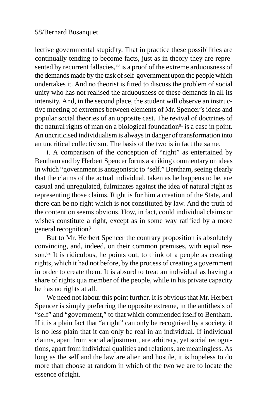lective governmental stupidity. That in practice these possibilities are continually tending to become facts, just as in theory they are represented by recurrent fallacies,<sup>80</sup> is a proof of the extreme arduousness of the demands made by the task of self-government upon the people which undertakes it. And no theorist is fitted to discuss the problem of social unity who has not realised the arduousness of these demands in all its intensity. And, in the second place, the student will observe an instructive meeting of extremes between elements of Mr. Spencer's ideas and popular social theories of an opposite cast. The revival of doctrines of the natural rights of man on a biological foundation $81$  is a case in point. An uncriticised individualism is always in danger of transformation into an uncritical collectivism. The basis of the two is in fact the same.

i. A comparison of the conception of "right" as entertained by Bentham and by Herbert Spencer forms a striking commentary on ideas in which "government is antagonistic to "self." Bentham, seeing clearly that the claims of the actual individual, taken as he happens to be, are casual and unregulated, fulminates against the idea of natural right as representing those claims. Right is for him a creation of the State, and there can be no right which is not constituted by law. And the truth of the contention seems obvious. How, in fact, could individual claims or wishes constitute a right, except as in some way ratified by a more general recognition?

But to Mr. Herbert Spencer the contrary proposition is absolutely convincing, and, indeed, on their common premises, with equal reason.<sup>82</sup> It is ridiculous, he points out, to think of a people as creating rights, which it had not before, by the process of creating a government in order to create them. It is absurd to treat an individual as having a share of rights qua member of the people, while in his private capacity he has no rights at all.

We need not labour this point further. It is obvious that Mr. Herbert Spencer is simply preferring the opposite extreme, in the antithesis of "self" and "government," to that which commended itself to Bentham. If it is a plain fact that "a right" can only be recognised by a society, it is no less plain that it can only be real in an individual. If individual claims, apart from social adjustment, are arbitrary, yet social recognitions, apart from individual qualities and relations, are meaningless. As long as the self and the law are alien and hostile, it is hopeless to do more than choose at random in which of the two we are to locate the essence of right.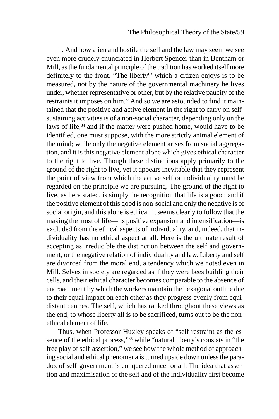ii. And how alien and hostile the self and the law may seem we see even more crudely enunciated in Herbert Spencer than in Bentham or Mill, as the fundamental principle of the tradition has worked itself more definitely to the front. "The liberty $83$  which a citizen enjoys is to be measured, not by the nature of the governmental machinery he lives under, whether representative or other, but by the relative paucity of the restraints it imposes on him." And so we are astounded to find it maintained that the positive and active element in the right to carry on selfsustaining activities is of a non-social character, depending only on the laws of life,<sup>84</sup> and if the matter were pushed home, would have to be identified, one must suppose, with the more strictly animal element of the mind; while only the negative element arises from social aggregation, and it is this negative element alone which gives ethical character to the right to live. Though these distinctions apply primarily to the ground of the right to live, yet it appears inevitable that they represent the point of view from which the active self or individuality must be regarded on the principle we are pursuing. The ground of the right to live, as here stated, is simply the recognition that life is a good; and if the positive element of this good is non-social and only the negative is of social origin, and this alone is ethical, it seems clearly to follow that the making the most of life—its positive expansion and intensification—is excluded from the ethical aspects of individuality, and, indeed, that individuality has no ethical aspect at all. Here is the ultimate result of accepting as irreducible the distinction between the self and government, or the negative relation of individuality and law. Liberty and self are divorced from the moral end, a tendency which we noted even in Mill. Selves in society are regarded as if they were bees building their cells, and their ethical character becomes comparable to the absence of encroachment by which the workers maintain the hexagonal outline due to their equal impact on each other as they progress evenly from equidistant centres. The self, which has ranked throughout these views as the end, to whose liberty all is to be sacrificed, turns out to be the nonethical element of life.

Thus, when Professor Huxley speaks of "self-restraint as the essence of the ethical process,"<sup>85</sup> while "natural liberty's consists in "the free play of self-assertion," we see how the whole method of approaching social and ethical phenomena is turned upside down unless the paradox of self-government is conquered once for all. The idea that assertion and maximisation of the self and of the individuality first become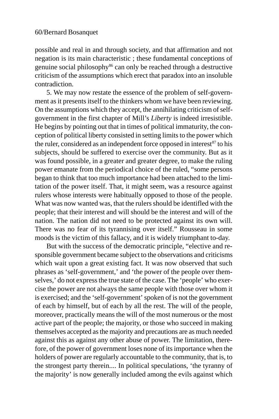possible and real in and through society, and that affirmation and not negation is its main characteristic ; these fundamental conceptions of genuine social philosophy86 can only be reached through a destructive criticism of the assumptions which erect that paradox into an insoluble contradiction.

5. We may now restate the essence of the problem of self-government as it presents itself to the thinkers whom we have been reviewing. On the assumptions which they accept, the annihilating criticism of selfgovernment in the first chapter of Mill's *Liberty* is indeed irresistible. He begins by pointing out that in times of political immaturity, the conception of political liberty consisted in setting limits to the power which the ruler, considered as an independent force opposed in interest $\delta$ <sup>7</sup> to his subjects, should be suffered to exercise over the community. But as it was found possible, in a greater and greater degree, to make the ruling power emanate from the periodical choice of the ruled, "some persons began to think that too much importance had been attached to the limitation of the power itself. That, it might seem, was a resource against rulers whose interests were habitually opposed to those of the people. What was now wanted was, that the rulers should be identifled with the people; that their interest and will should be the interest and will of the nation. The nation did not need to be protected against its own will. There was no fear of its tyrannising over itself." Rousseau in some moods is the victim of this fallacy, and it is widely triumphant to-day.

But with the success of the democratic principle, "elective and responsible government became subject to the observations and criticisms which wait upon a great existing fact. It was now observed that such phrases as 'self-government,' and 'the power of the people over themselves,' do not express the true state of the case. The 'people' who exercise the power are not always the same people with those over whom it is exercised; and the 'self-government' spoken of is not the government of each by himself, but of each by all the rest. The will of the people, moreover, practically means the will of the most numerous or the most active part of the people; the majority, or those who succeed in making themselves accepted as the majority and precautions are as much needed against this as against any other abuse of power. The limitation, therefore, of the power of government loses none of its importance when the holders of power are regularly accountable to the community, that is, to the strongest party therein.... In political speculations, 'the tyranny of the majority' is now generally included among the evils against which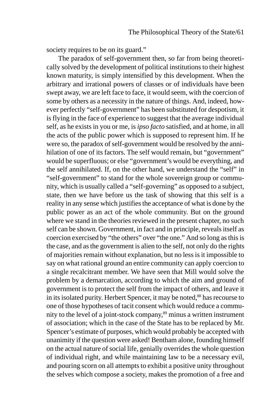society requires to be on its guard."

The paradox of self-government then, so far from being theoretically solved by the development of political institutions to their highest known maturity, is simply intensified by this development. When the arbitrary and irrational powers of classes or of individuals have been swept away, we are left face to face, it would seem, with the coercion of some by others as a necessity in the nature of things. And, indeed, however perfectly "self-government" has been substituted for despotism, it is flying in the face of experience to suggest that the average individual self, as he exists in you or me, is *ipso facto* satisfied, and at home, in all the acts of the public power which is supposed to represent him. If he were so, the paradox of self-government would be resolved by the annihilation of one of its factors. The self would remain, but "government" would be superfluous; or else "government's would be everything, and the self annihilated. If, on the other hand, we understand the "self" in "self-government" to stand for the whole sovereign group or community, which is usually called a "self-governing" as opposed to a subject, state, then we have before us the task of showing that this self is a reality in any sense which justifies the acceptance of what is done by the public power as an act of the whole community. But on the ground where we stand in the theories reviewed in the present chapter, no such self can be shown. Government, in fact and in principle, reveals itself as coercion exercised by "the others" over "the one." And so long as this is the case, and as the government is alien to the self, not only do the rights of majorities remain without explanation, but no less is it impossible to say on what rational ground an entire community can apply coercion to a single recalcitrant member. We have seen that Mill would solve the problem by a demarcation, according to which the aim and ground of government is to protect the self from the impact of others, and leave it in its isolated purity. Herbert Spencer, it may be noted,<sup>88</sup> has recourse to one of those hypotheses of tacit consent which would reduce a community to the level of a joint-stock company,<sup>89</sup> minus a written instrument of association; which in the case of the State has to be replaced by Mr. Spencer's estimate of purposes, which would probably be accepted with unanimity if the question were asked! Bentham alone, founding himself on the actual nature of social life, genially overrides the whole question of individual right, and while maintaining law to be a necessary evil, and pouring scorn on all attempts to exhibit a positive unity throughout the selves which compose a society, makes the promotion of a free and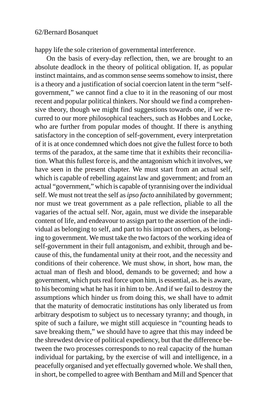happy life the sole criterion of governmental interference.

On the basis of every-day reflection, then, we are brought to an absolute deadlock in the theory of political obligation. If, as popular instinct maintains, and as common sense seems somehow to insist, there is a theory and a justification of social coercion latent in the term "selfgovernment," we cannot find a clue to it in the reasoning of our most recent and popular political thinkers. Nor should we find a comprehensive theory, though we might find suggestions towards one, if we recurred to our more philosophical teachers, such as Hobbes and Locke, who are further from popular modes of thought. If there is anything satisfactory in the conception of self-government, every interpretation of it is at once condemned which does not give the fullest force to both terms of the paradox, at the same time that it exhibits their reconciliation. What this fullest force is, and the antagonism which it involves, we have seen in the present chapter. We must start from an actual self, which is capable of rebelling against law and government; and from an actual "government," which is capable of tyrannising over the individual self. We must not treat the self as *ipso facto* annihilated by government; nor must we treat government as a pale reflection, pliable to all the vagaries of the actual self. Nor, again, must we divide the inseparable content of life, and endeavour to assign part to the assertion of the individual as belonging to self, and part to his impact on others, as belonging to government. We must take the two factors of the working idea of self-government in their full antagonism, and exhibit, through and because of this, the fundamental unity at their root, and the necessity and conditions of their coherence. We must show, in short, how man, the actual man of flesh and blood, demands to be governed; and how a government, which puts real force upon him, is essential, as. he is aware, to his becoming what he has it in him to be. And if we fail to destroy the assumptions which hinder us from doing this, we shall have to admit that the maturity of democratic institutions has only liberated us from arbitrary despotism to subject us to necessary tyranny; and though, in spite of such a failure, we might still acquiesce in "counting heads to save breaking them," we should have to agree that this may indeed be the shrewdest device of political expediency, but that the difference between the two processes corresponds to no real capacity of the human individual for partaking, by the exercise of will and intelligence, in a peacefully organised and yet effectually governed whole. We shall then, in short, be compelled to agree with Bentham and Mill and Spencer that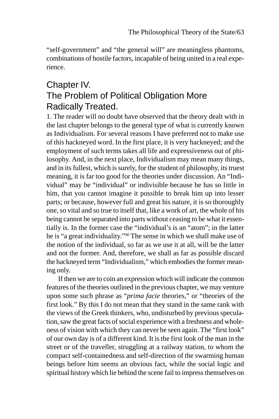"self-government" and "the general will" are meaningless phantoms, combinations of hostile factors, incapable of being united in a real experience.

# Chapter IV. The Problem of Political Obligation More Radically Treated.

1. The reader will no doubt have observed that the theory dealt with in the last chapter belongs to the general type of what is currently known as Individualism. For several reasons I have preferred not to make use of this hackneyed word. In the first place, it is very hackneyed; and the employment of such terms takes all life and expressiveness out of philosophy. And, in the next place, Individualism may mean many things, and in its fullest, which is surely, for the student of philosophy, its truest meaning, it is far too good for the theories under discussion. An "Individual" may be "individual" or indivisible because he has so little in him, that you cannot imagine it possible to break him up into lesser parts; or because, however full and great his nature, it is so thoroughly one, so vital and so true to itself that, like a work of art, the whole of his being cannot be separated into parts without ceasing to be what it essentially is. In the former case the "individual's is an "atom"; in the latter he is "a great individuality."90 The sense in which we shall make use of the notion of the individual, so far as we use it at all, will be the latter and not the former. And, therefore, we shall as far as possible discard the hackneyed term "Individualism," which embodies the former meaning only.

If then we are to coin an expression which will indicate the common features of the theories outlined in the previous chapter, we may venture upon some such phrase as "*prima facie* theories," or "theories of the first look." By this I do not mean that they stand in the same rank with the views of the Greek thinkers, who, undisturbed by previous speculation, saw the great facts of social experience with a freshness and wholeness of vision with which they can never be seen again. The "first look" of our own day is of a different kind. It is the first look of the man in the street or of the traveller, struggling at a railway station, to whom the compact self-containedness and self-direction of the swarming human beings before him seems an obvious fact, while the social logic and spiritual history which lie behind the scene fail to impress themselves on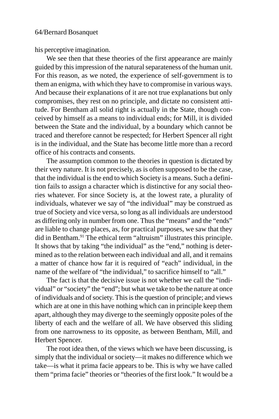his perceptive imagination.

We see then that these theories of the first appearance are mainly guided by this impression of the natural separateness of the human unit. For this reason, as we noted, the experience of self-government is to them an enigma, with which they have to compromise in various ways. And because their explanations of it are not true explanations but only compromises, they rest on no principle, and dictate no consistent attitude. For Bentham all solid right is actually in the State, though conceived by himself as a means to individual ends; for Mill, it is divided between the State and the individual, by a boundary which cannot be traced and therefore cannot be respected; for Herbert Spencer all right is in the individual, and the State has become little more than a record office of his contracts and consents.

The assumption common to the theories in question is dictated by their very nature. It is not precisely, as is often supposed to be the case, that the individual is the end to which Society is a means. Such a definition fails to assign a character which is distinctive for any social theories whatever. For since Society is, at the lowest rate, a plurality of individuals, whatever we say of "the individual" may be construed as true of Society and vice versa, so long as all individuals are understood as differing only in number from one. Thus the "means" and the "ends" are liable to change places, as, for practical purposes, we saw that they did in Bentham.91 The ethical term "altruism" illustrates this principle. It shows that by taking "the individual" as the "end," nothing is determined as to the relation between each individual and all, and it remains a matter of chance how far it is required of "each" individual, in the name of the welfare of "the individual," to sacrifice himself to "all."

The fact is that the decisive issue is not whether we call the "individual" or "society" the "end"; but what we take to be the nature at once of individuals and of society. This is the question of principle; and views which are at one in this have nothing which can in principle keep them apart, although they may diverge to the seemingly opposite poles of the liberty of each and the welfare of all. We have observed this sliding from one narrowness to its opposite, as between Bentham, Mill, and Herbert Spencer.

The root idea then, of the views which we have been discussing, is simply that the individual or society—it makes no difference which we take—is what it prima facie appears to be. This is why we have called them "prima facie" theories or "theories of the first look." It would be a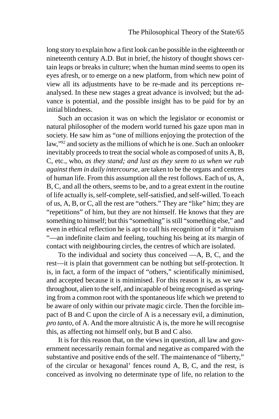long story to explain how a first look can be possible in the eighteenth or nineteenth century A.D. But in brief, the history of thought shows certain leaps or breaks in culture; when the human mind seems to open its eyes afresh, or to emerge on a new platform, from which new point of view all its adjustments have to be re-made and its perceptions reanalysed. In these new stages a great advance is involved; but the advance is potential, and the possible insight has to be paid for by an initial blindness.

Such an occasion it was on which the legislator or economist or natural philosopher of the modern world turned his gaze upon man in society. He saw him as "one of millions enjoying the protection of the law,"92 and society as the millions of which he is one. Such an onlooker inevitably proceeds to treat the social whole as composed of units A, B, C, etc., who, *as they stand; and lust as they seem to us when we rub against them in daily intercourse*, are taken to be the organs and centres of human life. From this assumption all the rest follows. Each of us, A, B, C, and all the others, seems to be, and to a great extent in the routine of life actually is, self-complete, self-satisfied, and self-willed. To each of us, A, B, or C, all the rest are "others." They are "like" him; they are "repetitions" of him, but they are not himself. He knows that they are something to himself; but this "something" is still "something else," and even in ethical reflection he is apt to call his recognition of it "altruism "—an indefinite claim and feeling, touching his being at its margin of contact with neighbouring circles, the centres of which are isolated.

To the individual and society thus conceived —A, B, C, and the rest—it is plain that government can be nothing but self-protection. It is, in fact, a form of the impact of "others," scientifically minimised, and accepted because it is minimised. For this reason it is, as we saw throughout, alien to the self, and incapable of being recognised as springing from a common root with the spontaneous life which we pretend to be aware of only within our private magic circle. Then the forcible impact of B and C upon the circle of A is a necessary evil, a diminution, *pro tanto*, of A. And the more altruistic A is, the more he will recognise this, as affecting not himself only, but B and C also.

It is for this reason that, on the views in question, all law and government necessarily remain formal and negative as compared with the substantive and positive ends of the self. The maintenance of "liberty," of the circular or hexagonal' fences round A, B, C, and the rest, is conceived as involving no determinate type of life, no relation to the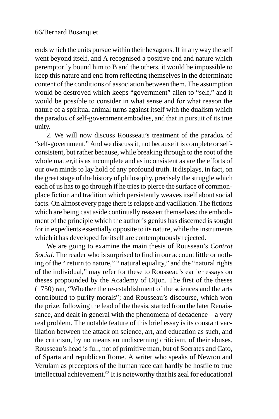ends which the units pursue within their hexagons. If in any way the self went beyond itself, and A recognised a positive end and nature which peremptorily bound him to B and the others, it would be impossible to keep this nature and end from reflecting themselves in the determinate content of the conditions of association between them. The assumption would be destroyed which keeps "government" alien to "self," and it would be possible to consider in what sense and for what reason the nature of a spiritual animal turns against itself with the dualism which the paradox of self-government embodies, and that in pursuit of its true unity.

2. We will now discuss Rousseau's treatment of the paradox of "self-government." And we discuss it, not because it is complete or selfconsistent, but rather because, while breaking through to the root of the whole matter,it is as incomplete and as inconsistent as are the efforts of our own minds to lay hold of any profound truth. It displays, in fact, on the great stage of the history of philosophy, precisely the struggle which each of us has to go through if he tries to pierce the surface of commonplace fiction and tradition which persistently weaves itself about social facts. On almost every page there is relapse and vacillation. The fictions which are being cast aside continually reassert themselves; the embodiment of the principle which the author's genius has discerned is sought for in expedients essentially opposite to its nature, while the instruments which it has developed for itself are contemptuously rejected.

We are going to examine the main thesis of Rousseau's *Contrat Social*. The reader who is surprised to find in our account little or nothing of the " return to nature," " natural equality," and the "natural rights of the individual," may refer for these to Rousseau's earlier essays on theses propounded by the Academy of Dijon. The first of the theses (1750) ran, "Whether the re-establishment of the sciences and the arts contributed to purify morals"; and Rousseau's discourse, which won the prize, following the lead of the thesis, started from the later Renaissance, and dealt in general with the phenomena of decadence—a very real problem. The notable feature of this brief essay is its constant vacillation between the attack on science, art, and education as such, and the criticism, by no means an undiscerning criticism, of their abuses. Rousseau's head is full, not of primitive man, but of Socrates and Cato, of Sparta and republican Rome. A writer who speaks of Newton and Verulam as preceptors of the human race can hardly be hostile to true intellectual achievement.93 It is noteworthy that his zeal for educational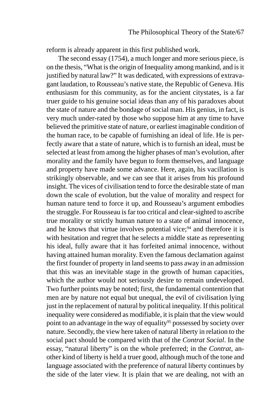reform is already apparent in this first published work.

The second essay (1754), a much longer and more serious piece, is on the thesis, "What is the origin of Inequality among mankind, and is it justified by natural law?" It was dedicated, with expressions of extravagant laudation, to Rousseau's native state, the Republic of Geneva. His enthusiasm for this community, as for the ancient citystates, is a far truer guide to his genuine social ideas than any of his paradoxes about the state of nature and the bondage of social man. His genius, in fact, is very much under-rated by those who suppose him at any time to have believed the primitive state of nature, or earliest imaginable condition of the human race, to be capable of furnishing an ideal of life. He is perfectly aware that a state of nature, which is to furnish an ideal, must be selected at least from among the higher phases of man's evolution, after morality and the family have begun to form themselves, and language and property have made some advance. Here, again, his vacillation is strikingly observable, and we can see that it arises from his profound insight. The vices of civilisation tend to force the desirable state of man down the scale of evolution, but the value of morality and respect for human nature tend to force it up, and Rousseau's argument embodies the struggle. For Rousseau is far too critical and clear-sighted to ascribe true morality or strictly human nature to a state of animal innocence, and he knows that virtue involves potential vice;<sup>94</sup> and therefore it is with hesitation and regret that he selects a middle state as representing his ideal, fully aware that it has forfeited animal innocence, without having attained human morality. Even the famous declamation against the first founder of property in land seems to pass away in an admission that this was an inevitable stage in the growth of human capacities, which the author would not seriously desire to remain undeveloped. Two further points may be noted; first, the fundamental contention that men are by nature not equal but unequal, the evil of civilisation lying just in the replacement of natural by political inequality. If this political inequality were considered as modifiable, it is plain that the view would point to an advantage in the way of equality<sup>95</sup> possessed by society over nature. Secondly, the view here taken of natural liberty in relation to the social pact should be compared with that of the *Contrat Social*. In the essay, "natural liberty" is on the whole preferred; in the *Contrat*, another kind of liberty is held a truer good, although much of the tone and language associated with the preference of natural liberty continues by the side of the later view. It is plain that we are dealing, not with an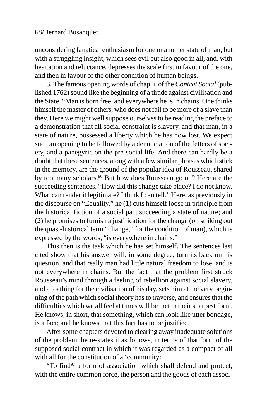unconsidering fanatical enthusiasm for one or another state of man, but with a struggling insight, which sees evil but also good in all, and, with hesitation and reluctance, depresses the scale first in favour of the one, and then in favour of the other condition of human beings.

3. The famous opening words of chap. i. of the *Contrat Social* (published 1762) sound like the beginning of a tirade against civilisation and the State. "Man is born free, and everywhere he is in chains. One thinks himself the master of others, who does not fail to be more of a slave than they. Here we might well suppose ourselves to be reading the preface to a demonstration that all social constraint is slavery, and that man, in a state of nature, possessed a liberty which he has now lost. We expect such an opening to be followed by a denunciation of the fetters of society, and a panegyric on the pre-social life. And there can hardly be a doubt that these sentences, along with a few similar phrases which stick in the memory, are the ground of the popular idea of Rousseau, shared by too many scholars.96 But how does Rousseau go on? Here are the succeeding sentences. "How did this change take place? I do not know. What can render it legitimate? I think I can tell." Here, as previously in the discourse on "Equality," he (1) cuts himself loose in principle from the historical fiction of a social pact succeeding a state of nature; and (2) he promises to furnish a justification for the change (or, striking out the quasi-historical term "change," for the condition of man), which is expressed by the words, "is everywhere in chains."

This then is the task which he has set himself. The sentences last cited show that his answer will, in some degree, turn its back on his question, and that really man had little natural freedom to lose, and is not everywhere in chains. But the fact that the problem first struck Rousseau's mind through a feeling of rebellion against social slavery, and a loathing for the civilisation of his day, sets him at the very beginning of the path which social theory has to traverse, and ensures that the difficulties which we all feel at times will be met in their sharpest form. He knows, in short, that something, which can look like utter bondage, is a fact; and he knows that this fact has to be justified.

After some chapters devoted to clearing away inadequate solutions of the problem, he re-states it as follows, in terms of that form of the supposed social contract in which it was regarded as a compact of all with all for the constitution of a 'community:

"To find<sup>97</sup> a form of association which shall defend and protect, with the entire common force, the person and the goods of each associ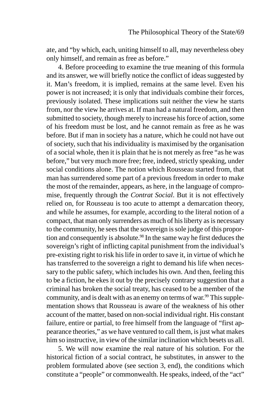ate, and "by which, each, uniting himself to all, may nevertheless obey only himself, and remain as free as before."

4. Before proceeding to examine the true meaning of this formula and its answer, we will briefly notice the conflict of ideas suggested by it. Man's freedom, it is implied, remains at the same level. Even his power is not increased; it is only that individuals combine their forces, previously isolated. These implications suit neither the view he starts from, nor the view he arrives at. If man had a natural freedom, and then submitted to society, though merely to increase his force of action, some of his freedom must be lost, and he cannot remain as free as he was before. But if man in society has a nature, which he could not have out of society, such that his individuality is maximised by the organisation of a social whole, then it is plain that he is not merely as free "as he was before," but very much more free; free, indeed, strictly speaking, under social conditions alone. The notion which Rousseau started from, that man has surrendered some part of a previous freedom in order to make the most of the remainder, appears, as here, in the language of compromise, frequently through the *Contrat Social*. But it is not effectively relied on, for Rousseau is too acute to attempt a demarcation theory, and while he assumes, for example, according to the literal notion of a compact, that man only surrenders as much of his liberty as is necessary to the community, he sees that the sovereign is sole judge of this proportion and consequently is absolute.<sup>98</sup> In the same way he first deduces the sovereign's right of inflicting capital punishment from the individual's pre-existing right to risk his life in order to save it, in virtue of which he has transferred to the sovereign a right to demand his life when necessary to the public safety, which includes his own. And then, feeling this to be a fiction, he ekes it out by the precisely contrary suggestion that a criminal has broken the social treaty, has ceased to be a member of the community, and is dealt with as an enemy on terms of war.<sup>99</sup> This supplementation shows that Rousseau is aware of the weakness of his other account of the matter, based on non-social individual right. His constant failure, entire or partial, to free himself from the language of "first appearance theories," as we have ventured to call them, is just what makes him so instructive, in view of the similar inclination which besets us all.

5. We will now examine the real nature of his solution. For the historical fiction of a social contract, he substitutes, in answer to the problem formulated above (see section 3, end), the conditions which constitute a "people" or commonwealth. He speaks, indeed, of the "act"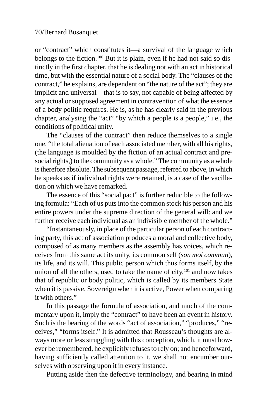or "contract" which constitutes it—a survival of the language which belongs to the fiction.100 But it is plain, even if he had not said so distinctly in the first chapter, that he is dealing not with an act in historical time, but with the essential nature of a social body. The "clauses of the contract," he explains, are dependent on "the nature of the act"; they are implicit and universal—that is to say, not capable of being affected by any actual or supposed agreement in contravention of what the essence of a body politic requires. He is, as he has clearly said in the previous chapter, analysing the "act" "by which a people is a people," i.e., the conditions of political unity.

The "clauses of the contract" then reduce themselves to a single one, "the total alienation of each associated member, with all his rights, (the language is moulded by the fiction of an actual contract and presocial rights,) to the community as a whole." The community as a whole is therefore absolute. The subsequent passage, referred to above, in which he speaks as if individual rights were retained, is a case of the vacillation on which we have remarked.

The essence of this "social pact" is further reducible to the following formula: "Each of us puts into the common stock his person and his entire powers under the supreme direction of the general will: and we further receive each individual as an indivisible member of the whole."

"Instantaneously, in place of the particular person of each contracting party, this act of association produces a moral and collective body, composed of as many members as the assembly has voices, which receives from this same act its unity, its common self (*son moi commun*), its life, and its will. This public person which thus forms itself, by the union of all the others, used to take the name of city, $101$  and now takes that of republic or body politic, which is called by its members State when it is passive, Sovereign when it is active, Power when comparing it with others."

In this passage the formula of association, and much of the commentary upon it, imply the "contract" to have been an event in history. Such is the bearing of the words "act of association," "produces," "receives," "forms itself." It is admitted that Rousseau's thoughts are always more or less struggling with this conception, which, it must however be remembered, he explicitly refuses to rely on; and henceforward, having sufficiently called attention to it, we shall not encumber ourselves with observing upon it in every instance.

Putting aside then the defective terminology, and bearing in mind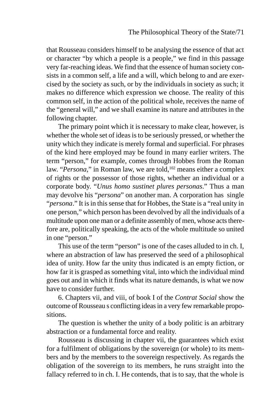that Rousseau considers himself to be analysing the essence of that act or character "by which a people is a people," we find in this passage very far-reaching ideas. We find that the essence of human society consists in a common self, a life and a will, which belong to and are exercised by the society as such, or by the individuals in society as such; it makes no difference which expression we choose. The reality of this common self, in the action of the political whole, receives the name of the "general will," and we shall examine its nature and attributes in the following chapter.

The primary point which it is necessary to make clear, however, is whether the whole set of ideas is to be seriously pressed, or whether the unity which they indicate is merely formal and superficial. For phrases of the kind here employed may be found in many earlier writers. The term "person," for example, comes through Hobbes from the Roman law. "*Persona*," in Roman law, we are told,<sup>102</sup> means either a complex of rights or the possessor of those rights, whether an individual or a corporate body. "*Unus homo sustinet plures personas*." Thus a man may devolve his "*persona*" on another man. A corporation has single "*persona*." It is in this sense that for Hobbes, the State is a "real unity in one person," which person has been devolved by all the individuals of a multitude upon one man or a definite assembly of men, whose acts therefore are, politically speaking, the acts of the whole multitude so united in one "person."

This use of the term "person" is one of the cases alluded to in ch. I, where an abstraction of law has preserved the seed of a philosophical idea of unity. How far the unity thus indicated is an empty fiction, or how far it is grasped as something vital, into which the individual mind goes out and in which it finds what its nature demands, is what we now have to consider further.

6. Chapters vii, and viii, of book I of the *Contrat Social* show the outcome of Rousseau s conflicting ideas in a very few remarkable propositions.

The question is whether the unity of a body politic is an arbitrary abstraction or a fundamental force and reality.

Rousseau is discussing in chapter vii, the guarantees which exist for a fulfilment of obligations by the sovereign (or whole) to its members and by the members to the sovereign respectively. As regards the obligation of the sovereign to its members, he runs straight into the fallacy referred to in ch. I. He contends, that is to say, that the whole is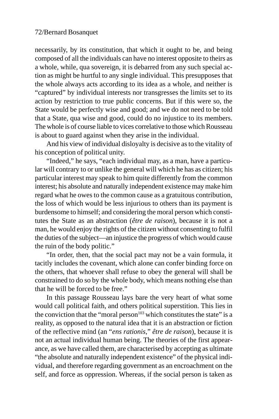necessarily, by its constitution, that which it ought to be, and being composed of all the individuals can have no interest opposite to theirs as a whole, while, qua sovereign, it is debarred from any such special action as might be hurtful to any single individual. This presupposes that the whole always acts according to its idea as a whole, and neither is "captured" by individual interests nor transgresses the limits set to its action by restriction to true public concerns. But if this were so, the State would be perfectly wise and good; and we do not need to be told that a State, qua wise and good, could do no injustice to its members. The whole is of course liable to vices correlative to those which Rousseau is about to guard against when they arise in the individual.

And his view of individual disloyalty is decisive as to the vitality of his conception of political unity.

"Indeed," he says, "each individual may, as a man, have a particular will contrary to or unlike the general will which he has as citizen; his particular interest may speak to him quite differently from the common interest; his absolute and naturally independent existence may make him regard what he owes to the common cause as a gratuitous contribution, the loss of which would be less injurious to others than its payment is burdensome to himself; and considering the moral person which constitutes the State as an abstraction (*être de raison*), because it is not a man, he would enjoy the rights of the citizen without consenting to fulfil the duties of the subject—an injustice the progress of which would cause the ruin of the body politic."

"In order, then, that the social pact may not be a vain formula, it tacitly includes the covenant, which alone can confer binding force on the others, that whoever shall refuse to obey the general will shall be constrained to do so by the whole body, which means nothing else than that he will be forced to be free."

In this passage Rousseau lays bare the very heart of what some would call political faith, and others political superstition. This lies in the conviction that the "moral person $103$  which constitutes the state" is a reality, as opposed to the natural idea that it is an abstraction or fiction of the reflective mind (an "*ens rationis*," *être de raison*), because it is not an actual individual human being. The theories of the first appearance, as we have called them, are characterised by accepting as ultimate "the absolute and naturally independent existence" of the physical individual, and therefore regarding government as an encroachment on the self, and force as oppression. Whereas, if the social person is taken as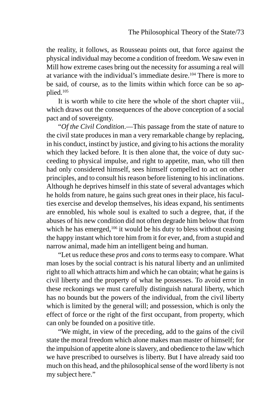the reality, it follows, as Rousseau points out, that force against the physical individual may become a condition of freedom. We saw even in Mill how extreme cases bring out the necessity for assuming a real will at variance with the individual's immediate desire.104 There is more to be said, of course, as to the limits within which force can be so applied.105

It is worth while to cite here the whole of the short chapter viii., which draws out the consequences of the above conception of a social pact and of sovereignty.

"*Of the Civil Condition*.—This passage from the state of nature to the civil state produces in man a very remarkable change by replacing, in his conduct, instinct by justice, and giving to his actions the morality which they lacked before. It is then alone that, the voice of duty succeeding to physical impulse, and right to appetite, man, who till then had only considered himself, sees himself compelled to act on other principles, and to consult his reason before listening to his inclinations. Although he deprives himself in this state of several advantages which he holds from nature, he gains such great ones in their place, his faculties exercise and develop themselves, his ideas expand, his sentiments are ennobled, his whole soul is exalted to such a degree, that, if the abuses of his new condition did not often degrade him below that from which he has emerged, $106$  it would be his duty to bless without ceasing the happy instant which tore him from it for ever, and, from a stupid and narrow animal, made him an intelligent being and human.

"Let us reduce these *pros* and *cons* to terms easy to compare. What man loses by the social contract is his natural liberty and an unlimited right to all which attracts him and which he can obtain; what he gains is civil liberty and the property of what he possesses. To avoid error in these reckonings we must carefully distinguish natural liberty, which has no bounds but the powers of the individual, from the civil liberty which is limited by the general will; and possession, which is only the effect of force or the right of the first occupant, from property, which can only be founded on a positive title.

"We might, in view of the preceding, add to the gains of the civil state the moral freedom which alone makes man master of himself; for the impulsion of appetite alone is slavery, and obedience to the law which we have prescribed to ourselves is liberty. But I have already said too much on this head, and the philosophical sense of the word liberty is not my subject here."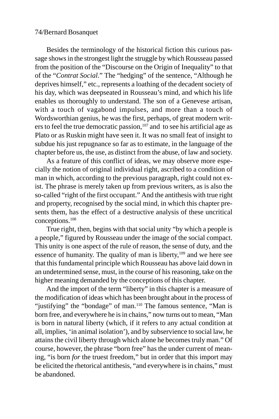Besides the terminology of the historical fiction this curious passage shows in the strongest light the struggle by which Rousseau passed from the position of the "Discourse on the Origin of Inequality" to that of the "*Contrat Social*." The "hedging" of the sentence, "Although he deprives himself," etc., represents a loathing of the decadent society of his day, which was deepseated in Rousseau's mind, and which his life enables us thoroughly to understand. The son of a Genevese artisan, with a touch of vagabond impulses, and more than a touch of Wordsworthian genius, he was the first, perhaps, of great modern writers to feel the true democratic passion,<sup>107</sup> and to see his artificial age as Plato or as Ruskin might have seen it. It was no small feat of insight to subdue his just repugnance so far as to estimate, in the language of the chapter before us, the use, as distinct from the abuse, of law and society.

As a feature of this conflict of ideas, we may observe more especially the notion of original individual right, ascribed to a condition of man in which, according to the previous paragraph, right could not exist. The phrase is merely taken up from previous writers, as is also the so-called "right of the first occupant." And the antithesis with true right and property, recognised by the social mind, in which this chapter presents them, has the effect of a destructive analysis of these uncritical conceptions.108

True right, then, begins with that social unity "by which a people is a people," figured by Rousseau under the image of the social compact. This unity is one aspect of the rule of reason, the sense of duty, and the essence of humanity. The quality of man is liberty, $109$  and we here see that this fundamental principle which Rousseau has above laid down in an undetermined sense, must, in the course of his reasoning, take on the higher meaning demanded by the conceptions of this chapter.

And the import of the term "liberty" in this chapter is a measure of the modification of ideas which has been brought about in the process of "justifying" the "bondage" of man.<sup>110</sup> The famous sentence, "Man is born free, and everywhere he is in chains," now turns out to mean, "Man is born in natural liberty (which, if it refers to any actual condition at all, implies, 'in animal isolation'), and by subservience to social law, he attains the civil liberty through which alone he becomes truly man." Of course, however, the phrase "born free" has the under current of meaning, "is born *for* the truest freedom," but in order that this import may be elicited the rhetorical antithesis, "and everywhere is in chains," must be abandoned.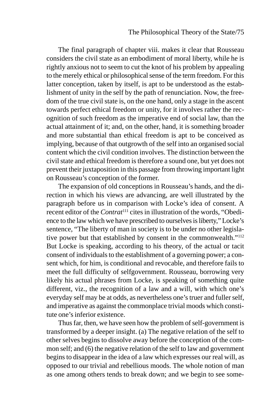The final paragraph of chapter viii. makes it clear that Rousseau considers the civil state as an embodiment of moral liberty, while he is rightly anxious not to seem to cut the knot of his problem by appealing to the merely ethical or philosophical sense of the term freedom. For this latter conception, taken by itself, is apt to be understood as the establishment of unity in the self by the path of renunciation. Now, the freedom of the true civil state is, on the one hand, only a stage in the ascent towards perfect ethical freedom or unity, for it involves rather the recognition of such freedom as the imperative end of social law, than the actual attainment of it; and, on the other, hand, it is something broader and more substantial than ethical freedom is apt to be conceived as implying, because of that outgrowth of the self into an organised social content which the civil condition involves. The distinction between the civil state and ethical freedom is therefore a sound one, but yet does not prevent their juxtaposition in this passage from throwing important light on Rousseau's conception of the former.

The expansion of old conceptions in Rousseau's hands, and the direction in which his views are advancing, are well illustrated by the paragraph before us in comparison with Locke's idea of consent. A recent editor of the *Contrat*111 cites in illustration of the words, "Obedience to the law which we have prescribed to ourselves is liberty," Locke's sentence, "The liberty of man in society is to be under no other legislative power but that established by consent in the commonwealth."<sup>112</sup> But Locke is speaking, according to his theory, of the actual or tacit consent of individuals to the establishment of a governing power; a consent which, for him, is conditional and revocable, and therefore fails to meet the full difficulty of selfgovernment. Rousseau, borrowing very likely his actual phrases from Locke, is speaking of something quite different, viz., the recognition of a law and a will, with which one's everyday self may be at odds, as nevertheless one's truer and fuller self, and imperative as against the commonplace trivial moods which constitute one's inferior existence.

Thus far, then, we have seen how the problem of self-government is transformed by a deeper insight. (a) The negative relation of the self to other selves begins to dissolve away before the conception of the common self; and (6) the negative relation of the self to law and government begins to disappear in the idea of a law which expresses our real will, as opposed to our trivial and rebellious moods. The whole notion of man as one among others tends to break down; and we begin to see some-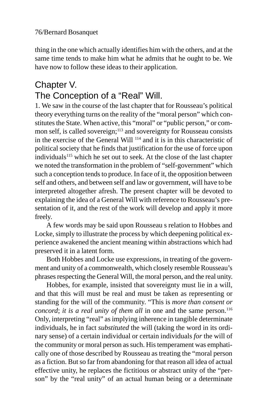thing in the one which actually identifies him with the others, and at the same time tends to make him what he admits that he ought to be. We have now to follow these ideas to their application.

# Chapter V. The Conception of a "Real" Will.

1. We saw in the course of the last chapter that for Rousseau's political theory everything turns on the reality of the "moral person" which constitutes the State. When active, this "moral" or "public person," or common self, is called sovereign;<sup>113</sup> and sovereignty for Rousseau consists in the exercise of the General Will 114 and it is in this characteristic of political society that he finds that justification for the use of force upon individuals<sup>115</sup> which he set out to seek. At the close of the last chapter we noted the transformation in the problem of "self-government" which such a conception tends to produce. In face of it, the opposition between self and others, and between self and law or government, will have to be interpreted altogether afresh. The present chapter will be devoted to explaining the idea of a General Will with reference to Rousseau's presentation of it, and the rest of the work will develop and apply it more freely.

A few words may be said upon Rousseau s relation to Hobbes and Locke, simply to illustrate the process by which deepening political experience awakened the ancient meaning within abstractions which had preserved it in a latent form.

Both Hobbes and Locke use expressions, in treating of the government and unity of a commonwealth, which closely resemble Rousseau's phrases respecting the General Will, the moral person, and the real unity.

Hobbes, for example, insisted that sovereignty must lie in a will, and that this will must be real and must be taken as representing or standing for the will of the community. "This is *more than consent or concord*; *it is a real unity of them all* in one and the same person.<sup>116</sup> Only, interpreting "real" as implying inherence in tangible determinate individuals, he in fact *substituted* the will (taking the word in its ordinary sense) of a certain individual or certain individuals *for* the will of the community or moral person as such. His temperament was emphatically one of those described by Rousseau as treating the "moral person as a fiction. But so far from abandoning for that reason all idea of actual effective unity, he replaces the fictitious or abstract unity of the "person" by the "real unity" of an actual human being or a determinate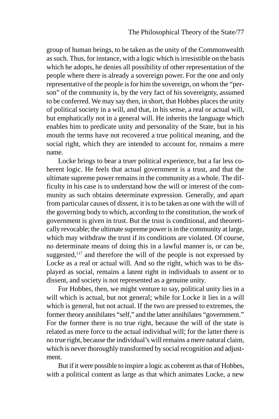group of human beings, to be taken as the unity of the Commonwealth as such. Thus, for instance, with a logic which is irresistible on the basis which he adopts, he denies all possibility of other representation of the people where there is already a sovereign power. For the one and only representative of the people is for him the sovereign, on whom the "person" of the community is, by the very fact of his sovereignty, assumed to be conferred. We may say then, in short, that Hobbes places the unity of political society in a will, and that, in his sense, a real or actual will, but emphatically not in a general will. He inherits the language which enables him to predicate unity and personality of the State, but in his mouth the terms have not recovered a true political meaning, and the social right, which they are intended to account for, remains a mere name.

Locke brings to bear a truer political experience, but a far less coherent logic. He feels that actual government is a trust, and that the ultimate supreme power remains in the community as a whole. The difficulty in his case is to understand how the will or interest of the community as such obtains determinate expression. Generally, and apart from particular causes of dissent, it is to be taken as one with the will of the governing body to which, according to the constitution, the work of government is given in trust. But the trust is conditional, and theoretically revocable; the ultimate supreme power is in the community at large, which may withdraw the trust if its conditions are violated. Of course, no determinate means of doing this in a lawful manner is, or can be, suggested, $117$  and therefore the will of the people is not expressed by Locke as a real or actual will. And so the right, which was to be displayed as social, remains a latent right in individuals to assent or to dissent, and society is not represented as a genuine unity.

For Hobbes, then, we might venture to say, political unity lies in a will which is actual, but not general; while for Locke it lies in a will which is general, but not actual. If the two are pressed to extremes, the former theory annihilates "self," and the latter annihilates "government." For the former there is no true right, because the will of the state is related as mere force to the actual individual will; for the latter there is no true right, because the individual's will remains a mere natural claim, which is never thoroughly transformed by social recognition and adjustment.

But if it were possible to inspire a logic as coherent as that of Hobbes, with a political content as large as that which animates Locke, a new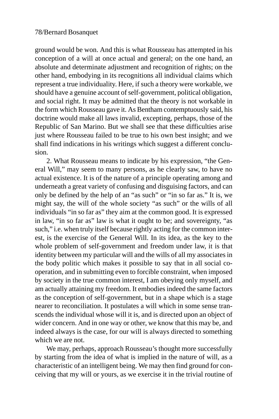ground would be won. And this is what Rousseau has attempted in his conception of a will at once actual and general; on the one hand, an absolute and determinate adjustment and recognition of rights; on the other hand, embodying in its recognitions all individual claims which represent a true individuality. Here, if such a theory were workable, we should have a genuine account of self-government, political obligation, and social right. It may be admitted that the theory is not workable in the form which Rousseau gave it. As Bentham contemptuously said, his doctrine would make all laws invalid, excepting, perhaps, those of the Republic of San Marino. But we shall see that these difficulties arise just where Rousseau failed to be true to his own best insight; and we shall find indications in his writings which suggest a different conclusion.

2. What Rousseau means to indicate by his expression, "the General Will," may seem to many persons, as he clearly saw, to have no actual existence. It is of the nature of a principle operating among and underneath a great variety of confusing and disguising factors, and can only be defined by the help of an "as such" or "in so far as." It is, we might say, the will of the whole society "as such" or the wills of all individuals "in so far as" they aim at the common good. It is expressed in law, "in so far as" law is what it ought to be; and sovereignty, "as such," i.e. when truly itself because rightly acting for the common interest, is the exercise of the General Will. In its idea, as the key to the whole problem of self-government and freedom under law, it is that identity between my particular will and the wills of all my associates in the body politic which makes it possible to say that in all social cooperation, and in submitting even to forcible constraint, when imposed by society in the true common interest, I am obeying only myself, and am actually attaining my freedom. It embodies indeed the same factors as the conception of self-government, but in a shape which is a stage nearer to reconciliation. It postulates a will which in some sense transcends the individual whose will it is, and is directed upon an object of wider concern. And in one way or other, we know that this may be, and indeed always is the case, for our will is always directed to something which we are not.

We may, perhaps, approach Rousseau's thought more successfully by starting from the idea of what is implied in the nature of will, as a characteristic of an intelligent being. We may then find ground for conceiving that my will or yours, as we exercise it in the trivial routine of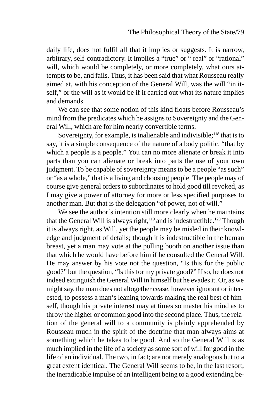daily life, does not fulfil all that it implies or suggests. It is narrow, arbitrary, self-contradictory. It implies a "true" or " real" or "rational" will, which would be completely, or more completely, what ours attempts to be, and fails. Thus, it has been said that what Rousseau really aimed at, with his conception of the General Will, was the will "in itself," or the will as it would be if it carried out what its nature implies and demands.

We can see that some notion of this kind floats before Rousseau's mind from the predicates which he assigns to Sovereignty and the General Will, which are for him nearly convertible terms.

Sovereignty, for example, is inalienable and indivisible;<sup>118</sup> that is to say, it is a simple consequence of the nature of a body politic, "that by which a people is a people." You can no more alienate or break it into parts than you can alienate or break into parts the use of your own judgment. To be capable of sovereignty means to be a people "as such" or "as a whole," that is a living and choosing people. The people may of course give general orders to subordinates to hold good till revoked, as I may give a power of attorney for more or less specified purposes to another man. But that is the delegation "of power, not of will."

We see the author's intention still more clearly when he maintains that the General Will is always right,<sup>119</sup> and is indestructible.<sup>120</sup> Though it is always right, as Will, yet the people may be misled in their knowledge and judgment of details; though it is indestructible in the human breast, yet a man may vote at the polling booth on another issue than that which he would have before him if he consulted the General Will. He may answer by his vote not the question, "Is this for the public good?" but the question, "Is this for my private good?" If so, he does not indeed extinguish the General Will in himself but he evades it. Or, as we might say, the man does not altogether cease, however ignorant or interested, to possess a man's leaning towards making the real best of himself, though his private interest may at times so master his mind as to throw the higher or common good into the second place. Thus, the relation of the general will to a community is plainly apprehended by Rousseau much in the spirit of the doctrine that man always aims at something which he takes to be good. And so the General Will is as much implied in the life of a society as some sort of will for good in the life of an individual. The two, in fact; are not merely analogous but to a great extent identical. The General Will seems to be, in the last resort, the ineradicable impulse of an intelligent being to a good extending be-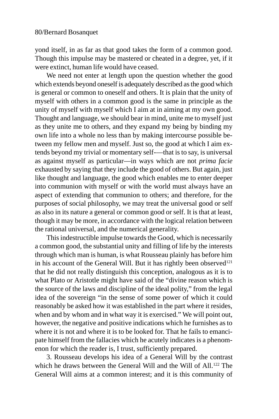yond itself, in as far as that good takes the form of a common good. Though this impulse may be mastered or cheated in a degree, yet, if it were extinct, human life would have ceased.

We need not enter at length upon the question whether the good which extends beyond oneself is adequately described as the good which is general or common to oneself and others. It is plain that the unity of myself with others in a common good is the same in principle as the unity of myself with myself which I aim at in aiming at my own good. Thought and language, we should bear in mind, unite me to myself just as they unite me to others, and they expand my being by binding my own life into a whole no less than by making intercourse possible between my fellow men and myself. Just so, the good at which I aim extends beyond my trivial or momentary self-—that is to say, is universal as against myself as particular—in ways which are not *prima facie* exhausted by saying that they include the good of others. But again, just like thought and language, the good which enables me to enter deeper into communion with myself or with the world must always have an aspect of extending that communion to others; and therefore, for the purposes of social philosophy, we may treat the universal good or self as also in its nature a general or common good or self. It is that at least, though it may be more, in accordance with the logical relation between the rational universal, and the numerical generality.

This indestructible impulse towards the Good, which is necessarily a common good, the substantial unity and filling of life by the interests through which man is human, is what Rousseau plainly has before him in his account of the General Will. But it has rightly been observed<sup>121</sup> that he did not really distinguish this conception, analogous as it is to what Plato or Aristotle might have said of the "divine reason which is the source of the laws and discipline of the ideal polity," from the legal idea of the sovereign "in the sense of some power of which it could reasonably be asked how it was established in the part where it resides, when and by whom and in what way it is exercised." We will point out, however, the negative and positive indications which he furnishes as to where it is not and where it is to be looked for. That he fails to emancipate himself from the fallacies which he acutely indicates is a phenomenon for which the reader is, I trust, sufficiently prepared.

3. Rousseau develops his idea of a General Will by the contrast which he draws between the General Will and the Will of All.<sup>122</sup> The General Will aims at a common interest; and it is this community of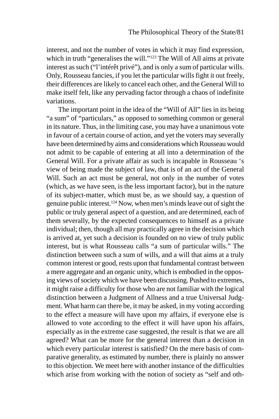interest, and not the number of votes in which it may find expression, which in truth "generalises the will."<sup>123</sup> The Will of All aims at private interest as such ("l'intérêt privé"), and is only a sum of particular wills. Only, Rousseau fancies, if you let the particular wills fight it out freely, their differences are likely to cancel each other, and the General Will to make itself felt, like any pervading factor through a chaos of indefinite variations.

The important point in the idea of the "Will of All" lies in its being "a sum" of "particulars," as opposed to something common or general in its nature. Thus, in the limiting case, you may have a unanimous vote in favour of a certain course of action, and yet the voters may severally have been determined by aims and considerations which Rousseau would not admit to be capable of entering at all into a determination of the General Will. For a private affair as such is incapable in Rousseau 's view of being made the subject of law, that is of an act of the General Will. Such an act must be general, not only in the number of votes (which, as we have seen, is the less important factor), but in the nature of its subject-matter, which must be, as we should say, a question of genuine public interest.124 Now, when men's minds leave out of sight the public or truly general aspect of a question, and are determined, each of them severally, by the expected consequences to himself as a private individual; then, though all may practically agree in the decision which is arrived at, yet such a decision is founded on no view of truly public interest, but is what Rousseau calls "a sum of particular wills." The distinction between such a sum of wills, and a will that aims at a truly common interest or good, rests upon that fundamental contrast between a mere aggregate and an organic unity, which is embodied in the opposing views of society which we have been discussing. Pushed to extremes, it might raise a difficulty for those who are not familiar with the logical distinction between a Judgment of Allness and a true Universal Judgment. What harm can there be, it may be asked, in my voting according to the effect a measure will have upon my affairs, if everyone else is allowed to vote according to the effect it will have upon his affairs, especially as in the extreme case suggested, the result is that we are all agreed? What can be more for the general interest than a decision in which every particular interest is satisfied? On the mere basis of comparative generality, as estimated by number, there is plainly no answer to this objection. We meet here with another instance of the difficulties which arise from working with the notion of society as "self and oth-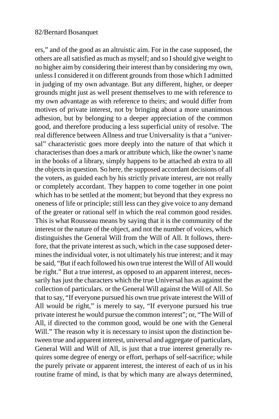ers," and of the good as an altruistic aim. For in the case supposed, the others are all satisfied as much as myself; and so I should give weight to no higher aim by considering their interest than by considering my own, unless I considered it on different grounds from those which I admitted in judging of my own advantage. But any different, higher, or deeper grounds might just as well present themselves to me with reference to my own advantage as with reference to theirs; and would differ from motives of private interest, not by bringing about a more unanimous adhesion, but by belonging to a deeper appreciation of the common good, and therefore producing a less superficial unity of resolve. The real difference between Allness and true Universality is that a "universal" characteristic goes more deeply into the nature of that which it characterises than does a mark or attribute which, like the owner's name in the books of a library, simply happens to be attached ab extra to all the objects in question. So here, the supposed accordant decisions of all the voters, as guided each by his strictly private interest, are not really or completely accordant. They happen to come together in one point which has to be settled at the moment; but beyond that they express no oneness of life or principle; still less can they give voice to any demand of the greater or rational self in which the real common good resides. This is what Rousseau means by saying that it is the community of the interest or the nature of the object, and not the number of voices, which distinguishes the General Will from the Will of All. It follows, therefore, that the private interest as such, which in the case supposed determines the individual voter, is not ultimately his true interest; and it may be said, "But if each followed his own true interest the Will of All would be right." But a true interest, as opposed to an apparent interest, necessarily has just the characters which the true Universal has as against the collection of particulars. or the General Will against the Will of All. So that to say, "If everyone pursued his own true private interest the Will of All would be right," is merely to say, "If everyone pursued his true private interest he would pursue the common interest"; or, "The Will of All, if directed to the common good, would be one with the General Will." The reason why it is necessary to insist upon the distinction between true and apparent interest, universal and aggregate of particulars, General Will and Will of All, is just that a true interest generally requires some degree of energy or effort, perhaps of self-sacrifice; while the purely private or apparent interest, the interest of each of us in his routine frame of mind, is that by which many are always determined,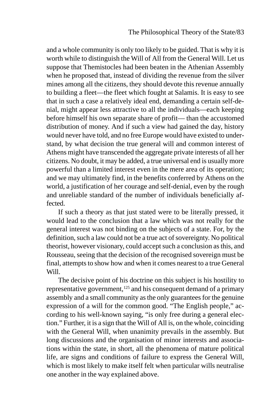and a whole community is only too likely to be guided. That is why it is worth while to distinguish the Will of All from the General Will. Let us suppose that Themistocles had been beaten in the Athenian Assembly when he proposed that, instead of dividing the revenue from the silver mines among all the citizens, they should devote this revenue annually to building a fleet—the fleet which fought at Salamis. It is easy to see that in such a case a relatively ideal end, demanding a certain self-denial, might appear less attractive to all the individuals—each keeping before himself his own separate share of profit— than the accustomed distribution of money. And if such a view had gained the day, history would never have told, and no free Europe would have existed to understand, by what decision the true general will and common interest of Athens might have transcended the aggregate private interests of all her citizens. No doubt, it may be added, a true universal end is usually more powerful than a limited interest even in the mere area of its operation; and we may ultimately find, in the benefits conferred by Athens on the world, a justification of her courage and self-denial, even by the rough and unreliable standard of the number of individuals beneficially affected.

If such a theory as that just stated were to be literally pressed, it would lead to the conclusion that a law which was not really for the general interest was not binding on the subjects of a state. For, by the definition, such a law could not be a true act of sovereignty. No political theorist, however visionary, could accept such a conclusion as this, and Rousseau, seeing that the decision of the recognised sovereign must be final, attempts to show how and when it comes nearest to a true General Will.

The decisive point of his doctrine on this subject is his hostility to representative government,<sup>125</sup> and his consequent demand of a primary assembly and a small community as the only guarantees for the genuine expression of a will for the common good. "The English people," according to his well-known saying, "is only free during a general election." Further, it is a sign that the Will of All is, on the whole, coinciding with the General Will, when unanimity prevails in the assembly. But long discussions and the organisation of minor interests and associations within the state, in short, all the phenomena of mature political life, are signs and conditions of failure to express the General Will, which is most likely to make itself felt when particular wills neutralise one another in the way explained above.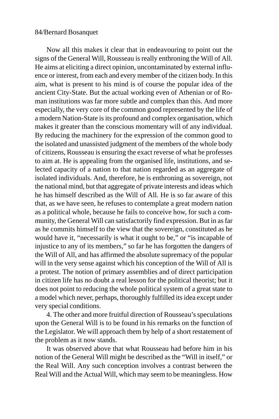Now all this makes it clear that in endeavouring to point out the signs of the General Will, Rousseau is really enthroning the Will of All. He aims at eliciting a direct opinion, uncontaminated by external influence or interest, from each and every member of the citizen body. In this aim, what is present to his mind is of course the popular idea of the ancient City-State. But the actual working even of Athenian or of Roman institutions was far more subtle and complex than this. And more especially, the very core of the common good represented by the life of a modern Nation-State is its profound and complex organisation, which makes it greater than the conscious momentary will of any individual. By reducing the machinery for the expression of the common good to the isolated and unassisted judgment of the members of the whole body of citizens, Rousseau is ensuring the exact reverse of what he professes to aim at. He is appealing from the organised life, institutions, and selected capacity of a nation to that nation regarded as an aggregate of isolated individuals. And, therefore, he is enthroning as sovereign, not the national mind, but that aggregate of private interests and ideas which he has himself described as the Will of All. He is so far aware of this that, as we have seen, he refuses to contemplate a great modern nation as a political whole, because he fails to conceive how, for such a community, the General Will can satisfactorily find expression. But in as far as he commits himself to the view that the sovereign, constituted as he would have it, "necessarily is what it ought to be," or "is incapable of injustice to any of its members," so far he has forgotten the dangers of the Will of All, and has affirmed the absolute supremacy of the popular will in the very sense against which his conception of the Will of All is a protest. The notion of primary assemblies and of direct participation in citizen life has no doubt a real lesson for the political theorist; but it does not point to reducing the whole political system of a great state to a model which never, perhaps, thoroughly fulfilled its idea except under very special conditions.

4. The other and more fruitful direction of Rousseau's speculations upon the General Will is to be found in his remarks on the function of the Legislator. We will approach them by help of a short restatement of the problem as it now stands.

It was observed above that what Rousseau had before him in his notion of the General Will might be described as the "Will in itself," or the Real Will. Any such conception involves a contrast between the Real Will and the Actual Will, which may seem to be meaningless. How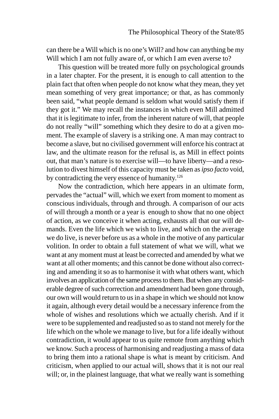can there be a Will which is no one's Will? and how can anything be my Will which I am not fully aware of, or which I am even averse to?

This question will be treated more fully on psychological grounds in a later chapter. For the present, it is enough to call attention to the plain fact that often when people do not know what they mean, they yet mean something of very great importance; or that, as has commonly been said, "what people demand is seldom what would satisfy them if they got it." We may recall the instances in which even Mill admitted that it is legitimate to infer, from the inherent nature of will, that people do not really "will" something which they desire to do at a given moment. The example of slavery is a striking one. A man may contract to become a slave, but no civilised government will enforce his contract at law, and the ultimate reason for the refusal is, as Mill in effect points out, that man's nature is to exercise will—to have liberty—and a resolution to divest himself of this capacity must be taken as *ipso facto* void, by contradicting the very essence of humanity.<sup>126</sup>

Now the contradiction, which here appears in an ultimate form, pervades the "actual" will, which we exert from moment to moment as conscious individuals, through and through. A comparison of our acts of will through a month or a year is enough to show that no one object of action, as we conceive it when acting, exhausts all that our will demands. Even the life which we wish to live, and which on the average we do live, is never before us as a whole in the motive of any particular volition. In order to obtain a full statement of what we will, what we want at any moment must at least be corrected and amended by what we want at all other moments; and this cannot be done without also correcting and amending it so as to harmonise it with what others want, which involves an application of the same process to them. But when any considerable degree of such correction and amendment had been gone through, our own will would return to us in a shape in which we should not know it again, although every detail would be a necessary inference from the whole of wishes and resolutions which we actually cherish. And if it were to be supplemented and readjusted so as to stand not merely for the life which on the whole we manage to live, but for a life ideally without contradiction, it would appear to us quite remote from anything which we know. Such a process of harmonising and readjusting a mass of data to bring them into a rational shape is what is meant by criticism. And criticism, when applied to our actual will, shows that it is not our real will; or, in the plainest language, that what we really want is something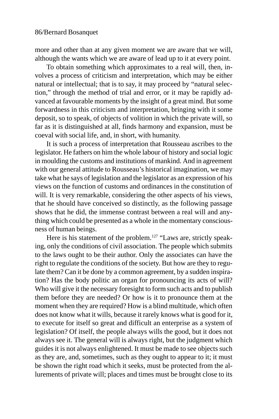more and other than at any given moment we are aware that we will, although the wants which we are aware of lead up to it at every point.

To obtain something which approximates to a real will, then, involves a process of criticism and interpretation, which may be either natural or intellectual; that is to say, it may proceed by "natural selection," through the method of trial and error, or it may be rapidly advanced at favourable moments by the insight of a great mind. But some forwardness in this criticism and interpretation, bringing with it some deposit, so to speak, of objects of volition in which the private will, so far as it is distinguished at all, finds harmony and expansion, must be coeval with social life, and, in short, with humanity.

It is such a process of interpretation that Rousseau ascribes to the legislator. He fathers on him the whole labour of history and social logic in moulding the customs and institutions of mankind. And in agreement with our general attitude to Rousseau's historical imagination, we may take what he says of legislation and the legislator as an expression of his views on the function of customs and ordinances in the constitution of will. It is very remarkable, considering the other aspects of his views, that he should have conceived so distinctly, as the following passage shows that he did, the immense contrast between a real will and anything which could be presented as a whole in the momentary consciousness of human beings.

Here is his statement of the problem.<sup>127</sup> "Laws are, strictly speaking, only the conditions of civil association. The people which submits to the laws ought to be their author. Only the associates can have the right to regulate the conditions of the society. But how are they to regulate them? Can it be done by a common agreement, by a sudden inspiration? Has the body politic an organ for pronouncing its acts of will? Who will give it the necessary foresight to form such acts and to publish them before they are needed? Or how is it to pronounce them at the moment when they are required? How is a blind multitude, which often does not know what it wills, because it rarely knows what is good for it, to execute for itself so great and difficult an enterprise as a system of legislation? Of itself, the people always wills the good, but it does not always see it. The general will is always right, but the judgment which guides it is not always enlightened. It must be made to see objects such as they are, and, sometimes, such as they ought to appear to it; it must be shown the right road which it seeks, must be protected from the allurements of private will; places and times must be brought close to its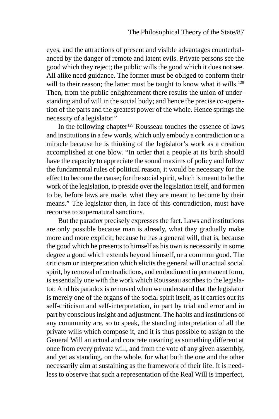eyes, and the attractions of present and visible advantages counterbalanced by the danger of remote and latent evils. Private persons see the good which they reject; the public wills the good which it does not see. All alike need guidance. The former must be obliged to conform their will to their reason; the latter must be taught to know what it wills.<sup>128</sup> Then, from the public enlightenment there results the union of understanding and of will in the social body; and hence the precise co-operation of the parts and the greatest power of the whole. Hence springs the necessity of a legislator."

In the following chapter<sup>129</sup> Rousseau touches the essence of laws and institutions in a few words, which only embody a contradiction or a miracle because he is thinking of the legislator's work as a creation accomplished at one blow. "In order that a people at its birth should have the capacity to appreciate the sound maxims of policy and follow the fundamental rules of political reason, it would be necessary for the effect to become the cause; for the social spirit, which is meant to be the work of the legislation, to preside over the legislation itself, and for men to be, before laws are made, what they are meant to become by their means." The legislator then, in face of this contradiction, must have recourse to supernatural sanctions.

But the paradox precisely expresses the fact. Laws and institutions are only possible because man is already, what they gradually make more and more explicit; because he has a general will, that is, because the good which he presents to himself as his own is necessarily in some degree a good which extends beyond himself, or a common good. The criticism or interpretation which elicits the general will or actual social spirit, by removal of contradictions, and embodiment in permanent form, is essentially one with the work which Rousseau ascribes to the legislator. And his paradox is removed when we understand that the legislator is merely one of the organs of the social spirit itself, as it carries out its self-criticism and self-interpretation, in part by trial and error and in part by conscious insight and adjustment. The habits and institutions of any community are, so to speak, the standing interpretation of all the private wills which compose it, and it is thus possible to assign to the General Will an actual and concrete meaning as something different at once from every private will, and from the vote of any given assembly, and yet as standing, on the whole, for what both the one and the other necessarily aim at sustaining as the framework of their life. It is needless to observe that such a representation of the Real Will is imperfect,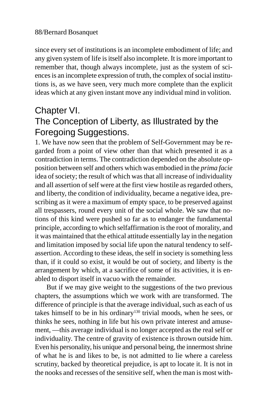since every set of institutions is an incomplete embodiment of life; and any given system of life is itself also incomplete. It is more important to remember that, though always incomplete, just as the system of sciences is an incomplete expression of truth, the complex of social institutions is, as we have seen, very much more complete than the explicit ideas which at any given instant move any individual mind in volition.

## Chapter VI. The Conception of Liberty, as Illustrated by the Foregoing Suggestions.

1. We have now seen that the problem of Self-Government may be regarded from a point of view other than that which presented it as a contradiction in terms. The contradiction depended on the absolute opposition between self and others which was embodied in the *prima facie* idea of society; the result of which was that all increase of individuality and all assertion of self were at the first view hostile as regarded others, and liberty, the condition of individuality, became a negative idea, prescribing as it were a maximum of empty space, to be preserved against all trespassers, round every unit of the social whole. We saw that notions of this kind were pushed so far as to endanger the fundamental principle, according to which selfaffirmation is the root of morality, and it was maintained that the ethical attitude essentially lay in the negation and limitation imposed by social life upon the natural tendency to selfassertion. According to these ideas, the self in society is something less than, if it could so exist, it would be out of society, and liberty is the arrangement by which, at a sacrifice of some of its activities, it is enabled to disport itself in vacuo with the remainder.

But if we may give weight to the suggestions of the two previous chapters, the assumptions which we work with are transformed. The difference of principle is that the average individual, such as each of us takes himself to be in his ordinary130 trivial moods, when he sees, or thinks he sees, nothing in life but his own private interest and amusement, —this average individual is no longer accepted as the real self or individuality. The centre of gravity of existence is thrown outside him. Even his personality, his unique and personal being, the innermost shrine of what he is and likes to be, is not admitted to lie where a careless scrutiny, backed by theoretical prejudice, is apt to locate it. It is not in the nooks and recesses of the sensitive self, when the man is most with-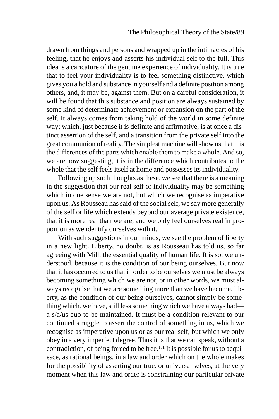drawn from things and persons and wrapped up in the intimacies of his feeling, that he enjoys and asserts his individual self to the full. This idea is a caricature of the genuine experience of individuality. It is true that to feel your individuality is to feel something distinctive, which gives you a hold and substance in yourself and a definite position among others, and, it may be, against them. But on a careful consideration, it will be found that this substance and position are always sustained by some kind of determinate achievement or expansion on the part of the self. It always comes from taking hold of the world in some definite way; which, just because it is definite and affirmative, is at once a distinct assertion of the self, and a transition from the private self into the great communion of reality. The simplest machine will show us that it is the differences of the parts which enable them to make a whole. And so, we are now suggesting, it is in the difference which contributes to the whole that the self feels itself at home and possesses its individuality.

Following up such thoughts as these, we see that there is a meaning in the suggestion that our real self or individuality may be something which in one sense we are not, but which we recognise as imperative upon us. As Rousseau has said of the social self, we say more generally of the self or life which extends beyond our average private existence, that it is more real than we are, and we only feel ourselves real in proportion as we identify ourselves with it.

With such suggestions in our minds, we see the problem of liberty in a new light. Liberty, no doubt, is as Rousseau has told us, so far agreeing with Mill, the essential quality of human life. It is so, we understood, because it is the condition of our being ourselves. But now that it has occurred to us that in order to be ourselves we must be always becoming something which we are not, or in other words, we must always recognise that we are something more than we have become, liberty, as the condition of our being ourselves, cannot simply be something which. we have, still less something which we have always had a s/a/us quo to be maintained. It must be a condition relevant to our continued struggle to assert the control of something in us, which we recognise as imperative upon us or as our real self, but which we only obey in a very imperfect degree. Thus it is that we can speak, without a contradiction, of being forced to be free.131 It is possible for us to acquiesce, as rational beings, in a law and order which on the whole makes for the possibility of asserting our true. or universal selves, at the very moment when this law and order is constraining our particular private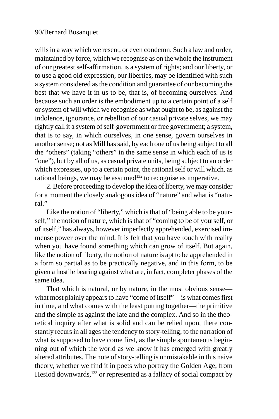wills in a way which we resent, or even condemn. Such a law and order, maintained by force, which we recognise as on the whole the instrument of our greatest self-affirmation, is a system of rights; and our liberty, or to use a good old expression, our liberties, may be identified with such a system considered as the condition and guarantee of our becoming the best that we have it in us to be, that is, of becoming ourselves. And because such an order is the embodiment up to a certain point of a self or system of will which we recognise as what ought to be, as against the indolence, ignorance, or rebellion of our casual private selves, we may rightly call it a system of self-government or free government; a system, that is to say, in which ourselves, in one sense, govern ourselves in another sense; not as Mill has said, by each one of us being subject to all the "others" (taking "others" in the same sense in which each of us is "one"), but by all of us, as casual private units, being subject to an order which expresses, up to a certain point, the rational self or will which, as rational beings, we may be assumed<sup>132</sup> to recognise as imperative.

2. Before proceeding to develop the idea of liberty, we may consider for a moment the closely analogous idea of "nature" and what is "natural."

Like the notion of "liberty," which is that of "being able to be yourself," the notion of nature, which is that of "coming to be of yourself, or of itself," has always, however imperfectly apprehended, exercised immense power over the mind. It is felt that you have touch with reality when you have found something which can grow of itself. But again, like the notion of liberty, the notion of nature is apt to be apprehended in a form so partial as to be practically negative, and in this form, to be given a hostile bearing against what are, in fact, completer phases of the same idea.

That which is natural, or by nature, in the most obvious sense what most plainly appears to have "come of itself"—is what comes first in time, and what comes with the least putting together—the primitive and the simple as against the late and the complex. And so in the theoretical inquiry after what is solid and can be relied upon, there constantly recurs in all ages the tendency to story-telling; to the narration of what is supposed to have come first, as the simple spontaneous beginning out of which the world as we know it has emerged with greatly altered attributes. The note of story-telling is unmistakable in this naive theory, whether we find it in poets who portray the Golden Age, from Hesiod downwards,<sup>133</sup> or represented as a fallacy of social compact by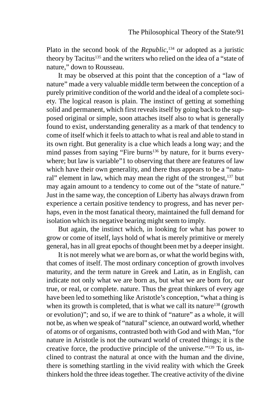Plato in the second book of the *Republic,*134 or adopted as a juristic theory by Tacitus<sup>135</sup> and the writers who relied on the idea of a "state of nature," down to Rousseau.

It may be observed at this point that the conception of a "law of nature" made a very valuable middle term between the conception of a purely primitive condition of the world and the ideal of a complete society. The logical reason is plain. The instinct of getting at something solid and permanent, which first reveals itself by going back to the supposed original or simple, soon attaches itself also to what is generally found to exist, understanding generality as a mark of that tendency to come of itself which it feels to attach to what is real and able to stand in its own right. But generality is a clue which leads a long way; and the mind passes from saying "Fire burns<sup>136</sup> by nature, for it burns everywhere; but law is variable"1 to observing that there are features of law which have their own generality, and there thus appears to be a "natural" element in law, which may mean the right of the strongest,<sup>137</sup> but may again amount to a tendency to come out of the "state of nature." Just in the same way, the conception of Liberty has always drawn from experience a certain positive tendency to progress, and has never perhaps, even in the most fanatical theory, maintained the full demand for isolation which its negative bearing might seem to imply.

But again, the instinct which, in looking for what has power to grow or come of itself, lays hold of what is merely primitive or merely general, has in all great epochs of thought been met by a deeper insight.

It is not merely what we are born as, or what the world begins with, that comes of itself. The most ordinary conception of growth involves maturity, and the term nature in Greek and Latin, as in English, can indicate not only what we are born as, but what we are born for, our true, or real, or complete. nature. Thus the great thinkers of every age have been led to something like Aristotle's conception, "what a thing is when its growth is completed, that is what we call its nature<sup>138</sup> (growth or evolution)"; and so, if we are to think of "nature" as a whole, it will not be, as when we speak of "natural" science, an outward world, whether of atoms or of organisms, contrasted both with God and with Man, "for nature in Aristotle is not the outward world of created things; it is the creative force, the productive principle of the universe."139 To us, inclined to contrast the natural at once with the human and the divine, there is something startling in the vivid reality with which the Greek thinkers hold the three ideas together. The creative activity of the divine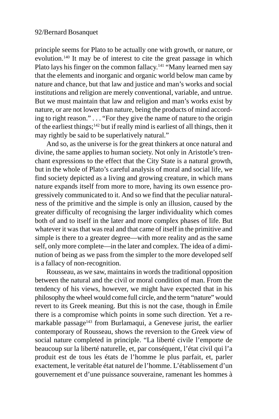principle seems for Plato to be actually one with growth, or nature, or evolution.140 It may be of interest to cite the great passage in which Plato lays his finger on the common fallacy.<sup>141</sup> "Many learned men say that the elements and inorganic and organic world below man came by nature and chance, but that law and justice and man's works and social institutions and religion are merely conventional, variable, and untrue. But we must maintain that law and religion and man's works exist by nature, or are not lower than nature, being the products of mind according to right reason." . . . "For they give the name of nature to the origin of the earliest things;142 but if really mind is earliest of all things, then it may rightly be said to be superlatively natural."

And so, as the universe is for the great thinkers at once natural and divine, the same applies to human society. Not only in Aristotle's trenchant expressions to the effect that the City State is a natural growth, but in the whole of Plato's careful analysis of moral and social life, we find society depicted as a living and growing creature, in which mans nature expands itself from more to more, having its own essence progressively communicated to it. And so we find that the peculiar naturalness of the primitive and the simple is only an illusion, caused by the greater difficulty of recognising the larger individuality which comes both of and to itself in the later and more complex phases of life. But whatever it was that was real and that came of itself in the primitive and simple is there to a greater degree—with more reality and as the same self, only more complete—in the later and complex. The idea of a diminution of being as we pass from the simpler to the more developed self is a fallacy of non-recognition.

Rousseau, as we saw, maintains in words the traditional opposition between the natural and the civil or moral condition of man. From the tendency of his views, however, we might have expected that in his philosophy the wheel would come full circle, and the term "nature" would revert to its Greek meaning. But this is not the case, though in Émile there is a compromise which points in some such direction. Yet a remarkable passage<sup>143</sup> from Burlamaqui, a Genevese jurist, the earlier contemporary of Rousseau, shows the reversion to the Greek view of social nature completed in principle. "La liberté civile l'emporte de beaucoup sur la liberté naturelle, et, par conséquent, l'état civil qui l'a produit est de tous les états de l'homme le plus parfait, et, parler exactement, le veritable état naturel de l'homme. L'établissement d'un gouvernement et d'une puissance souveraine, ramenant les hommes à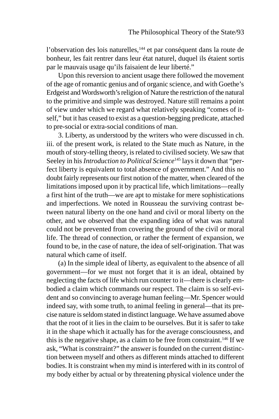l'observation des lois naturelles, <sup>144</sup> et par conséquent dans la route de bonheur, les fait rentrer dans leur état naturel, duquel ils étaient sortis par le mauvais usage qu'ils faisaient de leur liberté."

Upon this reversion to ancient usage there followed the movement of the age of romantic genius and of organic science, and with Goethe's Erdgeist and Wordsworth's religion of Nature the restriction of the natural to the primitive and simple was destroyed. Nature still remains a point of view under which we regard what relatively speaking "comes of itself," but it has ceased to exist as a question-begging predicate, attached to pre-social or extra-social conditions of man.

3. Liberty, as understood by the writers who were discussed in ch. iii. of the present work, is related to the State much as Nature, in the mouth of story-telling theory, is related to civilised society. We saw that Seeley in his *Introduction to Political Science*145 lays it down that "perfect liberty is equivalent to total absence of government." And this no doubt fairly represents our first notion of the matter, when cleared of the limitations imposed upon it by practical life, which limitations—really a first hint of the truth—we are apt to mistake for mere sophistications and imperfections. We noted in Rousseau the surviving contrast between natural liberty on the one hand and civil or moral liberty on the other, and we observed that the expanding idea of what was natural could not be prevented from covering the ground of the civil or moral life. The thread of connection, or rather the ferment of expansion, we found to be, in the case of nature, the idea of self-origination. That was natural which came of itself.

(a) In the simple ideal of liberty, as equivalent to the absence of all government—for we must not forget that it is an ideal, obtained by neglecting the facts of life which run counter to it—there is clearly embodied a claim which commands our respect. The claim is so self-evident and so convincing to average human feeling—Mr. Spencer would indeed say, with some truth, to animal feeling in general—that its precise nature is seldom stated in distinct language. We have assumed above that the root of it lies in the claim to be ourselves. But it is safer to take it in the shape which it actually has for the average consciousness, and this is the negative shape, as a claim to be free from constraint.<sup>146</sup> If we ask, "What is constraint?" the answer is founded on the current distinction between myself and others as different minds attached to different bodies. It is constraint when my mind is interfered with in its control of my body either by actual or by threatening physical violence under the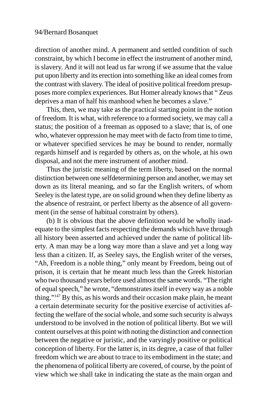direction of another mind. A permanent and settled condition of such constraint, by which I become in effect the instrument of another mind, is slavery. And it will not lead us far wrong if we assume that the value put upon liberty and its erection into something like an ideal comes from the contrast with slavery. The ideal of positive political freedom presupposes more complex experiences. But Homer already knows that " Zeus deprives a man of half his manhood when he becomes a slave."

This, then, we may take as the practical starting point in the notion of freedom. It is what, with reference to a formed society, we may call a status; the position of a freeman as opposed to a slave; that is, of one who, whatever oppression he may meet with de facto from time to time, or whatever specified services he may be bound to render, normally regards himself and is regarded by others as, on the whole, at his own disposal, and not the mere instrument of another mind.

Thus the juristic meaning of the term liberty, based on the normal distinction between one selfdetermining person and another, we may set down as its literal meaning, and so far the English writers, of whom Seeley is the latest type, are on solid ground when they define liberty as the absence of restraint, or perfect liberty as the absence of all government (in the sense of habitual constraint by others).

(b) It is obvious that the above definition would be wholly inadequate to the simplest facts respecting the demands which have through all history been asserted and achieved under the name of political liberty. A man may be a long way more than a slave and yet a long way less than a citizen. If, as Seeley says, the English writer of the verses, "Ah, Freedom is a noble thing," only meant by Freedom, being out of prison, it is certain that he meant much less than the Greek historian who two thousand years before used almost the same words. "The right of equal speech," he wrote, "demonstrates itself in every way as a noble thing."147 By this, as his words and their occasion make plain, he meant a certain determinate security for the positive exercise of activities affecting the welfare of the social whole, and some such security is always understood to be involved in the notion of political liberty. But we will content ourselves at this point with noting the distinction and connection between the negative or juristic, and the varyingly positive or political conception of liberty. For the latter is, in its degree, a case of that fuller freedom which we are about to trace to its embodiment in the state; and the phenomena of political liberty are covered, of course, by the point of view which we shall take in indicating the state as the main organ and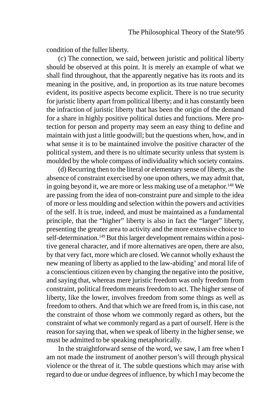condition of the fuller liberty.

(c) The connection, we said, between juristic and political liberty should be observed at this point. It is merely an example of what we shall find throughout, that the apparently negative has its roots and its meaning in the positive, and, in proportion as its true nature becomes evident, its positive aspects become explicit. There is no true security for juristic liberty apart from political liberty; and it has constantly been the infraction of juristic liberty that has been the origin of the demand for a share in highly positive political duties and functions. Mere protection for person and property may seem an easy thing to define and maintain with just a little goodwill; but the questions when, how, and in what sense it is to be maintained involve the positive character of the political system, and there is no ultimate security unless that system is moulded by the whole compass of individuality which society contains.

(d) Recurring then to the literal or elementary sense of liberty, as the absence of constraint exercised by one upon others, we may admit that, in going beyond it, we are more or less making use of a metaphor.<sup>148</sup> We are passing from the idea of non-constraint pure and simple to the idea of more or less moulding and selection within the powers and activities of the self. It is true, indeed, and must be maintained as a fundamental principle, that the "higher" liberty is also in fact the "larger" liberty, presenting the greater area to activity and the more extensive choice to self-determination.<sup>149</sup> But this larger development remains within a positive general character, and if more alternatives are open, there are also, by that very fact, more which are closed. We cannot wholly exhaust the new meaning of liberty as applied to the law-abiding' and moral life of a conscientious citizen even by changing the negative into the positive, and saying that, whereas mere juristic freedom was only freedom from constraint, political freedom means freedom to act. The higher sense of liberty, like the lower, involves freedom from some things as well as freedom to others. And that which we are freed from is, in this case, not the constraint of those whom we commonly regard as others, but the constraint of what we commonly regard as a part of ourself. Here is the reason for saying that, when we speak of liberty in the higher sense, we must be admitted to be speaking metaphorically.

In the straightforward sense of the word, we saw, I am free when I am not made the instrument of another person's will through physical violence or the threat of it. The subtle questions which may arise with regard to due or undue degrees of influence, by which I may become the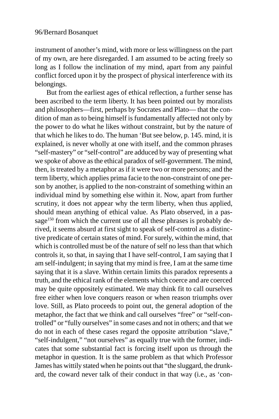instrument of another's mind, with more or less willingness on the part of my own, are here disregarded. I am assumed to be acting freely so long as I follow the inclination of my mind, apart from any painful conflict forced upon it by the prospect of physical interference with its belongings.

But from the earliest ages of ethical reflection, a further sense has been ascribed to the term liberty. It has been pointed out by moralists and philosophers—first, perhaps by Socrates and Plato— that the condition of man as to being himself is fundamentally affected not only by the power to do what he likes without constraint, but by the nature of that which he likes to do. The human 'But see below, p. 145. mind, it is explained, is never wholly at one with itself, and the common phrases "self-mastery" or "self-control" are adduced by way of presenting what we spoke of above as the ethical paradox of self-government. The mind, then, is treated by a metaphor as if it were two or more persons; and the term liberty, which applies prima facie to the non-constraint of one person by another, is applied to the non-constraint of something within an individual mind by something else within it. Now, apart from further scrutiny, it does not appear why the term liberty, when thus applied, should mean anything of ethical value. As Plato observed, in a passage<sup>150</sup> from which the current use of all these phrases is probably derived, it seems absurd at first sight to speak of self-control as a distinctive predicate of certain states of mind. For surely, within the mind, that which is controlled must be of the nature of self no less than that which controls it, so that, in saying that I have self-control, I am saying that I am self-indulgent; in saying that my mind is free, I am at the same time saying that it is a slave. Within certain limits this paradox represents a truth, and the ethical rank of the elements which coerce and are coerced may be quite oppositely estimated. We may think fit to call ourselves free either when love conquers reason or when reason triumphs over love. Still, as Plato proceeds to point out, the general adoption of the metaphor, the fact that we think and call ourselves "free" or "self-controlled" or "fully ourselves" in some cases and not in others; and that we do not in each of these cases regard the opposite attribution "slave," "self-indulgent," "not ourselves" as equally true with the former, indicates that some substantial fact is forcing itself upon us through the metaphor in question. It is the same problem as that which Professor James has wittily stated when he points out that "the sluggard, the drunkard, the coward never talk of their conduct in that way (i.e., as 'con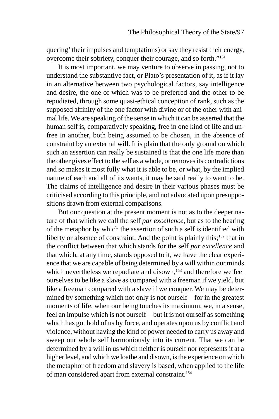quering' their impulses and temptations) or say they resist their energy, overcome their sobriety, conquer their courage, and so forth."151

It is most important, we may venture to observe in passing, not to understand the substantive fact, or Plato's presentation of it, as if it lay in an alternative between two psychological factors, say intelligence and desire, the one of which was to be preferred and the other to be repudiated, through some quasi-ethical conception of rank, such as the supposed affinity of the one factor with divine or of the other with animal life. We are speaking of the sense in which it can be asserted that the human self is, comparatively speaking, free in one kind of life and unfree in another, both being assumed to be chosen, in the absence of constraint by an external will. It is plain that the only ground on which such an assertion can really be sustained is that the one life more than the other gives effect to the self as a whole, or removes its contradictions and so makes it most fully what it is able to be, or what, by the implied nature of each and all of its wants, it may be said really to want to be. The claims of intelligence and desire in their various phases must be criticised according to this principle, and not advocated upon presuppositions drawn from external comparisons.

But our question at the present moment is not as to the deeper nature of that which we call the self *par excellence*, but as to the bearing of the metaphor by which the assertion of such a self is identified with liberty or absence of constraint. And the point is plainly this;<sup>152</sup> that in the conflict between that which stands for the self *par excellence* and that which, at any time, stands opposed to it, we have the clear experience that we are capable of being determined by a will within our minds which nevertheless we repudiate and disown,<sup>153</sup> and therefore we feel ourselves to be like a slave as compared with a freeman if we yield, but like a freeman compared with a slave if we conquer. We may be determined by something which not only is not ourself—for in the greatest moments of life, when our being touches its maximum, we, in a sense, feel an impulse which is not ourself—but it is not ourself as something which has got hold of us by force, and operates upon us by conflict and violence, without having the kind of power needed to carry us away and sweep our whole self harmoniously into its current. That we can be determined by a will in us which neither is ourself nor represents it at a higher level, and which we loathe and disown, is the experience on which the metaphor of freedom and slavery is based, when applied to the life of man considered apart from external constraint.<sup>154</sup>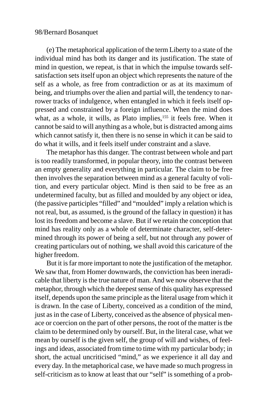(e) The metaphorical application of the term Liberty to a state of the individual mind has both its danger and its justification. The state of mind in question, we repeat, is that in which the impulse towards selfsatisfaction sets itself upon an object which represents the nature of the self as a whole, as free from contradiction or as at its maximum of being, and triumphs over the alien and partial will, the tendency to narrower tracks of indulgence, when entangled in which it feels itself oppressed and constrained by a foreign influence. When the mind does what, as a whole, it wills, as Plato implies,<sup>155</sup> it feels free. When it cannot be said to will anything as a whole, but is distracted among aims which cannot satisfy it, then there is no sense in which it can be said to do what it wills, and it feels itself under constraint and a slave.

The metaphor has this danger. The contrast between whole and part is too readily transformed, in popular theory, into the contrast between an empty generality and everything in particular. The claim to be free then involves the separation between mind as a general faculty of volition, and every particular object. Mind is then said to be free as an undetermined faculty, but as filled and moulded by any object or idea, (the passive participles "filled" and "moulded" imply a relation which is not real, but, as assumed, is the ground of the fallacy in question) it has lost its freedom and become a slave. But if we retain the conception that mind has reality only as a whole of determinate character, self-determined through its power of being a self, but not through any power of creating particulars out of nothing, we shall avoid this caricature of the higher freedom.

But it is far more important to note the justification of the metaphor. We saw that, from Homer downwards, the conviction has been ineradicable that liberty is the true nature of man. And we now observe that the metaphor, through which the deepest sense of this quality has expressed itself, depends upon the same principle as the literal usage from which it is drawn. In the case of Liberty, conceived as a condition of the mind, just as in the case of Liberty, conceived as the absence of physical menace or coercion on the part of other persons, the root of the matter is tbe claim to be determined only by ourself. But, in the literal case, what we mean by ourself is the given self, the group of will and wishes, of feelings and ideas, associated from time to time with my particular body; in short, the actual uncriticised "mind," as we experience it all day and every day. In the metaphorical case, we have made so much progress in self-criticism as to know at least that our "self" is something of a prob-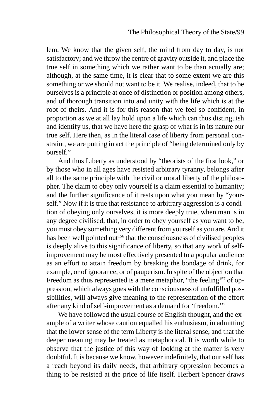lem. We know that the given self, the mind from day to day, is not satisfactory; and we throw the centre of gravity outside it, and place the true self in something which we rather want to be than actually are; although, at the same time, it is clear that to some extent we are this something or we should not want to be it. We realise, indeed, that to be ourselves is a principle at once of distinction or position among others, and of thorough transition into and unity with the life which is at the root of theirs. And it is for this reason that we feel so confident, in proportion as we at all lay hold upon a life which can thus distinguish and identify us, that we have here the grasp of what is in its nature our true self. Here then, as in the literal case of liberty from personal constraint, we are putting in act the principle of "being determined only by ourself."

And thus Liberty as understood by "theorists of the first look," or by those who in all ages have resisted arbitrary tyranny, belongs after all to the same principle with the civil or moral liberty of the philosopher. The claim to obey only yourself is a claim essential to humanity; and the further significance of it rests upon what you mean by "yourself." Now if it is true that resistance to arbitrary aggression is a condition of obeying only ourselves, it is more deeply true, when man is in any degree civilised, that, in order to obey yourself as you want to be, you must obey something very different from yourself as you are. And it has been well pointed out<sup>156</sup> that the consciousness of civilised peoples is deeply alive to this significance of liberty, so that any work of selfimprovement may be most effectively presented to a popular audience as an effort to attain freedom by breaking the bondage of drink, for example, or of ignorance, or of pauperism. In spite of the objection that Freedom as thus represented is a mere metaphor, "the feeling<sup>157</sup> of oppression, which always goes with the consciousness of unfulfilled possibilities, will always give meaning to the representation of the effort after any kind of self-improvement as a demand for 'freedom.'"

We have followed the usual course of English thought, and the example of a writer whose caution equalled his enthusiasm, in admitting that the lower sense of the term Liberty is the literal sense, and that the deeper meaning may be treated as metaphorical. It is worth while to observe that the justice of this way of looking at the matter is very doubtful. It is because we know, however indefinitely, that our self has a reach beyond its daily needs, that arbitrary oppression becomes a thing to be resisted at the price of life itself. Herbert Spencer draws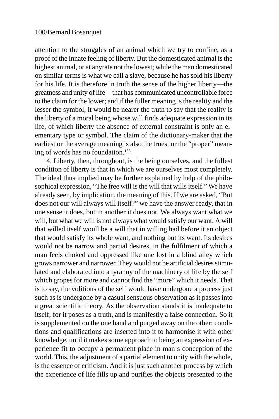attention to the struggles of an animal which we try to confine, as a proof of the innate feeling of liberty. But the domesticated animal is the highest animal, or at anyrate not the lowest; while the man domesticated on similar terms is what we call a slave, because he has sold his liberty for his life. It is therefore in truth the sense of the higher liberty—the greatness and unity of life—that has communicated uncontrollable force to the claim for the lower; and if the fuller meaning is the reality and the lesser the symbol, it would be nearer the truth to say that the reality is the liberty of a moral being whose will finds adequate expression in its life, of which liberty the absence of external constraint is only an elementary type or symbol. The claim of the dictionary-maker that the earliest or the average meaning is also the truest or the "proper" meaning of words has no foundation.158

4. Liberty, then, throughout, is the being ourselves, and the fullest condition of liberty is that in which we are ourselves most completely. The ideal thus implied may be further explained by help of the philosophical expression, "The free will is the will that wills itself." We have already seen, by implication, the meaning of this. If we are asked, "But does not our will always will itself?" we have the answer ready, that in one sense it does, but in another it does not. We always want what we will, but what we will is not always what would satisfy our want. A will that willed itself woull be a will that in willing had before it an object that would satisfy its whole want, and nothing but its want. Its desires would not be narrow and partial desires, in the fulfilment of which a man feels choked and oppressed like one lost in a blind alley which grows narrower and narrower. They would not be artificial desires stimulated and elaborated into a tyranny of the machinery of life by the self which gropes for more and cannot find the "more" which it needs. That is to say, the volitions of the self would have undergone a process just such as is undergone by a casual sensuous observation as it passes into a great scientific theory. As the observation stands it is inadequate to itself; for it poses as a truth, and is manifestly a false connection. So it is supplemented on the one hand and purged away on the other; conditions and qualifications are inserted into it to harmonise it with other knowledge, until it makes some approach to being an expression of experience fit to occupy a permanent place in man s conception of the world. This, the adjustment of a partial element to unity with the whole, is the essence of criticism. And it is just such another process by which the experience of life fills up and purifies the objects presented to the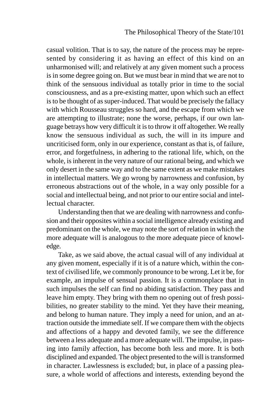casual volition. That is to say, the nature of the process may be represented by considering it as having an effect of this kind on an unharmonised will; and relatively at any given moment such a process is in some degree going on. But we must bear in mind that we are not to think of the sensuous individual as totally prior in time to the social consciousness, and as a pre-existing matter, upon which such an effect is to be thought of as super-induced. That would be precisely the fallacy with which Rousseau struggles so hard, and the escape from which we are attempting to illustrate; none the worse, perhaps, if our own language betrays how very difficult it is to throw it off altogether. We really know the sensuous individual as such, the will in its impure and uncriticised form, only in our experience, constant as that is, of failure, error, and forgetfulness, in adhering to the rational life, which, on the whole, is inherent in the very nature of our rational being, and which we only desert in the same way and to the same extent as we make mistakes in intellectual matters. We go wrong by narrowness and confusion, by erroneous abstractions out of the whole, in a way only possible for a social and intellectual being, and not prior to our entire social and intellectual character.

Understanding then that we are dealing with narrowness and confusion and their opposites within a social intelligence already existing and predominant on the whole, we may note the sort of relation in which the more adequate will is analogous to the more adequate piece of knowledge.

Take, as we said above, the actual casual will of any individual at any given moment, especially if it is of a nature which, within the context of civilised life, we commonly pronounce to be wrong. Let it be, for example, an impulse of sensual passion. It is a commonplace that in such impulses the self can find no abiding satisfaction. They pass and leave him empty. They bring with them no opening out of fresh possibilities, no greater stability to the mind. Yet they have their meaning, and belong to human nature. They imply a need for union, and an attraction outside the immediate self. If we compare them with the objects and affections of a happy and devoted family, we see the difference between a less adequate and a more adequate will. The impulse, in passing into family affection, has become both less and more. It is both disciplined and expanded. The object presented to the will is transformed in character. Lawlessness is excluded; but, in place of a passing pleasure, a whole world of affections and interests, extending beyond the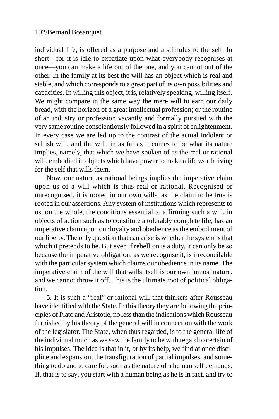individual life, is offered as a purpose and a stimulus to the self. In short—for it is idle to expatiate upon what everybody recognises at once—you can make a life out of the one, and you cannot out of the other. In the family at its best the will has an object which is real and stable, and which corresponds to a great part of its own possibilities and capacities. In willing this object, it is, relatively speaking, willing itself. We might compare in the same way the mere will to earn our daily bread, with the horizon of a great intellectual profession; or the routine of an industry or profession vacantly and formally pursued with the very same routine conscientiously followed in a spirit of enlightenment. In every case we are led up to the contrast of the actual indolent or selfish will, and the will, in as far as it comes to be what its nature implies, namely, that which we have spoken of as the real or rational will, embodied in objects which have power to make a life worth living for the self that wills them.

Now, our nature as rational beings implies the imperative claim upon us of a will which is thus real or rational. Recognised or unrecognised, it is rooted in our own wills, as the claim to be true is rooted in our assertions. Any system of institutions which represents to us, on the whole, the conditions essential to affirming such a will, in objects of action such as to constitute a tolerably complete life, has an imperative claim upon our loyalty and obedience as the embodiment of our liberty. The only question that can arise is whether the system is that which it pretends to be. But even if rebellion is a duty, it can only be so because the imperative obligation, as we recognise it, is irreconcilable with the particular system which claims our obedience in its name. The imperative claim of the will that wills itself is our own inmost nature, and we cannot throw it off. This is the ultimate root of political obligation.

5. It is such a "real" or rational will that thinkers after Rousseau have identified with the State. In this theory they are following the principles of Plato and Aristotle, no less than the indications which Rousseau furnished by his theory of the general will in connection with the work of the legislator. The State, when thus regarded, is to the general life of the individual much as we saw the family to be with regard to certain of his impulses. The idea is that in it, or by its help, we find at once discipline and expansion, the transfiguration of partial impulses, and something to do and to care for, such as the nature of a human self demands. If, that is to say, you start with a human being as he is in fact, and try to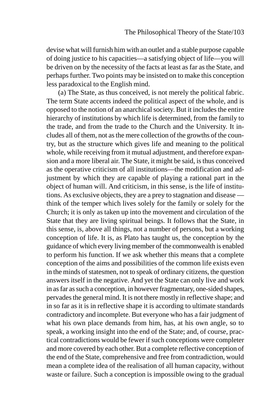devise what will furnish him with an outlet and a stable purpose capable of doing justice to his capacities—a satisfying object of life—you will be driven on by the necessity of the facts at least as far as the State, and perhaps further. Two points may be insisted on to make this conception less paradoxical to the English mind.

(a) The State, as thus conceived, is not merely the political fabric. The term State accents indeed the political aspect of the whole, and is opposed to the notion of an anarchical society. But it includes the entire hierarchy of institutions by which life is determined, from the family to the trade, and from the trade to the Church and the University. It includes all of them, not as the mere collection of the growths of the country, but as the structure which gives life and meaning to the political whole, while receiving from it mutual adjustment, and therefore expansion and a more liberal air. The State, it might be said, is thus conceived as the operative criticism of all institutions—the modification and adjustment by which they are capable of playing a rational part in the object of human will. And criticism, in this sense, is the life of institutions. As exclusive objects, they are a prey to stagnation and disease think of the temper which lives solely for the family or solely for the Church; it is only as taken up into the movement and circulation of the State that they are living spiritual beings. It follows that the State, in this sense, is, above all things, not a number of persons, but a working conception of life. It is, as Plato has taught us, the conception by the guidance of which every living member of the commonwealth is enabled to perform his function. If we ask whether this means that a complete conception of the aims and possibilities of the common life exists even in the minds of statesmen, not to speak of ordinary citizens, the question answers itself in the negative. And yet the State can only live and work in as far as such a conception, in however fragmentary, one-sided shapes, pervades the general mind. It is not there mostly in reflective shape; and in so far as it is in reflective shape it is according to ultimate standards contradictory and incomplete. But everyone who has a fair judgment of what his own place demands from him, has, at his own angle, so to speak, a working insight into the end of the State; and, of course, practical contradictions would be fewer if such conceptions were completer and more covered by each other. But a complete reflective conception of the end of the State, comprehensive and free from contradiction, would mean a complete idea of the realisation of all human capacity, without waste or failure. Such a conception is impossible owing to the gradual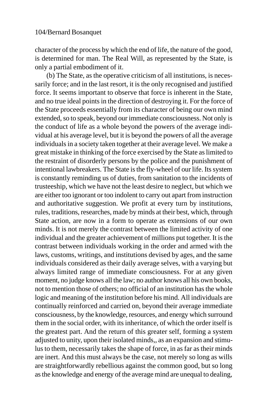character of the process by which the end of life, the nature of the good, is determined for man. The Real Will, as represented by the State, is only a partial embodiment of it.

(b) The State, as the operative criticism of all institutions, is necessarily force; and in the last resort, it is the only recognised and justified force. It seems important to observe that force is inherent in the State, and no true ideal points in the direction of destroying it. For the force of the State proceeds essentially from its character of being our own mind extended, so to speak, beyond our immediate consciousness. Not only is the conduct of life as a whole beyond the powers of the average individual at his average level, but it is beyond the powers of all the average individuals in a society taken together at their average level. We make a great mistake in thinking of the force exercised by the State as limited to the restraint of disorderly persons by the police and the punishment of intentional lawbreakers. The State is the fly-wheel of our life. Its system is constantly reminding us of duties, from sanitation to the incidents of trusteeship, which we have not the least desire to neglect, but which we are either too ignorant or too indolent to carry out apart from instruction and authoritative suggestion. We profit at every turn by institutions, rules, traditions, researches, made by minds at their best, which, through State action, are now in a form to operate as extensions of our own minds. It is not merely the contrast between the limited activity of one individual and the greater achievement of millions put together. It is the contrast between individuals working in the order and armed with the laws, customs, writings, and institutions devised by ages, and the same individuals considered as their daily average selves, with a varying but always limited range of immediate consciousness. For at any given moment, no judge knows all the law; no author knows all his own books, not to mention those of others; no official of an institution has the whole logic and meaning of the institution before his mind. All individuals are continually reinforced and carried on, beyond their average immediate consciousness, by the knowledge, resources, and energy which surround them in the social order, with its inheritance, of which the order itself is the greatest part. And the return of this greater self, forming a system adjusted to unity, upon their isolated minds,, as an expansion and stimulus to them, necessarily takes the shape of force, in as far as their minds are inert. And this must always be the case, not merely so long as wills are straightforwardly rebellious against the common good, but so long as the knowledge and energy of the average mind are unequal to dealing,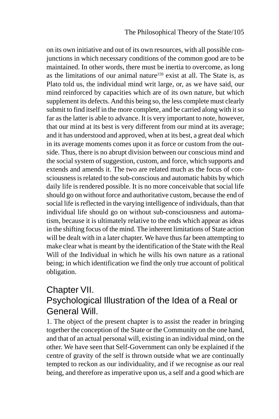on its own initiative and out of its own resources, with all possible conjunctions in which necessary conditions of the common good are to be maintained. In other words, there must be inertia to overcome, as long as the limitations of our animal nature<sup>159</sup> exist at all. The State is, as Plato told us, the individual mind writ large, or, as we have said, our mind reinforced by capacities which are of its own nature, but which supplement its defects. And this being so, the less complete must clearly submit to find itself in the more complete, and be carried along with it so far as the latter is able to advance. It is very important to note, however, that our mind at its best is very different from our mind at its average; and it has understood and approved, when at its best, a great deal which in its average moments comes upon it as force or custom from the outside. Thus, there is no abrupt division between our conscious mind and the social system of suggestion, custom, and force, which supports and extends and amends it. The two are related much as the focus of consciousness is related to the sub-conscious and automatic habits by which daily life is rendered possible. It is no more conceivable that social life should go on without force and authoritative custom, because the end of social life is reflected in the varying intelligence of individuals, than that individual life should go on without sub-consciousness and automatism, because it is ultimately relative to the ends which appear as ideas in the shifting focus of the mind. The inherent limitations of State action will be dealt with in a later chapter. We have thus far been attempting to make clear what is meant by the identification of the State with the Real Will of the Individual in which he wills his own nature as a rational being; in which identification we find the only true account of political obligation.

## Chapter VII. Psychological Illustration of the Idea of a Real or General Will.

1. The object of the present chapter is to assist the reader in bringing together the conception of the State or the Community on the one hand, and that of an actual personal will, existing in an individual mind, on the other. We have seen that Self-Government can only be explained if the centre of gravity of the self is thrown outside what we are continually tempted to reckon as our individuality, and if we recognise as our real being, and therefore as imperative upon us, a self and a good which are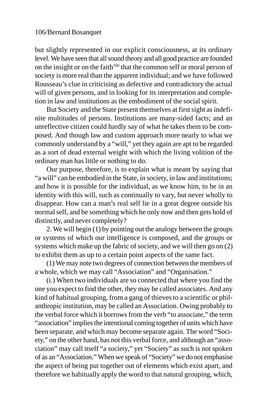but slightly represented in our explicit consciousness, at its ordinary level. We have seen that all sound theory and all good practice are founded on the insight or on the faith<sup>160</sup> that the common self or moral person of society is more real than the apparent individual; and we have followed Rousseau's clue in criticising as defective and contradictory the actual will of given persons, and in looking for its interpretation and completion in law and institutions as the embodiment of the social spirit.

But Society and the State present themselves at first sight as indefinite multitudes of persons. Institutions are many-sided facts; and an unreflective citizen could hardly say of what he takes them to be composed. And though law and custom approach more nearly to what we commonly understand by a "will," yet they again are apt to be regarded as a sort of dead external weight with which the living volition of the ordinary man has little or nothing to do.

Our purpose, therefore, is to explain what is meant by saying that "a will" can be embodied in the State, in society, in law and institutions; and how it is possible for the individual, as we know him, to be in an identity with this will, such as continually to vary, but never wholly to disappear. How can a man's real self lie in a great degree outside his normal self, and be something which he only now and then gets hold of distinctly, and never completely?

2. We will begin (1) by pointing out the analogy between the groups or systems of which our intelligence is composed, and the groups or systems which make up the fabric of society, and we will then go on (2) to exhibit them as up to a certain point aspects of the same fact.

(1) We may note two degrees of connection between the members of a whole, which we may call "Association" and "Organisation."

(i.) When two individuals are so connected that where you find the one you expect to find the other, they may be called associates. And any kind of habitual grouping, from a gang of thieves to a scientific or philanthropic institution, may be called an Association. Owing probably to the verbal force which it borrows from the verb "to associate," the term "association" implies the intentional coming together of units which have been separate, and which may become separate again. The word "Society," on the other hand, has not this verbal force, and although an "association" may call itself "a society," yet "Society" as such is not spoken of as an "Association." When we speak of "Society" we do not emphasise the aspect of being put together out of elements which exist apart, and therefore we habitually apply the word to that natural grouping, which,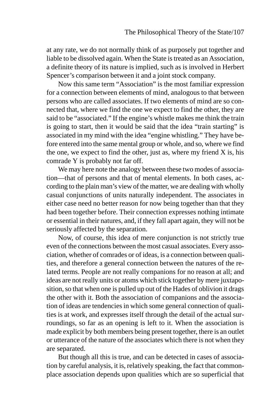at any rate, we do not normally think of as purposely put together and liable to be dissolved again. When the State is treated as an Association, a definite theory of its nature is implied, such as is involved in Herbert Spencer's comparison between it and a joint stock company.

Now this same term "Association" is the most familiar expression for a connection between elements of mind, analogous to that between persons who are called associates. If two elements of mind are so connected that, where we find the one we expect to find the other, they are said to be "associated." If the engine's whistle makes me think the train is going to start, then it would be said that the idea "train starting" is associated in my mind with the idea "engine whistling." They have before entered into the same mental group or whole, and so, where we find the one, we expect to find the other, just as, where my friend  $X$  is, his comrade Y is probably not far off.

We may here note the analogy between these two modes of association—that of persons and that of mental elements. In both cases, according to the plain man's view of the matter, we are dealing with wholly casual conjunctions of units naturally independent. The associates in either case need no better reason for now being together than that they had been together before. Their connection expresses nothing intimate or essential in their natures, and, if they fall apart again, they will not be seriously affected by the separation.

Now, of course, this idea of mere conjunction is not strictly true even of the connections between the most casual associates. Every association, whether of comrades or of ideas, is a connection between qualities, and therefore a general connection between the natures of the related terms. People are not really companions for no reason at all; and ideas are not really units or atoms which stick together by mere juxtaposition, so that when one is pulled up out of the Hades of oblivion it drags the other with it. Both the association of companions and the association of ideas are tendencies in which some general connection of qualities is at work, and expresses itself through the detail of the actual surroundings, so far as an opening is left to it. When the association is made explicit by both members being present together, there is an outlet or utterance of the nature of the associates which there is not when they are separated.

But though all this is true, and can be detected in cases of association by careful analysis, it is, relatively speaking, the fact that commonplace association depends upon qualities which are so superficial that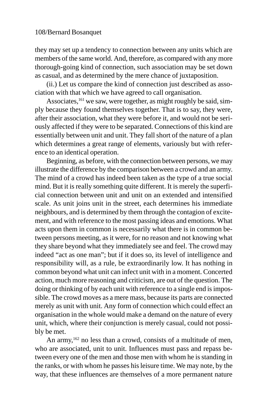they may set up a tendency to connection between any units which are members of the same world. And, therefore, as compared with any more thorough-going kind of connection, such association may be set down as casual, and as determined by the mere chance of juxtaposition.

(ii.) Let us compare the kind of connection just described as association with that which we have agreed to call organisation.

Associates,<sup>161</sup> we saw, were together, as might roughly be said, simply because they found themselves together. That is to say, they were, after their association, what they were before it, and would not be seriously affected if they were to be separated. Connections of this kind are essentially between unit and unit. They fall short of the nature of a plan which determines a great range of elements, variously but with reference to an identical operation.

Beginning, as before, with the connection between persons, we may illustrate the difference by the comparison between a crowd and an army. The mind of a crowd has indeed been taken as the type of a true social mind. But it is really something quite different. It is merely the superficial connection between unit and unit on an extended and intensified scale. As unit joins unit in the street, each determines his immediate neighbours, and is determined by them through the contagion of excitement, and with reference to the most passing ideas and emotions. What acts upon them in common is necessarily what there is in common between persons meeting, as it were, for no reason and not knowing what they share beyond what they immediately see and feel. The crowd may indeed "act as one man"; but if it does so, its level of intelligence and responsibility will, as a rule, be extraordinarily low. It has nothing in common beyond what unit can infect unit with in a moment. Concerted action, much more reasoning and criticism, are out of the question. The doing or thinking of by each unit with reference to a single end is impossible. The crowd moves as a mere mass, because its parts are connected merely as unit with unit. Any form of connection which could effect an organisation in the whole would make a demand on the nature of every unit, which, where their conjunction is merely casual, could not possibly be met.

An army,<sup>162</sup> no less than a crowd, consists of a multitude of men, who are associated, unit to unit. Influences must pass and repass between every one of the men and those men with whom he is standing in the ranks, or with whom he passes his leisure time. We may note, by the way, that these influences are themselves of a more permanent nature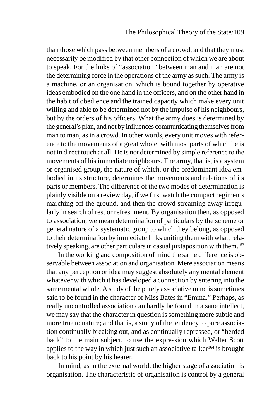than those which pass between members of a crowd, and that they must necessarily be modified by that other connection of which we are about to speak. For the links of "association" between man and man are not the determining force in the operations of the army as such. The army is a machine, or an organisation, which is bound together by operative ideas embodied on the one hand in the officers, and on the other hand in the habit of obedience and the trained capacity which make every unit willing and able to be determined not by the impulse of his neighbours, but by the orders of his officers. What the army does is determined by the general's plan, and not by influences communicating themselves from man to man, as in a crowd. In other words, every unit moves with reference to the movements of a great whole, with most parts of which he is not in direct touch at all. He is not determined by simple reference to the movements of his immediate neighbours. The army, that is, is a system or organised group, the nature of which, or the predominant idea embodied in its structure, determines the movements and relations of its parts or members. The difference of the two modes of determination is plainly visible on a review day, if we first watch the compact regiments marching off the ground, and then the crowd streaming away irregularly in search of rest or refreshment. By organisation then, as opposed to association, we mean determination of particulars by the scheme or general nature of a systematic group to which they belong, as opposed to their determination by immediate links uniting them with what, relatively speaking, are other particulars in casual juxtaposition with them.<sup>163</sup>

In the working and composition of mind the same difference is observable between association and organisation. Mere association means that any perception or idea may suggest absolutely any mental element whatever with which it has developed a connection by entering into the same mental whole. A study of the purely associative mind is sometimes said to be found in the character of Miss Bates in "Emma." Perhaps, as really uncontrolled association can hardly be found in a sane intellect, we may say that the character in question is something more subtle and more true to nature; and that is, a study of the tendency to pure association continually breaking out, and as continually repressed, or "herded back" to the main subject, to use the expression which Walter Scott applies to the way in which just such an associative talker<sup>164</sup> is brought back to his point by his hearer.

In mind, as in the external world, the higher stage of association is organisation. The characteristic of organisation is control by a general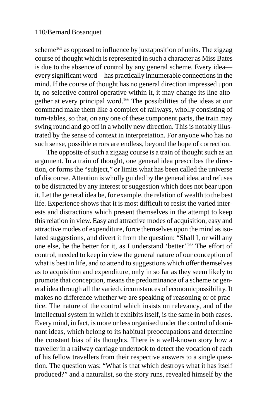scheme<sup>165</sup> as opposed to influence by juxtaposition of units. The zigzag course of thought which is represented in such a character as Miss Bates is due to the absence of control by any general scheme. Every idea every significant word—has practically innumerable connections in the mind. If the course of thought has no general direction impressed upon it, no selective control operative within it, it may change its line altogether at every principal word.166 The possibilities of the ideas at our command make them like a complex of railways, wholly consisting of turn-tables, so that, on any one of these component parts, the train may swing round and go off in a wholly new direction. This is notably illustrated by the sense of context in interpretation. For anyone who has no such sense, possible errors are endless, beyond the hope of correction.

The opposite of such a zigzag course is a train of thought such as an argument. In a train of thought, one general idea prescribes the direction, or forms the "subject," or limits what has been called the universe of discourse. Attention is wholly guided by the general idea, and refuses to be distracted by any interest or suggestion which does not bear upon it. Let the general idea be, for example, the relation of wealth to the best life. Experience shows that it is most difficult to resist the varied interests and distractions which present themselves in the attempt to keep this relation in view. Easy and attractive modes of acquisition, easy and attractive modes of expenditure, force themselves upon the mind as isolated suggestions, and divert it from the question: "Shall I, or will any one else, be the better for it, as I understand 'better'?" The effort of control, needed to keep in view the general nature of our conception of what is best in life, and to attend to suggestions which offer themselves as to acquisition and expenditure, only in so far as they seem likely to promote that conception, means the predominance of a scheme or general idea through all the varied circumstances of economicpossibility. It makes no difference whether we are speaking of reasoning or of practice. The nature of the control which insists on relevancy, and of the intellectual system in which it exhibits itself, is the same in both cases. Every mind, in fact, is more or less organised under the control of dominant ideas, which belong to its habitual preoccupations and determine the constant bias of its thoughts. There is a well-known story how a traveller in a railway carriage undertook to detect the vocation of each of his fellow travellers from their respective answers to a single question. The question was: "What is that which destroys what it has itself produced?" and a naturalist, so the story runs, revealed himself by the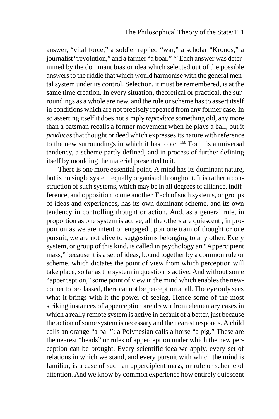answer, "vital force," a soldier replied "war," a scholar "Kronos," a journalist "revolution," and a farmer "a boar."<sup>167</sup> Each answer was determined by the dominant bias or idea which selected out of the possible answers to the riddle that which would harmonise with the general mental system under its control. Selection, it must be remembered, is at the same time creation. In every situation, theoretical or practical, the surroundings as a whole are new, and the rule or scheme has to assert itself in conditions which are not precisely repeated from any former case. In so asserting itself it does not simply *reproduce* something old, any more than a batsman recalls a former movement when he plays a ball, but it *produces* that thought or deed which expresses its nature with reference to the new surroundings in which it has to act.<sup>168</sup> For it is a universal tendency, a scheme partly defined, and in process of further defining itself by moulding the material presented to it.

There is one more essential point. A mind has its dominant nature, but is no single system equally organised throughout. It is rather a construction of such systems, which may be in all degrees of alliance, indifference, and opposition to one another. Each of such systems, or groups of ideas and experiences, has its own dominant scheme, and its own tendency in controlling thought or action. And, as a general rule, in proportion as one system is active, all the others are quiescent ; in proportion as we are intent or engaged upon one train of thought or one pursuit, we are not alive to suggestions belonging to any other. Every system, or group of this kind, is called in psychology an "Appercipient mass," because it is a set of ideas, bound together by a common rule or scheme, which dictates the point of view from which perception will take place, so far as the system in question is active. And without some "apperception," some point of view in the mind which enables the newcomer to be classed, there cannot be perception at all. The eye only sees what it brings with it the power of seeing. Hence some of the most striking instances of apperception are drawn from elementary cases in which a really remote system is active in default of a better, just because the action of some system is necessary and the nearest responds. A child calls an orange "a ball"; a Polynesian calls a horse "a pig." These are the nearest "heads" or rules of apperception under which the new perception can be brought. Every scientific idea we apply, every set of relations in which we stand, and every pursuit with which the mind is familiar, is a case of such an appercipient mass, or rule or scheme of attention. And we know by common experience how entirely quiescent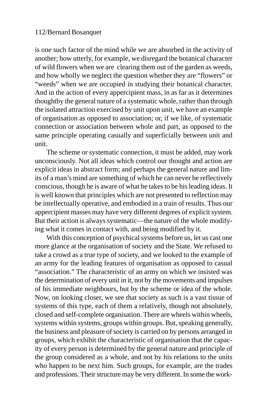#### 112/Bernard Bosanquet

is one such factor of the mind while we are absorbed in the activity of another; how utterly, for example, we disregard the botanical character of wild flowers when we are clearing them out of the garden as weeds, and how wholly we neglect the question whether they are "flowers" or "weeds" when we are occupied in studying their botanical character. And in the action of every appercipient mass, in as far as it determines thoughtby the general nature of a systematic whole, rather than through the isolated attraction exercised by unit upon unit, we have an example of organisation as opposed to association; or, if we like, of systematic connection or association between whole and part, as opposed to the same principle operating casually and superficially between unit and unit.

The scheme or systematic connection, it must be added, may work unconsciously. Not all ideas which control our thought and action are explicit ideas in abstract form; and perhaps the general nature and limits of a man's mind are something of which he can never be reflectively conscious, though he is aware of what he takes to be his leading ideas. It is well known that principles which are not presented to reflection may be intellectually operative, and embodied in a train of results. Thus our appercipient masses may have very different degrees of explicit system. But their action is always systematic—the nature of the whole modifying what it comes in contact with, and being modified by it.

With this conception of psychical systems before us, let us cast one more glance at the organisation of society and the State. We refused to take a crowd as a true type of society, and we looked to the example of an army for the leading features of organisation as opposed to casual "association." The characteristic of an army on which we insisted was the determination of every unit in it, not by the movements and impulses of his immediate neighbours, but by the scheme or idea of the whole. Now, on looking closer, we see that society as such is a vast tissue of systems of this type, each of them a relatively, though not absolutely, closed and self-complete organisation. There are wheels within wheels, systems within systems, groups within groups. But, speaking generally, the business and pleasure of society is carried on by persons arranged in groups, which exhibit the characteristic of organisation that the capacity of every person is determined by the general nature and principle of the group considered as a whole, and not by his relations to the units who happen to be next him. Such groups, for example, are the trades and professions. Their structure may be very different. In some the work-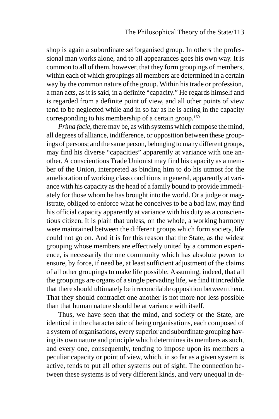shop is again a subordinate selforganised group. In others the professional man works alone, and to all appearances goes his own way. It is common to all of them, however, that they form groupings of members, within each of which groupings all members are determined in a certain way by the common nature of the group. Within his trade or profession, a man acts, as it is said, in a definite "capacity." He regards himself and is regarded from a definite point of view, and all other points of view tend to be neglected while and in so far as he is acting in the capacity corresponding to his membership of a certain group.<sup>169</sup>

*Prima facie*, there may be, as with systems which compose the mind, all degrees of alliance, indifference, or opposition between these groupings of persons; and the same person, belonging to many different groups, may find his diverse "capacities" apparently at variance with one another. A conscientious Trade Unionist may find his capacity as a member of the Union, interpreted as binding him to do his utmost for the amelioration of working class conditions in general, apparently at variance with his capacity as the head of a family bound to provide immediately for those whom he has brought into the world. Or a judge or magistrate, obliged to enforce what he conceives to be a bad law, may find his official capacity apparently at variance with his duty as a conscientious citizen. It is plain that unless, on the whole, a working harmony were maintained between the different groups which form society, life could not go on. And it is for this reason that the State, as the widest grouping whose members are effectively united by a common experience, is necessarily the one community which has absolute power to ensure, by force, if need be, at least sufficient adjustment of the claims of all other groupings to make life possible. Assuming, indeed, that all the groupings are organs of a single pervading life, we find it incredible that there should ultimately be irreconcilable opposition between them. That they should contradict one another is not more nor less possible than that human nature should be at variance with itself.

Thus, we have seen that the mind, and society or the State, are identical in the characteristic of being organisations, each composed of a system of organisations, every superior and subordinate grouping having its own nature and principle which determines its members as such, and every one, consequently, tending to impose upon its members a peculiar capacity or point of view, which, in so far as a given system is active, tends to put all other systems out of sight. The connection between these systems is of very different kinds, and very unequal in de-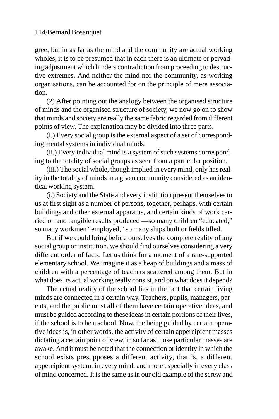gree; but in as far as the mind and the community are actual working wholes, it is to be presumed that in each there is an ultimate or pervading adjustment which hinders contradiction from proceeding to destructive extremes. And neither the mind nor the community, as working organisations, can be accounted for on the principle of mere association.

(2) After pointing out the analogy between the organised structure of minds and the organised structure of society, we now go on to show that minds and society are really the same fabric regarded from different points of view. The explanation may be divided into three parts.

(i.) Every social group is the external aspect of a set of corresponding mental systems in individual minds.

(ii.) Every individual mind is a system of such systems corresponding to the totality of social groups as seen from a particular position.

(iii.) The social whole, though implied in every mind, only has reality in the totality of minds in a given community considered as an identical working system.

(i.) Society and the State and every institution present themselves to us at first sight as a number of persons, together, perhaps, with certain buildings and other external apparatus, and certain kinds of work carried on and tangible results produced —so many children "educated," so many workmen "employed," so many ships built or fields tilled.

But if we could bring before ourselves the complete reality of any social group or institution, we should find ourselves considering a very different order of facts. Let us think for a moment of a rate-supported elementary school. We imagine it as a heap of buildings and a mass of children with a percentage of teachers scattered among them. But in what does its actual working really consist, and on what does it depend?

The actual reality of the school lies in the fact that certain living minds are connected in a certain way. Teachers, pupils, managers, parents, and the public must all of them have certain operative ideas, and must be guided according to these ideas in certain portions of their lives, if the school is to be a school. Now, the being guided by certain operative ideas is, in other words, the activity of certain appercipient masses dictating a certain point of view, in so far as those particular masses are awake. And it must be noted that the connection or identity in which the school exists presupposes a different activity, that is, a different appercipient system, in every mind, and more especially in every class of mind concerned. It is the same as in our old example of the screw and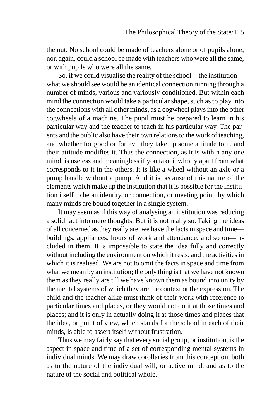the nut. No school could be made of teachers alone or of pupils alone; nor, again, could a school be made with teachers who were all the same, or with pupils who were all the same.

So, if we could visualise the reality of the school—the institution what we should see would be an identical connection running through a number of minds, various and variously conditioned. But within each mind the connection would take a particular shape, such as to play into the connections with all other minds, as a cogwheel plays into the other cogwheels of a machine. The pupil must be prepared to learn in his particular way and the teacher to teach in his particular way. The parents and the public also have their own relations to the work of teaching, and whether for good or for evil they take up some attitude to it, and their attitude modifies it. Thus the connection, as it is within any one mind, is useless and meaningless if you take it wholly apart from what corresponds to it in the others. It is like a wheel without an axle or a pump handle without a pump. And it is because of this nature of the elements which make up the institution that it is possible for the institution itself to be an identity, or connection, or meeting point, by which many minds are bound together in a single system.

It may seem as if this way of analysing an institution was reducing a solid fact into mere thoughts. But it is not really so. Taking the ideas of all concerned as they really are, we have the facts in space and time buildings, appliances, hours of work and attendance, and so on—included in them. It is impossible to state the idea fully and correctly without including the environment on which it rests, and the activities in which it is realised. We are not to omit the facts in space and time from what we mean by an institution; the only thing is that we have not known them as they really are till we have known them as bound into unity by the mental systems of which they are the context or the expression. The child and the teacher alike must think of their work with reference to particular times and places, or they would not do it at those times and places; and it is only in actually doing it at those times and places that the idea, or point of view, which stands for the school in each of their minds, is able to assert itself without frustration.

Thus we may fairly say that every social group, or institution, is the aspect in space and time of a set of corresponding mental systems in individual minds. We may draw corollaries from this conception, both as to the nature of the individual will, or active mind, and as to the nature of the social and political whole.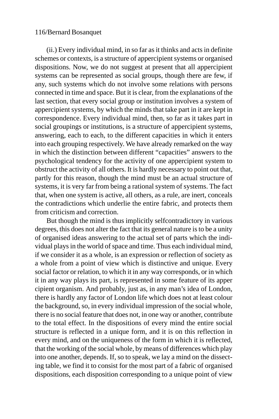### 116/Bernard Bosanquet

(ii.) Every individual mind, in so far as it thinks and acts in definite schemes or contexts, is a structure of appercipient systems or organised dispositions. Now, we do not suggest at present that all appercipient systems can be represented as social groups, though there are few, if any, such systems which do not involve some relations with persons connected in time and space. But it is clear, from the explanations of the last section, that every social group or institution involves a system of appercipient systems, by which the minds that take part in it are kept in correspondence. Every individual mind, then, so far as it takes part in social groupings or institutions, is a structure of appercipient systems, answering, each to each, to the different capacities in which it enters into each grouping respectively. We have already remarked on the way in which the distinction between different "capacities" answers to the psychological tendency for the activity of one appercipient system to obstruct the activity of all others. It is hardly necessary to point out that, partly for this reason, though the mind must be an actual structure of systems, it is very far from being a rational system of systems. The fact that, when one system is active, all others, as a rule, are inert, conceals the contradictions which underlie the entire fabric, and protects them from criticism and correction.

But though the mind is thus implicitly selfcontradictory in various degrees, this does not alter the fact that its general nature is to be a unity of organised ideas answering to the actual set of parts which the individual plays in the world of space and time. Thus each individual mind, if we consider it as a whole, is an expression or reflection of society as a whole from a point of view which is distinctive and unique. Every social factor or relation, to which it in any way corresponds, or in which it in any way plays its part, is represented in some feature of its apper cipient organism. And probably, just as, in any man's idea of London, there is hardly any factor of London life which does not at least colour the background, so, in every individual impression of the social whole, there is no social feature that does not, in one way or another, contribute to the total effect. In the dispositions of every mind the entire social structure is reflected in a unique form, and it is on this reflection in every mind, and on the uniqueness of the form in which it is reflected, that the working of the social whole, by means of differences which play into one another, depends. If, so to speak, we lay a mind on the dissecting table, we find it to consist for the most part of a fabric of organised dispositions, each disposition corresponding to a unique point of view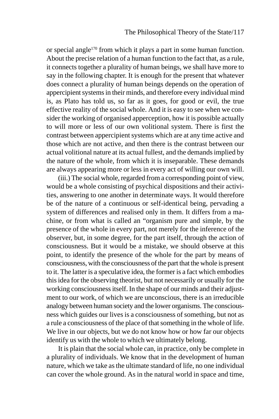or special angle<sup>170</sup> from which it plays a part in some human function. About the precise relation of a human function to the fact that, as a rule, it connects together a plurality of human beings, we shall have more to say in the following chapter. It is enough for the present that whatever does connect a plurality of human beings depends on the operation of appercipient systems in their minds, and therefore every individual mind is, as Plato has told us, so far as it goes, for good or evil, the true effective reality of the social whole. And it is easy to see when we consider the working of organised apperception, how it is possible actually to will more or less of our own volitional system. There is first the contrast between appercipient systems which are at any time active and those which are not active, and then there is the contrast between our actual volitional nature at its actual fullest, and the demands implied by the nature of the whole, from which it is inseparable. These demands are always appearing more or less in every act of willing our own will.

(iii.) The social whole, regarded from a corresponding point of view, would be a whole consisting of psychical dispositions and their activities, answering to one another in determinate ways. It would therefore be of the nature of a continuous or self-identical being, pervading a system of differences and realised only in them. It differs from a machine, or from what is called an "organism pure and simple, by the presence of the whole in every part, not merely for the inference of the observer, but, in some degree, for the part itself, through the action of consciousness. But it would be a mistake, we should observe at this point, to identify the presence of the whole for the part by means of consciousness, with the consciousness of the part that the whole is present to it. The latter is a speculative idea, the former is a fact which embodies this idea for the observing theorist, but not necessarily or usually for the working consciousness itself. In the shape of our minds and their adjustment to our work, of which we are unconscious, there is an irreducible analogy between human society and the lower organisms. The consciousness which guides our lives is a consciousness of something, but not as a rule a consciousness of the place of that something in the whole of life. We live in our objects, but we do not know how or how far our objects identify us with the whole to which we ultimately belong.

It is plain that the social whole can, in practice, only be complete in a plurality of individuals. We know that in the development of human nature, which we take as the ultimate standard of life, no one individual can cover the whole ground. As in the natural world in space and time,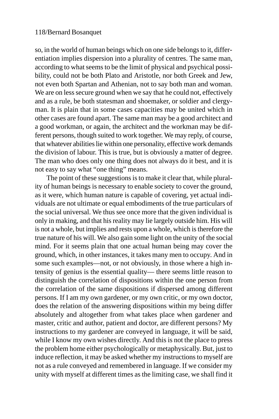#### 118/Bernard Bosanquet

so, in the world of human beings which on one side belongs to it, differentiation implies dispersion into a plurality of centres. The same man, according to what seems to be the limit of physical and psychical possibility, could not be both Plato and Aristotle, nor both Greek and Jew, not even both Spartan and Athenian, not to say both man and woman. We are on less secure ground when we say that he could not, effectively and as a rule, be both statesman and shoemaker, or soldier and clergyman. It is plain that in some cases capacities may be united which in other cases are found apart. The same man may be a good architect and a good workman, or again, the architect and the workman may be different persons, though suited to work together. We may reply, of course, that whatever abilities lie within one personality, effective work demands the division of labour. This is true, but is obviously a matter of degree. The man who does only one thing does not always do it best, and it is not easy to say what "one thing" means.

The point of these suggestions is to make it clear that, while plurality of human beings is necessary to enable society to cover the ground, as it were, which human nature is capable of covering, yet actual individuals are not ultimate or equal embodiments of the true particulars of the social universal. We thus see once more that the given individual is only in making, and that his reality may lie largely outside him. His will is not a whole, but implies and rests upon a whole, which is therefore the true nature of his will. We also gain some light on the unity of the social mind. For it seems plain that one actual human being may cover the ground, which, in other instances, it takes many men to occupy. And in some such examples—not, or not obviously, in those where a high intensity of genius is the essential quality— there seems little reason to distinguish the correlation of dispositions within the one person from the correlation of the same dispositions if dispersed among different persons. If I am my own gardener, or my own critic, or my own doctor, does the relation of the answering dispositions within my being differ absolutely and altogether from what takes place when gardener and master, critic and author, patient and doctor, are different persons? My instructions to my gardener are conveyed in language, it will be said, while I know my own wishes directly. And this is not the place to press the problem home either psychologically or metaphysically. But, just to induce reflection, it may be asked whether my instructions to myself are not as a rule conveyed and remembered in language. If we consider my unity with myself at different times as the limiting case, we shall find it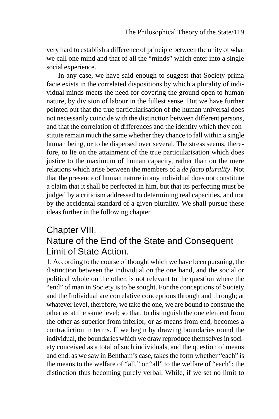very hard to establish a difference of principle between the unity of what we call one mind and that of all the "minds" which enter into a single social experience.

In any case, we have said enough to suggest that Society prima facie exists in the correlated dispositions by which a plurality of individual minds meets the need for covering the ground open to human nature, by division of labour in the fullest sense. But we have further pointed out that the true particularisation of the human universal does not necessarily coincide with the distinction between different persons, and that the correlation of differences and the identity which they constitute remain much the same whether they chance to fall within a single human being, or to be dispersed over several. The stress seems, therefore, to lie on the attainment of the true particularisation which does justice to the maximum of human capacity, rather than on the mere relations which arise between the members of a *de facto plurality*. Not that the presence of human nature in any individual does not constitute a claim that it shall be perfected in him, but that its perfecting must be judged by a criticism addressed to determining real capacities, and not by the accidental standard of a given plurality. We shall pursue these ideas further in the following chapter.

# Chapter VIII. Nature of the End of the State and Consequent Limit of State Action.

1. According to the course of thought which we have been pursuing, the distinction between the individual on the one hand, and the social or political whole on the other, is not relevant to the question where the "end" of man in Society is to be sought. For the conceptions of Society and the Individual are correlative conceptions through and through; at whatever level, therefore, we take the one, we are bound to construe the other as at the same level; so that, to distinguish the one element from the other as superior from inferior, or as means from end, becomes a contradiction in terms. If we begin by drawing boundaries round the individual, the boundaries which we draw reproduce themselves in society conceived as a total of such individuals, and the question of means and end, as we saw in Bentham's case, takes the form whether "each" is the means to the welfare of "all," or "all" to the welfare of "each"; the distinction thus becoming purely verbal. While, if we set no limit to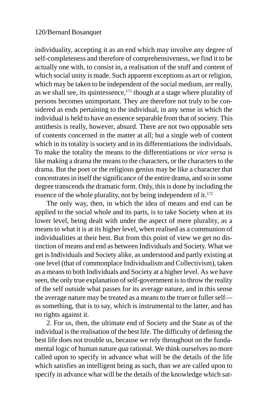#### 120/Bernard Bosanquet

individuality, accepting it as an end which may involve any degree of self-completeness and therefore of comprehensiveness, we find it to be actually one with, to consist in, a realisation of the stuff and content of which social unity is made. Such apparent exceptions as art or religion, which may be taken to be independent of the social medium, are really, as we shall see, its quintessence,<sup>171</sup> though at a stage where plurality of persons becomes unimportant. They are therefore not truly to be considered as ends pertaining to the individual, in any sense in which the individual is held to have an essence separable from that of society. This antithesis is really, however, absurd. There are not two opposable sets of contents concerned in the matter at all; but a single web of content which in its totality is society and in its differentiations the individuals. To make the totality the means to the differentiations or *vice versa* is like making a drama the means to the characters, or the characters to the drama. But the poet or the religious genius may be like a character that concentrates in itself the significance of the entire drama, and so in some degree transcends the dramatic form. Only, this is done by including the essence of the whole plurality, not by being independent of it. $172$ 

The only way, then, in which the idea of means and end can be applied to the social whole and its parts, is to take Society when at its lower level, being dealt with under the aspect of mere plurality, as a means to what it is at its higher level, when realised as a communion of individualities at their best. But from this point of view we get no distinction of means and end as between Individuals and Society. What we get is Individuals and Society alike, as understood and partly existing at one level (that of commonplace Individualism and Collectivism), taken as a means to both Individuals and Society at a higher level. As we have seen, the only true explanation of self-government is to throw the reality of the self outside what passes for its average nature, and in this sense the average nature may be treated as a means to the truer or fuller self as something, that is to say, which is instrumental to the latter, and has no rights against it.

2. For us, then, the ultimate end of Society and the State as of the individual is the realisation of the best life. The difficulty of defining the best life does not trouble us, because we rely throughout on the fundamental logic of human nature *qua* rational. We think ourselves no more called upon to specify in advance what will be the details of the life which satisfies an intelligent being as such, than we are called upon to specify in advance what will be the details of the knowledge which sat-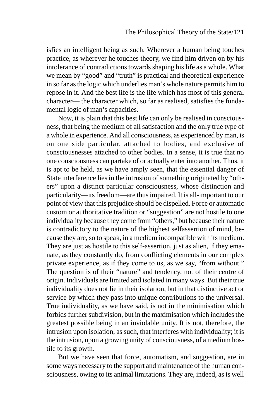isfies an intelligent being as such. Wherever a human being touches practice, as wherever he touches theory, we find him driven on by his intolerance of contradictions towards shaping his life as a whole. What we mean by "good" and "truth" is practical and theoretical experience in so far as the logic which underlies man's whole nature permits him to repose in it. And the best life is the life which has most of this general character— the character which, so far as realised, satisfies the fundamental logic of man's capacities.

Now, it is plain that this best life can only be realised in consciousness, that being the medium of all satisfaction and the only true type of a whole in experience. And all consciousness, as experienced by man, is on one side particular, attached to bodies, and exclusive of consciousnesses attached to other bodies. In a sense, it is true that no one consciousness can partake of or actually enter into another. Thus, it is apt to be held, as we have amply seen, that the essential danger of State interference lies in the intrusion of something originated by "others" upon a distinct particular consciousness, whose distinction and particularity—its freedom—are thus impaired. It is all-important to our point of view that this prejudice should be dispelled. Force or automatic custom or authoritative tradition or "suggestion" are not hostile to one individuality because they come from "others," but because their nature is contradictory to the nature of the highest selfassertion of mind, because they are, so to speak, in a medium incompatible with its medium. They are just as hostile to this self-assertion, just as alien, if they emanate, as they constantly do, from conflicting elements in our complex private experience, as if they come to us, as we say, "from without." The question is of their "nature" and tendency, not of their centre of origin. Individuals are limited and isolated in many ways. But their true individuality does not lie in their isolation, but in that distinctive act or service by which they pass into unique contributions to the universal. True individuality, as we have said, is not in the minimisation which forbids further subdivision, but in the maximisation which includes the greatest possible being in an inviolable unity. It is not, therefore, the intrusion upon isolation, as such, that interferes with individuality; it is the intrusion, upon a growing unity of consciousness, of a medium hostile to its growth.

But we have seen that force, automatism, and suggestion, are in some ways necessary to the support and maintenance of the human consciousness, owing to its animal limitations. They are, indeed, as is well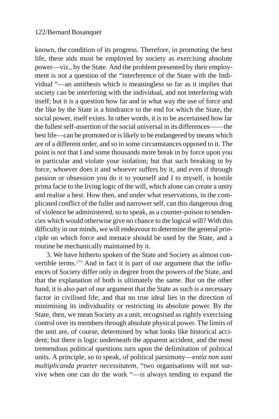#### 122/Bernard Bosanquet

known, the condition of its progress. Therefore, in promoting the best life, these aids must be employed by society as exercising absolute power—viz., by the State. And the problem presented by their employment is not a question of the "interference of the State with the Individual "—an antithesis which is meaningless so far as it implies that society can be interfering with the individual, and not interfering with itself; but it is a question how far and in what way the use of force and the like by the State is a hindrance to the end for which the State, the social power, itself exists. In other words, it is to be ascertained how far the fullest self-assertion of the social universal in its differences——the best life—can be promoted or is likely to be endangered by means which are of a different order, and so in some circumstances opposed to it. The point is not that I and some thousands more break in by force upon you in particular and violate your isolation; but that such breaking in by force, whoever does it and whoever suffers by it, and even if through passion or obsession you do it to yourself and I to myself, is hostile prima facie to the living logic of the will, which alone can create a unity and realise a best. How then, and under what reservations, in the complicated conflict of the fuller and narrower self, can this dangerous drug of violence be administered, so to speak, as a counter-poison to tendencies which would otherwise give no chance to the logical will? With this difficulty in our minds, we will endeavour to determine the general principle on which force and menace should be used by the State, and a routine be mechanically maintained by it.

3. We have hitherto spoken of the State and Society as almost convertible terms.173 And in fact it is part of our argument that the influences of Society differ only in degree from the powers of the State, and that the explanation of both is ultimately the same. But on the other hand, it is also part of our argument that the State as such is a necessary factor in civilised life; and that no true ideal lies in the direction of minimising its individuality or restricting its absolute power. By the State, then, we mean Society as a unit, recognised as rightly exercising control over its members through absolute physical power. The limits of the unit are, of course, determined by what looks like historical accident; but there is logic underneath the apparent accident, and the most tremendous political questions turn upon the delimitation of political units. A principle, so to speak, of political parsimony—*entia non suni multiplicanda praeter necessitatem*, "two organisations will not survive when one can do the work "—is always tending to expand the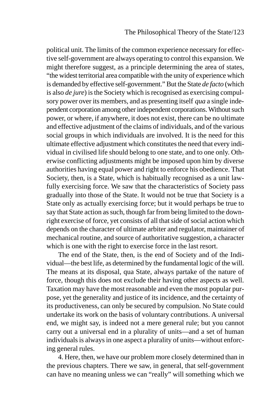political unit. The limits of the common experience necessary for effective self-government are always operating to control this expansion. We might therefore suggest, as a principle determining the area of states, "the widest territorial area compatible with the unity of experience which is demanded by effective self-government." But the State *de facto* (which is also *de jure*) is the Society which is recognised as exercising compulsory power over its members, and as presenting itself *qua* a single independent corporation among other independent corporations. Without such power, or where, if anywhere, it does not exist, there can be no ultimate and effective adjustment of the claims of individuals, and of the various social groups in which individuals are involved. It is the need for this ultimate effective adjustment which constitutes the need that every individual in civilised life should belong to one state, and to one only. Otherwise conflicting adjustments might be imposed upon him by diverse authorities having equal power and right to enforce his obedience. That Society, then, is a State, which is habitually recognised as a unit lawfully exercising force. We saw that the characteristics of Society pass gradually into those of the State. It would not be true that Society is a State only as actually exercising force; but it would perhaps be true to say that State action as such, though far from being limited to the downright exercise of force, yet consists of all that side of social action which depends on the character of ultimate arbiter and regulator, maintainer of mechanical routine, and source of authoritative suggestion, a character which is one with the right to exercise force in the last resort.

The end of the State, then, is the end of Society and of the Individual—the best life, as determined by the fundamental logic of the will. The means at its disposal, qua State, always partake of the nature of force, though this does not exclude their having other aspects as well. Taxation may have the most reasonable and even the most popular purpose, yet the generality and justice of its incidence, and the certainty of its productiveness, can only be secured by compulsion. No State could undertake its work on the basis of voluntary contributions. A universal end, we might say, is indeed not a mere general rule; but you cannot carry out a universal end in a plurality of units—and a set of human individuals is always in one aspect a plurality of units—without enforcing general rules.

4. Here, then, we have our problem more closely determined than in the previous chapters. There we saw, in general, that self-government can have no meaning unless we can "really" will something which we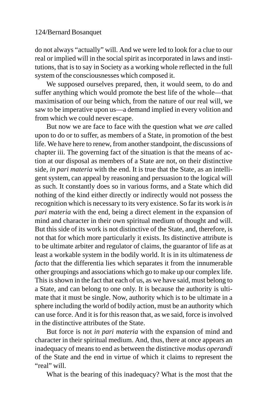do not always "actually" will. And we were led to look for a clue to our real or implied will in the social spirit as incorporated in laws and institutions, that is to say in Society as a working whole reflected in the full system of the consciousnesses which composed it.

We supposed ourselves prepared, then, it would seem, to do and suffer anything which would promote the best life of the whole—that maximisation of our being which, from the nature of our real will, we saw to be imperative upon us—a demand implied in every volition and from which we could never escape.

But now we are face to face with the question what we *are* called upon to do or to suffer, as members of a State, in promotion of the best life. We have here to renew, from another standpoint, the discussions of chapter iii. The governing fact of the situation is that the means of action at our disposal as members of a State are not, on their distinctive side, *in pari materia* with the end. It is true that the State, as an intelligent system, can appeal by reasoning and persuasion to the logical will as such. It constantly does so in various forms, and a State which did nothing of the kind either directly or indirectly would not possess the recognition which is necessary to its very existence. So far its work is *in pari materia* with the end, being a direct element in the expansion of mind and character in their own spiritual medium of thought and will. But this side of its work is not distinctive of the State, and, therefore, is not that for which more particularly it exists. Its distinctive attribute is to be ultimate arbiter and regulator of claims, the guarantor of life as at least a workable system in the bodily world. It is in its ultimateness *de facto* that the differentia lies which separates it from the innumerable other groupings and associations which go to make up our complex life. This is shown in the fact that each of us, as we have said, must belong to a State, and can belong to one only. It is because the authority is ultimate that it must be single. Now, authority which is to be ultimate in a sphere including the world of bodily action, must be an authority which can use force. And it is for this reason that, as we said, force is involved in the distinctive attributes of the State.

But force is not *in pari materia* with the expansion of mind and character in their spiritual medium. And, thus, there at once appears an inadequacy of means to end as between the distinctive *modus operandi* of the State and the end in virtue of which it claims to represent the "real" will.

What is the bearing of this inadequacy? What is the most that the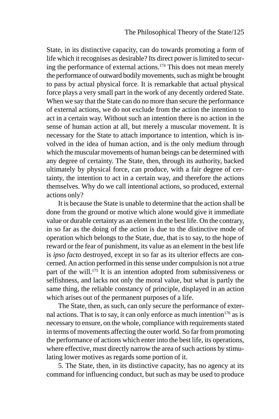State, in its distinctive capacity, can do towards promoting a form of life which it recognises as desirable? Its direct power is limited to securing the performance of external actions.174 This does not mean merely the performance of outward bodily movements, such as might be brought to pass by actual physical force. It is remarkable that actual physical force plays a very small part in the work of any decently ordered State. When we say that the State can do no more than secure the performance of external actions, we do not exclude from the action the intention to act in a certain way. Without such an intention there is no action in the sense of human action at all, but merely a muscular movement. It is necessary for the State to attach importance to intention, which is involved in the idea of human action, and is the only medium through which the muscular movements of human beings can be determined with any degree of certainty. The State, then, through its authority, backed ultimately by physical force, can produce, with a fair degree of certainty, the intention to act in a certain way, and therefore the actions themselves. Why do we call intentional actions, so produced, external actions only?

It is because the State is unable to determine that the action shall be done from the ground or motive which alone would give it immediate value or durable certainty as an element in the best life. On the contrary, in so far as the doing of the action is due to the distinctive mode of operation which belongs to the State, due, that is to say, to the hope of reward or the fear of punishment, its value as an element in the best life is *ipso facto* destroyed, except in so far as its ulterior effects are concerned. An action performed in this sense under compulsion is not a true part of the will.<sup>175</sup> It is an intention adopted from submissiveness or selfishness, and lacks not only the moral value, but what is partly the same thing, the reliable constancy of principle, displayed in an action which arises out of the permanent purposes of a life.

The State, then, as such, can only secure the performance of external actions. That is to say, it can only enforce as much intention<sup>176</sup> as is necessary to ensure, on the whole, compliance with requirements stated in terms of movements affecting the outer world. So far from promoting the performance of actions which enter into the best life, its operations, where effective, must directly narrow the area of such actions by stimulating lower motives as regards some portion of it.

5. The State, then, in its distinctive capacity, has no agency at its command for influencing conduct, but such as may be used to produce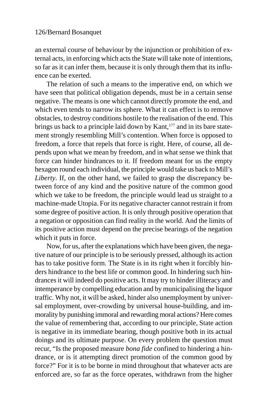an external course of behaviour by the injunction or prohibition of external acts, in enforcing which acts the State will take note of intentions, so far as it can infer them, because it is only through them that its influence can be exerted.

The relation of such a means to the imperative end, on which we have seen that political obligation depends, must be in a certain sense negative. The means is one which cannot directly promote the end, and which even tends to narrow its sphere. What it can effect is to remove obstacles, to destroy conditions hostile to the realisation of the end. This brings us back to a principle laid down by Kant,<sup>177</sup> and in its bare statement strongly resembling Mill's contention. When force is opposed to freedom, a force that repels that force is right. Here, of course, all depends upon what we mean by freedom, and in what sense we think that force can hinder hindrances to it. If freedom meant for us the empty hexagon round each individual, the principle would take us back to Mill's *Liberty*. If, on the other hand, we failed to grasp the discrepancy between force of any kind and the positive nature of the common good which we take to be freedom, the principle would lead us straight to a machine-made Utopia. For its negative character cannot restrain it from some degree of positive action. It is only through positive operation that a negation or opposition can find reality in the world. And the limits of its positive action must depend on the precise bearings of the negation which it puts in force.

Now, for us, after the explanations which have been given, the negative nature of our principle is to be seriously pressed, although its action has to take positive form. The State is in its right when it forcibly hinders hindrance to the best life or common good. In hindering such hindrances it will indeed do positive acts. It may try to hinder illiteracy and intemperance by compelling education and by municipalising the liquor traffic. Why not, it will be asked, hinder also unemployment by universal employment, over-crowding by universal house-building, and immorality by punishing immoral and rewarding moral actions? Here comes the value of remembering that, according to our principle, State action is negative in its immediate bearing, though positive both in its actual doings and its ultimate purpose. On every problem the question must recur, "Is the proposed measure *bona fide* confined to hindering a hindrance, or is it attempting direct promotion of the common good by force?" For it is to be borne in mind throughout that whatever acts are enforced are, so far as the force operates, withdrawn from the higher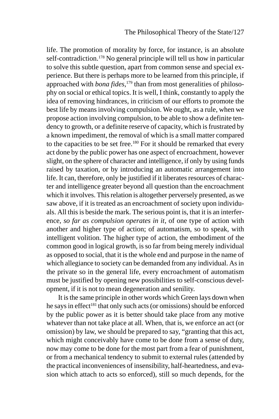life. The promotion of morality by force, for instance, is an absolute self-contradiction.<sup>178</sup> No general principle will tell us how in particular to solve this subtle question, apart from common sense and special experience. But there is perhaps more to be learned from this principle, if approached with *bona fides*, 179 than from most generalities of philosophy on social or ethical topics. It is well, I think, constantly to apply the idea of removing hindrances, in criticism of our efforts to promote the best life by means involving compulsion. We ought, as a rule, when we propose action involving compulsion, to be able to show a definite tendency to growth, or a definite reserve of capacity, which is frustrated by a known impediment, the removal of which is a small matter compared to the capacities to be set free.<sup>180</sup> For it should be remarked that every act done by the public power has one aspect of encroachment, however slight, on the sphere of character and intelligence, if only by using funds raised by taxation, or by introducing an automatic arrangement into life. It can, therefore, only be justified if it liberates resources of character and intelligence greater beyond all question than the encroachment which it involves. This relation is altogether perversely presented, as we saw above, if it is treated as an encroachment of society upon individuals. All this is beside the mark. The serious point is, that it is an interference, *so far as compulsion operates in it*, of one type of action with another and higher type of action; of automatism, so to speak, with intelligent volition. The higher type of action, the embodiment of the common good in logical growth, is so far from being merely individual as opposed to social, that it is the whole end and purpose in the name of which allegiance to society can be demanded from any individual. As in the private so in the general life, every encroachment of automatism must be justified by opening new possibilities to self-conscious development, if it is not to mean degeneration and senility.

It is the same principle in other words which Green lays down when he says in effect<sup>181</sup> that only such acts (or omissions) should be enforced by the public power as it is better should take place from any motive whatever than not take place at all. When, that is, we enforce an act (or omission) by law, we should be prepared to say, "granting that this act, which might conceivably have come to be done from a sense of duty, now may come to be done for the most part from a fear of punishment, or from a mechanical tendency to submit to external rules (attended by the practical inconveniences of insensibility, half-heartedness, and evasion which attach to acts so enforced), still so much depends, for the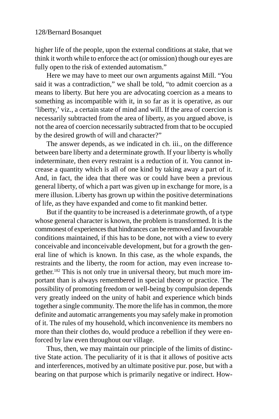higher life of the people, upon the external conditions at stake, that we think it worth while to enforce the act (or omission) though our eyes are fully open to the risk of extended automatism."

Here we may have to meet our own arguments against Mill. "You said it was a contradiction," we shall be told, "to admit coercion as a means to liberty. But here you are advocating coercion as a means to something as incompatible with it, in so far as it is operative, as our 'liberty,' viz., a certain state of mind and will. If the area of coercion is necessarily subtracted from the area of liberty, as you argued above, is not the area of coercion necessarily subtracted from that to be occupied by the desired growth of will and character?"

The answer depends, as we indicated in ch. iii., on the difference between bare liberty and a determinate growth. If your liberty is wholly indeterminate, then every restraint is a reduction of it. You cannot increase a quantity which is all of one kind by taking away a part of it. And, in fact, the idea that there was or could have been a previous general liberty, of which a part was given up in exchange for more, is a mere illusion. Liberty has grown up within the positive determinations of life, as they have expanded and come to fit mankind better.

But if the quantity to be increased is a deterinmate growth, of a type whose general character is known, the problem is transformed. It is the commonest of experiences that hindrances can be removed and favourable conditions maintained, if this has to be done, not with a view to every conceivable and inconceivable development, but for a growth the general line of which is known. In this case, as the whole expands, the restraints and the liberty, the room for action, may even increase together.182 This is not only true in universal theory, but much more important than is always remembered in special theory or practice. The possibility of promoting freedom or well-being by compulsion depends very greatly indeed on the unity of habit and experience which binds together a single community. The more the life has in common, the more definite and automatic arrangements you may safely make in promotion of it. The rules of my household, which inconvenience its members no more than their clothes do, would produce a rebellion if they were enforced by law even throughout our village.

Thus, then, we may maintain our principle of the limits of distinctive State action. The peculiarity of it is that it allows of positive acts and interferences, motived by an ultimate positive pur. pose, but with a bearing on that purpose which is primarily negative or indirect. How-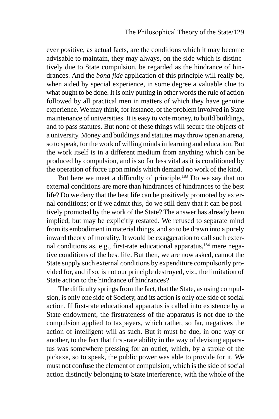ever positive, as actual facts, are the conditions which it may become advisable to maintain, they may always, on the side which is distinctively due to State compulsion, be regarded as the hindrance of hindrances. And the *bona fide* application of this principle will really be, when aided by special experience, in some degree a valuable clue to what ought to be done. It is only putting in other words the rule of action followed by all practical men in matters of which they have genuine experience. We may think, for instance, of the problem involved in State maintenance of universities. It is easy to vote money, to build buildings, and to pass statutes. But none of these things will secure the objects of a university. Money and buildings and statutes may throw open an arena, so to speak, for the work of willing minds in learning and education. But the work itself is in a different medium from anything which can be produced by compulsion, and is so far less vital as it is conditioned by the operation of force upon minds which demand no work of the kind.

But here we meet a difficulty of principle.183 Do we say that no external conditions are more than hindrances of hindrances to the best life? Do we deny that the best life can be positively promoted by external conditions; or if we admit this, do we still deny that it can be positively promoted by the work of the State? The answer has already been implied, but may be explicitly restated. We refused to separate mind from its embodiment in material things, and so to be drawn into a purely inward theory of morality. It would be exaggeration to call such external conditions as, e.g., first-rate educational apparatus,<sup>184</sup> mere negative conditions of the best life. But then, we are now asked, cannot the State supply such external conditions by expenditure compulsorily provided for, and if so, is not our principle destroyed, viz., the limitation of State action to the hindrance of hindrances?

The difficulty springs from the fact, that the State, as using compulsion, is only one side of Society, and its action is only one side of social action. If first-rate educational apparatus is called into existence by a State endowment, the firstrateness of the apparatus is not due to the compulsion applied to taxpayers, which rather, so far, negatives the action of intelligent will as such. But it must be due, in one way or another, to the fact that first-rate ability in the way of devising apparatus was somewhere pressing for an outlet, which, by a stroke of the pickaxe, so to speak, the public power was able to provide for it. We must not confuse the element of compulsion, which is the side of social action distinctly belonging to State interference, with the whole of the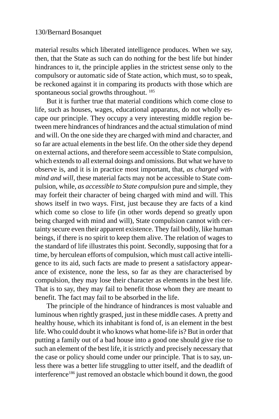material results which liberated intelligence produces. When we say, then, that the State as such can do nothing for the best life but hinder hindrances to it, the principle applies in the strictest sense only to the compulsory or automatic side of State action, which must, so to speak, be reckoned against it in comparing its products with those which are spontaneous social growths throughout. <sup>185</sup>

But it is further true that material conditions which come close to life, such as houses, wages, educational apparatus, do not wholly escape our principle. They occupy a very interesting middle region between mere hindrances of hindrances and the actual stimulation of mind and will. On the one side they are charged with mind and character, and so far are actual elements in the best life. On the other side they depend on external actions, and therefore seem accessible to State compulsion, which extends to all external doings and omissions. But what we have to observe is, and it is in practice most important, that, *as charged with mind and will*, these material facts may not be accessible to State compulsion, while, *as accessible to State compulsion* pure and simple, they may forfeit their character of being charged with mind and will. This shows itself in two ways. First, just because they are facts of a kind which come so close to life (in other words depend so greatly upon being charged with mind and will), State compulsion cannot with certainty secure even their apparent existence. They fail bodily, like human beings, if there is no spirit to keep them alive. The relation of wages to the standard of life illustrates this point. Secondly, supposing that for a time, by herculean efforts of compulsion, which must call active intelligence to its aid, such facts are made to present a satisfactory appearance of existence, none the less, so far as they are characterised by compulsion, they may lose their character as elements in the best life. That is to say, they may fail to benefit those whom they are meant to benefit. The fact may fail to be absorbed in the life.

The principle of the hindrance of hindrances is most valuable and luminous when rightly grasped, just in these middle cases. A pretty and healthy house, which its inhabitant is fond of, is an element in the best life. Who could doubt it who knows what home-life is? But in order that putting a family out of a bad house into a good one should give rise to such an element of the best life, it is strictly and precisely necessary that the case or policy should come under our principle. That is to say, unless there was a better life struggling to utter itself, and the deadlift of interference<sup>186</sup> just removed an obstacle which bound it down, the good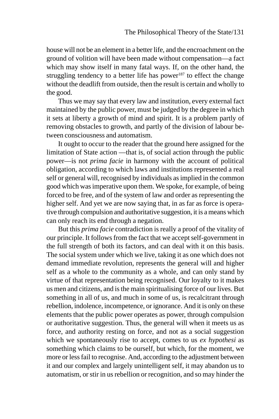house will not be an element in a better life, and the encroachment on the ground of volition will have been made without compensation—a fact which may show itself in many fatal ways. If, on the other hand, the struggling tendency to a better life has power $187$  to effect the change without the deadlift from outside, then the result is certain and wholly to the good.

Thus we may say that every law and institution, every external fact maintained by the public power, must be judged by the degree in which it sets at liberty a growth of mind and spirit. It is a problem partly of removing obstacles to growth, and partly of the division of labour between consciousness and automatism.

It ought to occur to the reader that the ground here assigned for the limitation of State action —that is, of social action through the public power—is not *prima facie* in harmony with the account of political obligation, according to which laws and institutions represented a real self or general will, recognised by individuals as implied in the common good which was imperative upon them. We spoke, for example, of being forced to be free, and of the system of law and order as representing the higher self. And yet we are now saying that, in as far as force is operative through compulsion and authoritative suggestion, it is a means which can only reach its end through a negation.

But this *prima facie* contradiction is really a proof of the vitality of our principle. It follows from the fact that we accept self-government in the full strength of both its factors, and can deal with it on this basis. The social system under which we live, taking it as one which does not demand immediate revolution, represents the general will and higher self as a whole to the community as a whole, and can only stand by virtue of that representation being recognised. Our loyalty to it makes us men and citizens, and is the main spiritualising force of our lives. But something in all of us, and much in some of us, is recalcitrant through rebellion, indolence, incompetence, or ignorance. And it is only on these elements that the public power operates as power, through compulsion or authoritative suggestion. Thus, the general will when it meets us as force, and authority resting on force, and not as a social suggestion which we spontaneously rise to accept, comes to us *ex hypothesi* as something which claims to be ourself, but which, for the moment, we more or less fail to recognise. And, according to the adjustment between it and our complex and largely unintelligent self, it may abandon us to automatism, or stir in us rebellion or recognition, and so may hinder the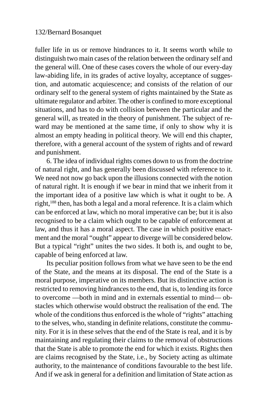fuller life in us or remove hindrances to it. It seems worth while to distinguish two main cases of the relation between the ordinary self and the general will. One of these cases covers the whole of our every-day law-abiding life, in its grades of active loyalty, acceptance of suggestion, and automatic acquiescence; and consists of the relation of our ordinary self to the general system of rights maintained by the State as ultimate regulator and arbiter. The other is confined to more exceptional situations, and has to do with collision between the particular and the general will, as treated in the theory of punishment. The subject of reward may be mentioned at the same time, if only to show why it is almost an empty heading in political theory. We will end this chapter, therefore, with a general account of the system of rights and of reward and punishment.

6. The idea of individual rights comes down to us from the doctrine of natural right, and has generally been discussed with reference to it. We need not now go back upon the illusions connected with the notion of natural right. It is enough if we bear in mind that we inherit from it the important idea of a positive law which is what it ought to be. A right,<sup>188</sup> then, has both a legal and a moral reference. It is a claim which can be enforced at law, which no moral imperative can be; but it is also recognised to be a claim which ought to be capable of enforcement at law, and thus it has a moral aspect. The case in which positive enactment and the moral "ought" appear to diverge will be considered below. But a typical "right" unites the two sides. It both is, and ought to be, capable of being enforced at law.

Its peculiar position follows from what we have seen to be the end of the State, and the means at its disposal. The end of the State is a moral purpose, imperative on its members. But its distinctive action is restricted to removing hindrances to the end, that is, to lending its force to overcome —both in mind and in externals essential to mind— obstacles which otherwise would obstruct the realisation of the end. The whole of the conditions thus enforced is the whole of "rights" attaching to the selves, who, standing in definite relations, constitute the community. For it is in these selves that the end of the State is real, and it is by maintaining and regulating their claims to the removal of obstructions that the State is able to promote the end for which it exists. Rights then are claims recognised by the State, i.e., by Society acting as ultimate authority, to the maintenance of conditions favourable to the best life. And if we ask in general for a definition and limitation of State action as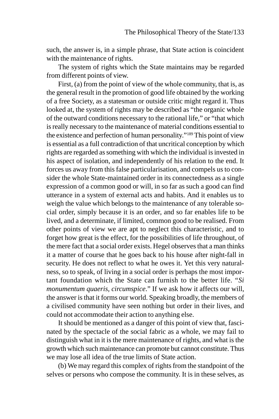such, the answer is, in a simple phrase, that State action is coincident with the maintenance of rights.

The system of rights which the State maintains may be regarded from different points of view.

First, (a) from the point of view of the whole community, that is, as the general result in the promotion of good life obtained by the working of a free Society, as a statesman or outside critic might regard it. Thus looked at, the system of rights may be described as "the organic whole of the outward conditions necessary to the rational life," or "that which is really necessary to the maintenance of material conditions essential to the existence and perfection of human personality."189 This point of view is essential as a full contradiction of that uncritical conception by which rights are regarded as something with which the individual is invested in his aspect of isolation, and independently of his relation to the end. It forces us away from this false particularisation, and compels us to consider the whole State-maintained order in its connectedness as a single expression of a common good or will, in so far as such a good can find utterance in a system of external acts and habits. And it enables us to weigh the value which belongs to the maintenance of any tolerable social order, simply because it is an order, and so far enables life to be lived, and a determinate, if limited, common good to be realised. From other points of view we are apt to neglect this characteristic, and to forget how great is the effect, for the possibilities of life throughout, of the mere fact that a social order exists. Hegel observes that a man thinks it a matter of course that he goes back to his house after night-fall in security. He does not reflect to what he owes it. Yet this very naturalness, so to speak, of living in a social order is perhaps the most important foundation which the State can furnish to the better life. "*Si monumentum quaeris, circumspice*." If we ask how it affects our will, the answer is that it forms our world. Speaking broadly, the members of a civilised community have seen nothing but order in their lives, and could not accommodate their action to anything else.

It should be mentioned as a danger of this point of view that, fascinated by the spectacle of the social fabric as a whole, we may fail to distinguish what in it is the mere maintenance of rights, and what is the growth which such maintenance can promote but cannot constitute. Thus we may lose all idea of the true limits of State action.

(b) We may regard this complex of rights from the standpoint of the selves or persons who compose the community. It is in these selves, as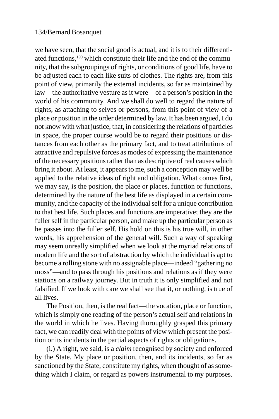## 134/Bernard Bosanquet

we have seen, that the social good is actual, and it is to their differentiated functions,190 which constitute their life and the end of the community, that the subgroupings of rights, or conditions of good life, have to be adjusted each to each like suits of clothes. The rights are, from this point of view, primarily the external incidents, so far as maintained by law—the authoritative vesture as it were—of a person's position in the world of his community. And we shall do well to regard the nature of rights, as attaching to selves or persons, from this point of view of a place or position in the order determined by law. It has been argued, I do not know with what justice, that, in considering the relations of particles in space, the proper course would be to regard their positions or distances from each other as the primary fact, and to treat attributions of attractive and repulsive forces as modes of expressing the maintenance of the necessary positions rather than as descriptive of real causes which bring it about. At least, it appears to me, such a conception may well be applied to the relative ideas of right and obligation. What comes first, we may say, is the position, the place or places, function or functions, determined by the nature of the best life as displayed in a certain community, and the capacity of the individual self for a unique contribution to that best life. Such places and functions are imperative; they are the fuller self in the particular person, and make up the particular person as he passes into the fuller self. His hold on this is his true will, in other words, his apprehension of the general will. Such a way of speaking may seem unreally simplified when we look at the myriad relations of modern life and the sort of abstraction by which the individual is apt to become a rolling stone with no assignable place—indeed "gathering no moss"—and to pass through his positions and relations as if they were stations on a railway journey. But in truth it is only simplified and not falsified. If we look with care we shall see that it, or nothing, is true of all lives.

The Position, then, is the real fact—the vocation, place or function, which is simply one reading of the person's actual self and relations in the world in which he lives. Having thoroughly grasped this primary fact, we can readily deal with the points of view which present the position or its incidents in the partial aspects of rights or obligations.

(i.) A right, we said, is a *claim* recognised by society and enforced by the State. My place or position, then, and its incidents, so far as sanctioned by the State, constitute my rights, when thought of as something which I claim, or regard as powers instrumental to my purposes.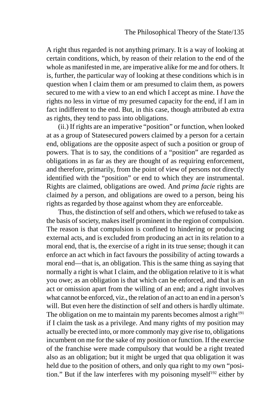A right thus regarded is not anything primary. It is a way of looking at certain conditions, which, by reason of their relation to the end of the whole as manifested in me, are imperative alike for me and for others. It is, further, the particular way of looking at these conditions which is in question when I claim them or am presumed to claim them, as powers secured to me with a view to an end which I accept as mine. I *have* the rights no less in virtue of my presumed capacity for the end, if I am in fact indifferent to the end. But, in this case, though attributed ab extra as rights, they tend to pass into obligations.

(ii.) If rights are an imperative "position" or function, when looked at as a group of Statesecured powers claimed by a person for a certain end, obligations are the opposite aspect of such a position or group of powers. That is to say, the conditions of a "position" are regarded as obligations in as far as they are thought of as requiring enforcement, and therefore, primarily, from the point of view of persons not directly identified with the "position" or end to which they are instrumental. Rights are claimed, obligations are owed. And *prima facie* rights are claimed *by* a person, and obligations are owed to a person, being his rights as regarded by those against whom they are enforceable.

Thus, the distinction of self and others, which we refused to take as the basis of society, makes itself prominent in the region of compulsion. The reason is that compulsion is confined to hindering or producing external acts, and is excluded from producing an act in its relation to a moral end, that is, the exercise of a right in its true sense; though it can enforce an act which in fact favours the possibility of acting towards a moral end—that is, an obligation. This is the same thing as saying that normally a right is what I claim, and the obligation relative to it is what you owe; as an obligation is that which can be enforced, and that is an act or omission apart from the willing of an end; and a right involves what cannot be enforced, viz., the relation of an act to an end in a person's will. But even here the distinction of self and others is hardly ultimate. The obligation on me to maintain my parents becomes almost a right $191$ if I claim the task as a privilege. And many rights of my position may actually be erected into, or more commonly may give rise to, obligations incumbent on me for the sake of my position or function. If the exercise of the franchise were made compulsory that would be a right treated also as an obligation; but it might be urged that qua obligation it was held due to the position of others, and only qua right to my own "position." But if the law interferes with my poisoning myself<sup>192</sup> either by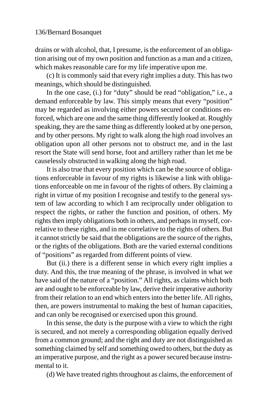drains or with alcohol, that, I presume, is the enforcement of an obligation arising out of my own position and function as a man and a citizen, which makes reasonable care for my life imperative upon me.

(c) It is commonly said that every right implies a duty. This has two meanings, which should be distinguished.

In the one case, (i.) for "duty" should be read "obligation," i.e., a demand enforceable by law. This simply means that every "position" may be regarded as involving either powers secured or conditions enforced, which are one and the same thing differently looked at. Roughly speaking, they are the same thing as differently looked at by one person, and by other persons. My right to walk along the high road involves an obligation upon all other persons not to obstruct me, and in the last resort the State will send horse, foot and artillery rather than let me be causelessly obstructed in walking along the high road.

It is also true that every position which can be the source of obligations enforceable in favour of my rights is likewise a link with obligations enforceable on me in favour of the rights of others. By claiming a right in virtue of my position I recognise and testify to the general system of law according to which I am reciprocally under obligation to respect the rights, or rather the function and position, of others. My rights then imply obligations both in others, and perhaps in myself, correlative to these rights, and in me correlative to the rights of others. But it cannot strictly be said that the obligations are the source of the rights, or the rights of the obligations. Both are the varied external conditions of "positions" as regarded from different points of view.

But (ii.) there is a different sense in which every right implies a duty. And this, the true meaning of the phrase, is involved in what we have said of the nature of a "position." All rights, as claims which both are and ought to be enforceable by law, derive their imperative authority from their relation to an end which enters into the better life. All rights, then, are powers instrumental to making the best of human capacities, and can only be recognised or exercised upon this ground.

In this sense, the duty is the purpose with a view to which the right is secured, and not merely a corresponding obligation equally derived from a common ground; and the right and duty are not distinguished as something claimed by self and something owed to others, but the duty as an imperative purpose, and the right as a power secured because instrumental to it.

(d) We have treated rights throughout as claims, the enforcement of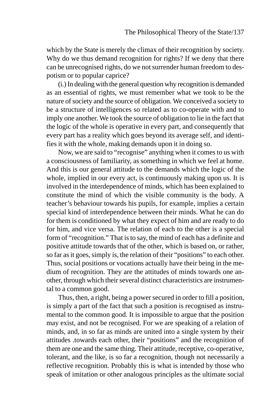which by the State is merely the climax of their recognition by society. Why do we thus demand recognition for rights? If we deny that there can be unrecognised rights, do we not surrender human freedom to despotism or to popular caprice?

(i.) In dealing with the general question why recognition is demanded as an essential of rights, we must remember what we took to be the nature of society and the source of obligation. We conceived a society to be a structure of intelligences so related as to co-operate with and to imply one another. We took the source of obligation to lie in the fact that the logic of the whole is operative in every part, and consequently that every part has a reality which goes beyond its average self, and identifies it with the whole, making demands upon it in doing so.

Now, we are said to "recognise" anything when it comes to us with a consciousness of familiarity, as something in which we feel at home. And this is our general attitude to the demands which the logic of the whole, implied in our every act, is continuously making upon us. It is involved in the interdependence of minds, which has been explained to constitute the mind of which the visible community is the body. A teacher's behaviour towards his pupils, for example, implies a certain special kind of interdependence between their minds. What he can do for them is conditioned by what they expect of him and are ready to do for him, and vice versa. The relation of each to the other is a special form of "recognition." That is to say, the mind of each has a definite and positive attitude towards that of the other, which is based on, or rather, so far as it goes, simply is, the relation of their "positions" to each other. Thus, social positions or vocations actually have their being in the medium of recognition. They are the attitudes of minds towards one another, through which their several distinct characteristics are instrumental to a common good.

Thus, then, a right, being a power secured in order to fill a position, is simply a part of the fact that such a position is recognised as instrumental to the common good. It is impossible to argue that the position may exist, and not be recognised. For we are speaking of a relation of minds, and, in so far as minds are united into a single system by their attitudes .towards each other, their "positions" and the recognition of them are one and the same thing. Their attitude, receptive, co-operative, tolerant, and the like, is so far a recognition, though not necessarily a reflective recognition. Probably this is what is intended by those who speak of imitation or other analogous principles as the ultimate social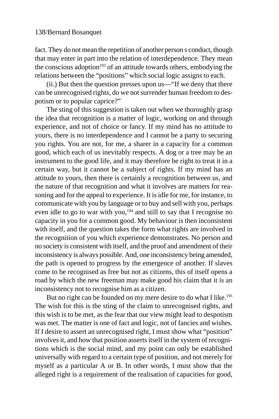fact. They do not mean the repetition of another person s conduct, though that may enter in part into the relation of interdependence. They mean the conscious adoption<sup>193</sup> of an attitude towards others, embodying the relations between the "positions" which social logic assigns to each.

(ii.) But then the question presses upon us—"If we deny that there can be unrecognised rights, do we not surrender human freedom to despotism or to popular caprice?"

The sting of this suggestion is taken out when we thoroughly grasp the idea that recognition is a matter of logic, working on and through experience, and not of choice or fancy. If my mind has no attitude to yours, there is no interdependence and I cannot be a party to securing you rights. You are not, for me, a sharer in a capacity for a common good, which each of us inevitably respects. A dog or a tree may be an instrument to the good life, and it may therefore be right to treat it in a certain way, but it cannot be a subject of rights. If my mind has an attitude to yours, then there is certainly a recognition between us, and the nature of that recognition and what it involves are matters for reasoning and for the appeal to experience. It is idle for me, for instance, to communicate with you by language or to buy and sell with you, perhaps even idle to go to war with you,<sup>194</sup> and still to say that I recognise no capacity in you for a common good. My behaviour is then inconsistent with itself, and the question takes the form what rights are involved in the recognition of you which experience demonstrates. No person and no society is consistent with itself, and the proof and amendment of their inconsistency is always possible. And, one inconsistency being amended, the path is opened to progress by the emergence of another. If slaves come to be recognised as free but not as citizens, this of itself opens a road by which the new freeman may make good his claim that it is an inconsistency not to recognise him as a citizen.

But no right can be founded on my mere desire to do what I like.<sup>195</sup> The wish for this is the sting of the claim to unrecognised rights, and this wish is to be met, as the fear that our view might lead to despotism was met. The matter is one of fact and logic, not of fancies and wishes. If I desire to assert an unrecognised right, I must show what "position" involves it, and how that position asserts itself in the system of recognitions which is the social mind, and my point can only be established universally with regard to a certain type of position, and not merely for myself as a particular A or B. In other words, I must show that the alleged right is a requirement of the realisation of capacities for good,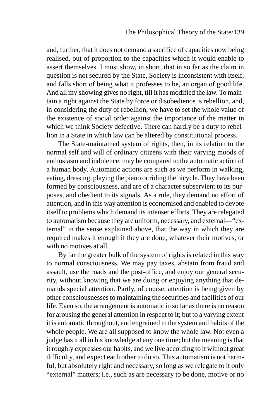and, further, that it does not demand a sacrifice of capacities now being realised, out of proportion to the capacities which it would enable to assert themselves. I must show, in short, that in so far as the claim in question is not secured by the State, Society is inconsistent with itself, and falls short of being what it professes to be, an organ of good life. And all my showing gives no right, till it has modified the law. To maintain a right against the State by force or disobedience is rebellion, and, in considering the duty of rebellion, we have to set the whole value of the existence of social order against the importance of the matter in which we think Society defective. There can hardly be a duty to rebellion in a State in which law can be altered by constitutional process.

The State-maintained system of rights, then, in its relation to the normal self and will of ordinary citizens with their varying moods of enthusiasm and indolence, may be compared to the automatic action of a human body. Automatic actions are such as we perform in walking, eating, dressing, playing the piano or riding the bicycle. They have been formed by consciousness, and are of a character subservient to its purposes, and obedient to its signals. As a rule, they demand no effort of attention, and in this way attention is economised and enabled to devote itself to problems which demand its intenser efforts. They are relegated to automatism because they are uniform, necessary, and external—"external" in the sense explained above, that the way in which they are required makes it enough if they are done, whatever their motives, or with no motives at all.

By far the greater bulk of the system of rights is related in this way to normal consciousness. We may pay taxes, abstain from fraud and assault, use the roads and the post-office, and enjoy our general security, without knowing that we are doing or enjoying anything that demands special attention. Partly, of course, attention is being given by other consciousnesses to maintaining the securities and facilities of our life. Even so, the arrangement is automatic in so far as there is no reason for arousing the general attention in respect to it; but to a varying extent it is automatic throughout, and engrained in the system and habits of the whole people. We are all supposed to know the whole law. Not even a judge has it all in his knowledge at any one time; but the meaning is that it roughly expresses our habits, and we live according to it without great difficulty, and expect each other to do so. This automatism is not harmful, but absolutely right and necessary, so long as we relegate to it only "external" matters; i.e., such as are necessary to be done, motive or no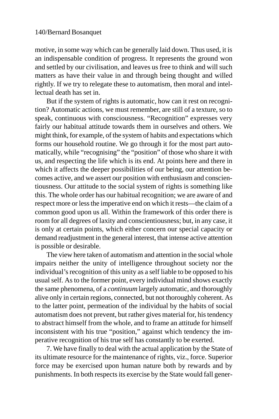motive, in some way which can be generally laid down. Thus used, it is an indispensable condition of progress. It represents the ground won and settled by our civilisation, and leaves us free to think and will such matters as have their value in and through being thought and willed rightly. If we try to relegate these to automatism, then moral and intellectual death has set in.

But if the system of rights is automatic, how can it rest on recognition? Automatic actions, we must remember, are still of a texture, so to speak, continuous with consciousness. "Recognition" expresses very fairly our habitual attitude towards them in ourselves and others. We might think, for example, of the system of habits and expectations which forms our household routine. We go through it for the most part automatically, while "recognising" the "position" of those who share it with us, and respecting the life which is its end. At points here and there in which it affects the deeper possibilities of our being, our attention becomes active, and we assert our position with enthusiasm and conscientiousness. Our attitude to the social system of rights is something like this. The whole order has our habitual recognition; we are aware of and respect more or less the imperative end on which it rests—the claim of a common good upon us all. Within the framework of this order there is room for all degrees of laxity and conscientiousness; but, in any case, it is only at certain points, which either concern our special capacity or demand readjustment in the general interest, that intense active attention is possible or desirable.

The view here taken of automatism and attention in the social whole impairs neither the unity of intelligence throughout society nor the individual's recognition of this unity as a self liable to be opposed to his usual self. As to the former point, every individual mind shows exactly the same phenomena, of a *continuum* largely automatic, and thoroughly alive only in certain regions, connected, but not thoroughly coherent. As to the latter point, permeation of the individual by the habits of social automatism does not prevent, but rather gives material for, his tendency to abstract himself from the whole, and to frame an attitude for himself inconsistent with his true "position," against which tendency the imperative recognition of his true self has constantly to be exerted.

7. We have finally to deal with the actual application by the State of its ultimate resource for the maintenance of rights, viz., force. Superior force may be exercised upon human nature both by rewards and by punishments. In both respects its exercise by the State would fall gener-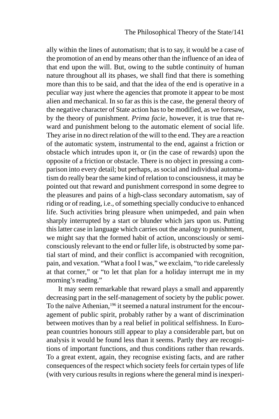ally within the lines of automatism; that is to say, it would be a case of the promotion of an end by means other than the influence of an idea of that end upon the will. But, owing to the subtle continuity of human nature throughout all its phases, we shall find that there is something more than this to be said, and that the idea of the end is operative in a peculiar way just where the agencies that promote it appear to be most alien and mechanical. In so far as this is the case, the general theory of the negative character of State action has to be modified, as we foresaw, by the theory of punishment. *Prima facie*, however, it is true that reward and punishment belong to the automatic element of social life. They arise in no direct relation of the will to the end. They are a reaction of the automatic system, instrumental to the end, against a friction or obstacle which intrudes upon it, or (in the case of rewards) upon the opposite of a friction or obstacle. There is no object in pressing a comparison into every detail; but perhaps, as social and individual automatism do really bear the same kind of relation to consciousness, it may be pointed out that reward and punishment correspond in some degree to the pleasures and pains of a high-class secondary automatism, say of riding or of reading, i.e., of something specially conducive to enhanced life. Such activities bring pleasure when unimpeded, and pain when sharply interrupted by a start or blunder which jars upon us. Putting this latter case in language which carries out the analogy to punishment, we might say that the formed habit of action, unconsciously or semiconsciously relevant to the end or fuller life, is obstructed by some partial start of mind, and their conflict is accompanied with recognition, pain, and vexation. "What a fool I was," we exclaim, "to ride carelessly at that corner," or "to let that plan for a holiday interrupt me in my morning's reading."

It may seem remarkable that reward plays a small and apparently decreasing part in the self-management of society by the public power. To the naïve Athenian,<sup>196</sup> it seemed a natural instrument for the encouragement of public spirit, probably rather by a want of discrimination between motives than by a real belief in political selfishness. In European countries honours still appear to play a considerable part, but on analysis it would be found less than it seems. Partly they are recognitions of important functions, and thus conditions rather than rewards. To a great extent, again, they recognise existing facts, and are rather consequences of the respect which society feels for certain types of life (with very curious results in regions where the general mind is inexperi-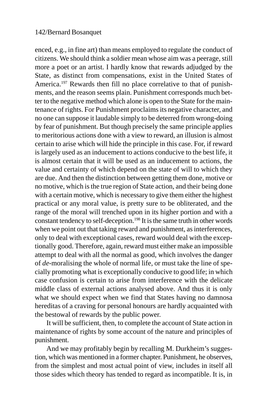#### 142/Bernard Bosanquet

enced, e.g., in fine art) than means employed to regulate the conduct of citizens. We should think a soldier mean whose aim was a peerage, still more a poet or an artist. I hardly know that rewards adjudged by the State, as distinct from compensations, exist in the United States of America.197 Rewards then fill no place correlative to that of punishments, and the reason seems plain. Punishment corresponds much better to the negative method which alone is open to the State for the maintenance of rights. For Punishment proclaims its negative character, and no one can suppose it laudable simply to be deterred from wrong-doing by fear of punishment. But though precisely the same principle applies to meritorious actions done with a view to reward, an illusion is almost certain to arise which will hide the principle in this case. For, if reward is largely used as an inducement to actions conducive to the best life, it is almost certain that it will be used as an inducement to actions, the value and certainty of which depend on the state of will to which they are due. And then the distinction between getting them done, motive or no motive, which is the true region of State action, and their being done with a certain motive, which is necessary to give them either the highest practical or any moral value, is pretty sure to be obliterated, and the range of the moral will trenched upon in its higher portion and with a constant tendency to self-deception.198 It is the same truth in other words when we point out that taking reward and punishment, as interferences, only to deal with exceptional cases, reward would deal with the exceptionally good. Therefore, again, reward must either make an impossible attempt to deal with all the normal as good, which involves the danger of *de*-moralising the whole of normal life, or must take the line of specially promoting what is exceptionally conducive to good life; in which case confusion is certain to arise from interference with the delicate middle class of external actions analysed above. And thus it is only what we should expect when we find that States having no damnosa hereditas of a craving for personal honours are hardly acquainted with the bestowal of rewards by the public power.

It will be sufficient, then, to complete the account of State action in maintenance of rights by some account of the nature and principles of punishment.

And we may profitably begin by recalling M. Durkheim's suggestion, which was mentioned in a former chapter. Punishment, he observes, from the simplest and most actual point of view, includes in itself all those sides which theory has tended to regard as incompatible. It is, in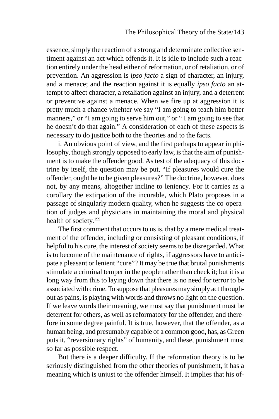essence, simply the reaction of a strong and determinate collective sentiment against an act which offends it. It is idle to include such a reaction entirely under the head either of reformation, or of retaliation, or of prevention. An aggression is *ipso facto* a sign of character, an injury, and a menace; and the reaction against it is equally *ipso facto* an attempt to affect character, a retaliation against an injury, and a deterrent or preventive against a menace. When we fire up at aggression it is pretty much a chance whehter we say "I am going to teach him better manners," or "I am going to serve him out," or "I am going to see that he doesn't do that again." A consideration of each of these aspects is necessary to do justice both to the theories and to the facts.

i. An obvious point of view, and the first perhaps to appear in philosophy, though strongly opposed to early law, is that the aim of punishment is to make the offender good. As test of the adequacy of this doctrine by itself, the question may be put, "If pleasures would cure the offender, ought he to be given pleasures?" The doctrine, however, does not, by any means, altogether incline to leniency. For it carries as a corollary the extirpation of the incurable, which Plato proposes in a passage of singularly modern quality, when he suggests the co-operation of judges and physicians in maintaining the moral and physical health of society.199

The first comment that occurs to us is, that by a mere medical treatment of the offender, including or consisting of pleasant conditions, if helpful to his cure, the interest of society seems to be disregarded. What is to become of the maintenance of rights, if aggressors have to anticipate a pleasant or lenient "cure"? It may be true that brutal punishments stimulate a criminal temper in the people rather than check it; but it is a long way from this to laying down that there is no need for terror to be associated with crime. To suppose that pleasures may simply act throughout as pains, is playing with words and throws no light on the question. If we leave words their meaning, we must say that punishment must be deterrent for others, as well as reformatory for the offender, and therefore in some degree painful. It is true, however, that the offender, as a human being, and presumably capable of a common good, has, as Green puts it, "reversionary rights" of humanity, and these, punishment must so far as possible respect.

But there is a deeper difficulty. If the reformation theory is to be seriously distinguished from the other theories of punishment, it has a meaning which is unjust to the offender himself. It implies that his of-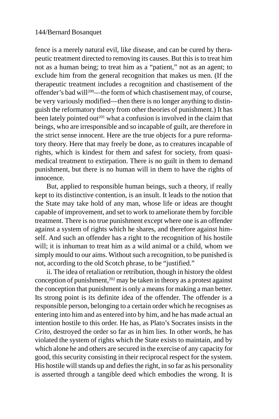fence is a merely natural evil, like disease, and can be cured by therapeutic treatment directed to removing its causes. But this is to treat him not as a human being; to treat him as a "patient," not as an agent; to exclude him from the general recognition that makes us men. (If the therapeutic treatment includes a recognition and chastisement of the offender's bad will<sup>200</sup>—the form of which chastisement may, of course, be very variously modified—then there is no longer anything to distinguish the reformatory theory from other theories of punishment.) It has been lately pointed out<sup>201</sup> what a confusion is involved in the claim that beings, who are irresponsible and so incapable of guilt, are therefore in the strict sense innocent. Here are the true objects for a pure reformatory theory. Here that may freely be done, as to creatures incapable of rights, which is kindest for them and safest for society, from quasimedical treatment to extirpation. There is no guilt in them to demand punishment, but there is no human will in them to have the rights of innocence.

But, applied to responsible human beings, such a theory, if really kept to its distinctive contention, is an insult. It leads to the notion that the State may take hold of any man, whose life or ideas are thought capable of improvement, and set to work to ameliorate them by forcible treatment. There is no true punishment except where one is an offender against a system of rights which he shares, and therefore against himself. And such an offender has a right to the recognition of his hostile will; it is inhuman to treat him as a wild animal or a child, whom we simply mould to our aims. Without such a recognition, to be punished is not, according to the old Scotch phrase, to be "justified."

ii. The idea of retaliation or retribution, though in history the oldest conception of punishment, $202$  may be taken in theory as a protest against the conception that punishment is only a means for making a man better. Its strong point is its definite idea of the offender. The offender is a responsible person, belonging to a certain order which he recognises as entering into him and as entered into by him, and he has made actual an intention hostile to this order. He has, as Plato's Socrates insists in the *Crito*, destroyed the order so far as in him lies. In other words, he has violated the system of rights which the State exists to maintain, and by which alone he and others are secured in the exercise of any capacity for good, this security consisting in their reciprocal respect for the system. His hostile will stands up and defies the right, in so far as his personality is asserted through a tangible deed which embodies the wrong. It is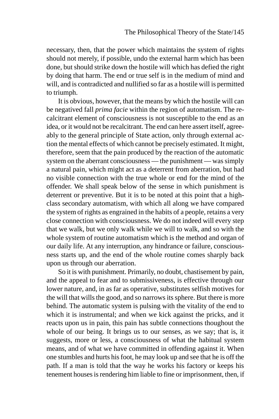necessary, then, that the power which maintains the system of rights should not merely, if possible, undo the external harm which has been done, but should strike down the hostile will which has defied the right by doing that harm. The end or true self is in the medium of mind and will, and is contradicted and nullified so far as a hostile will is permitted to triumph.

It is obvious, however, that the means by which the hostile will can be negatived fall *prima facie* within the region of automatism. The recalcitrant element of consciousness is not susceptible to the end as an idea, or it would not be recalcitrant. The end can here assert itself, agreeably to the general principle of State action, only through external action the mental effects of which cannot be precisely estimated. It might, therefore, seem that the pain produced by the reaction of the automatic system on the aberrant consciousness — the punishment — was simply a natural pain, which might act as a deterrent from aberration, but had no visible connection with the true whole or end for the mind of the offender. We shall speak below of the sense in which punishment is deterrent or preventive. But it is to be noted at this point that a highclass secondary automatism, with which all along we have compared the system of rights as engrained in the habits of a people, retains a very close connection with consciousness. We do not indeed will every step that we walk, but we only walk while we will to walk, and so with the whole system of routine automatism which is the method and organ of our daily life. At any interruption, any hindrance or failure, consciousness starts up, and the end of the whole routine comes sharply back upon us through our aberration.

So it is with punishment. Primarily, no doubt, chastisement by pain, and the appeal to fear and to submissiveness, is effective through our lower nature, and, in as far as operative, substitutes selfish motives for the will that wills the good, and so narrows its sphere. But there is more behind. The automatic system is pulsing with the vitality of the end to which it is instrumental; and when we kick against the pricks, and it reacts upon us in pain, this pain has subtle connections thoughout the whole of our being. It brings us to our senses, as we say; that is, it suggests, more or less, a consciousness of what the habitual system means, and of what we have committed in offending against it. When one stumbles and hurts his foot, he may look up and see that he is off the path. If a man is told that the way he works his factory or keeps his tenement houses is rendering him liable to fine or imprisonment, then, if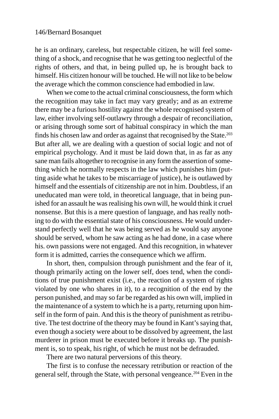he is an ordinary, careless, but respectable citizen, he will feel something of a shock, and recognise that he was getting too neglectful of the rights of others, and that, in being pulled up, he is brought back to himself. His citizen honour will be touched. He will not like to be below the average which the common conscience had embodied in law.

When we come to the actual criminal consciousness, the form which the recognition may take in fact may vary greatly; and as an extreme there may be a furious hostility against the whole recognised system of law, either involving self-outlawry through a despair of reconciliation, or arising through some sort of habitual conspiracy in which the man finds his chosen law and order as against that recognised by the State.203 But after all, we are dealing with a question of social logic and not of empirical psychology. And it must be laid down that, in as far as any sane man fails altogether to recognise in any form the assertion of something which he normally respects in the law which punishes him (putting aside what he takes to be miscarriage of justice), he is outlawed by himself and the essentials of citizenship are not in him. Doubtless, if an uneducated man were told, in theoretical language, that in being punished for an assault he was realising his own will, he would think it cruel nonsense. But this is a mere question of language, and has really nothing to do with the essential state of his consciousness. He would understand perfectly well that he was being served as he would say anyone should be served, whom he saw acting as he had done, in a case where his. own passions were not engaged. And this recognition, in whatever form it is admitted, carries the consequence which we affirm.

In short, then, compulsion through punishment and the fear of it, though primarily acting on the lower self, does tend, when the conditions of true punishment exist (i.e., the reaction of a system of rights violated by one who shares in it), to a recognition of the end by the person punished, and may so far be regarded as his own will, implied in the maintenance of a system to which he is a party, returning upon himself in the form of pain. And this is the theory of punishment as retributive. The test doctrine of the theory may be found in Kant's saying that, even though a society were about to be dissolved by agreement, the last murderer in prison must be executed before it breaks up. The punishment is, so to speak, his right, of which he must not be defrauded.

There are two natural perversions of this theory.

The first is to confuse the necessary retribution or reaction of the general self, through the State, with personal vengeance.204 Even in the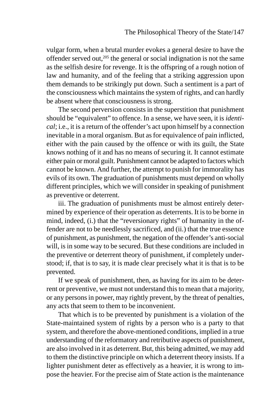vulgar form, when a brutal murder evokes a general desire to have the offender served out, $205$  the general or social indignation is not the same as the selfish desire for revenge. It is the offspring of a rough notion of law and humanity, and of the feeling that a striking aggression upon them demands to be strikingly put down. Such a sentiment is a part of the consciousness which maintains the system of rights, and can hardly be absent where that consciousness is strong.

The second perversion consists in the superstition that punishment should be "equivalent" to offence. In a sense, we have seen, it is *identical*; i.e., it is a return of the offender's act upon himself by a connection inevitable in a moral organism. But as for equivalence of pain inflicted, either with the pain caused by the offence or with its guilt, the State knows nothing of it and has no means of securing it. It cannot estimate either pain or moral guilt. Punishment cannot be adapted to factors which cannot be known. And further, the attempt to punish for immorality has evils of its own. The graduation of punishments must depend on wholly different principles, which we will consider in speaking of punishment as preventive or deterrent.

iii. The graduation of punishments must be almost entirely determined by experience of their operation as deterrents. It is to be borne in mind, indeed, (i.) that the "reversionary rights" of humanity in the offender are not to be needlessly sacrificed, and (ii.) that the true essence of punishment, as punishment, the negation of the offender's anti-social will, is in some way to be secured. But these conditions are included in the preventive or deterrent theory of punishment, if completely understood; if, that is to say, it is made clear precisely what it is that is to be prevented.

If we speak of punishment, then, as having for its aim to be deterrent or preventive, we must not understand this to mean that a majority, or any persons in power, may rightly prevent, by the threat of penalties, any acts that seem to them to be inconvenient.

That which is to be prevented by punishment is a violation of the State-maintained system of rights by a person who is a party to that system, and therefore the above-mentioned conditions, implied in a true understanding of the reformatory and retributive aspects of punishment, are also involved in it as deterrent. But, this being admitted, we may add to them the distinctive principle on which a deterrent theory insists. If a lighter punishment deter as effectively as a heavier, it is wrong to impose the heavier. For the precise aim of State action is the maintenance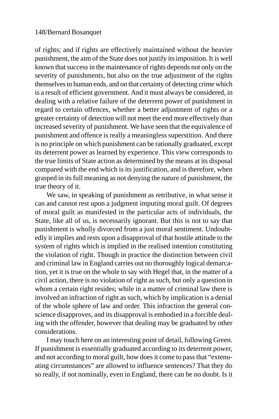of rights; and if rights are effectively maintained without the heavier punishment, the aim of the State does not justify its imposition. It is well known that success in the maintenance of rights depends not only on the severity of punishments, but also on the true adjustment of the rights themselves to human ends, and on that certainty of detecting crime which is a result of efficient government. And it must always be considered, in dealing with a relative failure of the deterrent power of punishment in regard to certain offences, whether a better adjustment of rights or a greater certainty of detection will not meet the end more effectively than increased severity of punishment. We have seen that the equivalence of punishment and offence is really a meaningless superstition. And there is no principle on which punishment can be rationally graduated, except its deterrent power as learned by experience. This view corresponds to the true limits of State action as determined by the means at its disposal compared with the end which is its justification, and is therefore, when grasped in its full meaning as not denying the nature of punishment, the true theory of it.

We saw, in speaking of punishment as retributive, in what sense it can and cannot rest upon a judgment imputing moral guilt. Of degrees of moral guilt as manifested in the particular acts of individuals, the State, like all of us, is necessarily ignorant. But this is not to say that punishment is wholly divorced from a just moral sentiment. Undoubtedly it implies and rests upon a disapproval of that hostile attitude to the system of rights which is implied in the realised intention constituting the violation of right. Though in practice the distinction between civil and criminal law in England carries out no thoroughly logical demarcation, yet it is true on the whole to say with Hegel that, in the matter of a civil action, there is no violation of right as such, but only a question in whom a certain right resides; while in a matter of criminal law there is involved an infraction of right as such, which by implication is a denial of the whole sphere of law and order. This infraction the general conscience disapproves, and its disapproval is embodied in a forcible dealing with the offender, however that dealing may be graduated by other considerations.

I may touch here on an interesting point of detail, following Green. If punishment is essentially graduated according to its deterrent power, and not according to moral guilt, how does it come to pass that "extenuating circumstances" are allowed to influence sentences? That they do so really, if not nominally, even in England, there can be no doubt. Is it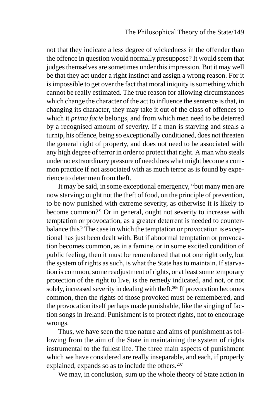not that they indicate a less degree of wickedness in the offender than the offence in question would normally presuppose? It would seem that judges themselves are sometimes under this impression. But it may well be that they act under a right instinct and assign a wrong reason. For it is impossible to get over the fact that moral iniquity is something which cannot be really estimated. The true reason for allowing circumstances which change the character of the act to influence the sentence is that, in changing its character, they may take it out of the class of offences to which it *prima facie* belongs, and from which men need to be deterred by a recognised amount of severity. If a man is starving and steals a turnip, his offence, being so exceptionally conditioned, does not threaten the general right of property, and does not need to be associated with any high degree of terror in order to protect that right. A man who steals under no extraordinary pressure of need does what might become a common practice if not associated with as much terror as is found by experience to deter men from theft.

It may be said, in some exceptional emergency, "but many men are now starving; ought not the theft of food, on the principle of prevention, to be now punished with extreme severity, as otherwise it is likely to become common?" Or in general, ought not severity to increase with temptation or provocation, as a greater deterrent is needed to counterbalance this? The case in which the temptation or provocation is exceptional has just been dealt with. But if abnormal temptation or provocation becomes common, as in a famine, or in some excited condition of public feeling, then it must be remembered that not one right only, but the system of rights as such, is what the State has to maintain. If starvation is common, some readjustment of rights, or at least some temporary protection of the right to live, is the remedy indicated, and not, or not solely, increased severity in dealing with theft.<sup>206</sup> If provocation becomes common, then the rights of those provoked must be remembered, and the provocation itself perhaps made punishable, like the singing of faction songs in Ireland. Punishment is to protect rights, not to encourage wrongs.

Thus, we have seen the true nature and aims of punishment as following from the aim of the State in maintaining the system of rights instrumental to the fullest life. The three main aspects of punishment which we have considered are really inseparable, and each, if properly explained, expands so as to include the others.<sup>207</sup>

We may, in conclusion, sum up the whole theory of State action in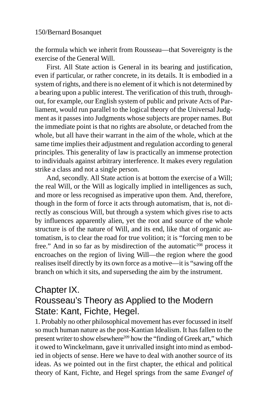the formula which we inherit from Rousseau—that Sovereignty is the exercise of the General Will.

First. All State action is General in its bearing and justification, even if particular, or rather concrete, in its details. It is embodied in a system of rights, and there is no element of it which is not determined by a bearing upon a public interest. The verification of this truth, throughout, for example, our English system of public and private Acts of Parliament, would run parallel to the logical theory of the Universal Judgment as it passes into Judgments whose subjects are proper names. But the immediate point is that no rights are absolute, or detached from the whole, but all have their warrant in the aim of the whole, which at the same time implies their adjustment and regulation according to general principles. This generality of law is practically an immense protection to individuals against arbitrary interference. It makes every regulation strike a class and not a single person.

And, secondly. All State action is at bottom the exercise of a Will; the real Will, or the Will as logically implied in intelligences as such, and more or less recognised as imperative upon them. And, therefore, though in the form of force it acts through automatism, that is, not directly as conscious Will, but through a system which gives rise to acts by influences apparently alien, yet the root and source of the whole structure is of the nature of Will, and its end, like that of organic automatism, is to clear the road for true volition; it is "forcing men to be free." And in so far as by misdirection of the automatic<sup>208</sup> process it encroaches on the region of living Will—the region where the good realises itself directly by its own force as a motive—it is "sawing off the branch on which it sits, and superseding the aim by the instrument.

# Chapter IX. Rousseau's Theory as Applied to the Modern State: Kant, Fichte, Hegel.

1. Probably no other philosophical movement has ever focussed in itself so much human nature as the post-Kantian Idealism. It has fallen to the present writer to show elsewhere<sup>209</sup> how the "finding of Greek art," which it owed to Winckelmann, gave it unrivalled insight into mind as embodied in objects of sense. Here we have to deal with another source of its ideas. As we pointed out in the first chapter, the ethical and political theory of Kant, Fichte, and Hegel springs from the same *Evangel of*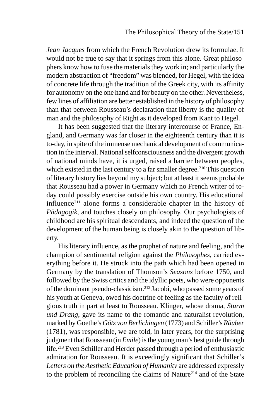*Jean Jacques* from which the French Revolution drew its formulae. It would not be true to say that it springs from this alone. Great philosophers know how to fuse the materials they work in; and particularly the modern abstraction of "freedom" was blended, for Hegel, with the idea of concrete life through the tradition of the Greek city, with its affinity for autonomy on the one hand and for beauty on the other. Nevertheless, few lines of affiliation are better established in the history of philosophy than that between Rousseau's declaration that liberty is the quality of man and the philosophy of Right as it developed from Kant to Hegel.

It has been suggested that the literary intercourse of France, England, and Germany was far closer in the eighteenth century than it is to-day, in spite of the immense mechanical development of communication in the interval. National selfconsciousness and the divergent growth of national minds have, it is urged, raised a barrier between peoples, which existed in the last century to a far smaller degree.<sup>210</sup> This question of literary history lies beyond my subject; but at least it seems probable that Rousseau had a power in Germany which no French writer of today could possibly exercise outside his own country. His educational influence<sup>211</sup> alone forms a considerable chapter in the history of *Pädagogik*, and touches closely on philosophy. Our psychologists of childhood are his spiritual descendants, and indeed the question of the development of the human being is closely akin to the question of liberty.

His literary influence, as the prophet of nature and feeling, and the champion of sentimental religion against the *Philosophes*, carried everything before it. He struck into the path which had been opened in Germany by the translation of Thomson's *Seasons* before 1750, and followed by the Swiss critics and the idyllic poets, who were opponents of the dominant pseudo-classicism.212 Jacobi, who passed some years of his youth at Geneva, owed his doctrine of feeling as the faculty of religious truth in part at least to Rousseau. Klinger, whose drama, *Sturm und Drang*, gave its name to the romantic and naturalist revolution, marked by Goethe's *Götz von Berlichingen* (1773) and Schiller's *Räuber* (1781), was responsible, we are told, in later years, for the surprising judgment that Rousseau (in *Emile*) is the young man's best guide through life.213 Even Schiller and Herder passed through a period of enthusiastic admiration for Rousseau. It is exceedingly significant that Schiller's *Letters on the Aesthetic Education of Humanity* are addressed expressly to the problem of reconciling the claims of Nature<sup>214</sup> and of the State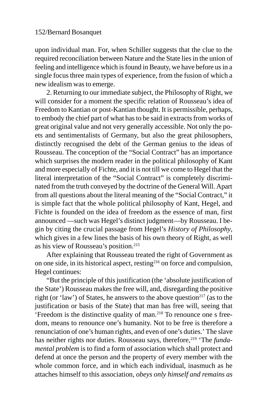upon individual man. For, when Schiller suggests that the clue to the required reconciliation between Nature and the State lies in the union of feeling and intelligence which is found in Beauty, we have before us in a single focus three main types of experience, from the fusion of which a new idealism was to emerge.

2. Returning to our immediate subject, the Philosophy of Right, we will consider for a moment the specific relation of Rousseau's idea of Freedom to Kantian or post-Kantian thought. It is permissible, perhaps, to embody the chief part of what has to be said in extracts from works of great original value and not very generally accessible. Not only the poets and sentimentalists of Germany, but also the great philosophers, distinctly recognised the debt of the German genius to the ideas of Rousseau. The conception of the "Social Contract" has an importance which surprises the modern reader in the political philosophy of Kant and more especially of Fichte, and it is not till we come to Hegel that the literal interpretation of the "Social Contract" is completely discriminated from the truth conveyed by the doctrine of the General Will. Apart from all questions about the literal meaning of the "Social Contract," it is simple fact that the whole political philosophy of Kant, Hegel, and Fichte is founded on the idea of freedom as the essence of man, first announced —such was Hegel's distinct judgment—by Rousseau. I begin by citing the crucial passage from Hegel's *History of Philosophy*, which gives in a few lines the basis of his own theory of Right, as well as his view of Rousseau's position.<sup>215</sup>

After explaining that Rousseau treated the right of Government as on one side, in its historical aspect, resting216 on force and compulsion, Hegel continues:

"But the principle of this justification (the 'absolute justification of the State') Rousseau makes the free will, and, disregarding the positive right (or 'law') of States, he answers to the above question<sup>217</sup> (as to the justification or basis of the State) that man has free will, seeing that 'Freedom is the distinctive quality of man.218 To renounce one s freedom, means to renounce one's humanity. Not to be free is therefore a renunciation of one's human rights, and even of one's duties.' The slave has neither rights nor duties. Rousseau says, therefore,<sup>219</sup> 'The *fundamental problem* is to find a form of association which shall protect and defend at once the person and the property of every member with the whole common force, and in which each individual, inasmuch as he attaches himself to this association, *obeys only himself and remains as*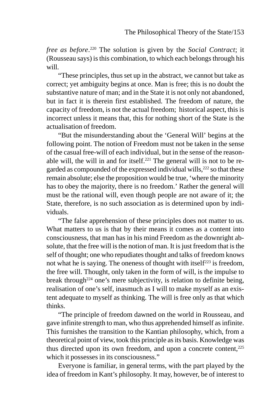*free as before*. 220 The solution is given by the *Social Contract*; it (Rousseau says) is this combination, to which each belongs through his will.

"These principles, thus set up in the abstract, we cannot but take as correct; yet ambiguity begins at once. Man is free; this is no doubt the substantive nature of man; and in the State it is not only not abandoned, but in fact it is therein first established. The freedom of nature, the capacity of freedom, is not the actual freedom; historical aspect, this is incorrect unless it means that, this for nothing short of the State is the actualisation of freedom.

"But the misunderstanding about the 'General Will' begins at the following point. The notion of Freedom must not be taken in the sense of the casual free-will of each individual, but in the sense of the reasonable will, the will in and for itself.<sup>221</sup> The general will is not to be regarded as compounded of the expressed individual wills,<sup>222</sup> so that these remain absolute; else the proposition would be true, 'where the minority has to obey the majority, there is no freedom.' Rather the general will must be the rational will, even though people are not aware of it; the State, therefore, is no such association as is determined upon by individuals.

"The false apprehension of these principles does not matter to us. What matters to us is that by their means it comes as a content into consciousness, that man has in his mind Freedom as the downright absolute, that the free will is the notion of man. It is just freedom that is the self of thought; one who repudiates thought and talks of freedom knows not what he is saying. The oneness of thought with itself<sup>223</sup> is freedom, the free will. Thought, only taken in the form of will, is the impulse to break through<sup>224</sup> one's mere subjectivity, is relation to definite being, realisation of one's self, inasmuch as I will to make myself as an existent adequate to myself as thinking. The will is free only as that which thinks.

"The principle of freedom dawned on the world in Rousseau, and gave infinite strength to man, who thus apprehended himself as infinite. This furnishes the transition to the Kantian philosophy, which, from a theoretical point of view, took this principle as its basis. Knowledge was thus directed upon its own freedom, and upon a concrete content,<sup>225</sup> which it possesses in its consciousness."

Everyone is familiar, in general terms, with the part played by the idea of freedom in Kant's philosophy. It may, however, be of interest to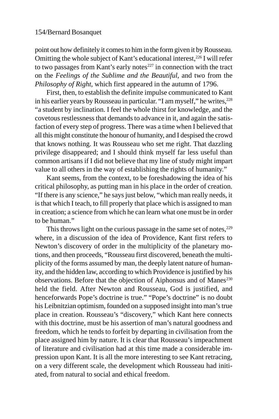point out how definitely it comes to him in the form given it by Rousseau. Omitting the whole subject of Kant's educational interest,<sup>226</sup> I will refer to two passages from Kant's early notes $^{227}$  in connection with the tract on the *Feelings of the Sublime and the Beautiful*, and two from the *Philosophy of Right*, which first appeared in the autumn of 1796.

First, then, to establish the definite impulse communicated to Kant in his earlier years by Rousseau in particular. "I am myself," he writes, $^{228}$ "a student by inclination. I feel the whole thirst for knowledge, and the covetous restlessness that demands to advance in it, and again the satisfaction of every step of progress. There was a time when I believed that all this might constitute the honour of humanity, and I despised the crowd that knows nothing. It was Rousseau who set me right. That dazzling privilege disappeared; and I should think myself far less useful than common artisans if I did not believe that my line of study might impart value to all others in the way of establishing the rights of humanity."

Kant seems, from the context, to be foreshadowing the idea of his critical philosophy, as putting man in his place in the order of creation. "If there is any science," he says just below, "which man really needs, it is that which I teach, to fill properly that place which is assigned to man in creation; a science from which he can learn what one must be in order to be human."

This throws light on the curious passage in the same set of notes,  $229$ where, in a discussion of the idea of Providence, Kant first refers to Newton's discovery of order in the multiplicity of the planetary motions, and then proceeds, "Rousseau first discovered, beneath the multiplicity of the forms assumed by man, the deeply latent nature of humanity, and the hidden law, according to which Providence is justified by his observations. Before that the objection of Aiphonsus and of Manes<sup>230</sup> held the field. After Newton and Rousseau, God is justified, and henceforwards Pope's doctrine is true." "Pope's doctrine" is no doubt his Leibnitzian optimism, founded on a supposed insight into man's true place in creation. Rousseau's "discovery," which Kant here connects with this doctrine, must be his assertion of man's natural goodness and freedom, which he tends to forfeit by departing in civilisation from the place assigned him by nature. It is clear that Rousseau's impeachment of literature and civilisation had at this time made a considerable impression upon Kant. It is all the more interesting to see Kant retracing, on a very different scale, the development which Rousseau had initiated, from natural to social and ethical freedom.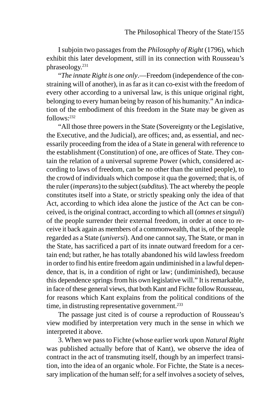I subjoin two passages from the *Philosophy of Right* (1796), which exhibit this later development, still in its connection with Rousseau's phraseology.231

"*The innate Right is one only*.—Freedom (independence of the constraining will of another), in as far as it can co-exist with the freedom of every other according to a universal law, is this unique original right, belonging to every human being by reason of his humanity." An indication of the embodiment of this freedom in the State may be given as follows:232

"All those three powers in the State (Sovereignty or the Legislative, the Executive, and the Judicial), are offices; and, as essential, and necessarily proceeding from the idea of a State in general with reference to the establishment (Constitution) of one, are offices of State. They contain the relation of a universal supreme Power (which, considered according to laws of freedom, can be no other than the united people), to the crowd of individuals which compose it qua the governed; that is, of the ruler (*imperans*) to the subject (*subditus*). The act whereby the people constitutes itself into a State, or strictly speaking only the idea of that Act, according to which idea alone the justice of the Act can be conceived, is the original contract, according to which all (*omnes et singuli*) of the people surrender their external freedom, in order at once to receive it back again as members of a commonwealth, that is, of the people regarded as a State (*universi*). And one cannot say, The State, or man in the State, has sacrificed a part of its innate outward freedom for a certain end; but rather, he has totally abandoned his wild lawless freedom in order to find his entire freedom again undiminished in a lawful dependence, that is, in a condition of right or law; (undiminished), because this dependence springs from his own legislative will." It is remarkable, in face of these general views, that both Kant and Fichte follow Rousseau, for reasons which Kant explains from the political conditions of the time, in distrusting representative government.<sup>233</sup>

The passage just cited is of course a reproduction of Rousseau's view modified by interpretation very much in the sense in which we interpreted it above.

3. When we pass to Fichte (whose earlier work upon *Natural Right* was published actually before that of Kant), we observe the idea of contract in the act of transmuting itself, though by an imperfect transition, into the idea of an organic whole. For Fichte, the State is a necessary implication of the human self; for a self involves a society of selves,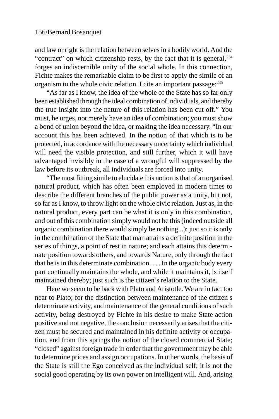and law or right is the relation between selves in a bodily world. And the "contract" on which citizenship rests, by the fact that it is general,  $234$ forges an indiscernible unity of the social whole. In this connection, Fichte makes the remarkable claim to be first to apply the simile of an organism to the whole civic relation. I cite an important passage:235

"As far as I know, the idea of the whole of the State has so far only been established through the ideal combination of individuals, and thereby the true insight into the nature of this relation has been cut off." You must, he urges, not merely have an idea of combination; you must show a bond of union beyond the idea, or making the idea necessary. "In our account this has been achieved. In the notion of that which is to be protected, in accordance with the necessary uncertainty which individual will need the visible protection, and still further, which it will have advantaged invisibly in the case of a wrongful will suppressed by the law before its outbreak, all individuals are forced into unity.

"The most fitting simile to elucidate this notion is that of an organised natural product, which has often been employed in modern times to describe the different branches of the public power as a unity, but not, so far as I know, to throw light on the whole civic relation. Just as, in the natural product, every part can be what it is only in this combination, and out of this combination simply would not be this (indeed outside all organic combination there would simply be nothing...): just so it is only in the combination of the State that man attains a definite position in the series of things, a point of rest in nature; and each attains this determinate position towards others, and towards Nature, only through the fact that he is in this determinate combination. . . . In the organic body every part continually maintains the whole, and while it maintains it, is itself maintained thereby; just such is the citizen's relation to the State.

Here we seem to be back with Plato and Aristotle. We are in fact too near to Plato; for the distinction between maintenance of the citizen s determinate activity, and maintenance of the general conditions of such activity, being destroyed by Fichte in his desire to make State action positive and not negative, the conclusion necessarily arises that the citizen must be secured and maintained in his definite activity or occupation, and from this springs the notion of the closed commercial State; "closed" against foreign trade in order that the government may be able to determine prices and assign occupations. In other words, the basis of the State is still the Ego conceived as the individual self; it is not the social good operating by its own power on intelligent will. And, arising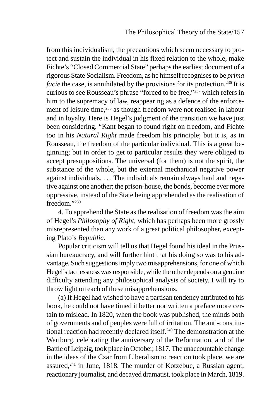from this individualism, the precautions which seem necessary to protect and sustain the individual in his fixed relation to the whole, make Fichte's "Closed Commercial State" perhaps the earliest document of a rigorous State Socialism. Freedom, as he himself recognises to be *prima facie* the case, is annihilated by the provisions for its protection.<sup>236</sup> It is curious to see Rousseau's phrase "forced to be free,"237 which refers in him to the supremacy of law, reappearing as a defence of the enforcement of leisure time,<sup>238</sup> as though freedom were not realised in labour and in loyalty. Here is Hegel's judgment of the transition we have just been considering. "Kant began to found right on freedom, and Fichte too in his *Natural Right* made freedom his principle; but it is, as in Rousseau, the freedom of the particular individual. This is a great beginning; but in order to get to particular results they were obliged to accept presuppositions. The universal (for them) is not the spirit, the substance of the whole, but the external mechanical negative power against individuals. . . . The individuals remain always hard and negative against one another; the prison-house, the bonds, become ever more oppressive, instead of the State being apprehended as the realisation of freedom<sup>"239</sup>

4. To apprehend the State as the realisation of freedom was the aim of Hegel's *Philosophy of Right*, which has perhaps been more grossly misrepresented than any work of a great political philosopher, excepting Plato's *Republic*.

Popular criticism will tell us that Hegel found his ideal in the Prussian bureaucracy, and will further hint that his doing so was to his advantage. Such suggestions imply two misapprehensions, for one of which Hegel's tactlessness was responsible, while the other depends on a genuine difficulty attending any philosophical analysis of society. I will try to throw light on each of these misapprehensions.

(a) If Hegel had wished to have a partisan tendency attributed to his book, he could not have timed it better nor written a preface more certain to mislead. In 1820, when the book was published, the minds both of governments and of peoples were full of irritation. The anti-constitutional reaction had recently declared itself.<sup>240</sup> The demonstration at the Wartburg, celebrating the anniversary of the Reformation, and of the Battle of Leipzig, took place in October, 1817. The unaccountable change in the ideas of the Czar from Liberalism to reaction took place, we are assured, $241$  in June, 1818. The murder of Kotzebue, a Russian agent, reactionary journalist, and decayed dramatist, took place in March, 1819.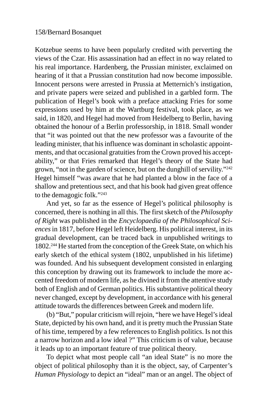Kotzebue seems to have been popularly credited with perverting the views of the Czar. His assassination had an effect in no way related to his real importance. Hardenberg, the Prussian minister, exclaimed on hearing of it that a Prussian constitution had now become impossible. Innocent persons were arrested in Prussia at Metternich's instigation, and private papers were seized and published in a garbled form. The publication of Hegel's book with a preface attacking Fries for some expressions used by him at the Wartburg festival, took place, as we said, in 1820, and Hegel had moved from Heidelberg to Berlin, having obtained the honour of a Berlin professorship, in 1818. Small wonder that "it was pointed out that the new professor was a favourite of the leading minister, that his influence was dominant in scholastic appointments, and that occasional gratuities from the Crown proved his acceptability," or that Fries remarked that Hegel's theory of the State had grown, "not in the garden of science, but on the dunghill of servility."242 Hegel himself "was aware that he had planted a blow in the face of a shallow and pretentious sect, and that his book had given great offence to the demagogic folk."243

And yet, so far as the essence of Hegel's political philosophy is concerned, there is nothing in all this. The first sketch of the *Philosophy of Right* was published in the *Encyclopaedia of the Philosophical Sciences* in 1817, before Hegel left Heidelberg. His political interest, in its gradual development, can be traced back in unpublished writings to 1802.244 He started from the conception of the Greek State, on which his early sketch of the ethical system (1802, unpublished in his lifetime) was founded. And his subsequent development consisted in enlarging this conception by drawing out its framework to include the more accented freedom of modern life, as he divined it from the attentive study both of English and of German politics. His substantive political theory never changed, except by development, in accordance with his general attitude towards the differences between Greek and modern life.

(b) "But," popular criticism will rejoin, "here we have Hegel's ideal State, depicted by his own hand, and it is pretty much the Prussian State of his time, tempered by a few references to English politics. Is not this a narrow horizon and a low ideal ?" This criticism is of value, because it leads up to an important feature of true political theory.

To depict what most people call "an ideal State" is no more the object of political philosophy than it is the object, say, of Carpenter's *Human Physiology* to depict an "ideal" man or an angel. The object of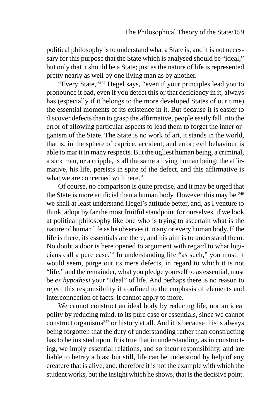political philosophy is to understand what a State is, and it is not necessary for this purpose that the State which is analysed should be "ideal," but only that it should be a State; just as the nature of life is represented pretty nearly as well by one living man as by another.

"Every State,"245 Hegel says, "even if your principles lead you to pronounce it bad, even if you detect this or that deficiency in it, always has (especially if it belongs to the more developed States of our time) the essential moments of its existence in it. But because it is easier to discover defects than to grasp the affirmative, people easily fall into the error of allowing particular aspects to lead them to forget the inner organism of the State. The State is no work of art, it stands in the world, that is, in the sphere of caprice, accident, and error; evil behaviour is able to mar it in many respects. But the ugliest human being, a criminal, a sick man, or a cripple, is all the same a living human being; the affirmative, his life, persists in spite of the defect, and this affirmative is what we are concerned with here."

Of course, no comparison is quite precise, and it may be urged that the State is more artificial than a human body. However this may be,  $246$ we shall at least understand Hegel's attitude better, and, as I venture to think, adopt by far the most fruitful standpoint for ourselves, if we look at political philosophy like one who is trying to ascertain what is the nature of human life as he observes it in any or every human body. If the life is there, its essentials are there, and his aim is to understand them. No doubt a door is here opened to argument with regard to what logicians call a pure case.'' In understanding life "as such," you must, it would seem, purge out its mere defects, in regard to which it is not "life," and the remainder, what you pledge yourself to as essential, must be *ex hypothesi* your "ideal" of life. And perhaps there is no reason to reject this responsibility if confined to the emphasis of elements and interconnection of facts. It cannot apply to more.

We cannot construct an ideal body by reducing life, nor an ideal polity by reducing mind, to its pure case or essentials, since we cannot construct organisms $247$  or history at all. And it is because this is always being forgotten that the duty of understanding rather than constructing has to be insisted upon. It is true that in understanding, as in constructing, we imply essential relations, and so incur responsibility, and are liable to betray a bias; but still, life can be understood by help of any creature that is alive, and. therefore it is not the example with which the student works, but the insight which he shows, that is the decisive point.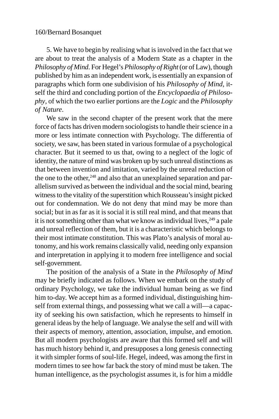5. We have to begin by realising what is involved in the fact that we are about to treat the analysis of a Modern State as a chapter in the *Philosophy of Mind*. For Hegel's *Philosophy of Right* (or of Law), though published by him as an independent work, is essentially an expansion of paragraphs which form one subdivision of his *Philosophy of Mind*, itself the third and concluding portion of the *Encyclopaedia of Philosophy*, of which the two earlier portions are the *Logic* and the *Philosophy of Nature*.

We saw in the second chapter of the present work that the mere force of facts has driven modern sociologists to handle their science in a more or less intimate connection with Psychology. The differentia of society, we saw, has been stated in various formulae of a psychological character. But it seemed to us that, owing to a neglect of the logic of identity, the nature of mind was broken up by such unreal distinctions as that between invention and imitation, varied by the unreal reduction of the one to the other,<sup>248</sup> and also that an unexplained separation and parallelism survived as between the individual and the social mind, bearing witness to the vitality of the superstition which Rousseau's insight picked out for condemnation. We do not deny that mind may be more than social; but in as far as it is social it is still real mind, and that means that it is not something other than what we know as individual lives,<sup>249</sup> a pale and unreal reflection of them, but it is a characteristic which belongs to their most intimate constitution. This was Plato's analysis of moral autonomy, and his work remains classically valid, needing only expansion and interpretation in applying it to modern free intelligence and social self-government.

The position of the analysis of a State in the *Philosophy of Mind* may be briefly indicated as follows. When we embark on the study of ordinary Psychology, we take the individual human being as we find him to-day. We accept him as a formed individual, distinguishing himself from external things, and possessing what we call a will—a capacity of seeking his own satisfaction, which he represents to himself in general ideas by the help of language. We analyse the self and will with their aspects of memory, attention, association, impulse, and emotion. But all modern psychologists are aware that this formed self and will has much history behind it, and presupposes a long genesis connecting it with simpler forms of soul-life. Hegel, indeed, was among the first in modern times to see how far back the story of mind must be taken. The human intelligence, as the psychologist assumes it, is for him a middle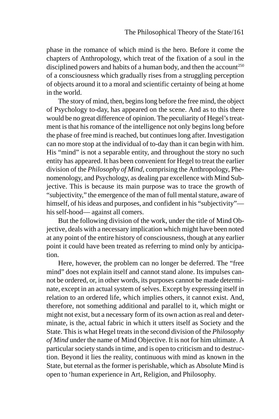phase in the romance of which mind is the hero. Before it come the chapters of Anthropology, which treat of the fixation of a soul in the disciplined powers and habits of a human body, and then the account<sup>250</sup> of a consciousness which gradually rises from a struggling perception of objects around it to a moral and scientific certainty of being at home in the world.

The story of mind, then, begins long before the free mind, the object of Psychology to-day, has appeared on the scene. And as to this there would be no great difference of opinion. The peculiarity of Hegel's treatment is that his romance of the intelligence not only begins long before the phase of free mind is reached, but continues long after. Investigation can no more stop at the individual of to-day than it can begin with him. His "mind" is not a separable entity, and throughout the story no such entity has appeared. It has been convenient for Hegel to treat the earlier division of the *Philosophy of Mind*, comprising the Anthropology, Phenomenology, and Psychology, as dealing par excellence with Mind Subjective. This is because its main purpose was to trace the growth of "subjectivity," the emergence of the man of full mental stature, aware of himself, of his ideas and purposes, and confident in his "subjectivity" his self-hood— against all comers.

But the following division of the work, under the title of Mind Objective, deals with a necessary implication which might have been noted at any point of the entire history of consciousness, though at any earlier point it could have been treated as referring to mind only by anticipation.

Here, however, the problem can no longer be deferred. The "free mind" does not explain itself and cannot stand alone. Its impulses cannot be ordered, or, in other words, its purposes cannot be made determinate, except in an actual system of selves. Except by expressing itself in relation to an ordered life, which implies others, it cannot exist. And, therefore, not something additional and parallel to it, which might or might not exist, but a necessary form of its own action as real and determinate, is the, actual fabric in which it utters itself as Society and the State. This is what Hegel treats in the second division of the *Philosophy of Mind* under the name of Mind Objective. It is not for him ultimate. A particular society stands in time, and is open to criticism and to destruction. Beyond it lies the reality, continuous with mind as known in the State, but eternal as the former is perishable, which as Absolute Mind is open to 'human experience in Art, Religion, and Philosophy.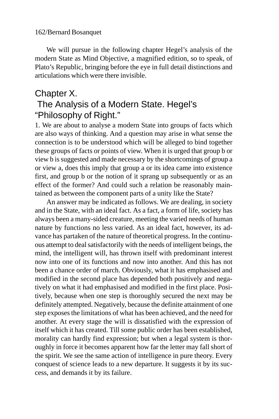We will pursue in the following chapter Hegel's analysis of the modern State as Mind Objective, a magnified edition, so to speak, of Plato's Republic, bringing before the eye in full detail distinctions and articulations which were there invisible.

# Chapter X. The Analysis of a Modern State. Hegel's "Philosophy of Right."

1. We are about to analyse a modern State into groups of facts which are also ways of thinking. And a question may arise in what sense the connection is to be understood which will be alleged to bind together these groups of facts or points of view. When it is urged that group b or view b is suggested and made necessary by the shortcomings of group a or view a, does this imply that group a or its idea came into existence first, and group b or the notion of it sprang up subsequently or as an effect of the former? And could such a relation be reasonably maintained as between the component parts of a unity like the State?

An answer may be indicated as follows. We are dealing, in society and in the State, with an ideal fact. As a fact, a form of life, society has always been a many-sided creature, meeting the varied needs of human nature by functions no less varied. As an ideal fact, however, its advance has partaken of the nature of theoretical progress. In the continuous attempt to deal satisfactorily with the needs of intelligent beings, the mind, the intelligent will, has thrown itself with predominant interest now into one of its functions and now into another. And this has not been a chance order of march. Obviously, what it has emphasised and modified in the second place has depended both positively and negatively on what it had emphasised and modified in the first place. Positively, because when one step is thoroughly secured the next may be definitely attempted. Negatively, because the definite attainment of one step exposes the limitations of what has been achieved, and the need for another. At every stage the will is dissatisfied with the expression of itself which it has created. Till some public order has been established, morality can hardly find expression; but when a legal system is thoroughly in force it becomes apparent how far the letter may fall short of the spirit. We see the same action of intelligence in pure theory. Every conquest of science leads to a new departure. It suggests it by its success, and demands it by its failure.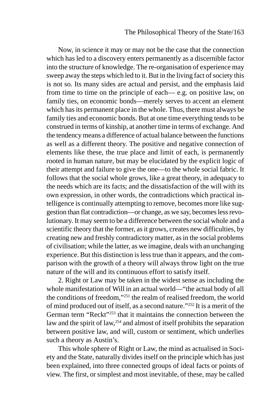Now, in science it may or may not be the case that the connection which has led to a discovery enters permanently as a discernible factor into the structure of knowledge. The re-organisation of experience may sweep away the steps which led to it. But in the living fact of society this is not so. Its many sides are actual and persist, and the emphasis laid from time to time on the principle of each— e.g. on positive law, on family ties, on economic bonds—merely serves to accent an element which has its permanent place in the whole. Thus, there must always be family ties and economic bonds. But at one time everything tends to be construed in terms of kinship, at another time in terms of exchange. And the tendency means a difference of actual balance between the functions as well as a different theory. The positive and negative connection of elements like these, the true place and limit of each, is permanently rooted in human nature, but may be elucidated by the explicit logic of their attempt and failure to give the one—to the whole social fabric. It follows that the social whole grows, like a great theory, in adequacy to the needs which are its facts; and the dissatisfaction of the will with its own expression, in other words, the contradictions which practical intelligence is continually attempting to remove, becomes more like suggestion than flat contradiction—or change, as we say, becomes less revolutionary. It may seem to be a difference between the social whole and a scientific theory that the former, as it grows, creates new difficulties, by creating new and freshly contradictory matter, as in the social problems of civilisation; while the latter, as we imagine, deals with an unchanging experience. But this distinction is less true than it appears, and the comparison with the growth of a theory will always throw light on the true nature of the will and its continuous effort to satisfy itself.

2. Right or Law may be taken in the widest sense as including the whole manifestation of Will in an actual world—"the actual body of all the conditions of freedom,"251 the realm of realised freedom, the world of mind produced out of itself, as a second nature."252 It is a merit of the German term "Reckt"<sup>253</sup> that it maintains the connection between the law and the spirit of law,  $254$  and almost of itself prohibits the separation between positive law, and will, custom or sentiment, which underlies such a theory as Austin's.

This whole sphere of Right or Law, the mind as actualised in Society and the State, naturally divides itself on the principle which has just been explained, into three connected groups of ideal facts or points of view. The first, or simplest and most inevitable, of these, may be called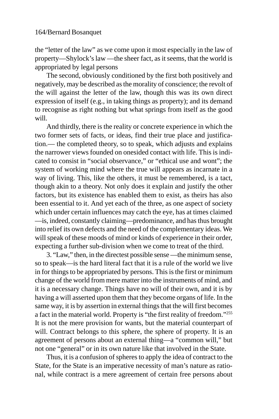the "letter of the law" as we come upon it most especially in the law of property—Shylock's law —the sheer fact, as it seems, that the world is appropriated by legal persons

The second, obviously conditioned by the first both positively and negatively, may be described as the morality of conscience; the revolt of the will against the letter of the law, though this was its own direct expression of itself (e.g., in taking things as property); and its demand to recognise as right nothing but what springs from itself as the good will.

And thirdly, there is the reality or concrete experience in which the two former sets of facts, or ideas, find their true place and justification.— the completed theory, so to speak, which adjusts and explains the narrower views founded on onesided contact with life. This is indicated to consist in "social observance," or "ethical use and wont"; the system of working mind where the true will appears as incarnate in a way of living. This, like the others, it must be remembered, is a tact, though akin to a theory. Not only does it explain and justify the other factors, but its existence has enabled them to exist, as theirs has also been essential to it. And yet each of the three, as one aspect of society which under certain influences may catch the eye, has at times claimed —is, indeed, constantly claiming—predominance, and has thus brought into relief its own defects and the need of the complementary ideas. We will speak of these moods of mind or kinds of experience in their order, expecting a further sub-division when we come to treat of the third.

3. "Law," then, in the directest possible sense —the minimum sense, so to speak—is the hard literal fact that it is a rule of the world we live in for things to be appropriated by persons. This is the first or minimum change of the world from mere matter into the instruments of mind, and it is a necessary change. Things have no will of their own, and it is by having a will asserted upon them that they become organs of life. In the same way, it is by assertion in external things that the will first becomes a fact in the material world. Property is "the first reality of freedom."255 It is not the mere provision for wants, but the material counterpart of will. Contract belongs to this sphere, the sphere of property. It is an agreement of persons about an external thing—a "common will," but not one "general" or in its own nature like that involved in the State.

Thus, it is a confusion of spheres to apply the idea of contract to the State, for the State is an imperative necessity of man's nature as rational, while contract is a mere agreement of certain free persons about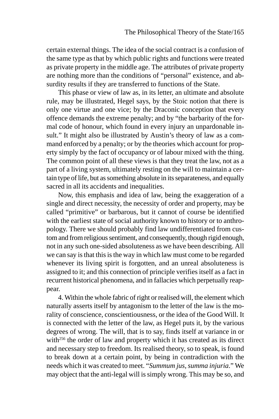certain external things. The idea of the social contract is a confusion of the same type as that by which public rights and functions were treated as private property in the middle age. The attributes of private property are nothing more than the conditions of "personal" existence, and absurdity results if they are transferred to functions of the State.

This phase or view of law as, in its letter, an ultimate and absolute rule, may be illustrated, Hegel says, by the Stoic notion that there is only one virtue and one vice; by the Draconic conception that every offence demands the extreme penalty; and by "the barbarity of the formal code of honour, which found in every injury an unpardonable insult." It might also be illustrated by Austin's theory of law as a command enforced by a penalty; or by the theories which account for property simply by the fact of occupancy or of labour mixed with the thing. The common point of all these views is that they treat the law, not as a part of a living system, ultimately resting on the will to maintain a certain type of life, but as something absolute in its separateness, and equally sacred in all its accidents and inequalities.

Now, this emphasis and idea of law, being the exaggeration of a single and direct necessity, the necessity of order and property, may be called "primitive" or barbarous, but it cannot of course be identified with the earliest state of social authority known to history or to anthropology. There we should probably find law undifferentiated from custom and from religious sentiment, and consequently, though rigid enough, not in any such one-sided absoluteness as we have been describing. All we can say is that this is the way in which law must come to be regarded whenever its living spirit is forgotten, and an unreal absoluteness is assigned to it; and this connection of principle verifies itself as a fact in recurrent historical phenomena, and in fallacies which perpetually reappear.

4. Within the whole fabric of right or realised will, the element which naturally asserts itself by antagonism to the letter of the law is the morality of conscience, conscientiousness, or the idea of the Good Will. It is connected with the letter of the law, as Hegel puts it, by the various degrees of wrong. The will, that is to say, finds itself at variance in or with<sup>256</sup> the order of law and property which it has created as its direct and necessary step to freedom. Its realised theory, so to speak, is found to break down at a certain point, by being in contradiction with the needs which it was created to meet. "*Summum jus, summa injuria*." We may object that the anti-legal will is simply wrong. This may be so, and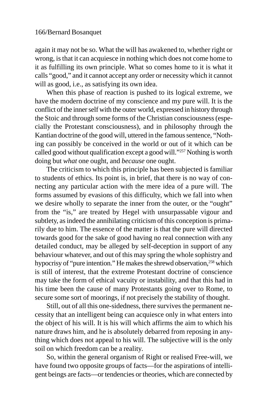again it may not be so. What the will has awakened to, whether right or wrong, is that it can acquiesce in nothing which does not come home to it as fulfilling its own principle. What so comes home to it is what it calls "good," and it cannot accept any order or necessity which it cannot will as good, i.e., as satisfying its own idea.

When this phase of reaction is pushed to its logical extreme, we have the modern doctrine of my conscience and my pure will. It is the conflict of the inner self with the outer world, expressed in history through the Stoic and through some forms of the Christian consciousness (especially the Protestant consciousness), and in philosophy through the Kantian doctrine of the good will, uttered in the famous sentence, "Nothing can possibly be conceived in the world or out of it which can be called good without qualification except a good will."<sup>257</sup> Nothing is worth doing but *what* one ought, and *because* one ought.

The criticism to which this principle has been subjected is familiar to students of ethics. Its point is, in brief, that there is no way of connecting any particular action with the mere idea of a pure will. The forms assumed by evasions of this difficulty, which we fall into when we desire wholly to separate the inner from the outer, or the "ought" from the "is," are treated by Hegel with unsurpassable vigour and subtlety, as indeed the annihilating criticism of this conception is primarily due to him. The essence of the matter is that the pure will directed towards good for the sake of good having no real connection with any detailed conduct, may be alleged by self-deception in support of any behaviour whatever, and out of this may spring the whole sophistry and hypocrisy of "pure intention." He makes the shrewd observation,<sup>258</sup> which is still of interest, that the extreme Protestant doctrine of conscience may take the form of ethical vacuity or instability, and that this had in his time been the cause of many Protestants going over to Rome, to secure some sort of moorings, if not precisely the stability of thought.

Still, out of all this one-sidedness, there survives the permanent necessity that an intelligent being can acquiesce only in what enters into the object of his will. It is his will which affirms the aim to which his nature draws him, and he is absolutely debarred from reposing in anything which does not appeal to his will. The subjective will is the only soil on which freedom can be a reality.

So, within the general organism of Right or realised Free-will, we have found two opposite groups of facts—for the aspirations of intelligent beings are facts—or tendencies or theories, which are connected by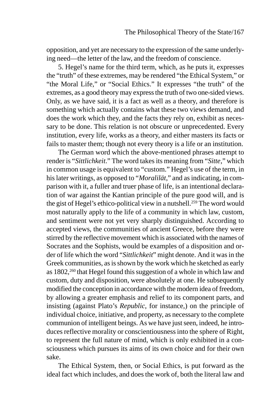opposition, and yet are necessary to the expression of the same underlying need—the letter of the law, and the freedom of conscience.

5. Hegel's name for the third term, which, as he puts it, expresses the "truth" of these extremes, may be rendered "the Ethical System," or "the Moral Life," or "Social Ethics." It expresses "the truth" of the extremes, as a good theory may express the truth of two one-sided views. Only, as we have said, it is a fact as well as a theory, and therefore is something which actually contains what these two views demand, and does the work which they, and the facts they rely on, exhibit as necessary to be done. This relation is not obscure or unprecedented. Every institution, every life, works as a theory, and either masters its facts or fails to master them; though not every theory is a life or an institution.

The German word which the above-mentioned phrases attempt to render is "*Sittlichkeit*." The word takes its meaning from "*Sitte*," which in common usage is equivalent to "custom." Hegel's use of the term, in his later writings, as opposed to "*Moralilät*," and as indicating, in comparison with it, a fuller and truer phase of life, is an intentional declaration of war against the Kantian principle of the pure good will, and is the gist of Hegel's ethico-political view in a nutshell.<sup>259</sup> The word would most naturally apply to the life of a community in which law, custom, and sentiment were not yet very sharply distinguished. According to accepted views, the communities of ancient Greece, before they were stirred by the reflective movement which is associated with the names of Socrates and the Sophists, would be examples of a disposition and order of life which the word "*Sittlichkeit*" might denote. And it was in the Greek communities, as is shown by the work which he sketched as early as 1802,<sup>260</sup> that Hegel found this suggestion of a whole in which law and custom, duty and disposition, were absolutely at one. He subsequently modified the conception in accordance with the modern idea of freedom, by allowing a greater emphasis and relief to its component parts, and insisting (against Plato's *Republic*, for instance,) on the principle of individual choice, initiative, and property, as necessary to the complete communion of intelligent beings. As we have just seen, indeed, he introduces reflective morality or conscientiousness into the sphere of Right, to represent the full nature of mind, which is only exhibited in a consciousness which pursues its aims of its own choice and for their own sake.

The Ethical System, then, or Social Ethics, is put forward as the ideal fact which includes, and does the work of, both the literal law and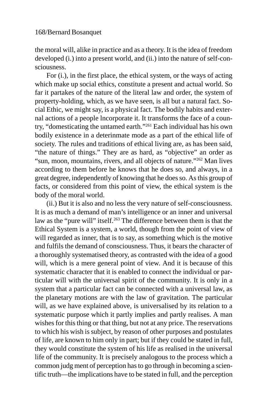the moral will, alike in practice and as a theory. It is the idea of freedom developed (i.) into a present world, and (ii.) into the nature of self-consciousness.

For (i.), in the first place, the ethical system, or the ways of acting which make up social ethics, constitute a present and actual world. So far it partakes of the nature of the literal law and order, the system of property-holding, which, as we have seen, is all but a natural fact. Social Ethic, we might say, is a physical fact. The bodily habits and external actions of a people lncorporate it. It transforms the face of a country, "domesticating the untamed earth."261 Each individual has his own bodily existence in a deterinmate mode as a part of the ethical life of society. The rules and traditions of ethical living are, as has been said, "the nature of things." They are as hard, as "objective" an order as "sun, moon, mountains, rivers, and all objects of nature."262 Man lives according to them before he knows that he does so, and always, in a great degree, independently of knowing that he does so. As this group of facts, or considered from this point of view, the ethical system is the body of the moral world.

(ii.) But it is also and no less the very nature of self-consciousness. It is as much a demand of man's intelligence or an inner and universal law as the "pure will" itself.263 The difference between them is that the Ethical System is a system, a world, though from the point of view of will regarded as inner, that is to say, as something which is the motive and fulfils the demand of consciousness. Thus, it bears the character of a thoroughly systematised theory, as contrasted with the idea of a good will, which is a mere general point of view. And it is because of this systematic character that it is enabled to connect the individual or particular will with the universal spirit of the community. It is only in a system that a particular fact can be connected with a universal law, as the planetary motions are with the law of gravitation. The particular will, as we have explained above, is universalised by its relation to a systematic purpose which it partly implies and partly realises. A man wishes for this thing or that thing, but not at any price. The reservations to which his wish is subject, by reason of other purposes and postulates of life, are known to him only in part; but if they could be stated in full, they would constitute the system of his life as realised in the universal life of the community. It is precisely analogous to the process which a common judg ment of perception has to go through in becoming a scientific truth—the implications have to be stated in full, and the perception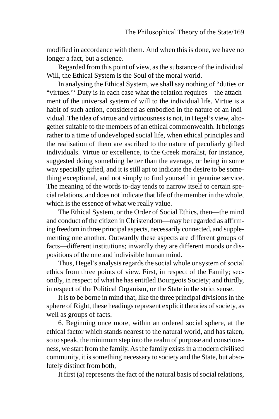modified in accordance with them. And when this is done, we have no longer a fact, but a science.

Regarded from this point of view, as the substance of the individual Will, the Ethical System is the Soul of the moral world.

In analysing the Ethical System, we shall say nothing of "duties or "virtues.'' Duty is in each case what the relation requires—the attachment of the universal system of will to the individual life. Virtue is a habit of such action, considered as embodied in the nature of an individual. The idea of virtue and virtuousness is not, in Hegel's view, altogether suitable to the members of an ethical commonwealth. It belongs rather to a time of undeveloped social life, when ethical principles and the realisation of them are ascribed to the nature of peculiarly gifted individuals. Virtue or excellence, to the Greek moralist, for instance, suggested doing something better than the average, or being in some way specially gifted, and it is still apt to indicate the desire to be something exceptional, and not simply to find yourself in genuine service. The meaning of the words to-day tends to narrow itself to certain special relations, and does not indicate that life of the member in the whole, which is the essence of what we really value.

The Ethical System, or the Order of Social Ethics, then—the mind and conduct of the citizen in Christendom—may be regarded as affirming freedom in three principal aspects, necessarily connected, and supplementing one another. Outwardly these aspects are different groups of facts—different institutions; inwardly they are different moods or dispositions of the one and indivisible human mind.

Thus, Hegel's analysis regards the social whole or system of social ethics from three points of view. First, in respect of the Family; secondly, in respect of what he has entitled Bourgeois Society; and thirdly, in respect of the Political Organism, or the State in the strict sense.

It is to be borne in mind that, like the three principal divisions in the sphere of Right, these headings represent explicit theories of society, as well as groups of facts.

6. Beginning once more, within an ordered social sphere, at the ethical factor which stands nearest to the natural world, and has taken, so to speak, the minimum step into the realm of purpose and consciousness, we start from the family. As the family exists in a modern civilised community, it is something necessary to society and the State, but absolutely distinct from both,

It first (a) represents the fact of the natural basis of social relations,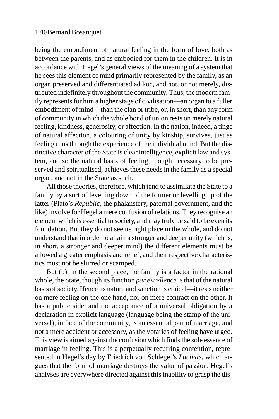being the embodiment of natural feeling in the form of love, both as between the parents, and as embodied for them in the children. It is in accordance with Hegel's general views of the meaning of a system that he sees this element of mind primarily represented by the family, as an organ preserved and differentiated ad koc, and not, or not merely, distributed indefinitely throughout the community. Thus, the modern family represents for him a higher stage of civilisation—an organ to a fuller embodiment of mind—than the clan or tribe, or, in short, than any form of community in which the whole bond of union rests on merely natural feeling, kindness, generosity, or affection. In the nation, indeed, a tinge of natural affection, a colouring of unity by kinship, survives, just as feeling runs through the experience of the individual mind. But the distinctive character of the State is clear intelligence, explicit law and system, and so the natural basis of feeling, though necessary to be preserved and spiritualised, achieves these needs in the family as a special organ, and not in the State as such.

All those theories, therefore, which tend to assimilate the State to a family by a sort of levelling down of the former or levelling up of the latter (Plato's *Republic*, the phalanstery, paternal government, and the like) involve for Hegel a mere confusion of relations. They recognise an element which is essential to society, and may truly be said to be even its foundation. But they do not see its right place in the whole, and do not understand that in order to attain a stronger and deeper unity (which is, in short, a stronger and deeper mind) the different elements must be allowed a greater emphasis and relief, and their respective characteristics must not be slurred or scamped.

But (b), in the second place, the family is a factor in the rational whole, the State, though its function *par excellence* is that of the natural basis of society. Hence its nature and sanction is ethical—it rests neither on mere feeling on the one hand, nor on mere contract on the other. It has a public side, and the acceptance of a universal obligation by a declaration in explicit language (language being the stamp of the universal), in face of the community, is an essential part of marriage, and not a mere accident or accessory, as the votaries of feeling have urged. This view is aimed against the confusion which finds the sole essence of marriage in feeling. This is a perpetually recurring contention, represented in Hegel's day by Friedrich von Schlegel's *Lucinde*, which argues that the form of marriage destroys the value of passion. Hegel's analyses are everywhere directed against this inability to grasp the dis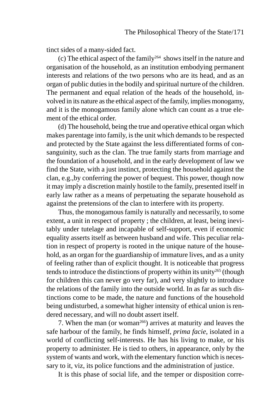tinct sides of a many-sided fact.

(c) The ethical aspect of the family<sup>264</sup> shows itself in the nature and organisation of the household, as an institution embodying permanent interests and relations of the two persons who are its head, and as an organ of public duties in the bodily and spiritual nurture of the children. The permanent and equal relation of the heads of the household, involved in its nature as the ethical aspect of the family, implies monogamy, and it is the monogamous family alone which can count as a true element of the ethical order.

(d) The household, being the true and operative ethical organ which makes parentage into family, is the unit which demands to be respected and protected by the State against the less differentiated forms of consanguinity, such as the clan. The true family starts from marriage and the foundation of a household, and in the early development of law we find the State, with a just instinct, protecting the household against the clan, e.g.,by conferring the power of bequest. This power, though now it may imply a discretion mainly hostile to the family, presented itself in early law rather as a means of perpetuating the separate household as against the pretensions of the clan to interfere with its property.

Thus, the monogamous family is naturally and necessarily, to some extent, a unit in respect of property ; the children, at least, being inevitably under tutelage and incapable of self-support, even if economic equality asserts itself as between husband and wife. This peculiar relation in respect of property is rooted in the unique nature of the household, as an organ for the guardianship of immature lives, and as a unity of feeling rather than of explicit thought. It is noticeable that progress tends to introduce the distinctions of property within its unity $265$  (though for children this can never go very far), and very slightly to introduce the relations of the family into the outside world. In as far as such distinctions come to be made, the nature and functions of the household being undisturbed, a somewhat higher intensity of ethical union is rendered necessary, and will no doubt assert itself.

7. When the man (or woman<sup>266</sup>) arrives at maturity and leaves the safe harbour of the family, he finds himself, *prima facie*, isolated in a world of conflicting self-interests. He has his living to make, or his property to administer. He is tied to others, in appearance, only by the system of wants and work, with the elementary function which is necessary to it, viz, its police functions and the administration of justice.

It is this phase of social life, and the temper or disposition corre-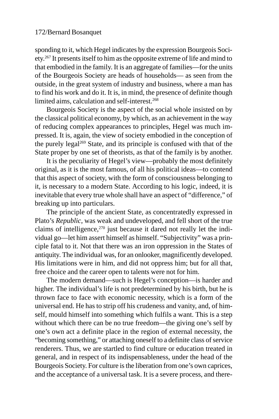sponding to it, which Hegel indicates by the expression Bourgeois Society.267 It presents itself to him as the opposite extreme of life and mind to that embodied in the family. It is an aggregate of families—for the units of the Bourgeois Society are heads of households— as seen from the outside, in the great system of industry and business, where a man has to find his work and do it. It is, in mind, the presence of definite though limited aims, calculation and self-interest.<sup>268</sup>

Bourgeois Society is the aspect of the social whole insisted on by the classical political economy, by which, as an achievement in the way of reducing complex appearances to principles, Hegel was much impressed. It is, again, the view of society embodied in the conception of the purely legal269 State, and its principle is confused with that of the State proper by one set of theorists, as that of the family is by another.

It is the peculiarity of Hegel's view—probably the most definitely original, as it is the most famous, of all his political ideas—to contend that this aspect of society, with the form of consciousness belonging to it, is necessary to a modern State. According to his logic, indeed, it is inevitable that every true whole shall have an aspect of "difference," of breaking up into particulars.

The principle of the ancient State, as concentratedly expressed in Plato's *Republic*, was weak and undeveloped, and fell short of the true claims of intelligence, $270$  just because it dared not really let the individual go—let him assert himself as himself. "Subjectivity" was a principle fatal to it. Not that there was an iron oppression in the States of antiquity. The individual was, for an onlooker, magnificently developed. His limitations were in him, and did not oppress him; but for all that, free choice and the career open to talents were not for him.

The modern demand—such is Hegel's conception—is harder and higher. The individual's life is not predetermined by his birth, but he is thrown face to face with economic necessity, which is a form of the universal end. He has to strip off his crudeness and vanity, and, of himself, mould himself into something which fulfils a want. This is a step without which there can be no true freedom—the giving one's self by one's own act a definite place in the region of external necessity, the "becoming something," or attaching oneself to a definite class of service renderers. Thus, we are startled to find culture or education treated in general, and in respect of its indispensableness, under the head of the Bourgeois Society. For culture is the liberation from one's own caprices, and the acceptance of a universal task. It is a severe process, and there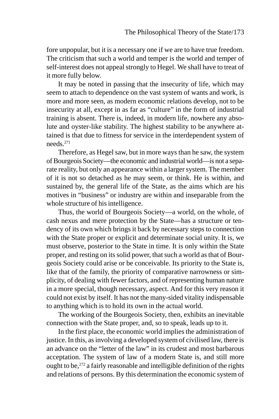fore unpopular, but it is a necessary one if we are to have true freedom. The criticism that such a world and temper is the world and temper of self-interest does not appeal strongly to Hegel. We shall have to treat of it more fully below.

It may be noted in passing that the insecurity of life, which may seem to attach to dependence on the vast system of wants and work, is more and more seen, as modern economic relations develop, not to be insecurity at all, except in as far as "culture" in the form of industrial training is absent. There is, indeed, in modern life, nowhere any absolute and oyster-like stability. The highest stability to be anywhere attained is that due to fitness for service in the interdependent system of needs.271

Therefore, as Hegel saw, but in more ways than he saw, the system of Bourgeois Society—the economic and industrial world—is not a separate reality, but only an appearance within a larger system. The member of it is not so detached as he may seem, or think. He is within, and sustained by, the general life of the State, as the aims which are his motives in "business" or industry are within and inseparable from the whole structure of his intelligence.

Thus, the world of Bourgeois Society—a world, on the whole, of cash nexus and mere protection by the State—has a structure or tendency of its own which brings it back by necessary steps to connection with the State proper or explicit and determinate social unity. It is, we must observe, posterior to the State in time. It is only within the State proper, and resting on its solid power, that such a world as that of Bourgeois Society could arise or be conceivable. Its priority to the State is, like that of the family, the priority of comparative narrowness or simplicity, of dealing with fewer factors, and of representing human nature in a more special, though necessary, aspect. And for this very reason it could not exist by itself. It has not the many-sided vitality indispensable to anything which is to hold its own in the actual world.

The working of the Bourgeois Society, then, exhibits an inevitable connection with the State proper, and, so to speak, leads up to it.

In the first place, the economic world implies the administration of justice. In this, as involving a developed system of civilised law, there is an advance on the "letter of the law" in its crudest and most barbarous acceptation. The system of law of a modern State is, and still more ought to be,272 a fairly reasonable and intelligible definition of the rights and relations of persons. By this determination the economic system of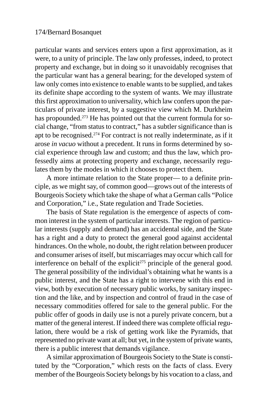particular wants and services enters upon a first approximation, as it were, to a unity of principle. The law only professes, indeed, to protect property and exchange, but in doing so it unavoidably recognises that the particular want has a general bearing; for the developed system of law only comes into existence to enable wants to be supplied, and takes its definite shape according to the system of wants. We may illustrate this first approximation to universality, which law confers upon the particulars of private interest, by a suggestive view which M. Durkheim has propounded.<sup>273</sup> He has pointed out that the current formula for social change, "from status to contract," has a subtler significance than is apt to be recognised.274 For contract is not really indeterminate, as if it arose *in vacuo* without a precedent. It runs in forms determined by social experience through law and custom; and thus the law, which professedly aims at protecting property and exchange, necessarily regulates them by the modes in which it chooses to protect them.

A more intimate relation to the State proper— to a definite principle, as we might say, of common good—grows out of the interests of Bourgeois Society which take the shape of what a German calls "Police and Corporation," i.e., State regulation and Trade Societies.

The basis of State regulation is the emergence of aspects of common interest in the system of particular interests. The region of particular interests (supply and demand) has an accidental side, and the State has a right and a duty to protect the general good against accidental hindrances. On the whole, no doubt, the right relation between producer and consumer arises of itself, but miscarriages may occur which call for interference on behalf of the explicit<sup>275</sup> principle of the general good. The general possibility of the individual's obtaining what he wants is a public interest, and the State has a right to intervene with this end in view, both by execution of necessary public works, by sanitary inspection and the like, and by inspection and control of fraud in the case of necessary commodities offered for sale to the general public. For the public offer of goods in daily use is not a purely private concern, but a matter of the general interest. If indeed there was complete official regulation, there would be a risk of getting work like the Pyramids, that represented no private want at all; but yet, in the system of private wants, there is a public interest that demands vigilance.

A similar approximation of Bourgeois Society to the State is constituted by the "Corporation," which rests on the facts of class. Every member of the Bourgeois Society belongs by his vocation to a class, and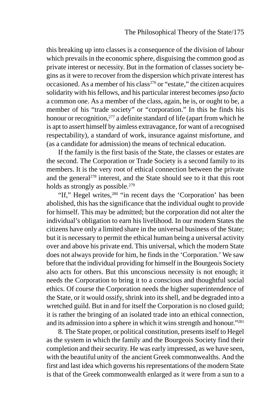this breaking up into classes is a consequence of the division of labour which prevails in the economic sphere, disguising the common good as private interest or necessity. But in the formation of classes society begins as it were to recover from the dispersion which private interest has occasioned. As a member of his class<sup>276</sup> or "estate," the citizen acquires solidarity with his fellows, and his particular interest becomes *ipso facto* a common one. As a member of the class, again, he is, or ought to be, a member of his "trade society" or "corporation." In this he finds his honour or recognition, $277$  a definite standard of life (apart from which he is apt to assert himself by aimless extravagance, for want of a recognised respectability), a standard of work, insurance against misfortune, and (as a candidate for admission) the means of technical education.

If the family is the first basis of the State, the classes or estates are the second. The Corporation or Trade Society is a second family to its members. It is the very root of ethical connection between the private and the general<sup>278</sup> interest, and the State should see to it that this root holds as strongly as possible.<sup>279</sup>

"If," Hegel writes,<sup>280</sup> "in recent days the 'Corporation' has been abolished, this has the significance that the individual ought to provide for himself. This may be admitted; but the corporation did not alter the individual's obligation to earn his livelihood. In our modern States the citizens have only a limited share in the universal business of the State; but it is necessary to permit the ethical human being a universal activity over and above his private end. This universal, which the modern State does not always provide for him, he finds in the 'Corporation.' We saw before that the individual providing for himself in the Bourgeois Society also acts for others. But this unconscious necessity is not enough; it needs the Corporation to bring it to a conscious and thoughtful social ethics. Of course the Corporation needs the higher superintendence of the State, or it would ossify, shrink into its shell, and be degraded into a wretched guild. But in and for itself the Corporation is no closed guild; it is rather the bringing of an isolated trade into an ethical connection, and its admission into a sphere in which it wins strength and honour."<sup>281</sup>

8. The State proper, or political constitution, presents itself to Hegel as the system in which the family and the Bourgeois Society find their completion and their security. He was early impressed, as we have seen, with the beautiful unity of the ancient Greek commonwealths. And the first and last idea which governs his representations of the modern State is that of the Greek commonwealth enlarged as it were from a sun to a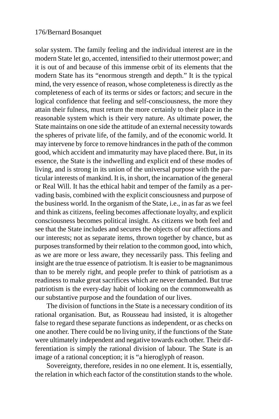solar system. The family feeling and the individual interest are in the modern State let go, accented, intensified to their uttermost power; and it is out of and because of this immense orbit of its elements that the modern State has its "enormous strength and depth." It is the typical mind, the very essence of reason, whose completeness is directly as the completeness of each of its terms or sides or factors; and secure in the logical confidence that feeling and self-consciousness, the more they attain their fulness, must return the more certainly to their place in the reasonable system which is their very nature. As ultimate power, the State maintains on one side the attitude of an external necessity towards the spheres of private life, of the family, and of the economic world. It may intervene by force to remove hindrances in the path of the common good, which accident and immaturity may have placed there. But, in its essence, the State is the indwelling and explicit end of these modes of living, and is strong in its union of the universal purpose with the particular interests of mankind. It is, in short, the incarnation of the general or Real Will. It has the ethical habit and temper of the family as a pervading basis, combined with the explicit consciousness and purpose of the business world. In the organism of the State, i.e., in as far as we feel and think as citizens, feeling becomes affectionate loyalty, and explicit consciousness becomes political insight. As citizens we both feel and see that the State includes and secures the objects of our affections and our interests; not as separate items, thrown together by chance, but as purposes transformed by their relation to the common good, into which, as we are more or less aware, they necessarily pass. This feeling and insight are the true essence of patriotism. It is easier to be magnanimous than to be merely right, and people prefer to think of patriotism as a readiness to make great sacrifices which are never demanded. But true patriotism is the every-day habit of looking on the commonwealth as our substantive purpose and the foundation of our lives.

The division of functions in the State is a necessary condition of its rational organisation. But, as Rousseau had insisted, it is altogether false to regard these separate functions as independent, or as checks on one another. There could be no living unity, if the functions of the State were ultimately independent and negative towards each other. Their differentiation is simply the rational division of labour. The State is an image of a rational conception; it is "a hieroglyph of reason.

Sovereignty, therefore, resides in no one element. It is, essentially, the relation in which each factor of the constitution stands to the whole.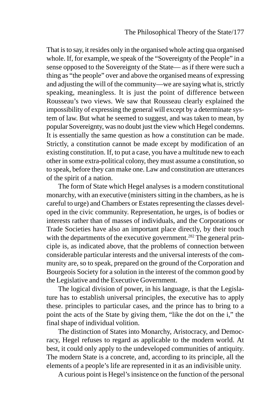That is to say, it resides only in the organised whole acting qua organised whole. If, for example, we speak of the "Sovereignty of the People" in a sense opposed to the Sovereignty of the State— as if there were such a thing as "the people" over and above the organised means of expressing and adjusting the will of the community—we are saying what is, strictly speaking, meaningless. It is just the point of difference between Rousseau's two views. We saw that Rousseau clearly explained the impossibility of expressing the general will except by a determinate system of law. But what he seemed to suggest, and was taken to mean, by popular Sovereignty, was no doubt just the view which Hegel condemns. It is essentially the same question as how a constitution can be made. Strictly, a constitution cannot be made except by modification of an existing constitution. If, to put a case, you have a multitude new to each other in some extra-political colony, they must assume a constitution, so to speak, before they can make one. Law and constitution are utterances of the spirit of a nation.

The form of State which Hegel analyses is a modern constitutional monarchy, with an executive (ministers sitting in the chambers, as he is careful to urge) and Chambers or Estates representing the classes developed in the civic community. Representation, he urges, is of bodies or interests rather than of masses of individuals, and the Corporations or Trade Societies have also an important place directly, by their touch with the departments of the executive government.<sup>282</sup> The general principle is, as indicated above, that the problems of connection between considerable particular interests and the universal interests of the community are, so to speak, prepared on the ground of the Corporation and Bourgeois Society for a solution in the interest of the common good by the Legislative and the Executive Government.

The logical division of power, in his language, is that the Legislature has to establish universal principles, the executive has to apply these. principles to particular cases, and the prince has to bring to a point the acts of the State by giving them, "like the dot on the i," the final shape of individual volition.

The distinction of States into Monarchy, Aristocracy, and Democracy, Hegel refuses to regard as applicable to the modern world. At best, it could only apply to the undeveloped communities of antiquity. The modern State is a concrete, and, according to its principle, all the elements of a people's life are represented in it as an indivisible unity.

A curious point is Hegel's insistence on the function of the personal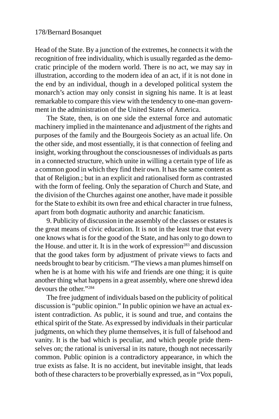Head of the State. By a junction of the extremes, he connects it with the recognition of free individuality, which is usually regarded as the democratic principle of the modern world. There is no act, we may say in illustration, according to the modern idea of an act, if it is not done in the end by an individual, though in a developed political system the monarch's action may only consist in signing his name. It is at least remarkable to compare this view with the tendency to one-man government in the administration of the United States of America.

The State, then, is on one side the external force and automatic machinery implied in the maintenance and adjustment of the rights and purposes of the family and the Bourgeois Society as an actual life. On the other side, and most essentially, it is that connection of feeling and insight, working throughout the consciousnesses of individuals as parts in a connected structure, which unite in willing a certain type of life as a common good in which they find their own. It has the same content as that of Religion.; but in an explicit and rationalised form as contrasted with the form of feeling. Only the separation of Church and State, and the division of the Churches against one another, have made it possible for the State to exhibit its own free and ethical character in true fulness, apart from both dogmatic authority and anarchic fanaticism.

9. Publicity of discussion in the assembly of the classes or estates is the great means of civic education. It is not in the least true that every one knows what is for the good of the State, and has only to go down to the House. and utter it. It is in the work of expression<sup>283</sup> and discussion that the good takes form by adjustment of private views to facts and needs brought to bear by criticism. "The views a man plumes himself on when he is at home with his wife and friends are one thing; it is quite another thing what happens in a great assembly, where one shrewd idea devours the other."284

The free judgment of individuals based on the publicity of political discussion is "public opinion." In public opinion we have an actual existent contradiction. As public, it is sound and true, and contains the ethical spirit of the State. As expressed by individuals in their particular judgments, on which they plume themselves, it is full of falsehood and vanity. It is the bad which is peculiar, and which people pride themselves on; the rational is universal in its nature, though not necessarily common. Public opinion is a contradictory appearance, in which the true exists as false. It is no accident, but inevitable insight, that leads both of these characters to be proverbially expressed, as in "Vox populi,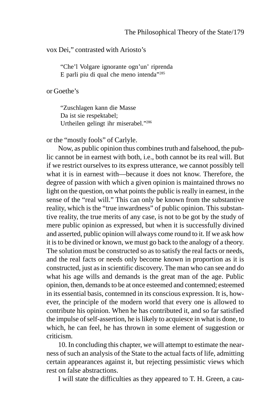#### vox Dei," contrasted with Ariosto's

"Che'l Volgare ignorante ogn'un' riprenda E parli piu di qual che meno intenda"285

or Goethe's

"Zuschlagen kann die Masse Da ist sie respektabel; Urtheilen gelingt ihr miserabel."286

or the "mostly fools" of Carlyle.

Now, as public opinion thus combines truth and falsehood, the public cannot be in earnest with both, i.e., both cannot be its real will. But if we restrict ourselves to its express utterance, we cannot possibly tell what it is in earnest with—because it does not know. Therefore, the degree of passion with which a given opinion is maintained throws no light on the question, on what points the public is really in earnest, in the sense of the "real will." This can only be known from the substantive reality, which is the "true inwardness" of public opinion. This substantive reality, the true merits of any case, is not to be got by the study of mere public opinion as expressed, but when it is successfully divined and asserted, public opinion will always come round to it. If we ask how it is to be divined or known, we must go back to the analogy of a theory. The solution must be constructed so as to satisfy the real facts or needs, and the real facts or needs only become known in proportion as it is constructed, just as in scientific discovery. The man who can see and do what his age wills and demands is the great man of the age. Public opinion, then, demands to be at once esteemed and contemned; esteemed in its essential basis, contemned in its conscious expression. It is, however, the principle of the modern world that every one is allowed to contribute his opinion. When he has contributed it, and so far satisfied the impulse of self-assertion, he is likely to acquiesce in what is done, to which, he can feel, he has thrown in some element of suggestion or criticism.

10. In concluding this chapter, we will attempt to estimate the nearness of such an analysis of the State to the actual facts of life, admitting certain appearances against it, but rejecting pessimistic views which rest on false abstractions.

I will state the difficulties as they appeared to T. H. Green, a cau-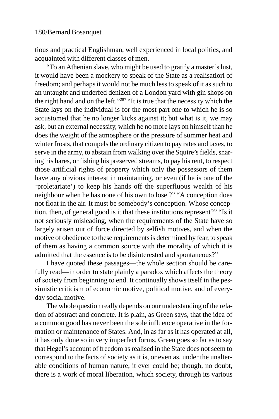tious and practical Englishman, well experienced in local politics, and acquainted with different classes of men.

"To an Athenian slave, who might be used to gratify a master's lust, it would have been a mockery to speak of the State as a realisatiori of freedom; and perhaps it would not be much less to speak of it as such to an untaught and underfed denizen of a London yard with gin shops on the right hand and on the left."287 "It is true that the necessity which the State lays on the individual is for the most part one to which he is so accustomed that he no longer kicks against it; but what is it, we may ask, but an external necessity, which he no more lays on himself than he does the weight of the atmosphere or the pressure of summer heat and winter frosts, that compels the ordinary citizen to pay rates and taxes, to serve in the army, to abstain from walking over the Squire's fields, snaring his hares, or fishing his preserved streams, to pay his rent, to respect those artificial rights of property which only the possessors of them have any obvious interest in maintaining, or even (if he is one of the 'proletariate') to keep his hands off the superfluous wealth of his neighbour when he has none of his own to lose ?" "A conception does not float in the air. It must be somebody's conception. Whose conception, then, of general good is it that these institutions represent?" "Is it not seriously misleading, when the requirements of the State have so largely arisen out of force directed by selfish motives, and when the motive of obedience to these requirements is determined by fear, to speak of them as having a common source with the morality of which it is admitted that the essence is to be disinterested and spontaneous?"

I have quoted these passages—the whole section should be carefully read—in order to state plainly a paradox which affects the theory of society from beginning to end. It continually shows itself in the pessimistic criticism of economic motive, political motive, and of everyday social motive.

The whole question really depends on our understanding of the relation of abstract and concrete. It is plain, as Green says, that the idea of a common good has never been the sole influence operative in the formation or maintenance of States. And, in as far as it has operated at all, it has only done so in very imperfect forms. Green goes so far as to say that Hegel's account of freedom as realised in the State does not seem to correspond to the facts of society as it is, or even as, under the unalterable conditions of human nature, it ever could be; though, no doubt, there is a work of moral liberation, which society, through its various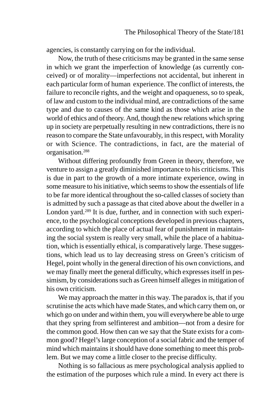agencies, is constantly carrying on for the individual.

Now, the truth of these criticisms may be granted in the same sense in which we grant the imperfection of knowledge (as currently conceived) or of morality—imperfections not accidental, but inherent in each particular form of human experience. The conflict of interests, the failure to reconcile rights, and the weight and opaqueness, so to speak, of law and custom to the individual mind, are contradictions of the same type and due to causes of the same kind as those which arise in the world of ethics and of theory. And, though the new relations which spring up in society are perpetually resulting in new contradictions, there is no reason to compare the State unfavourably, in this respect, with Morality or with Science. The contradictions, in fact, are the material of organisation.288

Without differing profoundly from Green in theory, therefore, we venture to assign a greatly diminished importance to his criticisms. This is due in part to the growth of a more intimate experience, owing in some measure to his initiative, which seems to show the essentials of life to be far more identical throughout the so-called classes of society than is admitted by such a passage as that cited above about the dweller in a London yard.289 It is due, further, and in connection with such experience, to the psychological conceptions developed in previous chapters, according to which the place of actual fear of punishment in maintaining the social system is really very small, while the place of a habituation, which is essentially ethical, is comparatively large. These suggestions, which lead us to lay decreasing stress on Green's criticism of Hegel, point wholly in the general direction of his own convictions, and we may finally meet the general difficulty, which expresses itself in pessimism, by considerations such as Green himself alleges in mitigation of his own criticism.

We may approach the matter in this way. The paradox is, that if you scrutinise the acts which have made States, and which carry them on, or which go on under and within them, you will everywhere be able to urge that they spring from selfinterest and ambition—not from a desire for the common good. How then can we say that the State exists for a common good? Hegel's large conception of a social fabric and the temper of mind which maintains it should have done something to meet this problem. But we may come a little closer to the precise difficulty.

Nothing is so fallacious as mere psychological analysis applied to the estimation of the purposes which rule a mind. In every act there is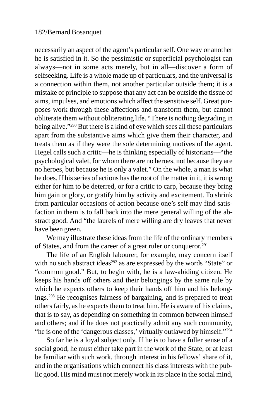necessarily an aspect of the agent's particular self. One way or another he is satisfied in it. So the pessimistic or superficial psychologist can always—not in some acts merely, but in all—discover a form of selfseeking. Life is a whole made up of particulars, and the universal is a connection within them, not another particular outside them; it is a mistake of principle to suppose that any act can be outside the tissue of aims, impulses, and emotions which affect the sensitive self. Great purposes work through these affections and transform them, but cannot obliterate them without obliterating life. "There is nothing degrading in being alive."290 But there is a kind of eye which sees all these particulars apart from the substantive aims which give them their character, and treats them as if they were the sole determining motives of the agent. Hegel calls such a critic—he is thinking especially of historians—"the psychological valet, for whom there are no heroes, not because they are no heroes, but because he is only a valet." On the whole, a man is what he does. If his series of actions has the root of the matter in it, it is wrong either for him to be deterred, or for a critic to carp, because they bring him gain or glory, or gratify him by activity and excitement. To shrink from particular occasions of action because one's self may find satisfaction in them is to fall back into the mere general willing of the abstract good. And "the laurels of mere willing are dry leaves that never have been green.

We may illustrate these ideas from the life of the ordinary members of States, and from the career of a great ruler or conqueror.<sup>291</sup>

The life of an English labourer, for example, may concern itself with no such abstract ideas<sup>292</sup> as are expressed by the words "State" or "common good." But, to begin with, he is a law-abiding citizen. He keeps his hands off others and their belongings by the same rule by which he expects others to keep their hands off him and his belongings.293 He recognises fairness of bargaining, and is prepared to treat others fairly, as he expects them to treat him. He is aware of his claims, that is to say, as depending on something in common between himself and others; and if he does not practically admit any such community, "he is one of the 'dangerous classes,' virtually outlawed by himself."<sup>294</sup>

So far he is a loyal subject only. If he is to have a fuller sense of a social good, he must either take part in the work of the State, or at least be familiar with such work, through interest in his fellows' share of it, and in the organisations which connect his class interests with the public good. His mind must not merely work in its place in the social mind,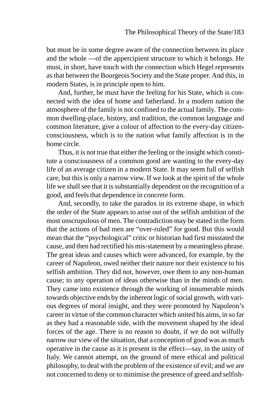but must be in some degree aware of the connection between its place and the whole —of the appercipient structure to which it belongs. He must, in short, have touch with the connection which Hegel represents as that between the Bourgeois Society and the State proper. And this, in modern States, is in principle open to him.

And, further, he must have the feeling for his State, which is connected with the idea of home and fatherland. In a modern nation the atmosphere of the family is not confined to the actual family. The common dwelling-place, history, and tradition, the common language and common literature, give a colour of affection to the every-day citizenconsciousness, which is to the nation what family affection is in the home circle.

Thus, it is not true that either the feeling or the insight which constitute a consciousness of a common good are wanting to the every-day life of an average citizen in a modern State. It may seem full of selfish care, but this is only a narrow view. If we look at the spirit of the whole life we shall see that it is substantially dependent on the recognition of a good, and feels that dependence in concrete form.

And, secondly, to take the paradox in its extreme shape, in which the order of the State appears to arise out of the selfish ambition of the most unscrupulous of men. The contradiction may be stated in the form that the actions of bad men are "over-ruled" for good. But this would mean that the "psychological" critic or historian had first misstated the cause, and then had rectified his mis-statement by a meaningless phrase. The great ideas and causes which were advanced, for example, by the career of Napoleon, owed neither their nature nor their existence to his selfish ambition. They did not, however, owe them to any non-human cause; to any operation of ideas otherwise than in the minds of men. They came into existence through the working of innumerable minds towards objective ends by the inherent logic of social growth, with various degrees of moral insight, and they were promoted by Napoleon's career in virtue of the common character which united his aims, in so far as they had a reasonable side, with the movement shaped by the ideal forces of the age. There is no reason to doubt, if we do not wilfully narrow our view of the situation, that a conception of good was as much operative in the cause as it is present in the effect—say, in the unity of Italy. We cannot attempt, on the ground of mere ethical and political philosophy, to deal with the problem of the existence of evil; and we are not concerned to deny or to minimise the presence of greed and selfish-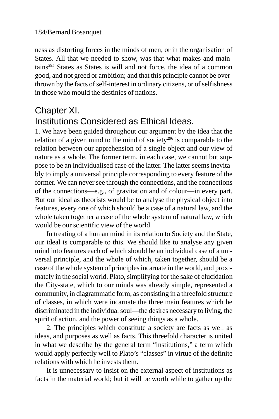ness as distorting forces in the minds of men, or in the organisation of States. All that we needed to show, was that what makes and maintains295 States as States is will and not force, the idea of a common good, and not greed or ambition; and that this principle cannot be overthrown by the facts of self-interest in ordinary citizens, or of selfishness in those who mould the destinies of nations.

# Chapter XI. Institutions Considered as Ethical Ideas.

1. We have been guided throughout our argument by the idea that the relation of a given mind to the mind of society<sup>296</sup> is comparable to the relation between our apprehension of a single object and our view of nature as a whole. The former term, in each case, we cannot but suppose to be an individualised case of the latter. The latter seems inevitably to imply a universal principle corresponding to every feature of the former. We can never see through the connections, and the connections of the connections—e.g., of gravitation and of colour—in every part. But our ideal as theorists would be to analyse the physical object into features, every one of which should be a case of a natural law, and the whole taken together a case of the whole system of natural law, which would be our scientific view of the world.

In treating of a human mind in its relation to Society and the State, our ideal is comparable to this. We should like to analyse any given mind into features each of which should be an individual case of a universal principle, and the whole of which, taken together, should be a case of the whole system of principles incarnate in the world, and proximately in the social world. Plato, simplifying for the sake of elucidation the City-state, which to our minds was already simple, represented a community, in diagrammatic form, as consisting in a threefold structure of classes, in which were incarnate the three main features which he discriminated in the individual soul—the desires necessary to living, the spirit of action, and the power of seeing things as a whole.

2. The principles which constitute a society are facts as well as ideas, and purposes as well as facts. This threefold character is united in what we describe by the general term "institutions," a term which would apply perfectly well to Plato's "classes" in virtue of the definite relations with which he invests them.

It is unnecessary to insist on the external aspect of institutions as facts in the material world; but it will be worth while to gather up the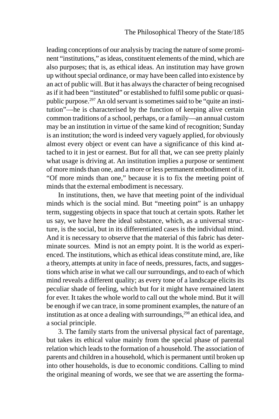leading conceptions of our analysis by tracing the nature of some prominent "institutions," as ideas, constituent elements of the mind, which are also purposes; that is, as ethical ideas. An institution may have grown up without special ordinance, or may have been called into existence by an act of public will. But it has always the character of being recognised as if it had been "instituted" or established to fulfil some public or quasipublic purpose.297 An old servant is sometimes said to be "quite an institution"—he is characterised by the function of keeping alive certain common traditions of a school, perhaps, or a family—an annual custom may be an institution in virtue of the same kind of recognition; Sunday is an institution; the word is indeed very vaguely applied, for obviously almost every object or event can have a significance of this kind attached to it in jest or earnest. But for all that, we can see pretty plainly what usage is driving at. An institution implies a purpose or sentiment of more minds than one, and a more or less permanent embodiment of it. "Of more minds than one," because it is to fix the meeting point of minds that the external embodiment is necessary.

In institutions, then, we have that meeting point of the individual minds which is the social mind. But "meeting point" is an unhappy term, suggesting objects in space that touch at certain spots. Rather let us say, we have here the ideal substance, which, as a universal structure, is the social, but in its differentiated cases is the individual mind. And it is necessary to observe that the material of this fabric has determinate sources. Mind is not an empty point. It is the world as experienced. The institutions, which as ethical ideas constitute mind, are, like a theory, attempts at unity in face of needs, pressures, facts, and suggestions which arise in what we call our surroundings, and to each of which mind reveals a different quality; as every tone of a landscape elicits its peculiar shade of feeling, which but for it might have remained latent for ever. It takes the whole world to call out the whole mind. But it will be enough if we can trace, in some prominent examples, the nature of an institution as at once a dealing with surroundings,<sup>298</sup> an ethical idea, and a social principle.

3. The family starts from the universal physical fact of parentage, but takes its ethical value mainly from the special phase of parental relation which leads to the formation of a household. The association of parents and children in a household, which is permanent until broken up into other households, is due to economic conditions. Calling to mind the original meaning of words, we see that we are asserting the forma-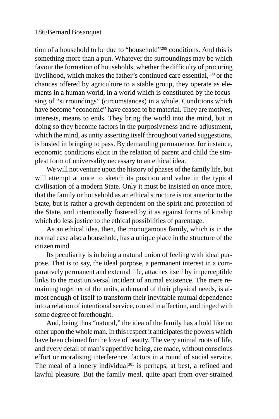tion of a household to be due to "household"299 conditions. And this is something more than a pun. Whatever the surroundings may be which favour the formation of households, whether the difficulty of procuring livelihood, which makes the father's continued care essential,<sup>300</sup> or the chances offered by agriculture to a stable group, they operate as elements in a human world, in a world which is constituted by the focussing of "surroundings" (circumstances) in a whole. Conditions which have become "economic" have ceased to be material. They are motives, interests, means to ends. They bring the world into the mind, but in doing so they become factors in the purposiveness and re-adjustment, which the mind, as unity asserting itself throughout varied suggestions, is busied in bringing to pass. By demanding permanence, for instance, economic conditions elicit in the relation of parent and child the simplest form of universality necessary to an ethical idea.

We will not venture upon the history of phases of the family life, but will attempt at once to sketch its position and value in the typical civilisation of a modern State. Only it must be insisted on once more, that the family or household as an ethical structure is not anterior to the State, but is rather a growth dependent on the spirit and protection of the State, and intentionally fostered by it as against forms of kinship which do less justice to the ethical possibilities of parentage.

As an ethical idea, then, the monogamous family, which is in the normal case also a household, has a unique place in the structure of the citizen mind.

Its peculiarity is in being a natural union of feeling with ideal purpose. That is to say, the ideal purpose, a permanent interest in a comparatively permanent and external life, attaches itself by imperceptible links to the most universal incident of animal existence. The mere remaining together of the units, a demand of their physical needs, is almost enough of itself to transform their inevitable mutual dependence into a relation of intentional service, rooted in affection, and tinged with some degree of forethought.

And, being thus "natural," the idea of the family has a hold like no other upon the whole man. In this respect it anticipates the powers which have been claimed for the love of beauty. The very animal roots of life, and every detail of man's appetitive being, are made, without conscious effort or moralising interference, factors in a round of social service. The meal of a lonely individual<sup>301</sup> is perhaps, at best, a refined and lawful pleasure. But the family meal, quite apart from over-strained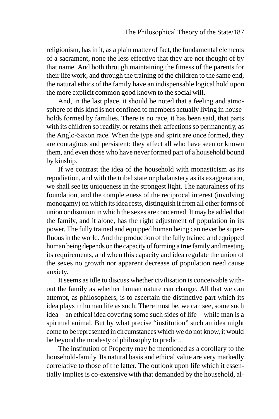religionism, has in it, as a plain matter of fact, the fundamental elements of a sacrament, none the less effective that they are not thought of by that name. And both through maintaining the fitness of the parents for their life work, and through the training of the children to the same end, the natural ethics of the family have an indispensable logical hold upon the more explicit common good known to the social will.

And, in the last place, it should be noted that a feeling and atmosphere of this kind is not confined to members actually living in households formed by families. There is no race, it has been said, that parts with its children so readily, or retains their affections so permanently, as the Anglo-Saxon race. When the type and spirit are once formed, they are contagious and persistent; they affect all who have seen or known them, and even those who have never formed part of a household bound by kinship.

If we contrast the idea of the household with monasticism as its repudiation, and with the tribal state or phalanstery as its exaggeration, we shall see its uniqueness in the strongest light. The naturalness of its foundation, and the completeness of the reciprocal interest (involving monogamy) on which its idea rests, distinguish it from all other forms of union or disunion in which the sexes are concerned. It may be added that the family, and it alone, has the right adjustment of population in its power. The fully trained and equipped human being can never be superfluous in the world. And the production of the fully trained and equipped human being depends on the capacity of forming a true family and meeting its requirements, and when this capacity and idea regulate the union of the sexes no growth nor apparent decrease of population need cause anxiety.

It seems as idle to discuss whether civilisation is conceivable without the family as whether human nature can change. All that we can attempt, as philosophers, is to ascertain the distinctive part which its idea plays in human life as such. There must be, we can see, some such idea—an ethical idea covering some such sides of life—while man is a spiritual animal. But by what precise "institution" such an idea might come to be represented in circumstances which we do not know, it would be beyond the modesty of philosophy to predict.

The institution of Property may be mentioned as a corollary to the household-family. Its natural basis and ethical value are very markedly correlative to those of the latter. The outlook upon life which it essentially implies is co-extensive with that demanded by the household, al-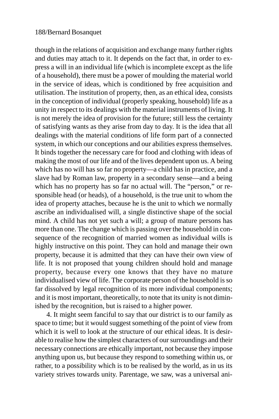though in the relations of acquisition and exchange many further rights and duties may attach to it. It depends on the fact that, in order to express a will in an individual life (which is incomplete except as the life of a household), there must be a power of moulding the material world in the service of ideas, which is conditioned by free acquisition and utilisation. The institution of property, then, as an ethical idea, consists in the conception of individual (properly speaking, household) life as a unity in respect to its dealings with the material instruments of living. It is not merely the idea of provision for the future; still less the certainty of satisfying wants as they arise from day to day. It is the idea that all dealings with the material conditions of life form part of a connected system, in which our conceptions and our abilities express themselves. It binds together the necessary care for food and clothing with ideas of making the most of our life and of the lives dependent upon us. A being which has no will has so far no property—a child has in practice, and a slave had by Roman law, property in a secondary sense—and a being which has no property has so far no actual will. The "person," or responsible head (or heads), of a household, is the true unit to whom the idea of property attaches, because he is the unit to which we normally ascribe an individualised will, a single distinctive shape of the social mind. A child has not yet such a will; a group of mature persons has more than one. The change which is passing over the household in consequence of the recognition of married women as individual wills is highly instructive on this point. They can hold and manage their own property, because it is admitted that they can have their own view of life. It is not proposed that young children should hold and manage property, because every one knows that they have no mature individualised view of life. The corporate person of the household is so far dissolved by legal recognition of its more individual components; and it is most important, theoretically, to note that its unity is not diminished by the recognition, but is raised to a higher power.

4. It might seem fanciful to say that our district is to our family as space to time; but it would suggest something of the point of view from which it is well to look at the structure of our ethical ideas. It is desirable to realise how the simplest characters of our surroundings and their necessary connections are ethically important, not because they impose anything upon us, but because they respond to something within us, or rather, to a possibility which is to be realised by the world, as in us its variety strives towards unity. Parentage, we saw, was a universal ani-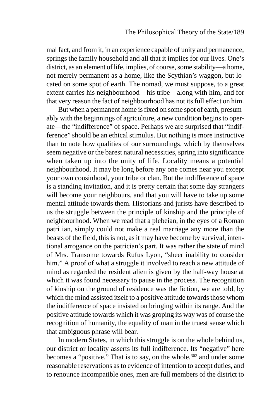mal fact, and from it, in an experience capable of unity and permanence, springs the family household and all that it implies for our lives. One's district, as an element of life, implies, of course, some stability—a home, not merely permanent as a home, like the Scythian's waggon, but located on some spot of earth. The nomad, we must suppose, to a great extent carries his neighbourhood—his tribe—along with him, and for that very reason the fact of neighbourhood has not its full effect on him.

But when a permanent home is fixed on some spot of earth, presumably with the beginnings of agriculture, a new condition begins to operate—the "indifference" of space. Perhaps we are surprised that "indifference" should be an ethical stimulus. But nothing is more instructive than to note how qualities of our surroundings, which by themselves seem negative or the barest natural necessities, spring into significance when taken up into the unity of life. Locality means a potential neighbourhood. It may be long before any one comes near you except your own cousinhood, your tribe or clan. But the indifference of space is a standing invitation, and it is pretty certain that some day strangers will become your neighbours, and that you will have to take up some mental attitude towards them. Historians and jurists have described to us the struggle between the principle of kinship and the principle of neighbourhood. When we read that a plebeian, in the eyes of a Roman patri ian, simply could not make a real marriage any more than the beasts of the field, this is not, as it may have become by survival, intentional arrogance on the patrician's part. It was rather the state of mind of Mrs. Transome towards Rufus Lyon, "sheer inability to consider him." A proof of what a struggle it involved to reach a new attitude of mind as regarded the resident alien is given by the half-way house at which it was found necessary to pause in the process. The recognition of kinship on the ground of residence was the fiction, we are told, by which the mind assisted itself to a positive attitude towards those whom the indifference of space insisted on bringing within its range. And the positive attitude towards which it was groping its way was of course the recognition of humanity, the equality of man in the truest sense which that ambiguous phrase will bear.

In modern States, in which this struggle is on the whole behind us, our district or locality asserts its full indifference. Its "negative" here becomes a "positive." That is to say, on the whole, $302$  and under some reasonable reservations as to evidence of intention to accept duties, and to renounce incompatible ones, men are full members of the district to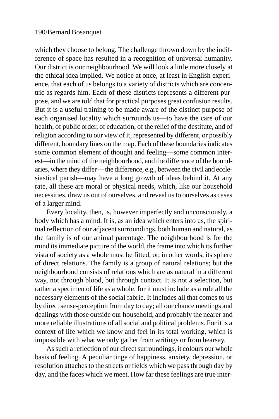which they choose to belong. The challenge thrown down by the indifference of space has resulted in a recognition of universal humanity. Our district is our neighbourhood. We will look a little more closely at the ethical idea implied. We notice at once, at least in English experience, that each of us belongs to a variety of districts which are concentric as regards him. Each of these districts represents a different purpose, and we are told that for practical purposes great confusion results. But it is a useful training to be made aware of the distinct purpose of each organised locality which surrounds us—to have the care of our health, of public order, of education, of the relief of the destitute, and of religion according to our view of it, represented by different, or possibly different, boundary lines on the map. Each of these boundaries indicates some common element of thought and feeling—some common interest—in the mind of the neighbourhood, and the difference of the boundaries, where they differ— the difference, e.g., between the civil and ecclesiastical parish—may have a long growth of ideas behind it. At any rate, all these are moral or physical needs, which, like our household necessities, draw us out of ourselves, and reveal us to ourselves as cases of a larger mind.

Every locality, then, is, however imperfectly and unconsciously, a body which has a mind. It is, as an idea which enters into us, the spiritual reflection of our adjacent surroundings, both human and natural, as the family is of our animal parentage. The neighbourhood is for the mind its immediate picture of the world, the frame into which its further vista of society as a whole must be fitted, or, in other words, its sphere of direct relations. The family is a group of natural relations; but the neighbourhood consists of relations which are as natural in a different way, not through blood, but through contact. It is not a selection, but rather a specimen of life as a whole, for it must include as a rule all the necessary elements of the social fabric. It includes all that comes to us by direct sense-perception from day to day; all our chance meetings and dealings with those outside our household, and probably the nearer and more reliable illustrations of all social and political problems. For it is a context of life which we know and feel in its total working, which is impossible with what we only gather from writings or from hearsay.

As such a reflection of our direct surroundings, it colours our whole basis of feeling. A peculiar tinge of happiness, anxiety, depression, or resolution attaches to the streets or fields which we pass through day by day, and the faces which we meet. How far these feelings are true inter-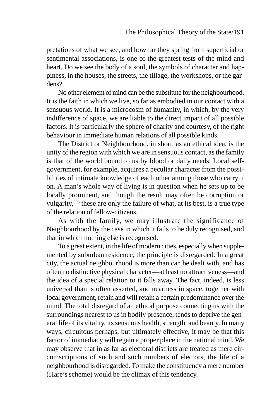pretations of what we see, and how far they spring from superficial or sentimental associations, is one of the greatest tests of the mind and heart. Do we see the body of a soul, the symbols of character and happiness, in the houses, the streets, the tillage, the workshops, or the gardens?

No other element of mind can be the substitute for the neighbourhood. It is the faith in which we live, so far as embodied in our contact with a sensuous world. It is a microcosm of humanity, in which, by the very indifference of space, we are liable to the direct impact of all possible factors. It is particularly the sphere of charity and courtesy, of the right behaviour in immediate human relations of all possible kinds.

The District or Neighbourhood, in short, as an ethical idea, is the unity of the region with which we are in sensuous contact, as the family is that of the world bound to us by blood or daily needs. Local selfgovernment, for example, acquires a peculiar character from the possibilities of intimate knowledge of each other among those who carry it on. A man's whole way of living is in question when he sets up to be locally prominent, and though the result may often be corruption or vulgarity,303 these are only the failure of what, at its best, is a true type of the relation of fellow-citizens.

As with the family, we may illustrate the significance of Neighbourhood by the case in which it fails to be duly recognised, and that in which nothing else is recognised.

To a great extent, in the life of modern cities, especially when supplemented by suburban residence, the principle is disregarded. In a great city, the actual neighbourhood is more than can be dealt with, and has often no distinctive physical character—at least no attractiveness—and the idea of a special relation to it falls away. The fact, indeed, is less universal than is often asserted, and nearness in space, together with local government, retain and will retain a certain predominance over the mind. The total disregard of an ethical purpose connecting us with the surroundings nearest to us in bodily presence, tends to deprive the general life of its vitality, its sensuous health, strength, and beauty. In many ways, circuitous perhaps, but ultimately effective, it may be that this factor of immediacy will regain a proper place in the national mind. We may observe that in as far as electoral districts are treated as mere circumscriptions of such and such numbers of electors, the life of a neighbourhood is disregarded. To make the constituency a mere number (Hare's scheme) would be the climax of this tendency.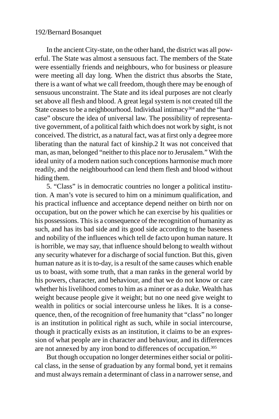In the ancient City-state, on the other hand, the district was all powerful. The State was almost a sensuous fact. The members of the State were essentially friends and neighbours, who for business or pleasure were meeting all day long. When the district thus absorbs the State, there is a want of what we call freedom, though there may be enough of sensuous unconstraint. The State and its ideal purposes are not clearly set above all flesh and blood. A great legal system is not created till the State ceases to be a neighbourhood. Individual intimacy<sup>304</sup> and the "hard case" obscure the idea of universal law. The possibility of representative government, of a political faith which does not work by sight, is not conceived. The district, as a natural fact, was at first only a degree more liberating than the natural fact of kinship.2 It was not conceived that man, as man, belonged "neither to this place nor to Jerusalem." With the ideal unity of a modern nation such conceptions harmonise much more readily, and the neighbourhood can lend them flesh and blood without hiding them.

5. "Class" is in democratic countries no longer a political institution. A man's vote is secured to him on a minimum qualification, and his practical influence and acceptance depend neither on birth nor on occupation, but on the power which he can exercise by his qualities or his possessions. This is a consequence of the recognition of humanity as such, and has its bad side and its good side according to the baseness and nobility of the influences which tell de facto upon human nature. It is horrible, we may say, that influence should belong to wealth without any security whatever for a discharge of social function. But this, given human nature as it is to-day, is a result of the same causes which enable us to boast, with some truth, that a man ranks in the general world by his powers, character, and behaviour, and that we do not know or care whether his livelihood comes to him as a miner or as a duke. Wealth has weight because people give it weight; but no one need give weight to wealth in politics or social intercourse unless he likes. It is a consequence, then, of the recognition of free humanity that "class" no longer is an institution in political right as such, while in social intercourse, though it practically exists as an institution, it claims to be an expression of what people are in character and behaviour, and its differences are not annexed by any iron bond to differences of occupation.305

But though occupation no longer determines either social or political class, in the sense of graduation by any formal bond, yet it remains and must always remain a determinant of class in a narrower sense, and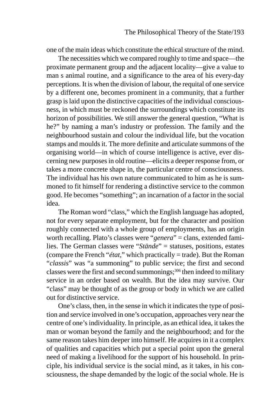one of the main ideas which constitute the ethical structure of the mind.

The necessities which we compared roughly to time and space—the proximate permanent group and the adjacent locality—give a value to man s animal routine, and a significance to the area of his every-day perceptions. It is when the division of labour, the requital of one service by a different one, becomes prominent in a community, that a further grasp is laid upon the distinctive capacities of the individual consciousness, in which must be reckoned the surroundings which constitute its horizon of possibilities. We still answer the general question, "What is he?" by naming a man's industry or profession. The family and the neighbourhood sustain and colour the individual life, but the vocation stamps and moulds it. The more definite and articulate summons of the organising world—in which of course intelligence is active, ever discerning new purposes in old routine—elicits a deeper response from, or takes a more concrete shape in, the particular centre of consciousness. The individual has his own nature communicated to him as he is summoned to fit himself for rendering a distinctive service to the common good. He becomes "something"; an incarnation of a factor in the social idea.

The Roman word "class," which the English language has adopted, not for every separate employment, but for the character and position roughly connected with a whole group of employments, has an origin worth recalling. Plato's classes were "*genera*" = clans, extended families. The German classes were "*Stände*" = statuses, positions, estates (compare the French "*état*," which practically = trade). But the Roman "*classis*" was "a summoning" to public service; the first and second classes were the first and second summonings;<sup>306</sup> then indeed to military service in an order based on wealth. But the idea may survive. Our "class" may be thought of as the group or body in which we are called out for distinctive service.

One's class, then, in the sense in which it indicates the type of position and service involved in one's occupation, approaches very near the centre of one's individuality. In principle, as an ethical idea, it takes the man or woman beyond the family and the neighbourhood; and for the same reason takes him deeper into himself. He acquires in it a complex of qualities and capacities which put a special point upon the general need of making a livelihood for the support of his household. In principle, his individual service is the social mind, as it takes, in his consciousness, the shape demanded by the logic of the social whole. He is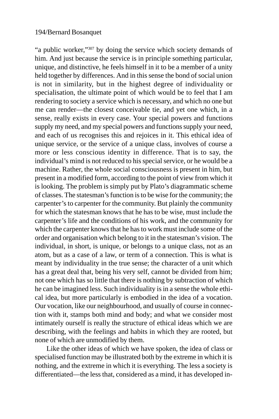"a public worker,"307 by doing the service which society demands of him. And just because the service is in principle something particular, unique, and distinctive, he feels himself in it to be a member of a unity held together by differences. And in this sense the bond of social union is not in similarity, but in the highest degree of individuality or specialisation, the ultimate point of which would be to feel that I am rendering to society a service which is necessary, and which no one but me can render—the closest conceivable tie, and yet one which, in a sense, really exists in every case. Your special powers and functions supply my need, and my special powers and functions supply your need, and each of us recognises this and rejoices in it. This ethical idea of unique service, or the service of a unique class, involves of course a more or less conscious identity in difference. That is to say, the individual's mind is not reduced to his special service, or he would be a machine. Rather, the whole social consciousness is present in him, but present in a modified form, according to the point of view from which it is looking. The problem is simply put by Plato's diagrammatic scheme of classes. The statesman's function is to be wise for the community; the carpenter's to carpenter for the community. But plainly the community for which the statesman knows that he has to be wise, must include the carpenter's life and the conditions of his work, and the community for which the carpenter knows that he has to work must include some of the order and organisation which belong to it in the statesman's vision. The individual, in short, is unique, or belongs to a unique class, not as an atom, but as a case of a law, or term of a connection. This is what is meant by individuality in the true sense; the character of a unit which has a great deal that, being his very self, cannot be divided from him; not one which has so little that there is nothing by subtraction of which he can be imagined less. Such individuality is in a sense the whole ethical idea, but more particularly is embodied in the idea of a vocation. Our vocation, like our neighbourhood, and usually of course in connection with it, stamps both mind and body; and what we consider most intimately ourself is really the structure of ethical ideas which we are describing, with the feelings and habits in which they are rooted, but none of which are unmodified by them.

Like the other ideas of which we have spoken, the idea of class or specialised function may be illustrated both by the extreme in which it is nothing, and the extreme in which it is everything. The less a society is differentiated—the less that, considered as a mind, it has developed in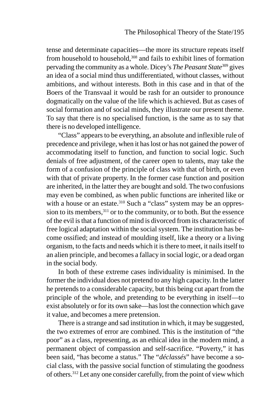tense and determinate capacities—the more its structure repeats itself from household to household,<sup>308</sup> and fails to exhibit lines of formation pervading the community as a whole. Dicey's *The Peasant State*309 gives an idea of a social mind thus undifferentiated, without classes, without ambitions, and without interests. Both in this case and in that of the Boers of the Transvaal it would be rash for an outsider to pronounce dogmatically on the value of the life which is achieved. But as cases of social formation and of social minds, they illustrate our present theme. To say that there is no specialised function, is the same as to say that there is no developed intelligence.

"Class" appears to be everything, an absolute and inflexible rule of precedence and privilege, when it has lost or has not gained the power of accommodating itself to function, and function to social logic. Such denials of free adjustment, of the career open to talents, may take the form of a confusion of the principle of class with that of birth, or even with that of private property. In the former case function and position are inherited, in the latter they are bought and sold. The two confusions may even be combined, as when public functions are inherited like or with a house or an estate.<sup>310</sup> Such a "class" system may be an oppression to its members,<sup>311</sup> or to the community, or to both. But the essence of the evil is that a function of mind is divorced from its characteristic of free logical adaptation within the social system. The institution has become ossified; and instead of moulding itself, like a theory or a living organism, to the facts and needs which it is there to meet, it nails itself to an alien principle, and becomes a fallacy in social logic, or a dead organ in the social body.

In both of these extreme cases individuality is minimised. In the former the individual does not pretend to any high capacity. In the latter he pretends to a considerable capacity, but this being cut apart from the principle of the whole, and pretending to be everything in itself—to exist absolutely or for its own sake—has lost the connection which gave it value, and becomes a mere pretension.

There is a strange and sad institution in which, it may be suggested, the two extremes of error are combined. This is the institution of "the poor" as a class, representing, as an ethical idea in the modern mind, a permanent object of compassion and self-sacrifice. "Poverty," it has been said, "has become a status." The "*déclassés*" have become a social class, with the passive social function of stimulating the goodness of others.312 Let any one consider carefully, from the point of view which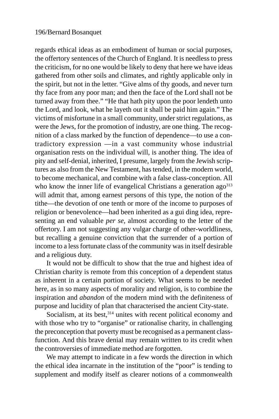regards ethical ideas as an embodiment of human or social purposes, the offertory sentences of the Church of England. It is needless to press the criticism, for no one would be likely to deny that here we have ideas gathered from other soils and climates, and rightly applicable only in the spirit, but not in the letter. "Give alms of thy goods, and never turn thy face from any poor man; and then the face of the Lord shall not be turned away from thee." "He that hath pity upon the poor lendeth unto the Lord, and look, what he layeth out it shall be paid him again." The victims of misfortune in a small community, under strict regulations, as were the Jews, for the promotion of industry, are one thing. The recognition of a class marked by the function of dependence—to use a contradictory expression —in a vast community whose industrial organisation rests on the individual will, is another thing. The idea of pity and self-denial, inherited, I presume, largely from the Jewish scriptures as also from the New Testament, has tended, in the modern world, to become mechanical, and combine with a false class-conception. All who know the inner life of evangelical Christians a generation  $ago^{313}$ will admit that, among earnest persons of this type, the notion of the tithe—the devotion of one tenth or more of the income to purposes of religion or benevolence—had been inherited as a gui ding idea, representing an end valuable *per se*, almost according to the letter of the offertory. I am not suggesting any vulgar charge of other-worldliness, but recalling a genuine conviction that the surrender of a portion of income to a less fortunate class of the community was in itself desirable and a religious duty.

It would not be difficult to show that the true and highest idea of Christian charity is remote from this conception of a dependent status as inherent in a certain portion of society. What seems to be needed here, as in so many aspects of morality and religion, is to combine the inspiration and *abandon* of the modern mind with the definiteness of purpose and lucidity of plan that characterised the ancient City-state.

Socialism, at its best, $314$  unites with recent political economy and with those who try to "organise" or rationalise charity, in challenging the preconception that poverty must be recognised as a permanent classfunction. And this brave denial may remain written to its credit when the controversies of immediate method are forgotten.

We may attempt to indicate in a few words the direction in which the ethical idea incarnate in the institution of the "poor" is tending to supplement and modify itself as clearer notions of a commonwealth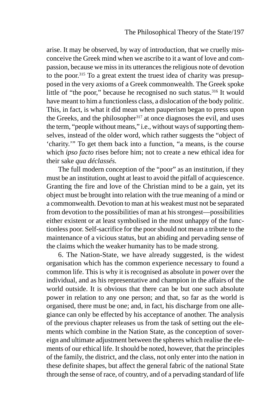arise. It may be observed, by way of introduction, that we cruelly misconceive the Greek mind when we ascribe to it a want of love and compassion, because we miss in its utterances the religious note of devotion to the poor.315 To a great extent the truest idea of charity was presupposed in the very axioms of a Greek commonwealth. The Greek spoke little of "the poor," because he recognised no such status.<sup>316</sup> It would have meant to him a functionless class, a dislocation of the body politic. This, in fact, is what it did mean when pauperism began to press upon the Greeks, and the philosopher<sup>317</sup> at once diagnoses the evil, and uses the term, "people without means," i.e., without ways of supporting themselves, instead of the older word, which rather suggests the "object of 'charity.'" To get them back into a function, "a means, is the course which *ipso facto* rises before him; not to create a new ethical idea for their sake *qua déclassés*.

The full modern conception of the "poor" as an institution, if they must be an institution, ought at least to avoid the pitfall of acquiescence. Granting the fire and love of the Christian mind to be a gain, yet its object must be brought into relation with the true meaning of a mind or a commonwealth. Devotion to man at his weakest must not be separated from devotion to the possibilities of man at his strongest—possibilities either existent or at least symbolised in the most unhappy of the functionless poor. Self-sacrifice for the poor should not mean a tribute to the maintenance of a vicious status, but an abiding and pervading sense of the claims which the weaker humanity has to be made strong.

6. The Nation-State, we have already suggested, is the widest organisation which has the common experience necessary to found a common life. This is why it is recognised as absolute in power over the individual, and as his representative and champion in the affairs of the world outside. It is obvious that there can be but one such absolute power in relation to any one person; and that, so far as the world is organised, there must be one; and, in fact, his discharge from one allegiance can only be effected by his acceptance of another. The analysis of the previous chapter releases us from the task of setting out the elements which combine in the Nation State, as the conception of sovereign and ultimate adjustment between the spheres which realise the elements of our ethical life. It should be noted, however, that the principles of the family, the district, and the class, not only enter into the nation in these definite shapes, but affect the general fabric of the national State through the sense of race, of country, and of a pervading standard of life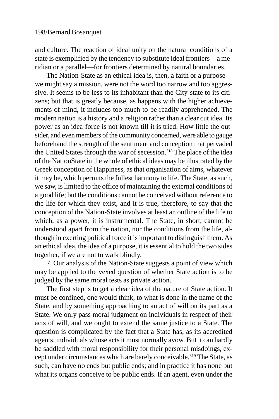and culture. The reaction of ideal unity on the natural conditions of a state is exemplified by the tendency to substitute ideal frontiers—a meridian or a parallel—for frontiers determined by natural boundaries.

The Nation-State as an ethical idea is, then, a faith or a purpose we might say a mission, were not the word too narrow and too aggressive. It seems to be less to its inhabitant than the City-state to its citizens; but that is greatly because, as happens with the higher achievements of mind, it includes too much to be readily apprehended. The modern nation is a history and a religion rather than a clear cut idea. Its power as an idea-force is not known till it is tried. How little the outsider, and even members of the community concerned, were able to gauge beforehand the strength of the sentiment and conception that pervaded the United States through the war of secession.<sup>318</sup> The place of the idea of the NationState in the whole of ethical ideas may be illustrated by the Greek conception of Happiness, as that organisation of aims, whatever it may be, which permits the fullest harmony to life. The State, as such, we saw, is limited to the office of maintaining the external conditions of a good life; but the conditions cannot be conceived without reference to the life for which they exist, and it is true, therefore, to say that the conception of the Nation-State involves at least an outline of the life to which, as a power, it is instrumental. The State, in short, cannot be understood apart from the nation, nor the conditions from the life, although in exerting political force it is important to distinguish them. As an ethical idea, the idea of a purpose, it is essential to hold the two sides together, if we are not to walk blindly.

7. Our analysis of the Nation-State suggests a point of view which may be applied to the vexed question of whether State action is to be judged by the same moral tests as private action.

The first step is to get a clear idea of the nature of State action. It must be confined, one would think, to what is done in the name of the State, and by something approaching to an act of will on its part as a State. We only pass moral judgment on individuals in respect of their acts of will, and we ought to extend the same justice to a State. The question is complicated by the fact that a State has, as its accredited agents, individuals whose acts it must normally avow. But it can hardly be saddled with moral responsibility for their personal misdoings, except under circumstances which are barely conceivable.<sup>319</sup> The State, as such, can have no ends but public ends; and in practice it has none but what its organs conceive to be public ends. If an agent, even under the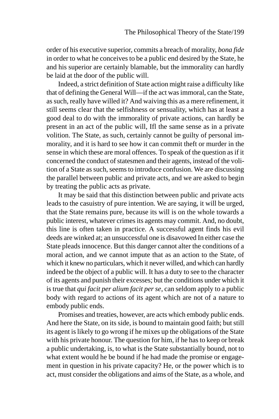order of his executive superior, commits a breach of morality, *bona fide* in order to what he conceives to be a public end desired by the State, he and his superior are certainly blamable, but the immorality can hardly be laid at the door of the public will.

Indeed, a strict definition of State action might raise a difficulty like that of defining the General Will—if the act was immoral, can the State, as such, really have willed it? And waiving this as a mere refinement, it still seems clear that the selfishness or sensuality, which has at least a good deal to do with the immorality of private actions, can hardly be present in an act of the public will, Ifl the same sense as in a private volition. The State, as such, certainly cannot be guilty of personal immorality, and it is hard to see how it can commit theft or murder in the sense in which these are moral offences. To speak of the question as if it concerned the conduct of statesmen and their agents, instead of the volition of a State as such, seems to introduce confusion. We are discussing the parallel between public and private acts, and we are asked to begin by treating the public acts as private.

It may be said that this distinction between public and private acts leads to the casuistry of pure intention. We are saying, it will be urged, that the State remains pure, because its will is on the whole towards a public interest, whatever crimes its agents may commit. And, no doubt, this line is often taken in practice. A successful agent finds his evil deeds are winked at; an unsuccessful one is disavowed In either case the State pleads innocence. But this danger cannot alter the conditions of a moral action, and we cannot impute that as an action to the State, of which it knew no particulars, which it never willed, and which can hardly indeed be the object of a public will. It has a duty to see to the character of its agents and punish their excesses; but the conditions under which it is true that *qui facit per alium facit per se*, can seldom apply to a public body with regard to actions of its agent which are not of a nature to embody public ends.

Promises and treaties, however, are acts which embody public ends. And here the State, on its side, is bound to maintain good faith; but still its agent is likely to go wrong if he mixes up the obligations of the State with his private honour. The question for him, if he has to keep or break a public undertaking, is, to what is the State substantially bound, not to what extent would he be bound if he had made the promise or engagement in question in his private capacity? He, or the power which is to act, must consider the obligations and aims of the State, as a whole, and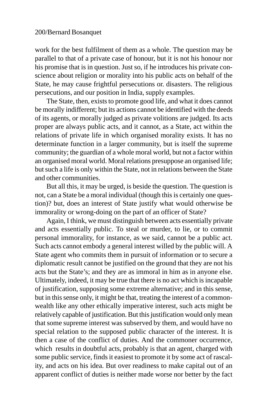work for the best fulfilment of them as a whole. The question may be parallel to that of a private case of honour, but it is not his honour nor his promise that is in question. Just so, if he introduces his private conscience about religion or morality into his public acts on behalf of the State, he may cause frightful persecutions or. disasters. The religious persecutions, and our position in India, supply examples.

The State, then, exists to promote good life, and what it does cannot be morally indifferent; but its actions cannot be identified with the deeds of its agents, or morally judged as private volitions are judged. Its acts proper are always public acts, and it cannot, as a State, act within the relations of private life in which organised morality exists. It has no determinate function in a larger community, but is itself the supreme community; the guardian of a whole moral world, but not a factor within an organised moral world. Moral relations presuppose an organised life; but such a life is only within the State, not in relations between the State and other communities.

But all this, it may be urged, is beside the question. The question is not, can a State be a moral individual (though this is certainly one question)? but, does an interest of State justify what would otherwise be immorality or wrong-doing on the part of an officer of State?

Again, I think, we must distinguish between acts essentially private and acts essentially public. To steal or murder, to lie, or to commit personal immorality, for instance, as we said, cannot be a public act. Such acts cannot embody a general interest willed by the public will. A State agent who commits them in pursuit of information or to secure a diplomatic result cannot be justified on the ground that they are not his acts but the State's; and they are as immoral in him as in anyone else. Ultimately, indeed, it may be true that there is no act which is incapable of justification, supposing some extreme alternative; and in this sense, but in this sense only, it might be that, treating the interest of a commonwealth like any other ethically imperative interest, such acts might be relatively capable of justification. But this justification would only mean that some supreme interest was subserved by them, and would have no special relation to the supposed public character of the interest. It is then a case of the conflict of duties. And the commoner occurrence, which results in doubtful acts, probably is that an agent, charged with some public service, finds it easiest to promote it by some act of rascality, and acts on his idea. But over readiness to make capital out of an apparent conflict of duties is neither made worse nor better by the fact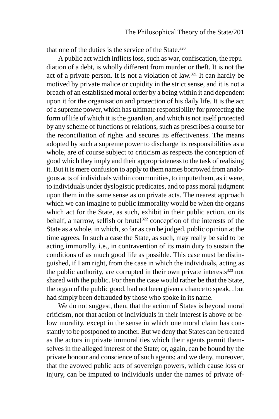that one of the duties is the service of the State.<sup>320</sup>

A public act which inflicts loss, such as war, confiscation, the repudiation of a debt, is wholly different from murder or theft. It is not the act of a private person. It is not a violation of law.321 It can hardly be motived by private malice or cupidity in the strict sense, and it is not a breach of an established moral order by a being within it and dependent upon it for the organisation and protection of his daily life. It is the act of a supreme power, which has ultimate responsibility for protecting the form of life of which it is the guardian, and which is not itself protected by any scheme of functions or relations, such as prescribes a course for the reconciliation of rights and secures its effectiveness. The means adopted by such a supreme power to discharge its responsibilities as a whole, are of course subject to criticism as respects the conception of good which they imply and their appropriateness to the task of realising it. But it is mere confusion to apply to them names borrowed from analogous acts of individuals within communities, to impute them, as it were, to individuals under dyslogistic predicates, and to pass moral judgment upon them in the same sense as on private acts. The nearest approach which we can imagine to public immorality would be when the organs which act for the State, as such, exhibit in their public action, on its behalf, a narrow, selfish or brutal<sup>322</sup> conception of the interests of the State as a whole, in which, so far as can be judged, public opinion at the time agrees. In such a case the State, as such, may really be said to be acting immorally, i.e., in contravention of its main duty to sustain the conditions of as much good life as possible. This case must be distinguished, if I am right, from the case in which the individuals, acting as the public authority, are corrupted in their own private interests $323$  not shared with the public. For then the case would rather be that the State, the organ of the public good, had not been given a chance to speak, . but had simply been defrauded by those who spoke in its name.

We do not suggest, then, that the action of States is beyond moral criticism, nor that action of individuals in their interest is above or below morality, except in the sense in which one moral claim has constantly to be postponed to another. But we deny that States can be treated as the actors in private immoralities which their agents permit themselves in the alleged interest of the State; or, again, can be bound by the private honour and conscience of such agents; and we deny, moreover, that the avowed public acts of sovereign powers, which cause loss or injury, can be imputed to individuals under the names of private of-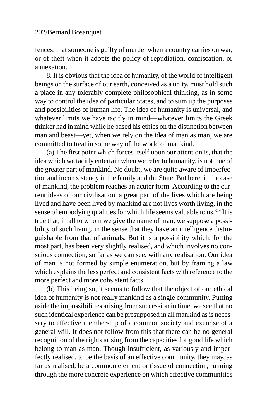fences; that someone is guilty of murder when a country carries on war, or of theft when it adopts the policy of repudiation, confiscation, or annexation.

8. It is obvious that the idea of humanity, of the world of intelligent beings on the surface of our earth, conceived as a unity, must hold such a place in any tolerably complete philosophical thinking, as in some way to control the idea of particular States, and to sum up the purposes and possibilities of human life. The idea of humanity is universal, and whatever limits we have tacitly in mind—whatever limits the Greek thinker had in mind while he based his ethics on the distinction between man and beast—yet, when we rely on the idea of man as man, we are committed to treat in some way of the world of mankind.

(a) The first point which forces itself upon our attention is, that the idea which we tacitly entertain when we refer to humanity, is not true of the greater part of mankind. No doubt, we are quite aware of imperfection and incon sistency in the family and the State. But here, in the case of mankind, the problem reaches an acuter form. According to the current ideas of our civilisation, a great part of the lives which are being lived and have been lived by mankind are not lives worth living, in the sense of embodying qualities for which life seems valuable to us.<sup>324</sup> It is true that, in all to whom we give the name of man, we suppose a possibility of such living, in the sense that they have an intelligence distinguishable from that of animals. But it is a possibility which, for the most part, has been very slightly realised, and which involves no conscious connection, so far as we can see, with any realisation. Our idea of man is not formed by simple enumeration, but by framing a law which explains the less perfect and consistent facts with reference to the more perfect and more cohsistent facts.

(b) This being so, it seems to follow that the object of our ethical idea of humanity is not really mankind as a single community. Putting aside the impossibilities arising from succession in time, we see that no such identical experience can be presupposed in all mankind as is necessary to effective membership of a common society and exercise of a general will. It does not follow from this that there can be no general recognition of the rights arising from the capacities for good life which belong to man as man. Though insufficient, as variously and imperfectly realised, to be the basis of an effective community, they may, as far as realised, be a common element or tissue of connection, running through the more concrete experience on which effective communities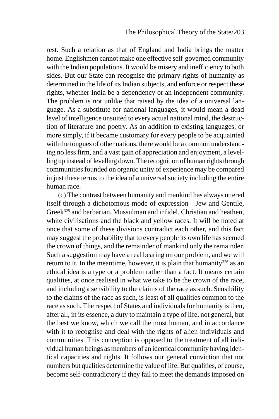rest. Such a relation as that of England and India brings the matter home. Englishmen cannot make one effective self-governed community with the Indian populations. It would be misery and inefficiency to both sides. But our State can recognise the primary rights of humanity as determined in the life of its Indian subjects, and enforce or respect these rights, whether India be a dependency or an independent community. The problem is not unlike that raised by the idea of a universal language. As a substitute for national languages, it would mean a dead level of intelligence unsuited to every actual national mind, the destruction of literature and poetry. As an addition to existing languages, or more simply, if it became customary for every people to be acquainted with the tongues of other nations, there would be a common understanding no less firm, and a vast gain of appreciation and enjoyment, a levelling up instead of levelling down. The recognition of human rights through communities founded on organic unity of experience may be compared in just these terms to the idea of a universal society including the entire human race.

(c) The contrast between humanity and mankind has always uttered itself through a dichotomous mode of expression—Jew and Gentile, Greek325 and barbarian, Mussulman and infidel, Christian and heathen, white civilisations and the black and yellow races. It will be noted at once that some of these divisions contradict each other, and this fact may suggest the probability that to every people its own life has seemed the crown of things, and the remainder of mankind only the remainder. Such a suggestion may have a real bearing on our problem, and we will return to it. In the meantime, however, it is plain that humanity<sup>326</sup> as an ethical idea is a type or a problem rather than a fact. It means certain qualities, at once realised in what we take to be the crown of the race, and including a sensibility to the claims of the race as such. Sensibility to the claims of the race as such, is least of all qualities common to the race as such. The respect of States and individuals for humanity is then, after all, in its essence, a duty to maintain a type of life, not general, but the best we know, which we call the most human, and in accordance with it to recognise and deal with the rights of alien individuals and communities. This conception is opposed to the treatment of all individual human beings as members of an identical community having identical capacities and rights. It follows our general conviction that not numbers but qualities determine the value of life. But qualities, of course, become self-contradictory if they fail to meet the demands imposed on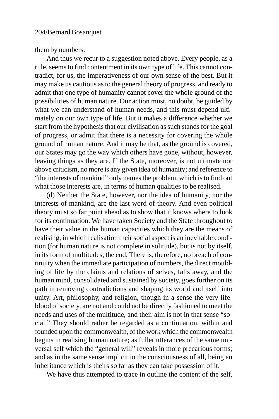them by numbers.

And thus we recur to a suggestion noted above. Every people, as a rule, seems to find contentment in its own type of life. This cannot contradict, for us, the imperativeness of our own sense of the best. But it may make us cautious as to the general theory of progress, and ready to admit that one type of humanity cannot cover the whole ground of the possibilities of human nature. Our action must, no doubt, be guided by what we can understand of human needs, and this must depend ultimately on our own type of life. But it makes a difference whether we start from the hypothesis that our civilisation as such stands for the goal of progress, or admit that there is a necessity for covering the whole ground of human nature. And it may be that, as the ground is covered, our States may go the way which others have gone, without, however, leaving things as they are. If the State, moreover, is not ultimate nor above criticism, no more is any given idea of humanity; and reference to "the interests of mankind" only names the problem, which is to find out what those interests are, in terms of human qualities to be realised.

(d) Neither the State, however, nor the idea of humanity, nor the interests of mankind, are the last word of theory. And even political theory must so far point ahead as to show that it knows where to look for its continuation. We have taken Society and the State throughout to have their value in the human capacities which they are the means of realising, in which realisation their social aspect is an inevitable condition (for human nature is not complete in solitude), but is not by itself, in its form of multitudes, the end. There is, therefore, no breach of continuity when the immediate participation of numbers, the direct moulding of life by the claims and relations of selves, falls away, and the human mind, consolidated and sustained by society, goes further on its path in removing contradictions and shaping its world and itself into unity. Art, philosophy, and religion, though in a sense the very lifeblood of society, are not and could not be directly fashioned to meet the needs and uses of the multitude, and their aim is not in that sense "social." They should rather be regarded as a continuation, within and founded upon the commonwealth, of the work which the commonwealth begins in realising human nature; as fuller utterances of the same universal self which the "general will" reveals in more precarious forms; and as in the same sense implicit in the consciousness of all, being an inheritance which is theirs so far as they can take possession of it.

We have thus attempted to trace in outline the content of the self,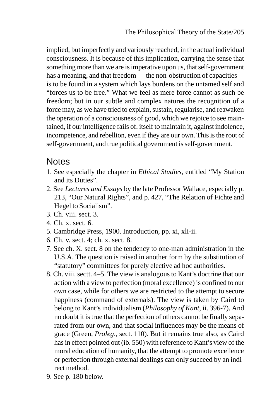implied, but imperfectly and variously reached, in the actual individual consciousness. It is because of this implication, carrying the sense that something more than we are is imperative upon us, that self-government has a meaning, and that freedom — the non-obstruction of capacities is to be found in a system which lays burdens on the untamed self and "forces us to be free." What we feel as mere force cannot as such be freedom; but in our subtle and complex natures the recognition of a force may, as we have tried to explain, sustain, regularise, and reawaken the operation of a consciousness of good, which we rejoice to see maintained, if our intelligence fails of. itself to maintain it, against indolence, incompetence, and rebellion, even if they are our own. This is the root of self-government, and true political government is self-government.

# **Notes**

- 1. See especially the chapter in *Ethical Studies*, entitled "My Station and its Duties".
- 2. See *Lectures and Essays* by the late Professor Wallace, especially p. 213, "Our Natural Rights", and p. 427, "The Relation of Fichte and Hegel to Socialism".
- 3. Ch. viii. sect. 3.
- 4. Ch. x. sect. 6.
- 5. Cambridge Press, 1900. Introduction, pp. xi, xli-ii.
- 6. Ch. v. sect. 4; ch. x. sect. 8.
- 7. See ch. X. sect. 8 on the tendency to one-man administration in the U.S.A. The question is raised in another form by the substitution of "statutory" committees for purely elective ad hoc authorities.
- 8. Ch. viii. sectt. 4–5. The view is analogous to Kant's doctrine that our action with a view to perfection (moral excellence) is confined to our own case, while for others we are restricted to the attempt to secure happiness (command of externals). The view is taken by Caird to belong to Kant's individualism (*Philosophy of Kant*, ii. 396-7). And no doubt it is true that the perfection of others cannot be finally separated from our own, and that social influences may be the means of grace (Green, *Proleg*., sect. 110). But it remains true also, as Caird has in effect pointed out (ib. 550) with reference to Kant's view of the moral education of humanity, that the attempt to promote excellence or perfection through external dealings can only succeed by an indirect method.
- 9. See p. 180 below.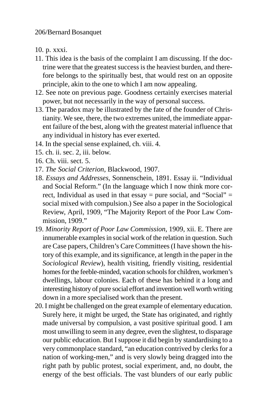- 10. p. xxxi.
- 11. This idea is the basis of the complaint I am discussing. If the doctrine were that the greatest success is the heaviest burden, and therefore belongs to the spiritually best, that would rest on an opposite principle, akin to the one to which I am now appealing.
- 12. See note on previous page. Goodness certainly exercises material power, but not necessarily in the way of personal success.
- 13. The paradox may be illustrated by the fate of the founder of Christianity. We see, there, the two extremes united, the immediate apparent failure of the best, along with the greatest material influence that any individual in history has ever exerted.
- 14. In the special sense explained, ch. viii. 4.
- 15. ch. ii. sec. 2, iii. below.
- 16. Ch. viii. sect. 5.
- 17. *The Social Criterion*, Blackwood, 1907.
- 18. *Essays and Addresses*, Sonnenschein, 1891. Essay ii. "Individual and Social Reform." (In the language which I now think more correct, Individual as used in that essay  $=$  pure social, and "Social"  $=$ social mixed with compulsion.) See also a paper in the Sociological Review, April, 1909, "The Majority Report of the Poor Law Commission, 1909."
- 19. *Minority Report of Poor Law Commission*, 1909, xii. E. There are innumerable examples in social work of the relation in question. Such are Case papers, Children's Care Committees (I have shown the history of this example, and its significance, at length in the paper in the *Sociological Review*), health visiting, friendly visiting, residential homes for the feeble-minded, vacation schools for children, workmen's dwellings, labour colonies. Each of these has behind it a long and interesting history of pure social effort and invention well worth writing down in a more specialised work than the present.
- 20. I might be challenged on the great example of elementary education. Surely here, it might be urged, the State has originated, and rightly made universal by compulsion, a vast positive spiritual good. I am most unwilling to seem in any degree, even the slightest, to disparage our public education. But I suppose it did begin by standardising to a very commonplace standard, "an education contrived by clerks for a nation of working-men," and is very slowly being dragged into the right path by public protest, social experiment, and, no doubt, the energy of the best officials. The vast blunders of our early public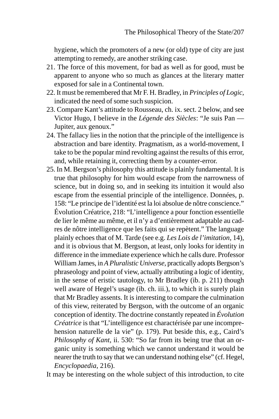hygiene, which the promoters of a new (or old) type of city are just attempting to remedy, are another striking case.

- 21. The force of this movement, for bad as well as for good, must be apparent to anyone who so much as glances at the literary matter exposed for sale in a Continental town.
- 22. It must be remembered that Mr F. H. Bradley, in *Principles of Logic*, indicated the need of some such suspicion.
- 23. Compare Kant's attitude to Rousseau, ch. ix. sect. 2 below, and see Victor Hugo, I believe in the *Légende des Siècles*: "Je suis Pan — Jupiter, aux genoux."
- 24. The fallacy lies in the notion that the principle of the intelligence is abstraction and bare identity. Pragmatism, as a world-movement, I take to be the popular mind revolting against the results of this error, and, while retaining it, correcting them by a counter-error.
- 25. In M. Bergson's philosophy this attitude is plainly fundamental. It is true that philosophy for him would escape from the narrowness of science, but in doing so, and in seeking its intuition it would also escape from the essential principle of the intelligence. Données, p. 158: "Le principe de l'identité est la loi absolue de nôtre conscience." Évolution Créatrice, 218: "L'intelligence a pour fonction essentielle de lier le même au même, et il n'y a d'entièrement adaptable au cadres de nôtre intelligence que les faits qui se repètent." The language plainly echoes that of M. Tarde (see e.g. *Les Lois de l'imitation*, 14), and it is obvious that M. Bergson, at least, only looks for identity in difference in the immediate experience which he calls dure. Professor William James, in *A Pluralistic Universe*, practically adopts Bergson's phraseology and point of view, actually attributing a logic of identity, in the sense of eristic tautology, to Mr Bradley (ib. p. 211) though well aware of Hegel's usage (ib. ch. iii.), to which it is surely plain that Mr Bradley assents. It is interesting to compare the culmination of this view, reiterated by Bergson, with the outcome of an organic conception of identity. The doctrine constantly repeated in *Évolution Créatrice* is that "L'intelligence est charactérisée par une incomprehension naturelle de la vie" (p. 179). Put beside this, e.g., Caird's *Philosophy of Kant*, ii. 530: "So far from its being true that an organic unity is something which we cannot understand it would be nearer the truth to say that we can understand nothing else" (cf. Hegel, *Encyclopaedia*, 216).
- It may be interesting on the whole subject of this introduction, to cite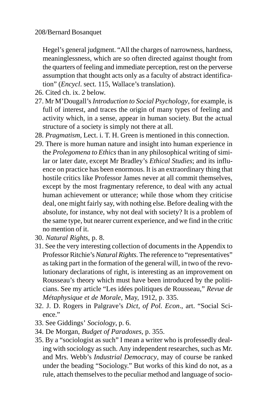Hegel's general judgment. "All the charges of narrowness, hardness, meaninglessness, which are so often directed against thought from the quarters of feeling and immediate perception, rest on the perverse assumption that thought acts only as a faculty of abstract identification" (*Encycl*. sect. 115, Wallace's translation).

26. Cited ch. ix. 2 below.

- 27. Mr M'Dougall's *Introduction to Social Psychology*, for example, is full of interest, and traces the origin of many types of feeling and activity which, in a sense, appear in human society. But the actual structure of a society is simply not there at all.
- 28. *Pragmatism*, Lect. i. T. H. Green is mentioned in this connection.
- 29. There is more human nature and insight into human experience in the *Prolegomena to Ethics* than in any philosophical writing of similar or later date, except Mr Bradley's *Ethical Studies*; and its influence on practice has been enormous. It is an extraordinary thing that hostile critics like Professor James never at all commit themselves, except by the most fragmentary reference, to deal with any actual human achievement or utterance; while those whom they criticise deal, one might fairly say, with nothing else. Before dealing with the absolute, for instance, why not deal with society? It is a problem of the same type, but nearer current experience, and we find in the critic no mention of it.
- 30. *Natural Rights*, p. 8.
- 31. See the very interesting collection of documents in the Appendix to Professor Ritchie's *Natural Rights*. The reference to "representatives" as taking part in the formation of the general will, in two of the revolutionary declarations of right, is interesting as an improvement on Rousseau's theory which must have been introduced by the politicians. See my article "Les idées politiques de Rousseau," *Revue de Métaphysique et de Morale*, May, 1912, p. 335.
- 32. J. D. Rogers in Palgrave's *Dict, of Pol. Econ*., art. "Social Science."
- 33. See Giddings' *Sociology*, p. 6.
- 34. De Morgan, *Budget of Paradoxes*, p. 355.
- 35. By a "sociologist as such" I mean a writer who is professedly dealing with sociology as such. Any independent researches, such as Mr. and Mrs. Webb's *Industrial Democracy*, may of course be ranked under the beading "Sociology." But works of this kind do not, as a rule, attach themselves to the peculiar method and language of socio-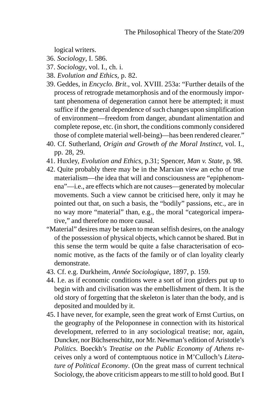logical writers.

- 36. *Sociology*, I. 586.
- 37. *Sociology*, vol. I., ch. i.
- 38. *Evolution and Ethics*, p. 82.
- 39. Geddes, in *Encyclo. Brit*., vol. XVIII. 253a: "Further details of the process of retrograde metamorphosis and of the enormously important phenomena of degeneration cannot here be attempted; it must suffice if the general dependence of such changes upon simplification of environment—freedom from danger, abundant alimentation and complete repose, etc. (in short, the conditions commonly considered those of complete material well-being)—has been rendered clearer."
- 40. Cf. Sutherland, *Origin and Growth of the Moral Instinct*, vol. I., pp. 28, 29.
- 41. Huxley, *Evolution and Ethics*, p.31; Spencer, *Man v. State*, p. 98.
- 42. Quite probably there may be in the Marxian view an echo of true materialism—the idea that will and consciousness are "epiphenomena"—i.e., are effects which are not causes—generated by molecular movements. Such a view cannot be criticised here, only it may he pointed out that, on such a basis, the "bodily" passions, etc., are in no way more "material" than, e.g., the moral "categorical imperative," and therefore no more causal.
- "Material" desires may be taken to mean selfish desires, on the analogy of the possession of physical objects, which cannot be shared. But in this sense the term would be quite a false characterisation of economic motive, as the facts of the family or of clan loyality clearly demonstrate.
- 43. Cf. e.g. Durkheim, *Année Sociologique*, 1897, p. 159.
- 44. I.e. as if economic conditions were a sort of iron girders put up to begin with and civilisation was the embellishment of them. It is the old story of forgetting that the skeleton is later than the body, and is deposited and moulded by it.
- 45. I have never, for example, seen the great work of Ernst Curtius, on the geography of the Peloponnese in connection with its historical development, referred to in any sociological treatise; nor, again, Duncker, nor Büchsenschütz, nor Mr. Newman's edition of Aristotle's *Politics*. Boeckh's *Treatise on the Public Economy of Athens* receives only a word of contemptuous notice in M'Culloch's *Literature of Political Economy*. (On the great mass of current technical Sociology, the above criticism appears to me still to hold good. But I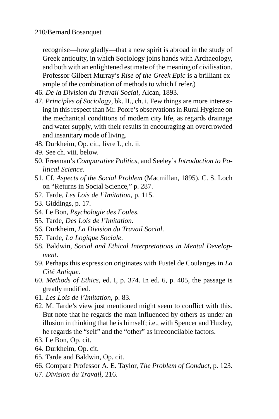recognise—how gladly—that a new spirit is abroad in the study of Greek antiquity, in which Sociology joins hands with Archaeology, and both with an enlightened estimate of the meaning of civilisation. Professor Gilbert Murray's *Rise of the Greek Epic* is a brilliant example of the combination of methods to which I refer.)

- 46. *De la Division du Travail Social*, Alcan, 1893.
- 47. *Principles of Sociology*, bk. II., ch. i. Few things are more interesting in this respect than Mr. Poore's observations in Rural Hygiene on the mechanical conditions of modem city life, as regards drainage and water supply, with their results in encouraging an overcrowded and insanitary mode of living.
- 48. Durkheim, Op. cit., livre I., ch. ii.
- 49. See ch. viii. below.
- 50. Freeman's *Comparative Politics*, and Seeley's *Introduction to Political Science*.
- 51. Cf. *Aspects of the Social Problem* (Macmillan, 1895), C. S. Loch on "Returns in Social Science," p. 287.
- 52. Tarde, *Les Lois de l'Imitation*, p. 115.
- 53. Giddings, p. 17.
- 54. Le Bon, *Psychologie des Foules*.
- 55. Tarde, *Des Lois de l'Imitation*.
- 56. Durkheim, *La Division du Travail Social*.
- 57. Tarde, *La Logique Sociale*.
- 58. Baldwin, *Social and Ethical Interpretations in Mental Development*.
- 59. Perhaps this expression originates with Fustel de Coulanges in *La Cité Antique*.
- 60. *Methods of Ethics*, ed. I, p. 374. In ed. 6, p. 405, the passage is greatly modified.
- 61. *Les Lois de l'Imitation*, p. 83.
- 62. M. Tarde's view just mentioned might seem to conflict with this. But note that he regards the man influenced by others as under an illusion in thinking that he is himself; i.e., with Spencer and Huxley, he regards the "self" and the "other" as irreconcilable factors.
- 63. Le Bon, Op. cit.
- 64. Durkheim, Op. cit.
- 65. Tarde and Baldwin, Op. cit.
- 66. Compare Professor A. E. Taylor, *The Problem of Conduct*, p. 123.
- 67. *Division du Travail*, 216.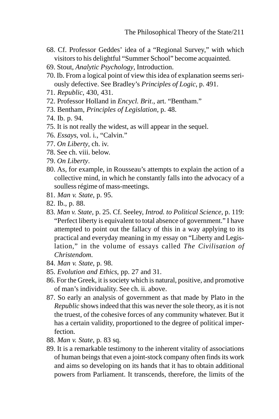- 68. Cf. Professor Geddes' idea of a "Regional Survey," with which visitors to his delightful "Summer School" become acquainted.
- 69. Stout, *Analytic Psychology*, Introduction.
- 70. Ib. From a logical point of view this idea of explanation seems seriously defective. See Bradley's *Principles of Logic*, p. 491.
- 71. *Republic*, 430, 431.
- 72. Professor Holland in *Encycl. Brit*., art. "Bentham."
- 73. Bentham, *Principles of Legislation*, p. 48.
- 74. Ib. p. 94.
- 75. It is not really the widest, as will appear in the sequel.
- 76. *Essays*, vol. i., "Calvin."
- 77. *On Liberty*, ch. iv.
- 78. See ch. viii. below.
- 79. *On Liberty*.
- 80. As, for example, in Rousseau's attempts to explain the action of a collective mind, in which he constantly falls into the advocacy of a soulless régime of mass-meetings.
- 81. *Man v. State*, p. 95.
- 82. Ib., p. 88.
- 83. *Man v. State*, p. 25. Cf. Seeley, *Introd. to Political Science*, p. 119: "Perfect liberty is equivalent to total absence of government." I have attempted to point out the fallacy of this in a way applying to its practical and everyday meaning in my essay on "Liberty and Legislation," in the volume of essays called *The Civilisation of Christendom*.
- 84. *Man v. State*, p. 98.
- 85. *Evolution and Ethics*, pp. 27 and 31.
- 86. For the Greek, it is society which is natural, positive, and promotive of man's individuality. See ch. ii. above.
- 87. So early an analysis of government as that made by Plato in the *Republic* shows indeed that this was never the sole theory, as it is not the truest, of the cohesive forces of any community whatever. But it has a certain validity, proportioned to the degree of political imperfection.
- 88. *Man v. State*, p. 83 sq.
- 89. It is a remarkable testimony to the inherent vitality of associations of human beings that even a joint-stock company often finds its work and aims so developing on its hands that it has to obtain additional powers from Parliament. It transcends, therefore, the limits of the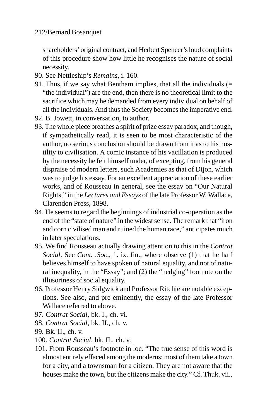shareholders' original contract, and Herbert Spencer's loud complaints of this procedure show how little he recognises the nature of social necessity.

- 90. See Nettleship's *Remains*, i. 160.
- 91. Thus, if we say what Bentham implies, that all the individuals (= "the individual") are the end, then there is no theoretical limit to the sacrifice which may he demanded from every individual on behalf of all the individuals. And thus the Society becomes the imperative end.
- 92. B. Jowett, in conversation, to author.
- 93. The whole piece breathes a spirit of prize essay paradox, and though, if sympathetically read, it is seen to be most characteristic of the author, no serious conclusion should be drawn from it as to his hostility to civilisation. A comic instance of his vacillation is produced by the necessity he felt himself under, of excepting, from his general dispraise of modern letters, such Academies as that of Dijon, which was to judge his essay. For an excellent appreciation of these earlier works, and of Rousseau in general, see the essay on "Our Natural Rights," in the *Lectures and Essays* of the late Professor W. Wallace, Clarendon Press, 1898.
- 94. He seems to regard the beginnings of industrial co-operation as the end of the "state of nature" in the widest sense. The remark that "iron and corn civilised man and ruined the human race," anticipates much in later speculations.
- 95. We find Rousseau actually drawing attention to this in the *Contrat Social*. See *Cont. .Soc*., 1. ix. fin., where observe (1) that he half believes himself to have spoken of natural equality, and not of natural inequality, in the "Essay"; and (2) the "hedging" footnote on the illusoriness of social equality.
- 96. Professor Henry Sidgwick and Professor Ritchie are notable exceptions. See also, and pre-eminently, the essay of the late Professor Wallace referred to above.
- 97. *Contrat Social*, bk. I., ch. vi.
- 98. *Contrat Social*, bk. II., ch. v.
- 99. Bk. II., ch. v.
- 100. *Contrat Social*, bk. II., ch. v.
- 101. From Rousseau's footnote in loc. "The true sense of this word is almost entirely effaced among the moderns; most of them take a town for a city, and a townsman for a citizen. They are not aware that the houses make the town, but the citizens make the city." Cf. Thuk. vii.,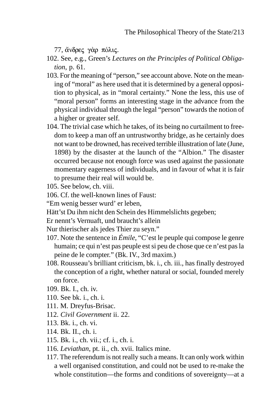77, ἄνδρες γὰρ πόλις.

- 102. See, e.g., Green's *Lectures on the Principles of Political Obligation*, p. 61.
- 103. For the meaning of "person," see account above. Note on the meaning of "moral" as here used that it is determined by a general opposition to physical, as in "moral certainty." None the less, this use of "moral person" forms an interesting stage in the advance from the physical individual through the legal "person" towards the notion of a higher or greater self.
- 104. The trivial case which he takes, of its being no curtailment to freedom to keep a man off an untrustworthy bridge, as he certainly does not want to be drowned, has received terrible illustration of late (June, 1898) by the disaster at the launch of the "Albion." The disaster occurred because not enough force was used against the passionate momentary eagerness of individuals, and in favour of what it is fair to presume their real will would be.

105. See below, ch. viii.

106. Cf. the well-known lines of Faust:

"Em wenig besser wurd' er leben,

Hätt'st Du ihm nicht den Schein des Himmelslichts gegeben;

Er nennt's Vernuaft, und braucht's allein

Nur thierischer als jedes Thier zu seyn."

- 107. Note the sentence in *Émile*, "C'est le peuple qui compose le genre humain; ce qui n'est pas peuple est si peu de chose que ce n'est pas la peine de le compter." (Bk. IV., 3rd maxim.)
- 108. Rousseau's brilliant criticism, bk. i., ch. iii., has finally destroyed the conception of a right, whether natural or social, founded merely on force.
- 109. Bk. I., ch. iv.
- 110. See bk. i., ch. i.
- 111. M. Dreyfus-Brisac.
- 112. *Civil Government* ii. 22.
- 113. Bk. i., ch. vi.
- 114. Bk. II., ch. i.
- 115. Bk. i., ch. vii.; cf. i., ch. i.
- 116. *Leviathan*, pt. ii., ch. xvii. Italics mine.
- 117. The referendum is not really such a means. It can only work within a well organised constitution, and could not be used to re-make the whole constitution—the forms and conditions of sovereignty—at a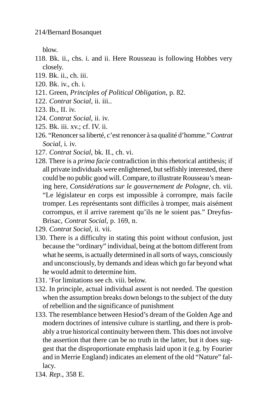blow.

- 118. Bk. ii., chs. i. and ii. Here Rousseau is following Hobbes very closely.
- 119. Bk. ii., ch. iii.
- 120. Bk. iv., ch. i.
- 121. Green, *Principles of Political Obligation*, p. 82.
- 122. *Contrat Social*, ii. iii..
- 123. Ib., II. iv.
- 124. *Contrat Social*, ii. iv.
- 125. Bk. iii. xv.; cf. IV. ii.
- 126. "Renoncer sa liberté, c'est renoncer à sa qualité d'homme." *Contrat Social*, *i. iv.*
- 127. *Contrat Social*, bk. II., ch. vi.
- 128. There is a *prima facie* contradiction in this rhetorical antithesis; if all private individuals were enlightened, but selfishly interested, there could be no public good will. Compare, to illustrate Rousseau's meaning here, *Considérations sur le gouvernement de Pologne*, ch. vii. "Le législateur en corps est impossible à corrompre, mais facile tromper. Les représentants sont difficiles à tromper, mais aisément corrompus, et il arrive rarement qu'ils ne le soient pas." Dreyfus-Brisac, *Contrat Social*, p. 169, n.
- 129. *Contrat Social*, ii. vii.
- 130. There is a difficulty in stating this point without confusion, just because the "ordinary" individual, being at the bottom different from what he seems, is actually determined in all sorts of ways, consciously and unconsciously, by demands and ideas which go far beyond what he would admit to determine him.
- 131. 'For limitations see ch. viii. below.
- 132. In principle, actual individual assent is not needed. The question when the assumption breaks down belongs to the subject of the duty of rebellion and the significance of punishment
- 133. The resemblance between Hesiod's dream of the Golden Age and modern doctrines of intensive culture is startling, and there is probably a true historical continuity between them. This does not involve the assertion that there can be no truth in the latter, but it does suggest that the disproportionate emphasis laid upon it (e.g. by Fourier and in Merrie England) indicates an element of the old "Nature" fallacy.
- 134. *Rep*., 358 E.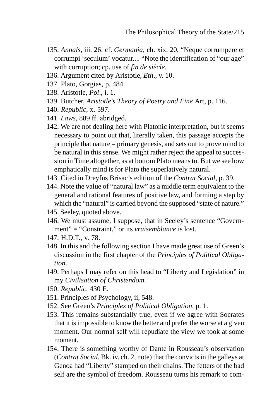- 135. *Annals*, iii. 26: cf. *Germania*, ch. xix. 20, "Neque corrumpere et corrumpi 'seculum' vocatur.... "Note the identification of "our age" with corruption; cp. use of *fin de siècle*.
- 136. Argument cited by Aristotle, *Eth*., v. 10.
- 137. Plato, Gorgias, p. 484.
- 138. Aristotle, *Pol*., i. 1.
- 139. Butcher, *Aristotle's Theory of Poetry and Fine* Art, p. 116.
- 140. *Republic*, x. 597.
- 141. *Laws*, 889 ff. abridged.
- 142. We are not dealing here with Platonic interpretation, but it seems necessary to point out that, literally taken, this passage accepts the principle that nature = primary genesis, and sets out to prove mind to be natural in this sense. We might rather reject the appeal to succession in Time altogether, as at bottom Plato means to. But we see how emphatically mind is for Plato the superlatively natural.
- 143. Cited in Dreyfus Brisac's edition of the *Contrat Social*, p. 39.
- 144. Note the value of "natural law" as a middle term equivalent to the general and rational features of positive law, and forming a step by which the "natural" is carried beyond the supposed "state of nature."
- 145. Seeley, quoted above.
- 146. We must assume, I suppose, that in Seeley's sentence "Government" = "Constraint," or its *vraisemblance* is lost.
- 147. H.D.T., v. 78.
- 148. In this and the following section I have made great use of Green's discussion in the first chapter of the *Principles of Political Obligation*.
- 149. Perhaps I may refer on this head to "Liberty and Legislation" in my *Civilisation of Christendom*.
- 150. *Republic*, 430 E.
- 151. Principles of Psychology, ii, 548.
- 152. See Green's *Principles of Political Obligation*, p. 1.
- 153. This remains substantially true, even if we agree with Socrates that it is impossible to know the better and prefer the worse at a given moment. Our normal self will repudiate the view we took at some moment.
- 154. There is something worthy of Dante in Rousseau's observation (*Contrat Social*, Bk. iv. ch. 2, note) that the convicts in the galleys at Genoa had "Liberty" stamped on their chains. The fetters of the bad self are the symbol of freedom. Rousseau turns his remark to com-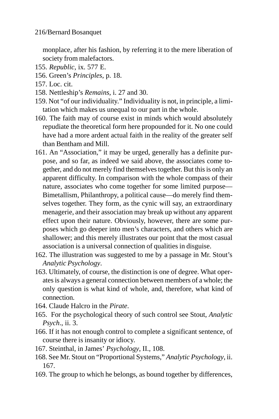monplace, after his fashion, by referring it to the mere liberation of society from malefactors.

- 155. *Republic*, ix. 577 E.
- 156. Green's *Principles*, p. 18.
- 157. Loc. cit.
- 158. Nettleship's *Remains*, i. 27 and 30.
- 159. Not "of our individuality." Individuality is not, in principle, a limitation which makes us unequal to our part in the whole.
- 160. The faith may of course exist in minds which would absolutely repudiate the theoretical form here propounded for it. No one could have had a more ardent actual faith in the reality of the greater self than Bentham and Mill.
- 161. An "Association," it may be urged, generally has a definite purpose, and so far, as indeed we said above, the associates come together, and do not merely find themselves together. But this is only an apparent difficulty. In comparison with the whole compass of their nature, associates who come together for some limited purpose— Bimetallism, Philanthropy, a political cause—do merely find themselves together. They form, as the cynic will say, an extraordinary menagerie, and their association may break up without any apparent effect upon their nature. Obviously, however, there are some purposes which go deeper into men's characters, and others which are shallower; and this merely illustrates our point that the most casual association is a universal connection of qualities in disguise.
- 162. The illustration was suggested to me by a passage in Mr. Stout's *Analytic Psychology*.
- 163. Ultimately, of course, the distinction is one of degree. What operates is always a general connection between members of a whole; the only question is what kind of whole, and, therefore, what kind of connection.
- 164. Claude Halcro in the *Pirate*.
- 165. For the psychological theory of such control see Stout, *Analytic Psych*., ii. 3.
- 166. If it has not enough control to complete a significant sentence, of course there is insanity or idiocy.
- 167. Steinthal, in James' *Psychology*, II., 108.
- 168. See Mr. Stout on "Proportional Systems," *Analytic Psychology*, ii. 167.
- 169. The group to which he belongs, as bound together by differences,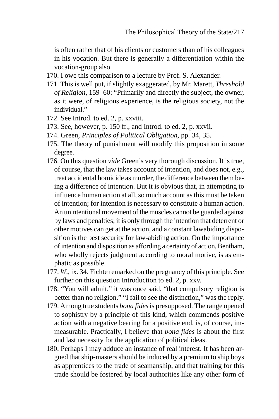is often rather that of his clients or customers than of his colleagues in his vocation. But there is generally a differentiation within the vocation-group also.

- 170. I owe this comparison to a lecture by Prof. S. Alexander.
- 171. This is well put, if slightly exaggerated, by Mr. Marett, *Threshold of Religion*, 159–60: "Primarily and directly the subject, the owner, as it were, of religious experience, is the religious society, not the individual."
- 172. See Introd. to ed. 2, p. xxviii.
- 173. See, however, p. 150 ff., and Introd. to ed. 2, p. xxvii.
- 174. Green, *Principles of Political Obligation*, pp. 34, 35.
- 175. The theory of punishment will modify this proposition in some degree.
- 176. On this question *vide* Green's very thorough discussion. It is true, of course, that the law takes account of intention, and does not, e.g., treat accidental homicide as murder, the difference between them being a difference of intention. But it is obvious that, in attempting to influence human action at all, so much account as this must be taken of intention; for intention is necessary to constitute a human action. An unintentional movement of the muscles cannot be guarded against by laws and penalties; it is only through the intention that deterrent or other motives can get at the action, and a constant lawabiding disposition is the best security for law-abiding action. On the importance of intention and disposition as affording a certainty of action, Bentham, who wholly rejects judgment according to moral motive, is as emphatic as possible.
- 177. *W*., ix. 34. Fichte remarked on the pregnancy of this principle. See further on this question Introduction to ed. 2, p. xxv.
- 178. "You will admit," it was once said, "that compulsory religion is better than no religion." "I fail to see the distinction," was the reply.
- 179. Among true students *bona fides* is presupposed. The range opened to sophistry by a principle of this kind, which commends positive action with a negative bearing for a positive end, is, of course, immeasurable. Practically, I believe that *bona fides* is about the first and last necessity for the application of political ideas.
- 180. Perhaps I may adduce an instance of real interest. It has been argued that ship-masters should be induced by a premium to ship boys as apprentices to the trade of seamanship, and that training for this trade should be fostered by local authorities like any other form of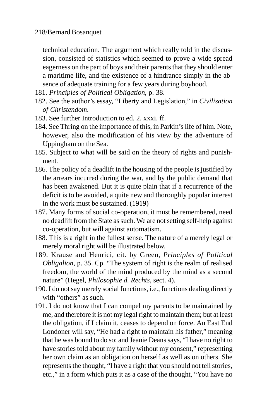technical education. The argument which really told in the discussion, consisted of statistics which seemed to prove a wide-spread eagerness on the part of boys and their parents that they should enter a maritime life, and the existence of a hindrance simply in the absence of adequate training for a few years during boyhood.

- 181. *Principles of Political Obligation*, p. 38.
- 182. See the author's essay, "Liberty and Legislation," in *Civilisation of Christendom*.
- 183. See further Introduction to ed. 2. xxxi. ff.
- 184. See Thring on the importance of this, in Parkin's life of him. Note, however, also the modification of his view by the adventure of Uppingham on the Sea.
- 185. Subject to what will be said on the theory of rights and punishment.
- 186. The policy of a deadlift in the housing of the people is justified by the arrears incurred during the war, and by the public demand that has been awakened. But it is quite plain that if a recurrence of the deficit is to be avoided, a quite new and thoroughly popular interest in the work must be sustained. (1919)
- 187. Many forms of social co-operation, it must be remembered, need no deadlift from the State as such. We are not setting self-help against co-operation, but will against automatism.
- 188. This is a right in the fullest sense. The nature of a merely legal or merely moral right will be illustrated below.
- 189. Krause and Henrici, cit. by Green, *Principles of Political Obligalion*, p. 35. Cp. "The system of right is the realm of realised freedom, the world of the mind produced by the mind as a second nature" (Hegel, *Philosophie d. Rechts*, sect. 4).
- 190. I do not say merely social functions, i.e., functions dealing directly with "others" as such.
- 191. I do not know that I can compel my parents to be maintained by me, and therefore it is not my legal right to maintain them; but at least the obligation, if I claim it, ceases to depend on force. An East End Londoner will say, "He had a right to maintain his father," meaning that he was bound to do so; and Jeanie Deans says, "I have no right to have stories told about my family without my consent," representing her own claim as an obligation on herself as well as on others. She represents the thought, "I have a right that you should not tell stories, etc.," in a form which puts it as a case of the thought, "You have no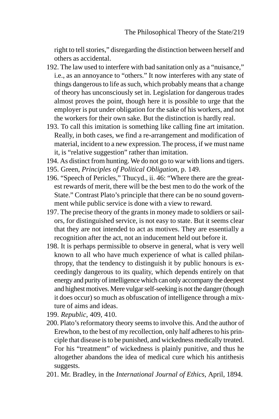right to tell stories," disregarding the distinction between herself and others as accidental.

- 192. The law used to interfere with bad sanitation only as a "nuisance," i.e., as an annoyance to "others." It now interferes with any state of things dangerous to life as such, which probably means that a change of theory has unconsciously set in. Legislation for dangerous trades almost proves the point, though here it is possible to urge that the employer is put under obligation for the sake of his workers, and not the workers for their own sake. But the distinction is hardly real.
- 193. To call this imitation is something like calling fine art imitation. Really, in both cases, we find a re-arrangement and modification of material, incident to a new expression. The process, if we must name it, is "relative suggestion" rather than imitation.
- 194. As distinct from hunting. We do not go to war with lions and tigers.
- 195. Green, *Principles of Political Obligation*, p. 149.
- 196. "Speech of Pericles," Thucyd., ii. 46: "Where there are the greatest rewards of merit, there will be the best men to do the work of the State." Contrast Plato's principle that there can be no sound government while public service is done with a view to reward.
- 197. The precise theory of the grants in money made to soldiers or sailors, for distinguished service, is not easy to state. But it seems clear that they are not intended to act as motives. They are essentially a recognition after the act, not an inducement held out before it.
- 198. It is perhaps permissible to observe in general, what is very well known to all who have much experience of what is called philanthropy, that the tendency to distinguish it by public honours is exceedingly dangerous to its quality, which depends entirely on that energy and purity of intelligence which can only accompany the deepest and highest motives. Mere vulgar self-seeking is not the danger (though it does occur) so much as obfuscation of intelligence through a mixture of aims and ideas.

199. *Republic*, 409, 410.

- 200. Plato's reformatory theory seems to involve this. And the author of Erewhon, to the best of my recollection, only half adheres to his principle that disease is to be punished, and wickedness medically treated. For his "treatment" of wickedness is plainly punitive, and thus he altogether abandons the idea of medical cure which his antithesis suggests.
- 201. Mr. Bradley, in the *International Journal of Ethics*, April, 1894.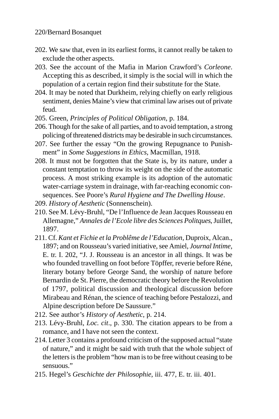- 202. We saw that, even in its earliest forms, it cannot really be taken to exclude the other aspects.
- 203. See the account of the Mafia in Marion Crawford's *Corleone*. Accepting this as described, it simply is the social will in which the population of a certain region find their substitute for the State.
- 204. It may be noted that Durkheim, relying chiefly on early religious sentiment, denies Maine's view that criminal law arises out of private feud.
- 205. Green, *Principles of Political Obligation*, p. 184.
- 206. Though for the sake of all parties, and to avoid temptation, a strong policing of threatened districts may be desirable in such circumstances.
- 207. See further the essay "On the growing Repugnance to Punishment" in *Some Suggestions in Ethics*, Macmillan, 1918.
- 208. It must not be forgotten that the State is, by its nature, under a constant temptation to throw its weight on the side of the automatic process. A most striking example is its adoption of the automatic water-carriage system in drainage, with far-reaching economic consequences. See Poore's *Rural Hygiene and The Dwelling House*.
- 209. *History of Aesthetic* (Sonnenschein).
- 210. See M. Lévy-Bruhl, "De l'Influence de Jean Jacques Rousseau en Allemagne," *Annales de l'Ecole libre des Sciences Politques*, Juillet, 1897.
- 211. Cf. *Kant et Fichie et la Problême de l'Education*, Duproix, Alcan., 1897; and on Rousseau's varied initiative, see Amiel, *Journal Intime*, E. tr. I. 202, "J. J. Rousseau is an ancestor in all things. It was be who founded travelling on foot before Töpffer, reverie before Réne, literary botany before George Sand, the worship of nature before Bernardin de St. Pierre, the democratic theory before the Revolution of 1797, political discussion and theological discussion before Mirabeau and Rénan, the science of teaching before Pestalozzi, and Alpine description before De Saussure."
- 212. See author's *History of Aesthetic*, p. 214.
- 213. Lévy-Bruhl, *Loc. cit*., p. 330. The citation appears to be from a romance, and I have not seen the context.
- 214. Letter 3 contains a profound criticism of the supposed actual "state of nature," and it might be said with truth that the whole subject of the letters is the problem "how man is to be free without ceasing to be sensuous."
- 215. Hegel's *Geschichte der Philosophie*, iii. 477, E. tr. iii. 401.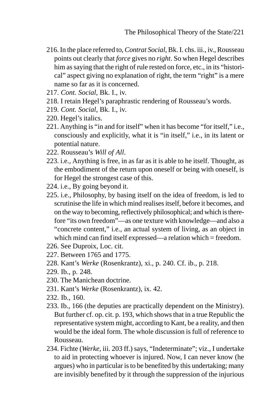- 216. In the place referred to, *Contrat Social*, Bk. I. chs. iii., iv., Rousseau points out clearly that *force* gives no *right*. So when Hegel describes him as saying that the right of rule rested on force, etc., in its "historical" aspect giving no explanation of right, the term "right" is a mere name so far as it is concerned.
- 217. *Cont. Social*, Bk. I., iv.
- 218. I retain Hegel's paraphrastic rendering of Rousseau's words.
- 219. *Cont. Social*, Bk. I., iv.
- 220. Hegel's italics.
- 221. Anything is "in and for itself" when it has become "for itself," i.e., consciously and explicitly, what it is "in itself," i.e., in its latent or potential nature.
- 222. Rousseau's *Will of All*.
- 223. i.e., Anything is free, in as far as it is able to he itself. Thought, as the embodiment of the return upon oneself or being with oneself, is for Hegel the strongest case of this.
- 224. i.e., By going beyond it.
- 225. i.e., Philosophy, by basing itself on the idea of freedom, is led to scrutinise the life in which mind realises itself, before it becomes, and on the way to becoming, reflectively philosophical; and which is therefore "its own freedom"—as one texture with knowledge—and also a "concrete content," i.e., an actual system of living, as an object in which mind can find itself expressed—a relation which = freedom.
- 226. See Duproix, Loc. cit.
- 227. Between 1765 and 1775.
- 228. Kant's *Werke* (Rosenkrantz), xi., p. 240. Cf. ib., p. 218.
- 229. Ib., p. 248.
- 230. The Manichean doctrine.
- 231. Kant's *Werke* (Rosenkrantz), ix. 42.
- 232. Ib., 160.
- 233. Ib., 166 (the deputies are practically dependent on the Ministry). But further cf. op. cit. p. 193, which shows that in a true Republic the representative system might, according to Kant, be a reality, and then would be the ideal form. The whole discussion is full of reference to Rousseau.
- 234. Fichte (*Werke*, iii. 203 ff.) says, "Indeterminate"; viz., I undertake to aid in protecting whoever is injured. Now, I can never know (he argues) who in particular is to be benefited by this undertaking; many are invisibly benefited by it through the suppression of the injurious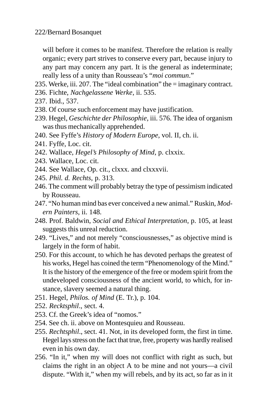will before it comes to be manifest. Therefore the relation is really organic; every part strives to conserve every part, because injury to any part may concern any part. It is the general as indeterminate; really less of a unity than Rousseau's "*moi commun*."

- 235. Werke, iii. 207. The "ideal combination" the = imaginary contract.
- 236. Fichte, *Nachgelassene Werke*, ii. 535.
- 237. Ibid., 537.
- 238. Of course such enforcement may have justification.
- 239. Hegel, *Geschichte der Philosophie*, iii. 576. The idea of organism was thus mechanically apprehended.
- 240. See Fyffe's *History of Modern Europe*, vol. II, ch. ii.
- 241. Fyffe, Loc. cit.
- 242. Wallace, *Hegel's Philosophy of Mind*, p. clxxix.
- 243. Wallace, Loc. cit.
- 244. See Wallace, Op. cit., clxxx. and clxxxvii.
- 245. *Phil. d. Rechts*, p. 313.
- 246. The comment will probably betray the type of pessimism indicated by Rousseau.
- 247. "No human mind bas ever conceived a new animal." Ruskin, *Modern Painters*, ii. 148.
- 248. Prof. Baldwin, *Social and Ethical Interpretation*, p. 105, at least suggests this unreal reduction.
- 249. "Lives," and not merely "consciousnesses," as objective mind is largely in the form of habit.
- 250. For this account, to which he has devoted perhaps the greatest of his works, Hegel has coined the term "Phenomenology of the Mind." It is the history of the emergence of the free or modem spirit from the undeveloped consciousness of the ancient world, to which, for instance, slavery seemed a natural thing.
- 251. Hegel, *Philos. of Mind* (E. Tr.), p. 104.
- 252. *Recktsphil*., sect. 4.
- 253. Cf. the Greek's idea of "nomos."
- 254. See ch. ii. above on Montesquieu and Rousseau.
- 255. *Rechtsphil*., sect. 41. Not, in its developed form, the first in time. Hegel lays stress on the fact that true, free, property was hardly realised even in his own day.
- 256. "In it," when my will does not conflict with right as such, but claims the right in an object A to be mine and not yours—a civil dispute. "With it," when my will rebels, and by its act, so far as in it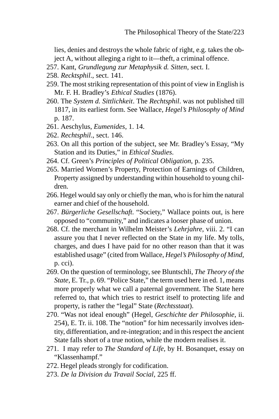lies, denies and destroys the whole fabric of right, e.g. takes the object A, without alleging a right to it—theft, a criminal offence.

- 257. Kant, *Grundlegung zur Metaphysik d. Sitten*, sect. I.
- 258. *Recktsphil*., sect. 141.
- 259. The most striking representation of this point of view in English is Mr. F. H. Bradley's *Ethical Studies* (1876).
- 260. The *System d. Sittlichkeit*. The *Rechtsphil*. was not published till 1817, in its earliest form. See Wallace, *Hegel's Philosophy of Mind* p. 187.
- 261. Aeschylus, *Eumenides*, 1. 14.
- 262. *Rechtsphil*., sect. 146.
- 263. On all this portion of the subject, see Mr. Bradley's Essay, "My Station and its Duties," in *Ethical Studies*.
- 264. Cf. Green's *Principles of Political Obligation*, p. 235.
- 265. Married Women's Property, Protection of Earnings of Children, Property assigned by understanding within household to young children.
- 266. Hegel would say only or chiefly the man, who is for him the natural earner and chief of the household.
- 267. *Bürgerliche Gesellschaft*. "Society," Wallace points out, is here opposed to "community," and indicates a looser phase of union.
- 268. Cf. the merchant in Wilhelm Meister's *Lehrjahre*, viii. 2. "I can assure you that I never reflected on the State in my life. My tolls, charges, and dues I have paid for no other reason than that it was established usage" (cited from Wallace, *Hegel's Philosophy of Mind*, p. cci).
- 269. On the question of terminology, see Bluntschli, *The Theory of the State*, E. Tr., p. 69. "Police State," the term used here in ed. 1, means more properly what we call a paternal government. The State here referred to, that which tries to restrict itself to protecting life and property, is rather the "legal" State (*Rechtsstaat*).
- 270. "Was not ideal enough" (Hegel, *Geschichte der Philosophie*, ii. 254), E. Tr. ii. 108. The "notion" for him necessarily involves identity, differentiation, and re-integration; and in this respect the ancient State falls short of a true notion, while the modern realises it.
- 271. I may refer to *The Standard of Life*, by H. Bosanquet, essay on "Klassenhampf."
- 272. Hegel pleads strongly for codification.
- 273. *De la Division du Travail Social*, 225 ff.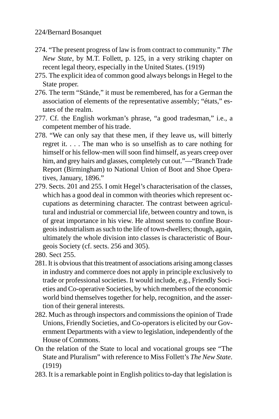## 224/Bernard Bosanquet

- 274. "The present progress of law is from contract to community." *The New State*, by M.T. Follett, p. 125, in a very striking chapter on recent legal theory, especially in the United States. (1919)
- 275. The explicit idea of common good always belongs in Hegel to the State proper.
- 276. The term "Stände," it must be remembered, has for a German the association of elements of the representative assembly; "états," estates of the realm.
- 277. Cf. the English workman's phrase, "a good tradesman," i.e., a competent member of his trade.
- 278. "We can only say that these men, if they leave us, will bitterly regret it. . . . The man who is so unselfish as to care nothing for himself or his fellow-men will soon find himself, as years creep over him, and grey hairs and glasses, completely cut out."—"Branch Trade Report (Birmingham) to National Union of Boot and Shoe Operatives, January, 1896."
- 279. Sects. 201 and 255. I omit Hegel's characterisation of the classes, which has a good deal in common with theories which represent occupations as determining character. The contrast between agricultural and industrial or commercial life, between country and town, is of great importance in his view. He almost seems to confine Bourgeois industrialism as such to the life of town-dwellers; though, again, ultimately the whole division into classes is characteristic of Bourgeois Society (cf. sects. 256 and 305).
- 280. Sect 255.
- 281. It is obvious that this treatment of associations arising among classes in industry and commerce does not apply in principle exclusively to trade or professional societies. It would include, e.g., Friendly Societies and Co-operative Societies, by which members of the economic world bind themselves together for help, recognition, and the assertion of their general interests.
- 282. Much as through inspectors and commissions the opinion of Trade Unions, Friendly Societies, and Co-operators is elicited by our Government Departments with a view to legislation, independently of the House of Commons.
- On the relation of the State to local and vocational groups see "The State and Pluralism" with reference to Miss Follett's *The New State*. (1919)
- 283. It is a remarkable point in English politics to-day that legislation is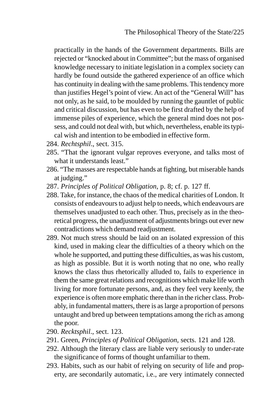practically in the hands of the Government departments. Bills are rejected or "knocked about in Committee"; but the mass of organised knowledge necessary to initiate legislation in a complex society can hardly be found outside the gathered experience of an office which has continuity in dealing with the same problems. This tendency more than justifies Hegel's point of view. An act of the "General Will" has not only, as he said, to be moulded by running the gauntlet of public and critical discussion, but has even to be first drafted by the help of immense piles of experience, which the general mind does not possess, and could not deal with, but which, nevertheless, enable its typical wish and intention to be embodied in effective form.

- 284. *Rechtsphil*., sect. 315.
- 285. "That the ignorant vulgar reproves everyone, and talks most of what it understands least."
- 286. "The masses are respectable hands at fighting, but miserable hands at judging."
- 287. *Principles of Political Obligation*, p. 8; cf. p. 127 ff.
- 288. Take, for instance, the chaos of the medical charities of London. It consists of endeavours to adjust help to needs, which endeavours are themselves unadjusted to each other. Thus, precisely as in the theoretical progress, the unadjustment of adjustments brings out ever new contradictions which demand readjustment.
- 289. Not much stress should be laid on an isolated expression of this kind, used in making clear the difficulties of a theory which on the whole he supported, and putting these difficulties, as was his custom, as high as possible. But it is worth noting that no one, who really knows the class thus rhetorically alluded to, fails to experience in them the same great relations and recognitions which make life worth living for more fortunate persons, and, as they feel very keenly, the experience is often more emphatic there than in the richer class. Probably, in fundamental matters, there is as large a proportion of persons untaught and bred up between temptations among the rich as among the poor.
- 290. *Recktsphil*., sect. 123.
- 291. Green, *Principles of Political Obligation*, sects. 121 and 128.
- 292. Although the literary class are liable very seriously to under-rate the significance of forms of thought unfamiliar to them.
- 293. Habits, such as our habit of relying on security of life and property, are secondarily automatic, i.e., are very intimately connected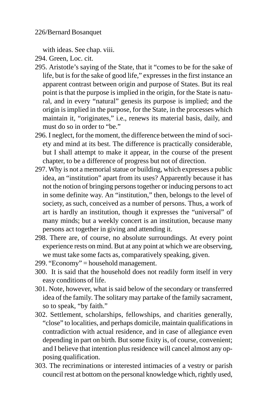with ideas. See chap. viii.

294. Green, Loc. cit.

- 295. Aristotle's saying of the State, that it "comes to be for the sake of life, but is for the sake of good life," expresses in the first instance an apparent contrast between origin and purpose of States. But its real point is that the purpose is implied in the origin, for the State is natural, and in every "natural" genesis its purpose is implied; and the origin is implied in the purpose, for the State, in the processes which maintain it, "originates," i.e., renews its material basis, daily, and must do so in order to "be."
- 296. I neglect, for the moment, the difference between the mind of society and mind at its best. The difference is practically considerable, but I shall attempt to make it appear, in the course of the present chapter, to be a difference of progress but not of direction.
- 297. Why is not a memorial statue or building, which expresses a public idea, an "institution" apart from its uses? Apparently because it has not the notion of bringing persons together or inducing persons to act in some definite way. An "institution," then, belongs to the level of society, as such, conceived as a number of persons. Thus, a work of art is hardly an institution, though it expresses the "universal" of many minds; but a weekly concert is an institution, because many persons act together in giving and attending it.
- 298. There are, of course, no absolute surroundings. At every point experience rests on mind. But at any point at which we are observing, we must take some facts as, comparatively speaking, given.
- 299. "Economy" = household management.
- 300. It is said that the household does not readily form itself in very easy conditions of life.
- 301. Note, however, what is said below of the secondary or transferred idea of the family. The solitary may partake of the family sacrament, so to speak, "by faith."
- 302. Settlement, scholarships, fellowships, and charities generally, "close" to localities, and perhaps domicile, maintain qualifications in contradiction with actual residence, and in case of allegiance even depending in part on birth. But some fixity is, of course, convenient; and I believe that intention plus residence will cancel almost any opposing qualification.
- 303. The recriminations or interested intimacies of a vestry or parish council rest at bottom on the personal knowledge which, rightly used,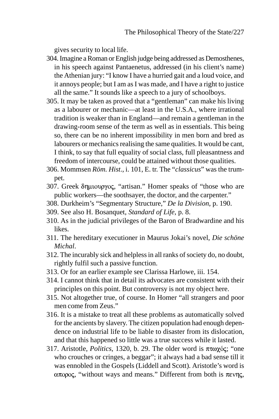gives security to local life.

- 304. Imagine a Roman or English judge being addressed as Demosthenes, in his speech against Pantaenetus, addressed (in his client's name) the Athenian jury: "I know I have a hurried gait and a loud voice, and it annoys people; but I am as I was made, and I have a right to justice all the same." It sounds like a speech to a jury of schoolboys.
- 305. It may be taken as proved that a "gentleman" can make his living as a labourer or mechanic—at least in the U.S.A., where irrational tradition is weaker than in England—and remain a gentleman in the drawing-room sense of the term as well as in essentials. This being so, there can be no inherent impossibility in men born and bred as labourers or mechanics realising the same qualities. It would be cant, I think, to say that full equality of social class, full pleasantness and freedom of intercourse, could be attained without those qualities.
- 306. Mommsen *Röm. Hist*., i. 101, E. tr. The "*classicus*" was the trumpet.
- 307. Greek  $\delta$ ημιουργος, "artisan." Homer speaks of "those who are public workers—the soothsayer, the doctor, and the carpenter."
- 308. Durkheim's "Segmentary Structure," *De la Division*, p. 190.
- 309. See also H. Bosanquet, *Standard of Life*, p. 8.
- 310. As in the judicial privileges of the Baron of Bradwardine and his likes.
- 311. The hereditary executioner in Maurus Jokai's novel, *Die schöne Michal*.
- 312. The incurably sick and helpless in all ranks of society do, no doubt, rightly fulfil such a passive function.
- 313. Or for an earlier example see Clarissa Harlowe, iii. 154.
- 314. I cannot think that in detail its advocates are consistent with their principles on this point. But controversy is not my object here.
- 315. Not altogether true, of course. In Homer "all strangers and poor men come from Zeus."
- 316. It is a mistake to treat all these problems as automatically solved for the ancients by slavery. The citizen population had enough dependence on industrial life to be liable to disaster from its dislocation, and that this happened so little was a true success while it lasted.
- 317. Aristotle, *Politics*, 1320, b. 29. The older word is  $\pi \alpha \chi_0^2$ ; "one who crouches or cringes, a beggar"; it always had a bad sense till it was ennobled in the Gospels (Liddell and Scott). Aristotle's word is  $\alpha\pi$ орос, "without ways and means." Different from both is  $\pi$ ενης,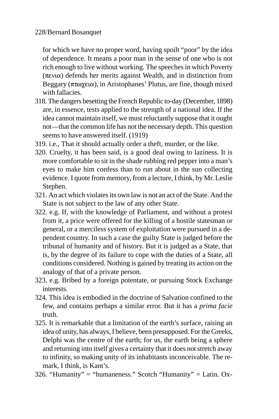for which we have no proper word, having spoilt "poor" by the idea of dependence. It means a poor man in the sense of one who is not rich enough to live without working. The speeches in which Poverty  $(\pi \text{ev}\alpha)$  defends her merits against Wealth, and in distinction from Beggary ( $\pi \infty$ ), in Aristophanes' Plutus, are fine, though mixed with fallacies.

- 318. The dangers besetting the French Republic to-day (December, 1898) are, in essence, tests applied to the strength of a national idea. If the idea cannot maintain itself, we must reluctantly suppose that it ought not—that the common life has not the necessary depth. This question seems to have answered itself. (1919)
- 319. i.e., That it should actually order a theft, murder, or the like.
- 320. Cruelty, it has been said, is a good deal owing to laziness. It is more comfortable to sit in the shade rubbing red pepper into a man's eyes to make him confess than to run about in the sun collecting evidence. I quote from memory, from a lecture, I think, by Mr. Leslie Stephen.
- 321. An act which violates its own law is not an act of the State. And the State is not subject to the law of any other State.
- 322. e.g. If, with the knowledge of Parliament, and without a protest from it, a price were offered for the killing of a hostile statesman or general, or a merciless system of exploitation were pursued in a dependent country. In such a case the guilty State is judged before the tribunal of humanity and of history. But it is judged as a State, that is, by the degree of its failure to cope with the duties of a State, all conditions considered. Nothing is gained by treating its action on the analogy of that of a private person.
- 323. e.g. Bribed by a foreign potentate, or pursuing Stock Exchange interests.
- 324. This idea is embodied in the doctrine of Salvation confined to the few, and contains perhaps a similar error. But it has a *prima facie* truth.
- 325. It is remarkable that a limitation of the earth's surface, raising an idea of unity, has always, I believe, been presupposed. For the Greeks, Delphi was the centre of the earth; for us, the earth being a sphere and returning into itself gives a certainty that it does not stretch away to infinity, so making unity of its inhabitants inconceivable. The remark, I think, is Kant's.
- 326. "Humanity" = "humaneness." Scotch "Humanity" = Latin. Ox-